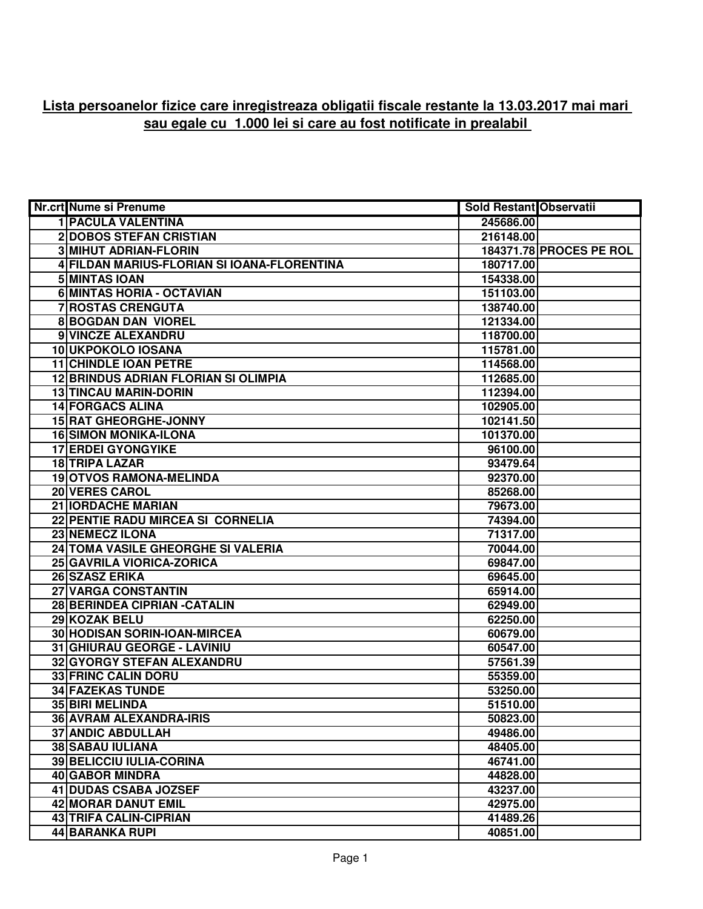## **Lista persoanelor fizice care inregistreaza obligatii fiscale restante la 13.03.2017 mai mari sau egale cu 1.000 lei si care au fost notificate in prealabil**

| Nr.crt Nume si Prenume                      | Sold Restant Observatii |                                |
|---------------------------------------------|-------------------------|--------------------------------|
| <b>1 PACULA VALENTINA</b>                   | 245686.00               |                                |
| 2 DOBOS STEFAN CRISTIAN                     | 216148.00               |                                |
| <b>3 MIHUT ADRIAN-FLORIN</b>                |                         | <b>184371.78 PROCES PE ROL</b> |
| 4 FILDAN MARIUS-FLORIAN SI IOANA-FLORENTINA | 180717.00               |                                |
| 5 MINTAS IOAN                               | 154338.00               |                                |
| 6 MINTAS HORIA - OCTAVIAN                   | 151103.00               |                                |
| 7 ROSTAS CRENGUTA                           | 138740.00               |                                |
| <b>8BOGDAN DAN VIOREL</b>                   | 121334.00               |                                |
| 9 VINCZE ALEXANDRU                          | 118700.00               |                                |
| 10 UKPOKOLO IOSANA                          | 115781.00               |                                |
| <b>11 CHINDLE IOAN PETRE</b>                | 114568.00               |                                |
| <b>12 BRINDUS ADRIAN FLORIAN SI OLIMPIA</b> | 112685.00               |                                |
| <b>13 TINCAU MARIN-DORIN</b>                | 112394.00               |                                |
| <b>14 FORGACS ALINA</b>                     | 102905.00               |                                |
| <b>15 RAT GHEORGHE-JONNY</b>                | 102141.50               |                                |
| <b>16 SIMON MONIKA-ILONA</b>                | 101370.00               |                                |
| <b>17 ERDEI GYONGYIKE</b>                   | 96100.00                |                                |
| <b>18 TRIPA LAZAR</b>                       | 93479.64                |                                |
| <b>19 OTVOS RAMONA-MELINDA</b>              | 92370.00                |                                |
| 20 VERES CAROL                              | 85268.00                |                                |
| <b>21 IORDACHE MARIAN</b>                   | 79673.00                |                                |
| 22 PENTIE RADU MIRCEA SI CORNELIA           | 74394.00                |                                |
| 23 NEMECZ ILONA                             | 71317.00                |                                |
| 24 TOMA VASILE GHEORGHE SI VALERIA          | 70044.00                |                                |
| 25 GAVRILA VIORICA-ZORICA                   | 69847.00                |                                |
| 26 SZASZ ERIKA                              | 69645.00                |                                |
| 27 VARGA CONSTANTIN                         | 65914.00                |                                |
| 28 BERINDEA CIPRIAN - CATALIN               | 62949.00                |                                |
| 29 KOZAK BELU                               | 62250.00                |                                |
| 30 HODISAN SORIN-IOAN-MIRCEA                | 60679.00                |                                |
| 31 GHIURAU GEORGE - LAVINIU                 | 60547.00                |                                |
| 32 GYORGY STEFAN ALEXANDRU                  | 57561.39                |                                |
| <b>33 FRINC CALIN DORU</b>                  | 55359.00                |                                |
| <b>34 FAZEKAS TUNDE</b>                     | 53250.00                |                                |
| 35 BIRI MELINDA                             | 51510.00                |                                |
| 36 AVRAM ALEXANDRA-IRIS                     | 50823.00                |                                |
| <b>37 ANDIC ABDULLAH</b>                    | 49486.00                |                                |
| <b>38 SABAU IULIANA</b>                     | 48405.00                |                                |
| <b>39 BELICCIU IULIA-CORINA</b>             | 46741.00                |                                |
| <b>40 GABOR MINDRA</b>                      | 44828.00                |                                |
| 41 DUDAS CSABA JOZSEF                       | 43237.00                |                                |
| <b>42 MORAR DANUT EMIL</b>                  | 42975.00                |                                |
| <b>43 TRIFA CALIN-CIPRIAN</b>               | 41489.26                |                                |
| <b>44 BARANKA RUPI</b>                      | 40851.00                |                                |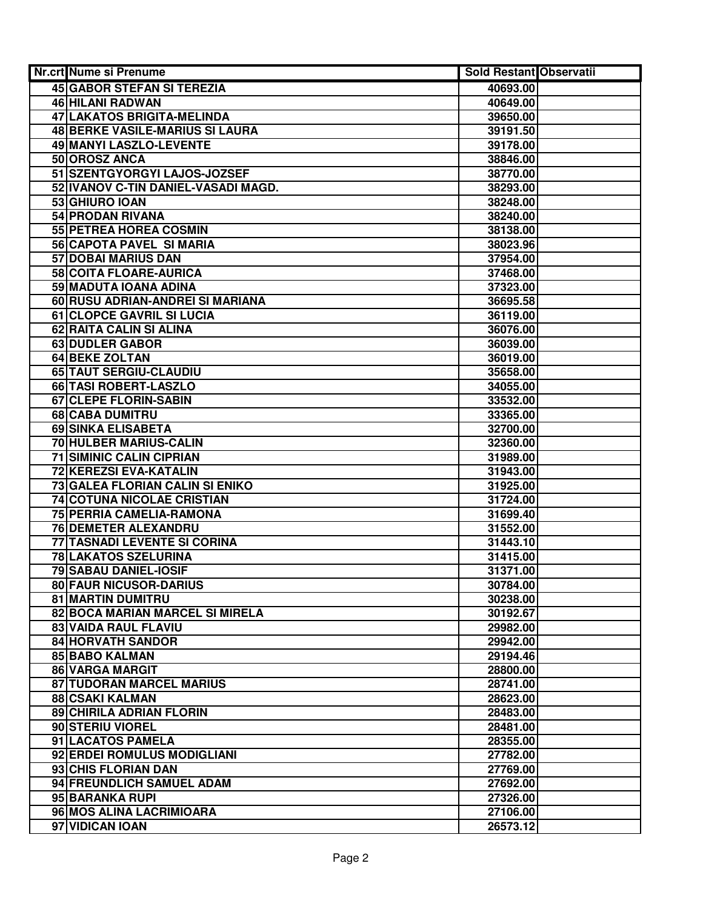| Nr.crt Nume si Prenume                               | Sold Restant Observatii |  |
|------------------------------------------------------|-------------------------|--|
| <b>45 GABOR STEFAN SI TEREZIA</b>                    | 40693.00                |  |
| 46 HILANI RADWAN                                     | 40649.00                |  |
| 47 LAKATOS BRIGITA-MELINDA                           | 39650.00                |  |
| <b>48 BERKE VASILE-MARIUS SI LAURA</b>               | 39191.50                |  |
| 49 MANYI LASZLO-LEVENTE                              | 39178.00                |  |
| 50 OROSZ ANCA                                        | 38846.00                |  |
| 51 SZENTGYORGYI LAJOS-JOZSEF                         | 38770.00                |  |
| 52 IVANOV C-TIN DANIEL-VASADI MAGD.                  | 38293.00                |  |
| 53 GHIURO IOAN                                       | 38248.00                |  |
| 54 PRODAN RIVANA                                     | 38240.00                |  |
| 55 PETREA HOREA COSMIN                               | 38138.00                |  |
| 56 CAPOTA PAVEL SI MARIA                             | 38023.96                |  |
| 57 DOBAI MARIUS DAN                                  | 37954.00                |  |
| 58 COITA FLOARE-AURICA                               | 37468.00                |  |
| 59 MADUTA IOANA ADINA                                | 37323.00                |  |
| 60 RUSU ADRIAN-ANDREI SI MARIANA                     | 36695.58                |  |
| 61 CLOPCE GAVRIL SI LUCIA                            | 36119.00                |  |
| 62 RAITA CALIN SI ALINA                              | 36076.00                |  |
| <b>63 DUDLER GABOR</b>                               | 36039.00                |  |
| <b>64 BEKE ZOLTAN</b>                                | 36019.00                |  |
| 65 TAUT SERGIU-CLAUDIU                               | 35658.00                |  |
| 66 TASI ROBERT-LASZLO                                | 34055.00                |  |
| 67 CLEPE FLORIN-SABIN                                | 33532.00                |  |
| 68 CABA DUMITRU                                      | 33365.00                |  |
| 69 SINKA ELISABETA                                   | 32700.00                |  |
| 70 HULBER MARIUS-CALIN                               | 32360.00                |  |
| <b>71 SIMINIC CALIN CIPRIAN</b>                      | 31989.00                |  |
| 72 KEREZSI EVA-KATALIN                               | 31943.00                |  |
| 73 GALEA FLORIAN CALIN SI ENIKO                      | 31925.00                |  |
| 74 COTUNA NICOLAE CRISTIAN                           | 31724.00                |  |
| 75 PERRIA CAMELIA-RAMONA                             | 31699.40                |  |
| 76 DEMETER ALEXANDRU                                 | 31552.00                |  |
| 77 TASNADI LEVENTE SI CORINA<br>78 LAKATOS SZELURINA | 31443.10                |  |
| 79 SABAU DANIEL-IOSIF                                | 31415.00<br>31371.00    |  |
| 80 FAUR NICUSOR-DARIUS                               | 30784.00                |  |
| <b>81 MARTIN DUMITRU</b>                             | 30238.00                |  |
| 82 BOCA MARIAN MARCEL SI MIRELA                      | 30192.67                |  |
| <b>83 VAIDA RAUL FLAVIU</b>                          | 29982.00                |  |
| <b>84 HORVATH SANDOR</b>                             | 29942.00                |  |
| <b>85 BABO KALMAN</b>                                | 29194.46                |  |
| 86 VARGA MARGIT                                      | 28800.00                |  |
| <b>87 TUDORAN MARCEL MARIUS</b>                      | 28741.00                |  |
| <b>88 CSAKI KALMAN</b>                               | 28623.00                |  |
| 89 CHIRILA ADRIAN FLORIN                             | 28483.00                |  |
| 90 STERIU VIOREL                                     | 28481.00                |  |
| 91 LACATOS PAMELA                                    | 28355.00                |  |
| 92 ERDEI ROMULUS MODIGLIANI                          | 27782.00                |  |
| 93 CHIS FLORIAN DAN                                  | 27769.00                |  |
| 94 FREUNDLICH SAMUEL ADAM                            | 27692.00                |  |
| 95 BARANKA RUPI                                      | 27326.00                |  |
| 96 MOS ALINA LACRIMIOARA                             | 27106.00                |  |
| 97 VIDICAN IOAN                                      | 26573.12                |  |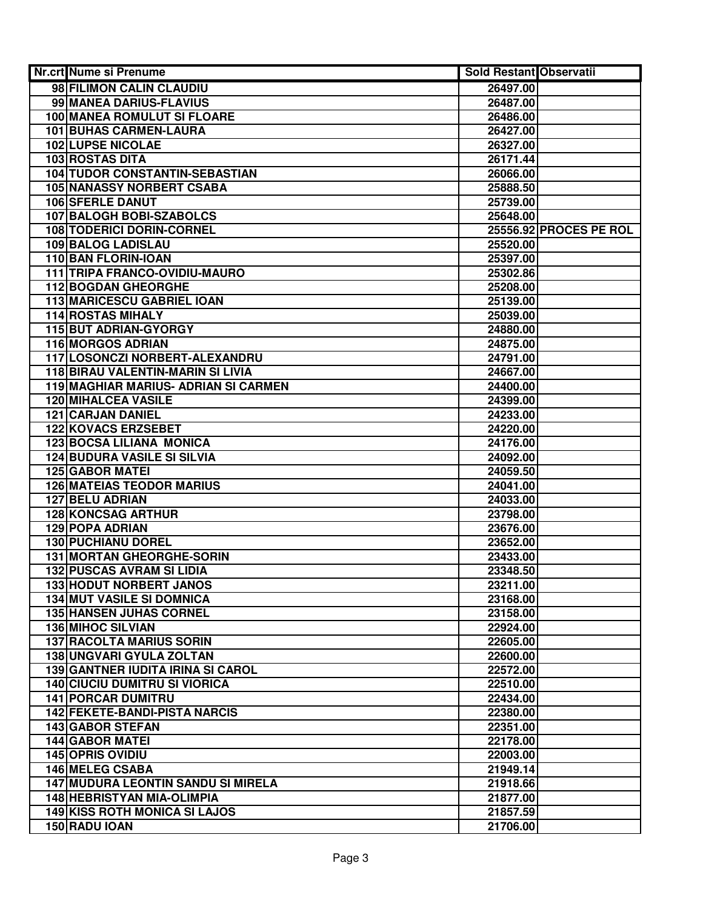| Nr.crt Nume si Prenume                    | <b>Sold Restant Observatii</b> |                        |
|-------------------------------------------|--------------------------------|------------------------|
| 98 FILIMON CALIN CLAUDIU                  | 26497.00                       |                        |
| 99 MANEA DARIUS-FLAVIUS                   | 26487.00                       |                        |
| <b>100 MANEA ROMULUT SI FLOARE</b>        | 26486.00                       |                        |
| <b>101 BUHAS CARMEN-LAURA</b>             | 26427.00                       |                        |
| <b>102 LUPSE NICOLAE</b>                  | 26327.00                       |                        |
| 103 ROSTAS DITA                           | 26171.44                       |                        |
| 104 TUDOR CONSTANTIN-SEBASTIAN            | 26066.00                       |                        |
| <b>105 NANASSY NORBERT CSABA</b>          | 25888.50                       |                        |
| 106 SFERLE DANUT                          | 25739.00                       |                        |
| 107 BALOGH BOBI-SZABOLCS                  | 25648.00                       |                        |
| 108 TODERICI DORIN-CORNEL                 |                                | 25556.92 PROCES PE ROL |
| 109 BALOG LADISLAU                        | 25520.00                       |                        |
| 110 BAN FLORIN-IOAN                       | 25397.00                       |                        |
| 111 TRIPA FRANCO-OVIDIU-MAURO             | 25302.86                       |                        |
| <b>112 BOGDAN GHEORGHE</b>                | 25208.00                       |                        |
| <b>113 MARICESCU GABRIEL IOAN</b>         | 25139.00                       |                        |
| <b>114 ROSTAS MIHALY</b>                  | 25039.00                       |                        |
| <b>115 BUT ADRIAN-GYORGY</b>              | 24880.00                       |                        |
| <b>116 MORGOS ADRIAN</b>                  | 24875.00                       |                        |
| 117 LOSONCZI NORBERT-ALEXANDRU            | 24791.00                       |                        |
| 118 BIRAU VALENTIN-MARIN SI LIVIA         | 24667.00                       |                        |
| 119 MAGHIAR MARIUS- ADRIAN SI CARMEN      | 24400.00                       |                        |
| <b>120 MIHALCEA VASILE</b>                | 24399.00                       |                        |
| <b>121 CARJAN DANIEL</b>                  | 24233.00                       |                        |
| <b>122 KOVACS ERZSEBET</b>                | 24220.00                       |                        |
| <b>123 BOCSA LILIANA MONICA</b>           | 24176.00                       |                        |
| <b>124 BUDURA VASILE SI SILVIA</b>        | 24092.00                       |                        |
| <b>125 GABOR MATEI</b>                    | 24059.50                       |                        |
| <b>126 MATEIAS TEODOR MARIUS</b>          | 24041.00                       |                        |
| <b>127 BELU ADRIAN</b>                    | 24033.00                       |                        |
| <b>128 KONCSAG ARTHUR</b>                 | 23798.00                       |                        |
| <b>129 POPA ADRIAN</b>                    | 23676.00                       |                        |
| <b>130 PUCHIANU DOREL</b>                 | 23652.00                       |                        |
| 131 MORTAN GHEORGHE-SORIN                 | 23433.00                       |                        |
| <b>132 PUSCAS AVRAM SI LIDIA</b>          | 23348.50                       |                        |
| <b>133 HODUT NORBERT JANOS</b>            | 23211.00                       |                        |
| <b>134 MUT VASILE SI DOMNICA</b>          | 23168.00                       |                        |
| <b>135 HANSEN JUHAS CORNEL</b>            | 23158.00                       |                        |
| <b>136 MIHOC SILVIAN</b>                  | 22924.00                       |                        |
| <b>137 RACOLTA MARIUS SORIN</b>           | 22605.00                       |                        |
| <b>138 UNGVARI GYULA ZOLTAN</b>           | 22600.00                       |                        |
| <b>139 GANTNER IUDITA IRINA SI CAROL</b>  | 22572.00                       |                        |
| <b>140 CIUCIU DUMITRU SI VIORICA</b>      | 22510.00                       |                        |
| <b>141 PORCAR DUMITRU</b>                 | 22434.00                       |                        |
| <b>142 FEKETE-BANDI-PISTA NARCIS</b>      | 22380.00                       |                        |
| 143 GABOR STEFAN                          | 22351.00                       |                        |
| <b>144 GABOR MATEI</b>                    | 22178.00                       |                        |
| <b>145 OPRIS OVIDIU</b>                   | 22003.00                       |                        |
| 146 MELEG CSABA                           | 21949.14                       |                        |
| <b>147 MUDURA LEONTIN SANDU SI MIRELA</b> | 21918.66                       |                        |
| <b>148 HEBRISTYAN MIA-OLIMPIA</b>         | 21877.00                       |                        |
| <b>149 KISS ROTH MONICA SI LAJOS</b>      | 21857.59                       |                        |
| 150 RADU IOAN                             | 21706.00                       |                        |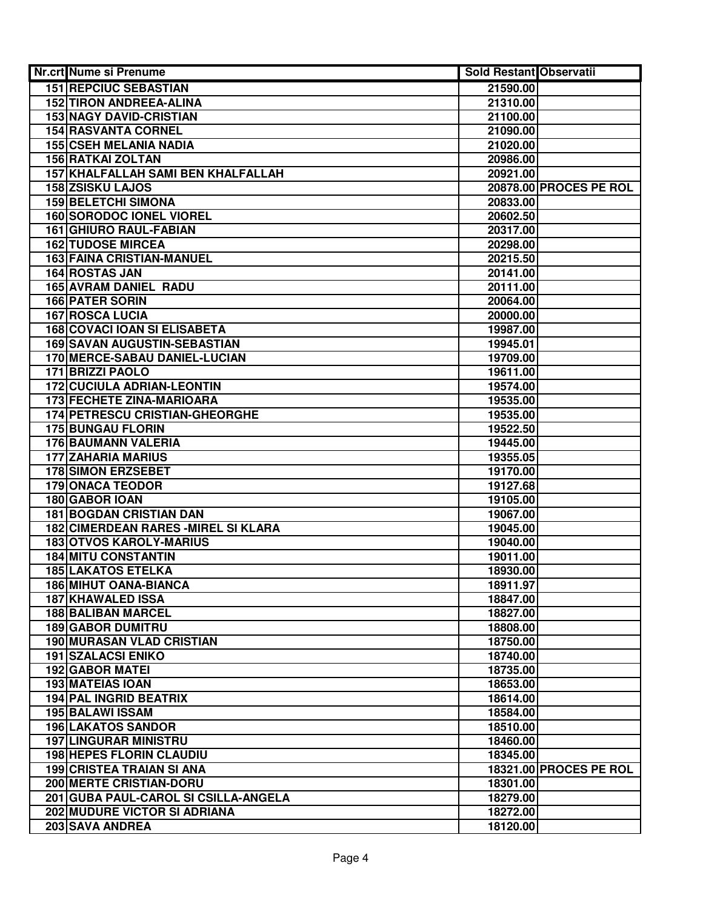| Nr.crt Nume si Prenume               | <b>Sold Restant Observatii</b> |                        |
|--------------------------------------|--------------------------------|------------------------|
| <b>151 REPCIUC SEBASTIAN</b>         | 21590.00                       |                        |
| <b>152 TIRON ANDREEA-ALINA</b>       | 21310.00                       |                        |
| <b>153 NAGY DAVID-CRISTIAN</b>       | 21100.00                       |                        |
| <b>154 RASVANTA CORNEL</b>           | 21090.00                       |                        |
| <b>155 CSEH MELANIA NADIA</b>        | 21020.00                       |                        |
| 156 RATKAI ZOLTAN                    | 20986.00                       |                        |
| 157 KHALFALLAH SAMI BEN KHALFALLAH   | 20921.00                       |                        |
| <b>158 ZSISKU LAJOS</b>              |                                | 20878.00 PROCES PE ROL |
| <b>159 BELETCHI SIMONA</b>           | 20833.00                       |                        |
| <b>160 SORODOC IONEL VIOREL</b>      | 20602.50                       |                        |
| <b>161 GHIURO RAUL-FABIAN</b>        | 20317.00                       |                        |
| <b>162 TUDOSE MIRCEA</b>             | 20298.00                       |                        |
| <b>163 FAINA CRISTIAN-MANUEL</b>     | 20215.50                       |                        |
| 164 ROSTAS JAN                       | 20141.00                       |                        |
| 165 AVRAM DANIEL RADU                | 20111.00                       |                        |
| <b>166 PATER SORIN</b>               | 20064.00                       |                        |
| <b>167 ROSCA LUCIA</b>               | 20000.00                       |                        |
| <b>168 COVACI IOAN SI ELISABETA</b>  | 19987.00                       |                        |
| <b>169 SAVAN AUGUSTIN-SEBASTIAN</b>  | 19945.01                       |                        |
| 170 MERCE-SABAU DANIEL-LUCIAN        | 19709.00                       |                        |
| <b>171 BRIZZI PAOLO</b>              | 19611.00                       |                        |
| <b>172 CUCIULA ADRIAN-LEONTIN</b>    | 19574.00                       |                        |
| 173 FECHETE ZINA-MARIOARA            | 19535.00                       |                        |
| 174 PETRESCU CRISTIAN-GHEORGHE       | 19535.00                       |                        |
| <b>175 BUNGAU FLORIN</b>             | 19522.50                       |                        |
| 176 BAUMANN VALERIA                  | 19445.00                       |                        |
| <b>177 ZAHARIA MARIUS</b>            | 19355.05                       |                        |
| <b>178 SIMON ERZSEBET</b>            | 19170.00                       |                        |
| <b>179 ONACA TEODOR</b>              | 19127.68                       |                        |
| 180 GABOR IOAN                       | 19105.00                       |                        |
| <b>181 BOGDAN CRISTIAN DAN</b>       | 19067.00                       |                        |
| 182 CIMERDEAN RARES - MIREL SI KLARA | 19045.00                       |                        |
| <b>183 OTVOS KAROLY-MARIUS</b>       | 19040.00                       |                        |
| <b>184 MITU CONSTANTIN</b>           | 19011.00                       |                        |
| <b>185 LAKATOS ETELKA</b>            | 18930.00                       |                        |
| <b>186 MIHUT OANA-BIANCA</b>         | 18911.97                       |                        |
| <b>187 KHAWALED ISSA</b>             | 18847.00                       |                        |
| <b>188 BALIBAN MARCEL</b>            | 18827.00                       |                        |
| <b>189 GABOR DUMITRU</b>             | 18808.00                       |                        |
| 190 MURASAN VLAD CRISTIAN            | 18750.00                       |                        |
| <b>191 SZALACSI ENIKO</b>            | 18740.00                       |                        |
| <b>192 GABOR MATEI</b>               | 18735.00                       |                        |
| <b>193 MATEIAS IOAN</b>              | 18653.00                       |                        |
| <b>194 PAL INGRID BEATRIX</b>        | 18614.00                       |                        |
| <b>195 BALAWI ISSAM</b>              | 18584.00                       |                        |
| <b>196 LAKATOS SANDOR</b>            | 18510.00                       |                        |
| <b>197 LINGURAR MINISTRU</b>         | 18460.00                       |                        |
| <b>198 HEPES FLORIN CLAUDIU</b>      | 18345.00                       |                        |
| <b>199 CRISTEA TRAIAN SI ANA</b>     |                                | 18321.00 PROCES PE ROL |
| 200 MERTE CRISTIAN-DORU              | 18301.00                       |                        |
| 201 GUBA PAUL-CAROL SI CSILLA-ANGELA | 18279.00                       |                        |
| 202 MUDURE VICTOR SI ADRIANA         | 18272.00                       |                        |
| 203 SAVA ANDREA                      | 18120.00                       |                        |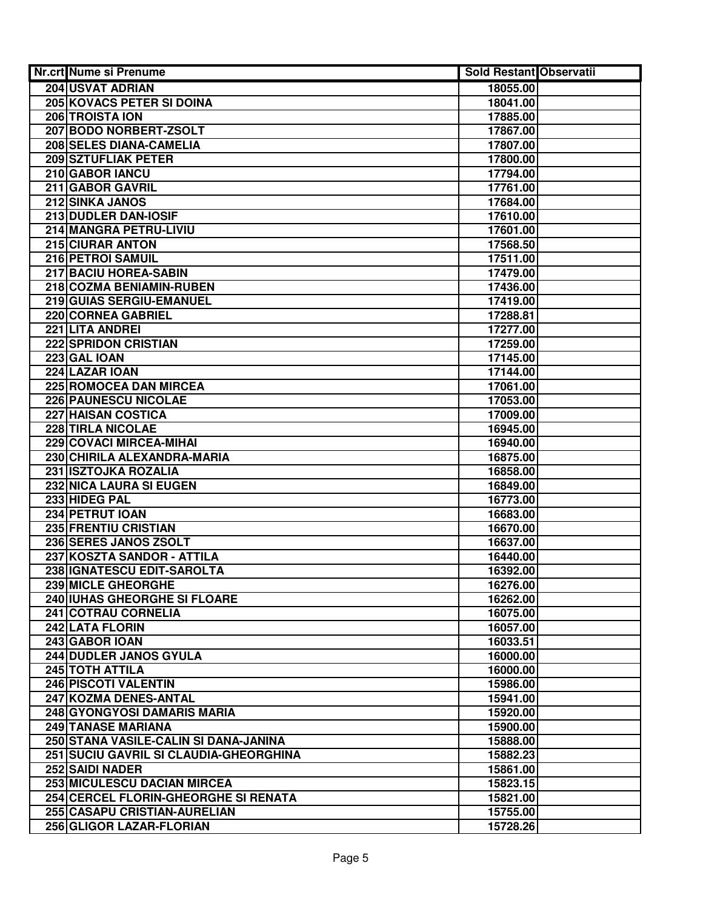| Nr.crt Nume si Prenume                 | <b>Sold Restant Observatii</b> |  |
|----------------------------------------|--------------------------------|--|
| <b>204 USVAT ADRIAN</b>                | 18055.00                       |  |
| 205 KOVACS PETER SI DOINA              | 18041.00                       |  |
| 206 TROISTA ION                        | 17885.00                       |  |
| 207 BODO NORBERT-ZSOLT                 | 17867.00                       |  |
| 208 SELES DIANA-CAMELIA                | 17807.00                       |  |
| 209 SZTUFLIAK PETER                    | 17800.00                       |  |
| 210 GABOR IANCU                        | 17794.00                       |  |
| 211 GABOR GAVRIL                       | 17761.00                       |  |
| 212 SINKA JANOS                        | 17684.00                       |  |
| 213 DUDLER DAN-IOSIF                   | 17610.00                       |  |
| 214 MANGRA PETRU-LIVIU                 | 17601.00                       |  |
| 215 CIURAR ANTON                       | 17568.50                       |  |
| 216 PETROI SAMUIL                      | 17511.00                       |  |
| 217 BACIU HOREA-SABIN                  | 17479.00                       |  |
| 218 COZMA BENIAMIN-RUBEN               | 17436.00                       |  |
| 219 GUIAS SERGIU-EMANUEL               | 17419.00                       |  |
| 220 CORNEA GABRIEL                     | 17288.81                       |  |
| 221 LITA ANDREI                        | 17277.00                       |  |
| <b>222 SPRIDON CRISTIAN</b>            | 17259.00                       |  |
| 223 GAL IOAN                           | 17145.00                       |  |
| 224 LAZAR IOAN                         | 17144.00                       |  |
| 225 ROMOCEA DAN MIRCEA                 | 17061.00                       |  |
| 226 PAUNESCU NICOLAE                   | 17053.00                       |  |
| 227 HAISAN COSTICA                     | 17009.00                       |  |
| 228 TIRLA NICOLAE                      | 16945.00                       |  |
| 229 COVACI MIRCEA-MIHAI                | 16940.00                       |  |
| 230 CHIRILA ALEXANDRA-MARIA            | 16875.00                       |  |
| 231 ISZTOJKA ROZALIA                   | 16858.00                       |  |
| 232 NICA LAURA SI EUGEN                | 16849.00                       |  |
| 233 HIDEG PAL                          | 16773.00                       |  |
| 234 PETRUT IOAN                        | 16683.00                       |  |
| 235 FRENTIU CRISTIAN                   | 16670.00                       |  |
| 236 SERES JANOS ZSOLT                  | 16637.00                       |  |
| 237 KOSZTA SANDOR - ATTILA             | 16440.00                       |  |
| 238 IGNATESCU EDIT-SAROLTA             | 16392.00                       |  |
| 239 MICLE GHEORGHE                     | 16276.00                       |  |
| 240 IUHAS GHEORGHE SI FLOARE           | 16262.00                       |  |
| 241 COTRAU CORNELIA                    | 16075.00                       |  |
| 242 LATA FLORIN                        | 16057.00                       |  |
| 243 GABOR IOAN                         | 16033.51                       |  |
| 244 DUDLER JANOS GYULA                 | 16000.00                       |  |
| 245 TOTH ATTILA                        | 16000.00                       |  |
| <b>246 PISCOTI VALENTIN</b>            | 15986.00                       |  |
| 247 KOZMA DENES-ANTAL                  | 15941.00                       |  |
| 248 GYONGYOSI DAMARIS MARIA            | 15920.00                       |  |
| 249 TANASE MARIANA                     | 15900.00                       |  |
| 250 STANA VASILE-CALIN SI DANA-JANINA  | 15888.00                       |  |
| 251 SUCIU GAVRIL SI CLAUDIA-GHEORGHINA | 15882.23                       |  |
| 252 SAIDI NADER                        | 15861.00                       |  |
| 253 MICULESCU DACIAN MIRCEA            | 15823.15                       |  |
| 254 CERCEL FLORIN-GHEORGHE SI RENATA   | 15821.00                       |  |
| 255 CASAPU CRISTIAN-AURELIAN           | 15755.00                       |  |
| 256 GLIGOR LAZAR-FLORIAN               | 15728.26                       |  |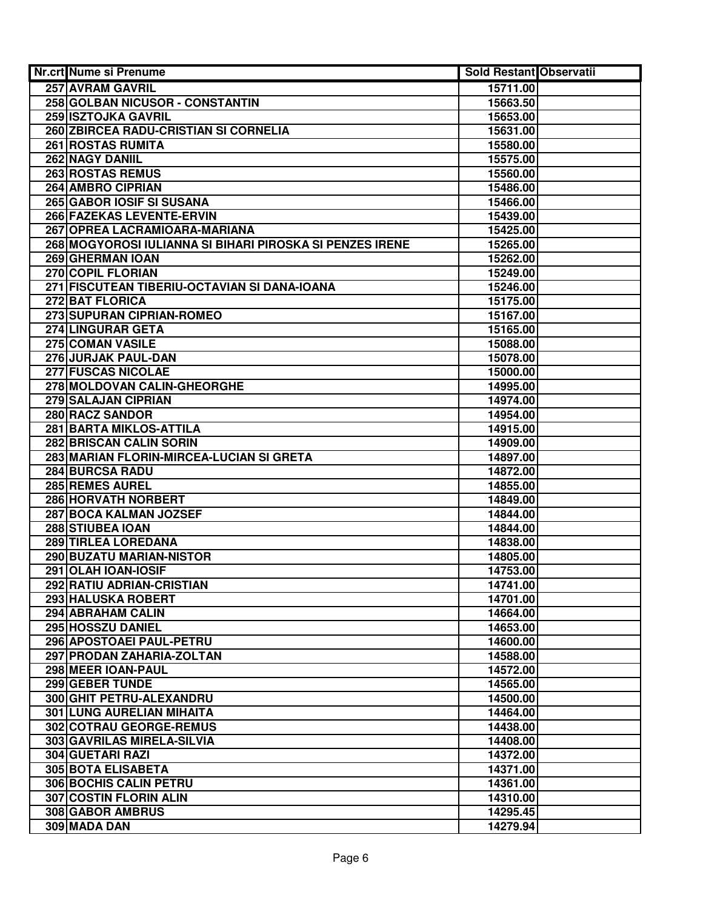| <b>Nr.crt Nume si Prenume</b>                            | Sold Restant Observatii |  |
|----------------------------------------------------------|-------------------------|--|
| <b>257 AVRAM GAVRIL</b>                                  | 15711.00                |  |
| 258 GOLBAN NICUSOR - CONSTANTIN                          | 15663.50                |  |
| 259 ISZTOJKA GAVRIL                                      | 15653.00                |  |
| 260 ZBIRCEA RADU-CRISTIAN SI CORNELIA                    | 15631.00                |  |
| <b>261 ROSTAS RUMITA</b>                                 | 15580.00                |  |
| 262 NAGY DANIIL                                          | 15575.00                |  |
| 263 ROSTAS REMUS                                         | 15560.00                |  |
| 264 AMBRO CIPRIAN                                        | 15486.00                |  |
| 265 GABOR IOSIF SI SUSANA                                | 15466.00                |  |
| 266 FAZEKAS LEVENTE-ERVIN                                | 15439.00                |  |
| 267 OPREA LACRAMIOARA-MARIANA                            | 15425.00                |  |
| 268 MOGYOROSI IULIANNA SI BIHARI PIROSKA SI PENZES IRENE | 15265.00                |  |
| 269 GHERMAN IOAN                                         | 15262.00                |  |
| 270 COPIL FLORIAN                                        | 15249.00                |  |
| 271 FISCUTEAN TIBERIU-OCTAVIAN SI DANA-IOANA             | 15246.00                |  |
| 272 BAT FLORICA                                          | 15175.00                |  |
| 273 SUPURAN CIPRIAN-ROMEO                                | 15167.00                |  |
| <b>274 LINGURAR GETA</b>                                 | 15165.00                |  |
| 275 COMAN VASILE                                         | 15088.00                |  |
| 276 JURJAK PAUL-DAN                                      | 15078.00                |  |
| 277 FUSCAS NICOLAE                                       | 15000.00                |  |
| 278 MOLDOVAN CALIN-GHEORGHE                              | 14995.00                |  |
| 279 SALAJAN CIPRIAN                                      | 14974.00                |  |
| 280 RACZ SANDOR                                          | 14954.00                |  |
| 281 BARTA MIKLOS-ATTILA                                  | 14915.00                |  |
| 282 BRISCAN CALIN SORIN                                  | 14909.00                |  |
| 283 MARIAN FLORIN-MIRCEA-LUCIAN SI GRETA                 | 14897.00                |  |
| <b>284 BURCSA RADU</b>                                   | 14872.00                |  |
| 285 REMES AUREL                                          | 14855.00                |  |
| 286 HORVATH NORBERT                                      | 14849.00                |  |
| 287 BOCA KALMAN JOZSEF                                   | 14844.00                |  |
| 288 STIUBEA IOAN                                         | 14844.00                |  |
| 289 TIRLEA LOREDANA                                      | 14838.00                |  |
| 290 BUZATU MARIAN-NISTOR                                 | 14805.00                |  |
| 291 OLAH IOAN-IOSIF                                      | 14753.00                |  |
| 292 RATIU ADRIAN-CRISTIAN                                | 14741.00                |  |
| 293 HALUSKA ROBERT                                       | 14701.00                |  |
| 294 ABRAHAM CALIN                                        | 14664.00                |  |
| 295 HOSSZU DANIEL                                        | 14653.00                |  |
| 296 APOSTOAEI PAUL-PETRU                                 | 14600.00                |  |
| 297 PRODAN ZAHARIA-ZOLTAN                                | 14588.00                |  |
| 298 MEER IOAN-PAUL                                       | 14572.00                |  |
| <b>299 GEBER TUNDE</b>                                   | 14565.00                |  |
| 300 GHIT PETRU-ALEXANDRU                                 | 14500.00                |  |
| <b>301 LUNG AURELIAN MIHAITA</b>                         | 14464.00                |  |
| 302 COTRAU GEORGE-REMUS                                  | 14438.00                |  |
| 303 GAVRILAS MIRELA-SILVIA                               | 14408.00                |  |
| 304 GUETARI RAZI                                         | 14372.00                |  |
| 305 BOTA ELISABETA                                       | 14371.00                |  |
| 306 BOCHIS CALIN PETRU                                   | 14361.00                |  |
| 307 COSTIN FLORIN ALIN                                   | 14310.00                |  |
| 308 GABOR AMBRUS                                         | 14295.45                |  |
| 309 MADA DAN                                             | 14279.94                |  |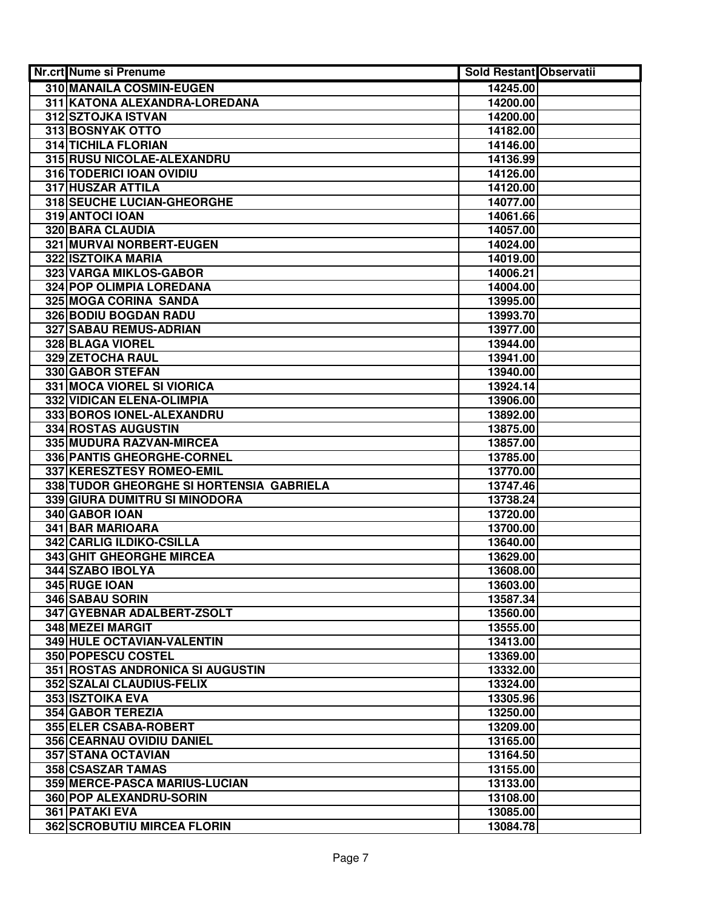| <b>Nr.crt Nume si Prenume</b>                           | <b>Sold Restant Observatii</b> |  |
|---------------------------------------------------------|--------------------------------|--|
| 310 MANAILA COSMIN-EUGEN                                | 14245.00                       |  |
| 311 KATONA ALEXANDRA-LOREDANA                           | 14200.00                       |  |
| 312 SZTOJKA ISTVAN                                      | 14200.00                       |  |
| 313 BOSNYAK OTTO                                        | 14182.00                       |  |
| <b>314 TICHILA FLORIAN</b>                              | 14146.00                       |  |
| 315 RUSU NICOLAE-ALEXANDRU                              | 14136.99                       |  |
| 316 TODERICI IOAN OVIDIU                                | 14126.00                       |  |
| 317 HUSZAR ATTILA                                       | 14120.00                       |  |
| <b>318 SEUCHE LUCIAN-GHEORGHE</b>                       | 14077.00                       |  |
| 319 ANTOCI IOAN                                         | 14061.66                       |  |
| <b>320 BARA CLAUDIA</b>                                 | 14057.00                       |  |
| 321 MURVAI NORBERT-EUGEN                                | 14024.00                       |  |
| 322 ISZTOIKA MARIA                                      | 14019.00                       |  |
| 323 VARGA MIKLOS-GABOR                                  | 14006.21                       |  |
| 324 POP OLIMPIA LOREDANA                                | 14004.00                       |  |
| 325 MOGA CORINA SANDA                                   | 13995.00                       |  |
| <b>326 BODIU BOGDAN RADU</b>                            | 13993.70                       |  |
| 327 SABAU REMUS-ADRIAN                                  | 13977.00                       |  |
| 328 BLAGA VIOREL                                        | 13944.00                       |  |
| <b>329 ZETOCHA RAUL</b>                                 | 13941.00                       |  |
| 330 GABOR STEFAN                                        | 13940.00                       |  |
| 331 MOCA VIOREL SI VIORICA                              | 13924.14                       |  |
| 332 VIDICAN ELENA-OLIMPIA                               | 13906.00                       |  |
| 333 BOROS IONEL-ALEXANDRU                               | 13892.00                       |  |
| 334 ROSTAS AUGUSTIN                                     | 13875.00                       |  |
| 335 MUDURA RAZVAN-MIRCEA                                | 13857.00                       |  |
| 336 PANTIS GHEORGHE-CORNEL                              | 13785.00                       |  |
| 337 KERESZTESY ROMEO-EMIL                               | 13770.00                       |  |
| 338 TUDOR GHEORGHE SI HORTENSIA GABRIELA                | 13747.46                       |  |
| 339 GIURA DUMITRU SI MINODORA                           | 13738.24                       |  |
| 340 GABOR IOAN                                          | 13720.00                       |  |
| 341 BAR MARIOARA                                        | 13700.00                       |  |
| 342 CARLIG ILDIKO-CSILLA                                | 13640.00                       |  |
| 343 GHIT GHEORGHE MIRCEA                                | 13629.00                       |  |
| 344 SZABO IBOLYA                                        | 13608.00                       |  |
| 345 RUGE IOAN                                           | 13603.00                       |  |
| 346 SABAU SORIN                                         | 13587.34                       |  |
| 347 GYEBNAR ADALBERT-ZSOLT                              | 13560.00                       |  |
| 348 MEZEI MARGIT                                        | 13555.00                       |  |
| 349 HULE OCTAVIAN-VALENTIN<br><b>350 POPESCU COSTEL</b> | 13413.00                       |  |
| 351 ROSTAS ANDRONICA SI AUGUSTIN                        | 13369.00<br>13332.00           |  |
| <b>352 SZALAI CLAUDIUS-FELIX</b>                        | 13324.00                       |  |
| 353 ISZTOIKA EVA                                        | 13305.96                       |  |
| <b>354 GABOR TEREZIA</b>                                |                                |  |
| 355 ELER CSABA-ROBERT                                   | 13250.00<br>13209.00           |  |
| 356 CEARNAU OVIDIU DANIEL                               | 13165.00                       |  |
| 357 STANA OCTAVIAN                                      | 13164.50                       |  |
| 358 CSASZAR TAMAS                                       | 13155.00                       |  |
| 359 MERCE-PASCA MARIUS-LUCIAN                           | 13133.00                       |  |
| 360 POP ALEXANDRU-SORIN                                 | 13108.00                       |  |
| 361 PATAKI EVA                                          | 13085.00                       |  |
| <b>362 SCROBUTIU MIRCEA FLORIN</b>                      | 13084.78                       |  |
|                                                         |                                |  |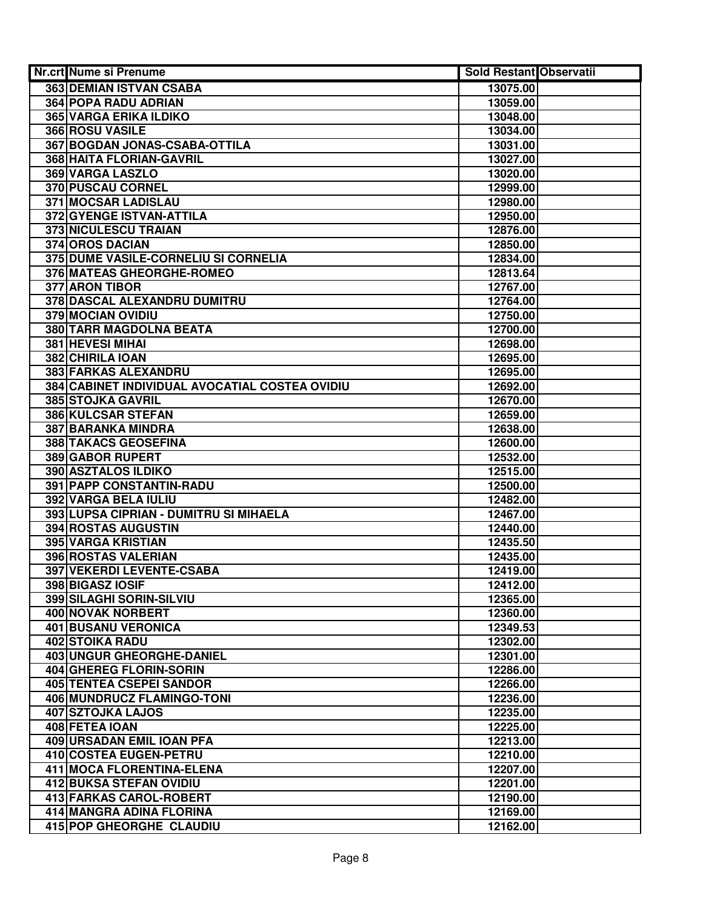| Nr.crt Nume si Prenume                         | <b>Sold Restant Observatii</b> |  |
|------------------------------------------------|--------------------------------|--|
| 363 DEMIAN ISTVAN CSABA                        | 13075.00                       |  |
| <b>364 POPA RADU ADRIAN</b>                    | 13059.00                       |  |
| 365 VARGA ERIKA ILDIKO                         | 13048.00                       |  |
| 366 ROSU VASILE                                | 13034.00                       |  |
| 367 BOGDAN JONAS-CSABA-OTTILA                  | 13031.00                       |  |
| 368 HAITA FLORIAN-GAVRIL                       | 13027.00                       |  |
| 369 VARGA LASZLO                               | 13020.00                       |  |
| <b>370 PUSCAU CORNEL</b>                       | 12999.00                       |  |
| 371 MOCSAR LADISLAU                            | 12980.00                       |  |
| 372 GYENGE ISTVAN-ATTILA                       | 12950.00                       |  |
| 373 NICULESCU TRAIAN                           | 12876.00                       |  |
| 374 OROS DACIAN                                | 12850.00                       |  |
| 375 DUME VASILE-CORNELIU SI CORNELIA           | 12834.00                       |  |
| 376 MATEAS GHEORGHE-ROMEO                      | 12813.64                       |  |
| 377 ARON TIBOR                                 | 12767.00                       |  |
| 378 DASCAL ALEXANDRU DUMITRU                   | 12764.00                       |  |
| <b>379 MOCIAN OVIDIU</b>                       | 12750.00                       |  |
| <b>380 TARR MAGDOLNA BEATA</b>                 | 12700.00                       |  |
| <b>381 HEVESI MIHAI</b>                        | 12698.00                       |  |
| 382 CHIRILA IOAN                               | 12695.00                       |  |
| 383 FARKAS ALEXANDRU                           | 12695.00                       |  |
| 384 CABINET INDIVIDUAL AVOCATIAL COSTEA OVIDIU | 12692.00                       |  |
| 385 STOJKA GAVRIL                              | 12670.00                       |  |
| 386 KULCSAR STEFAN                             | 12659.00                       |  |
| 387 BARANKA MINDRA                             | 12638.00                       |  |
| 388 TAKACS GEOSEFINA                           | 12600.00                       |  |
| 389 GABOR RUPERT                               | 12532.00                       |  |
| 390 ASZTALOS ILDIKO                            | 12515.00                       |  |
| 391 PAPP CONSTANTIN-RADU                       | 12500.00                       |  |
| 392 VARGA BELA IULIU                           | 12482.00                       |  |
| 393 LUPSA CIPRIAN - DUMITRU SI MIHAELA         | 12467.00                       |  |
| 394 ROSTAS AUGUSTIN                            | 12440.00                       |  |
| 395 VARGA KRISTIAN                             | 12435.50                       |  |
| 396 ROSTAS VALERIAN                            | 12435.00                       |  |
| 397 VEKERDI LEVENTE-CSABA                      | 12419.00                       |  |
| 398 BIGASZ IOSIF                               | 12412.00                       |  |
| 399 SILAGHI SORIN-SILVIU                       | 12365.00                       |  |
| 400 NOVAK NORBERT                              | 12360.00                       |  |
| <b>401 BUSANU VERONICA</b>                     | 12349.53                       |  |
| <b>402 STOIKA RADU</b>                         | 12302.00                       |  |
| <b>403 UNGUR GHEORGHE-DANIEL</b>               | 12301.00                       |  |
| 404 GHEREG FLORIN-SORIN                        | 12286.00                       |  |
| <b>405 TENTEA CSEPEI SANDOR</b>                | 12266.00                       |  |
| 406 MUNDRUCZ FLAMINGO-TONI                     | 12236.00                       |  |
| <b>407 SZTOJKA LAJOS</b>                       | 12235.00                       |  |
| 408 FETEA IOAN                                 | 12225.00                       |  |
| 409 URSADAN EMIL IOAN PFA                      | 12213.00                       |  |
| 410 COSTEA EUGEN-PETRU                         | 12210.00                       |  |
| 411 MOCA FLORENTINA-ELENA                      | 12207.00                       |  |
| 412 BUKSA STEFAN OVIDIU                        | 12201.00                       |  |
| 413 FARKAS CAROL-ROBERT                        | 12190.00                       |  |
| 414 MANGRA ADINA FLORINA                       | 12169.00                       |  |
| 415 POP GHEORGHE CLAUDIU                       | 12162.00                       |  |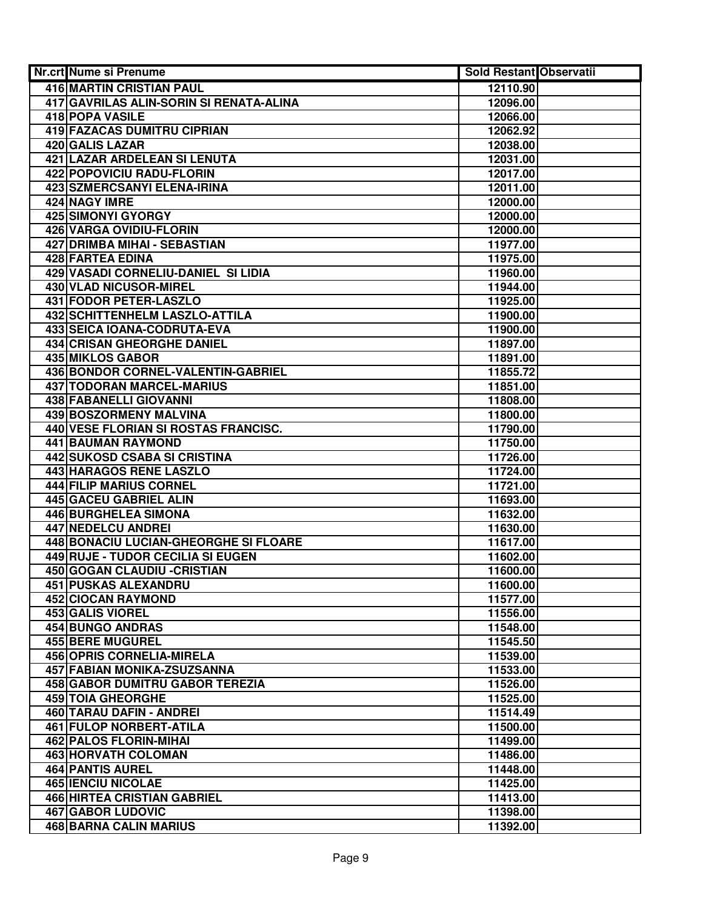| Nr.crt Nume si Prenume                  | <b>Sold Restant Observatii</b> |  |
|-----------------------------------------|--------------------------------|--|
| 416 MARTIN CRISTIAN PAUL                | 12110.90                       |  |
| 417 GAVRILAS ALIN-SORIN SI RENATA-ALINA | 12096.00                       |  |
| <b>418 POPA VASILE</b>                  | 12066.00                       |  |
| <b>419 FAZACAS DUMITRU CIPRIAN</b>      | 12062.92                       |  |
| 420 GALIS LAZAR                         | 12038.00                       |  |
| 421 LAZAR ARDELEAN SI LENUTA            | 12031.00                       |  |
| 422 POPOVICIU RADU-FLORIN               | 12017.00                       |  |
| <b>423 SZMERCSANYI ELENA-IRINA</b>      | 12011.00                       |  |
| 424 NAGY IMRE                           | 12000.00                       |  |
| 425 SIMONYI GYORGY                      | 12000.00                       |  |
| 426 VARGA OVIDIU-FLORIN                 | 12000.00                       |  |
| 427 DRIMBA MIHAI - SEBASTIAN            | 11977.00                       |  |
| 428 FARTEA EDINA                        | 11975.00                       |  |
| 429 VASADI CORNELIU-DANIEL SI LIDIA     | 11960.00                       |  |
| 430 VLAD NICUSOR-MIREL                  | 11944.00                       |  |
| 431 FODOR PETER-LASZLO                  | 11925.00                       |  |
| <b>432 SCHITTENHELM LASZLO-ATTILA</b>   | 11900.00                       |  |
| <b>433 SEICA IOANA-CODRUTA-EVA</b>      | 11900.00                       |  |
| <b>434 CRISAN GHEORGHE DANIEL</b>       | 11897.00                       |  |
| <b>435 MIKLOS GABOR</b>                 | 11891.00                       |  |
| 436 BONDOR CORNEL-VALENTIN-GABRIEL      | 11855.72                       |  |
| 437 TODORAN MARCEL-MARIUS               | 11851.00                       |  |
| 438 FABANELLI GIOVANNI                  | 11808.00                       |  |
| 439 BOSZORMENY MALVINA                  | 11800.00                       |  |
| 440 VESE FLORIAN SI ROSTAS FRANCISC.    | 11790.00                       |  |
| 441 BAUMAN RAYMOND                      | 11750.00                       |  |
| 442 SUKOSD CSABA SI CRISTINA            | 11726.00                       |  |
| 443 HARAGOS RENE LASZLO                 | 11724.00                       |  |
| 444 FILIP MARIUS CORNEL                 | 11721.00                       |  |
| 445 GACEU GABRIEL ALIN                  | 11693.00                       |  |
| 446 BURGHELEA SIMONA                    | 11632.00                       |  |
| 447 NEDELCU ANDREI                      | 11630.00                       |  |
| 448 BONACIU LUCIAN-GHEORGHE SI FLOARE   | 11617.00                       |  |
| 449 RUJE - TUDOR CECILIA SI EUGEN       | 11602.00                       |  |
| <b>450 GOGAN CLAUDIU - CRISTIAN</b>     | 11600.00                       |  |
| 451 PUSKAS ALEXANDRU                    | 11600.00                       |  |
| <b>452 CIOCAN RAYMOND</b>               | 11577.00                       |  |
| 453 GALIS VIOREL                        | 11556.00                       |  |
| 454 BUNGO ANDRAS                        | 11548.00                       |  |
| <b>455 BERE MUGUREL</b>                 | 11545.50                       |  |
| <b>456 OPRIS CORNELIA-MIRELA</b>        | 11539.00                       |  |
| 457 FABIAN MONIKA-ZSUZSANNA             | 11533.00                       |  |
| <b>458 GABOR DUMITRU GABOR TEREZIA</b>  | 11526.00                       |  |
| <b>459 TOIA GHEORGHE</b>                | 11525.00                       |  |
| 460 TARAU DAFIN - ANDREI                | 11514.49                       |  |
| 461 FULOP NORBERT-ATILA                 | 11500.00                       |  |
| 462 PALOS FLORIN-MIHAI                  | 11499.00                       |  |
| 463 HORVATH COLOMAN                     | 11486.00                       |  |
| 464 PANTIS AUREL                        | 11448.00                       |  |
| <b>465 IENCIU NICOLAE</b>               | 11425.00                       |  |
| <b>466 HIRTEA CRISTIAN GABRIEL</b>      | 11413.00                       |  |
| <b>467 GABOR LUDOVIC</b>                | 11398.00                       |  |
| 468 BARNA CALIN MARIUS                  | 11392.00                       |  |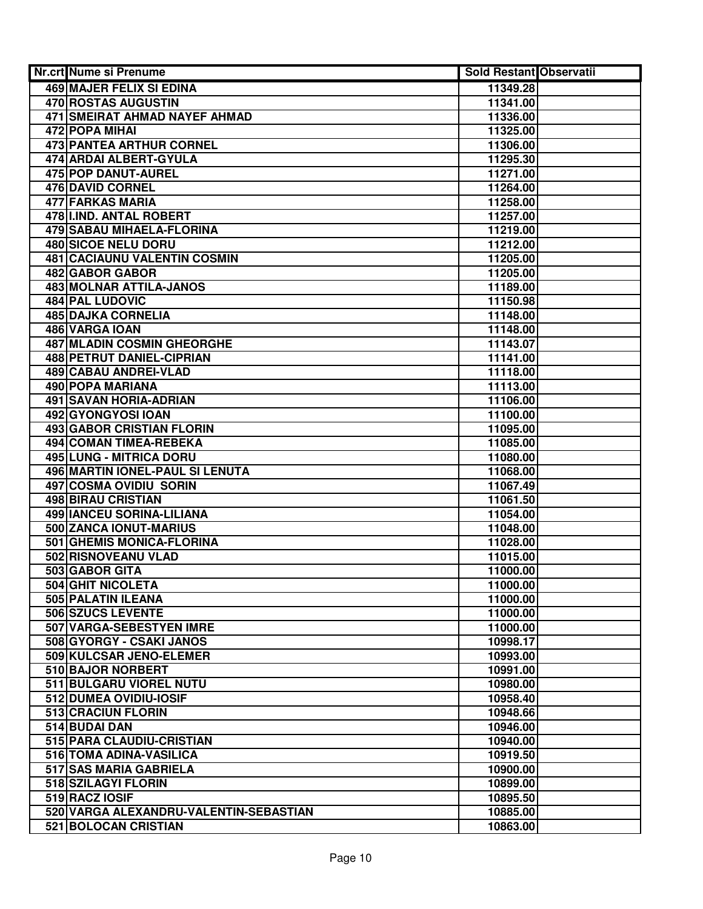| <b>Nr.crt Nume si Prenume</b>           | <b>Sold Restant Observatii</b> |  |
|-----------------------------------------|--------------------------------|--|
| 469 MAJER FELIX SI EDINA                | 11349.28                       |  |
| 470 ROSTAS AUGUSTIN                     | 11341.00                       |  |
| <b>471 SMEIRAT AHMAD NAYEF AHMAD</b>    | 11336.00                       |  |
| 472 POPA MIHAI                          | 11325.00                       |  |
| <b>473 PANTEA ARTHUR CORNEL</b>         | 11306.00                       |  |
| 474 ARDAI ALBERT-GYULA                  | 11295.30                       |  |
| 475 POP DANUT-AUREL                     | 11271.00                       |  |
| 476 DAVID CORNEL                        | 11264.00                       |  |
| 477 FARKAS MARIA                        | 11258.00                       |  |
| 478 IIND. ANTAL ROBERT                  | 11257.00                       |  |
| 479 SABAU MIHAELA-FLORINA               | 11219.00                       |  |
| 480 SICOE NELU DORU                     | 11212.00                       |  |
| <b>481 CACIAUNU VALENTIN COSMIN</b>     | 11205.00                       |  |
| 482 GABOR GABOR                         | 11205.00                       |  |
| <b>483 MOLNAR ATTILA-JANOS</b>          | 11189.00                       |  |
| 484 PAL LUDOVIC                         | 11150.98                       |  |
| <b>485 DAJKA CORNELIA</b>               | 11148.00                       |  |
| 486 VARGA IOAN                          | 11148.00                       |  |
| <b>487 MLADIN COSMIN GHEORGHE</b>       | 11143.07                       |  |
| <b>488 PETRUT DANIEL-CIPRIAN</b>        | 11141.00                       |  |
| <b>489 CABAU ANDREI-VLAD</b>            | 11118.00                       |  |
| 490 POPA MARIANA                        | 11113.00                       |  |
| 491 SAVAN HORIA-ADRIAN                  | 11106.00                       |  |
| 492 GYONGYOSI IOAN                      | 11100.00                       |  |
| 493 GABOR CRISTIAN FLORIN               | 11095.00                       |  |
| 494 COMAN TIMEA-REBEKA                  | 11085.00                       |  |
| 495 LUNG - MITRICA DORU                 | 11080.00                       |  |
| 496 MARTIN IONEL-PAUL SI LENUTA         | 11068.00                       |  |
| 497 COSMA OVIDIU SORIN                  | 11067.49                       |  |
| 498 BIRAU CRISTIAN                      | 11061.50                       |  |
| 499   IANCEU SORINA-LILIANA             | 11054.00                       |  |
| 500 ZANCA IONUT-MARIUS                  | 11048.00                       |  |
| 501 GHEMIS MONICA-FLORINA               | 11028.00                       |  |
| 502 RISNOVEANU VLAD                     | 11015.00                       |  |
| 503 GABOR GITA                          | 11000.00                       |  |
| 504 GHIT NICOLETA                       | 11000.00                       |  |
| 505 PALATIN ILEANA<br>506 SZUCS LEVENTE | 11000.00<br>11000.00           |  |
| 507 VARGA-SEBESTYEN IMRE                | 11000.00                       |  |
| 508 GYORGY - CSAKI JANOS                | 10998.17                       |  |
| 509 KULCSAR JENO-ELEMER                 | 10993.00                       |  |
| 510 BAJOR NORBERT                       | 10991.00                       |  |
| 511 BULGARU VIOREL NUTU                 | 10980.00                       |  |
| 512 DUMEA OVIDIU-IOSIF                  | 10958.40                       |  |
| <b>513 CRACIUN FLORIN</b>               | 10948.66                       |  |
| 514 BUDAI DAN                           | 10946.00                       |  |
| 515 PARA CLAUDIU-CRISTIAN               | 10940.00                       |  |
| 516 TOMA ADINA-VASILICA                 | 10919.50                       |  |
| 517 SAS MARIA GABRIELA                  | 10900.00                       |  |
| 518 SZILAGYI FLORIN                     | 10899.00                       |  |
| 519 RACZ IOSIF                          | 10895.50                       |  |
| 520 VARGA ALEXANDRU-VALENTIN-SEBASTIAN  | 10885.00                       |  |
| 521 BOLOCAN CRISTIAN                    | 10863.00                       |  |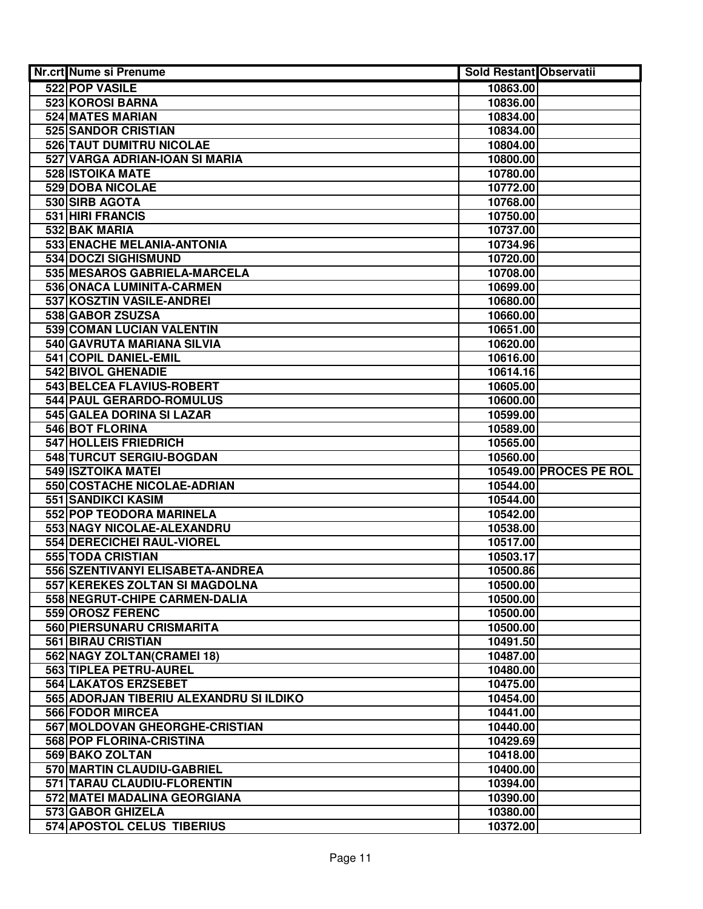| Nr.crt Nume si Prenume                  | Sold Restant Observatii |                        |
|-----------------------------------------|-------------------------|------------------------|
| 522 POP VASILE                          | 10863.00                |                        |
| <b>523 KOROSI BARNA</b>                 | 10836.00                |                        |
| 524 MATES MARIAN                        | 10834.00                |                        |
| 525 SANDOR CRISTIAN                     | 10834.00                |                        |
| 526 TAUT DUMITRU NICOLAE                | 10804.00                |                        |
| 527 VARGA ADRIAN-IOAN SI MARIA          | 10800.00                |                        |
| 528 ISTOIKA MATE                        | 10780.00                |                        |
| <b>529 DOBA NICOLAE</b>                 | 10772.00                |                        |
| 530 SIRB AGOTA                          | 10768.00                |                        |
| 531 HIRI FRANCIS                        | 10750.00                |                        |
| 532 BAK MARIA                           | 10737.00                |                        |
| 533 ENACHE MELANIA-ANTONIA              | 10734.96                |                        |
| 534 DOCZI SIGHISMUND                    | 10720.00                |                        |
| 535 MESAROS GABRIELA-MARCELA            | 10708.00                |                        |
| 536 ONACA LUMINITA-CARMEN               | 10699.00                |                        |
| 537 KOSZTIN VASILE-ANDREI               | 10680.00                |                        |
| 538 GABOR ZSUZSA                        | 10660.00                |                        |
| 539 COMAN LUCIAN VALENTIN               | 10651.00                |                        |
| 540 GAVRUTA MARIANA SILVIA              | 10620.00                |                        |
| 541 COPIL DANIEL-EMIL                   | 10616.00                |                        |
| 542 BIVOL GHENADIE                      | 10614.16                |                        |
| 543 BELCEA FLAVIUS-ROBERT               | 10605.00                |                        |
| 544 PAUL GERARDO-ROMULUS                | 10600.00                |                        |
| 545 GALEA DORINA SI LAZAR               | 10599.00                |                        |
| 546 BOT FLORINA                         | 10589.00                |                        |
| 547 HOLLEIS FRIEDRICH                   | 10565.00                |                        |
| 548 TURCUT SERGIU-BOGDAN                | 10560.00                |                        |
| 549 ISZTOIKA MATEI                      |                         | 10549.00 PROCES PE ROL |
| 550 COSTACHE NICOLAE-ADRIAN             | 10544.00                |                        |
| 551 SANDIKCI KASIM                      | 10544.00                |                        |
| 552 POP TEODORA MARINELA                | 10542.00                |                        |
| 553 NAGY NICOLAE-ALEXANDRU              | 10538.00                |                        |
| 554 DERECICHEI RAUL-VIOREL              | 10517.00                |                        |
| 555 TODA CRISTIAN                       | 10503.17                |                        |
| 556 SZENTIVANYI ELISABETA-ANDREA        | 10500.86                |                        |
| 557 KEREKES ZOLTAN SI MAGDOLNA          | 10500.00                |                        |
| 558 NEGRUT-CHIPE CARMEN-DALIA           | 10500.00                |                        |
| 559 OROSZ FERENC                        | 10500.00                |                        |
| 560 PIERSUNARU CRISMARITA               | 10500.00                |                        |
| <b>561 BIRAU CRISTIAN</b>               | 10491.50                |                        |
| 562 NAGY ZOLTAN(CRAMEI 18)              | 10487.00                |                        |
| 563 TIPLEA PETRU-AUREL                  | 10480.00                |                        |
| <b>564 LAKATOS ERZSEBET</b>             | 10475.00                |                        |
| 565 ADORJAN TIBERIU ALEXANDRU SI ILDIKO | 10454.00                |                        |
| <b>566 FODOR MIRCEA</b>                 | 10441.00                |                        |
| 567 MOLDOVAN GHEORGHE-CRISTIAN          | 10440.00                |                        |
| 568 POP FLORINA-CRISTINA                | 10429.69                |                        |
| 569 BAKO ZOLTAN                         | 10418.00                |                        |
| 570 MARTIN CLAUDIU-GABRIEL              | 10400.00                |                        |
| 571 TARAU CLAUDIU-FLORENTIN             | 10394.00                |                        |
| 572 MATEI MADALINA GEORGIANA            | 10390.00                |                        |
| 573 GABOR GHIZELA                       | 10380.00                |                        |
| 574 APOSTOL CELUS TIBERIUS              | 10372.00                |                        |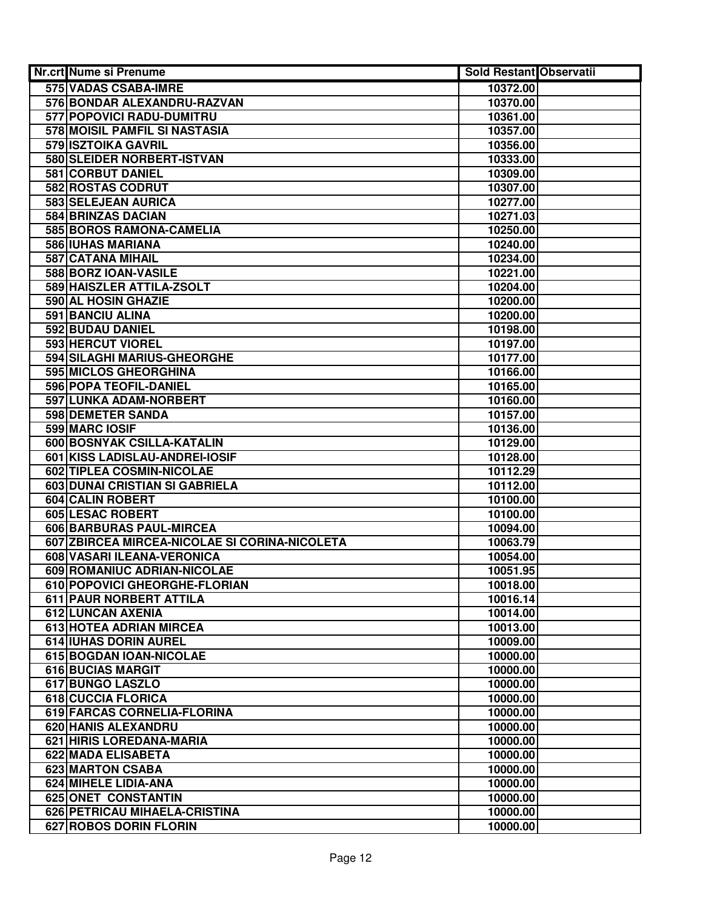| <b>Nr.crt Nume si Prenume</b>                 | Sold Restant Observatii |  |
|-----------------------------------------------|-------------------------|--|
| 575 VADAS CSABA-IMRE                          | 10372.00                |  |
| 576 BONDAR ALEXANDRU-RAZVAN                   | 10370.00                |  |
| 577 POPOVICI RADU-DUMITRU                     | 10361.00                |  |
| 578 MOISIL PAMFIL SI NASTASIA                 | 10357.00                |  |
| 579 ISZTOIKA GAVRIL                           | 10356.00                |  |
| 580 SLEIDER NORBERT-ISTVAN                    | 10333.00                |  |
| 581 CORBUT DANIEL                             | 10309.00                |  |
| 582 ROSTAS CODRUT                             | 10307.00                |  |
| 583 SELEJEAN AURICA                           | 10277.00                |  |
| 584 BRINZAS DACIAN                            | 10271.03                |  |
| 585 BOROS RAMONA-CAMELIA                      | 10250.00                |  |
| 586 IUHAS MARIANA                             | 10240.00                |  |
| 587 CATANA MIHAIL                             | 10234.00                |  |
| 588 BORZ IOAN-VASILE                          | 10221.00                |  |
| 589 HAISZLER ATTILA-ZSOLT                     | 10204.00                |  |
| 590 AL HOSIN GHAZIE                           | 10200.00                |  |
| <b>591 BANCIU ALINA</b>                       | 10200.00                |  |
| 592 BUDAU DANIEL                              | 10198.00                |  |
| 593 HERCUT VIOREL                             | 10197.00                |  |
| 594 SILAGHI MARIUS-GHEORGHE                   | 10177.00                |  |
| <b>595 MICLOS GHEORGHINA</b>                  | 10166.00                |  |
| 596 POPA TEOFIL-DANIEL                        | 10165.00                |  |
| 597 LUNKA ADAM-NORBERT                        | 10160.00                |  |
| 598 DEMETER SANDA                             | 10157.00                |  |
| 599 MARC IOSIF                                | 10136.00                |  |
| 600 BOSNYAK CSILLA-KATALIN                    | 10129.00                |  |
| 601 KISS LADISLAU-ANDREI-IOSIF                | 10128.00                |  |
| 602 TIPLEA COSMIN-NICOLAE                     | 10112.29                |  |
| 603 DUNAI CRISTIAN SI GABRIELA                | 10112.00                |  |
| 604 CALIN ROBERT                              | 10100.00                |  |
| <b>605 LESAC ROBERT</b>                       | 10100.00                |  |
| 606 BARBURAS PAUL-MIRCEA                      | 10094.00                |  |
| 607 ZBIRCEA MIRCEA-NICOLAE SI CORINA-NICOLETA | 10063.79                |  |
| 608 VASARI ILEANA-VERONICA                    | 10054.00                |  |
| 609 ROMANIUC ADRIAN-NICOLAE                   | 10051.95                |  |
| 610 POPOVICI GHEORGHE-FLORIAN                 | 10018.00                |  |
| 611 PAUR NORBERT ATTILA                       | 10016.14                |  |
| 612 LUNCAN AXENIA                             | 10014.00                |  |
| 613 HOTEA ADRIAN MIRCEA                       | 10013.00                |  |
| <b>614 IUHAS DORIN AUREL</b>                  | 10009.00                |  |
| 615 BOGDAN IOAN-NICOLAE                       | 10000.00                |  |
| <b>616 BUCIAS MARGIT</b>                      | 10000.00                |  |
| <b>617 BUNGO LASZLO</b>                       | 10000.00                |  |
| <b>618 CUCCIA FLORICA</b>                     | 10000.00                |  |
| 619 FARCAS CORNELIA-FLORINA                   | 10000.00                |  |
| 620 HANIS ALEXANDRU                           | 10000.00                |  |
| 621 HIRIS LOREDANA-MARIA                      | 10000.00                |  |
| 622 MADA ELISABETA                            | 10000.00                |  |
| 623 MARTON CSABA                              | 10000.00                |  |
| 624 MIHELE LIDIA-ANA                          | 10000.00                |  |
| 625 ONET CONSTANTIN                           | 10000.00                |  |
| 626 PETRICAU MIHAELA-CRISTINA                 | 10000.00                |  |
| 627 ROBOS DORIN FLORIN                        | 10000.00                |  |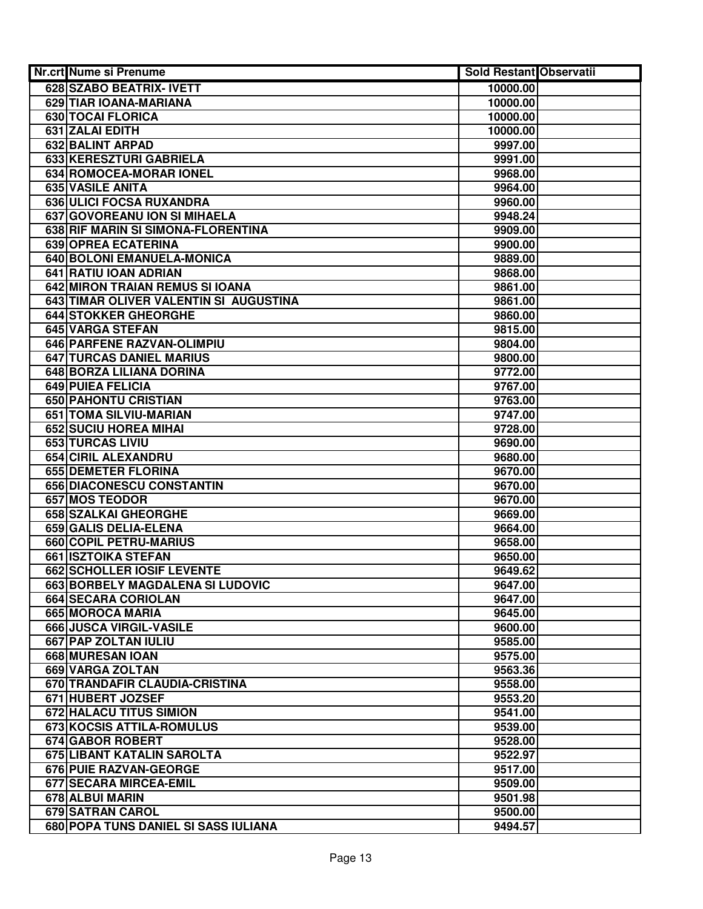| Nr.crt Nume si Prenume                 | Sold Restant Observatii |  |
|----------------------------------------|-------------------------|--|
| 628 SZABO BEATRIX- IVETT               | 10000.00                |  |
| 629 TIAR IOANA-MARIANA                 | 10000.00                |  |
| 630 TOCAI FLORICA                      | 10000.00                |  |
| 631 ZALAI EDITH                        | 10000.00                |  |
| 632 BALINT ARPAD                       | 9997.00                 |  |
| 633 KERESZTURI GABRIELA                | 9991.00                 |  |
| 634 ROMOCEA-MORAR IONEL                | 9968.00                 |  |
| 635 VASILE ANITA                       | 9964.00                 |  |
| 636 ULICI FOCSA RUXANDRA               | 9960.00                 |  |
| 637 GOVOREANU ION SI MIHAELA           | 9948.24                 |  |
| 638 RIF MARIN SI SIMONA-FLORENTINA     | 9909.00                 |  |
| 639 OPREA ECATERINA                    | 9900.00                 |  |
| 640 BOLONI EMANUELA-MONICA             | 9889.00                 |  |
| 641 RATIU IOAN ADRIAN                  | 9868.00                 |  |
| 642 MIRON TRAIAN REMUS SI IOANA        | 9861.00                 |  |
| 643 TIMAR OLIVER VALENTIN SI AUGUSTINA | 9861.00                 |  |
| <b>644 STOKKER GHEORGHE</b>            | 9860.00                 |  |
| 645 VARGA STEFAN                       | 9815.00                 |  |
| 646 PARFENE RAZVAN-OLIMPIU             | 9804.00                 |  |
| <b>647 TURCAS DANIEL MARIUS</b>        | 9800.00                 |  |
| 648 BORZA LILIANA DORINA               | 9772.00                 |  |
| 649 PUIEA FELICIA                      | 9767.00                 |  |
| 650 PAHONTU CRISTIAN                   | 9763.00                 |  |
| 651 TOMA SILVIU-MARIAN                 | 9747.00                 |  |
| 652 SUCIU HOREA MIHAI                  | 9728.00                 |  |
| 653 TURCAS LIVIU                       | 9690.00                 |  |
| 654 CIRIL ALEXANDRU                    | 9680.00                 |  |
| 655 DEMETER FLORINA                    | 9670.00                 |  |
| 656 DIACONESCU CONSTANTIN              | 9670.00                 |  |
| 657 MOS TEODOR                         | 9670.00                 |  |
| 658 SZALKAI GHEORGHE                   | 9669.00                 |  |
| 659 GALIS DELIA-ELENA                  | 9664.00                 |  |
| 660 COPIL PETRU-MARIUS                 | 9658.00                 |  |
| 661 ISZTOIKA STEFAN                    | 9650.00                 |  |
| 662 SCHOLLER IOSIF LEVENTE             | 9649.62                 |  |
| 663 BORBELY MAGDALENA SI LUDOVIC       | 9647.00                 |  |
| 664 SECARA CORIOLAN                    | 9647.00                 |  |
| 665 MOROCA MARIA                       | 9645.00                 |  |
| 666 JUSCA VIRGIL-VASILE                | 9600.00                 |  |
| 667 PAP ZOLTAN IULIU                   | 9585.00                 |  |
| 668 MURESAN IOAN                       | 9575.00                 |  |
| <b>669 VARGA ZOLTAN</b>                | 9563.36                 |  |
| 670 TRANDAFIR CLAUDIA-CRISTINA         | 9558.00                 |  |
| 671 HUBERT JOZSEF                      | 9553.20                 |  |
| <b>672 HALACU TITUS SIMION</b>         | 9541.00                 |  |
| 673 KOCSIS ATTILA-ROMULUS              | 9539.00                 |  |
| 674 GABOR ROBERT                       | 9528.00                 |  |
| 675 LIBANT KATALIN SAROLTA             | 9522.97                 |  |
| 676 PUIE RAZVAN-GEORGE                 | 9517.00                 |  |
| 677 SECARA MIRCEA-EMIL                 | 9509.00                 |  |
| 678 ALBUI MARIN                        | 9501.98                 |  |
| 679 SATRAN CAROL                       | 9500.00                 |  |
| 680 POPA TUNS DANIEL SI SASS IULIANA   | 9494.57                 |  |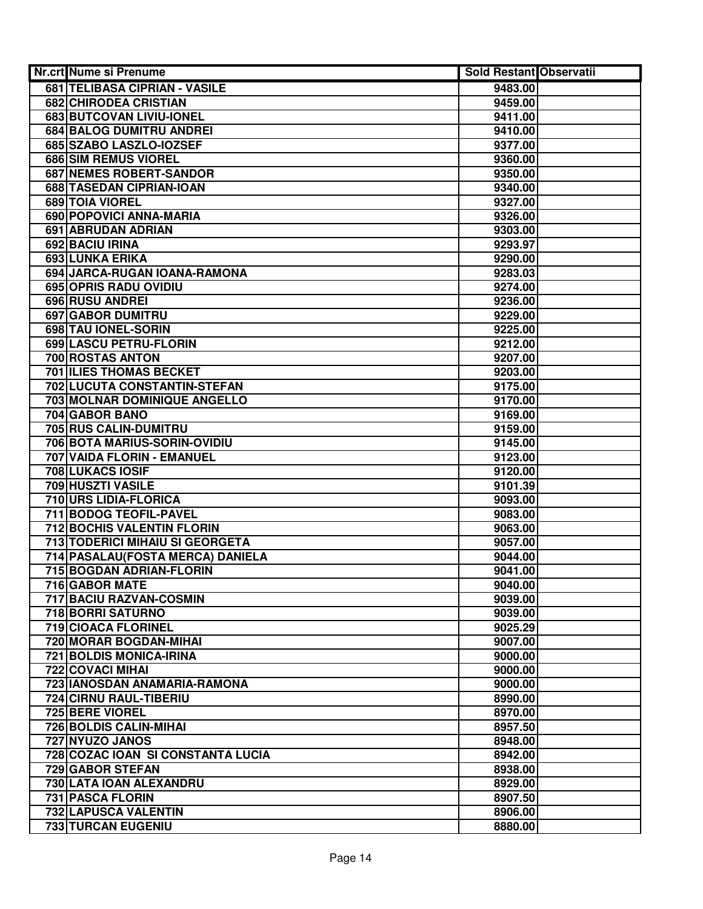| Nr.crt Nume si Prenume                        | <b>Sold Restant Observatii</b> |  |
|-----------------------------------------------|--------------------------------|--|
| 681 TELIBASA CIPRIAN - VASILE                 | 9483.00                        |  |
| <b>682 CHIRODEA CRISTIAN</b>                  | 9459.00                        |  |
| 683 BUTCOVAN LIVIU-IONEL                      | 9411.00                        |  |
| 684 BALOG DUMITRU ANDREI                      | 9410.00                        |  |
| 685 SZABO LASZLO-IOZSEF                       | 9377.00                        |  |
| 686 SIM REMUS VIOREL                          | 9360.00                        |  |
| 687 NEMES ROBERT-SANDOR                       | 9350.00                        |  |
| 688 TASEDAN CIPRIAN-IOAN                      | 9340.00                        |  |
| 689 TOIA VIOREL                               | 9327.00                        |  |
| 690 POPOVICI ANNA-MARIA                       | 9326.00                        |  |
| 691 ABRUDAN ADRIAN                            | 9303.00                        |  |
| 692 BACIU IRINA                               | 9293.97                        |  |
| 693 LUNKA ERIKA                               | 9290.00                        |  |
| 694 JARCA-RUGAN IOANA-RAMONA                  | 9283.03                        |  |
| 695 OPRIS RADU OVIDIU                         | 9274.00                        |  |
| <b>696 RUSU ANDREI</b>                        | 9236.00                        |  |
| <b>697 GABOR DUMITRU</b>                      | 9229.00                        |  |
| 698 TAU IONEL-SORIN                           | 9225.00                        |  |
| 699 LASCU PETRU-FLORIN                        | 9212.00                        |  |
| 700 ROSTAS ANTON                              | 9207.00                        |  |
| <b>701 ILIES THOMAS BECKET</b>                | 9203.00                        |  |
| 702 LUCUTA CONSTANTIN-STEFAN                  | 9175.00                        |  |
| 703 MOLNAR DOMINIQUE ANGELLO                  | 9170.00                        |  |
| 704 GABOR BANO                                | 9169.00                        |  |
| 705 RUS CALIN-DUMITRU                         | 9159.00                        |  |
| 706 BOTA MARIUS-SORIN-OVIDIU                  | 9145.00                        |  |
| 707 VAIDA FLORIN - EMANUEL                    | 9123.00                        |  |
| 708 LUKACS IOSIF                              | 9120.00                        |  |
| 709 HUSZTI VASILE                             | 9101.39                        |  |
| 710 URS LIDIA-FLORICA                         | 9093.00                        |  |
| 711 BODOG TEOFIL-PAVEL                        | 9083.00                        |  |
| 712 BOCHIS VALENTIN FLORIN                    | 9063.00                        |  |
| 713 TODERICI MIHAIU SI GEORGETA               | 9057.00                        |  |
| 714 PASALAU (FOSTA MERCA) DANIELA             | 9044.00                        |  |
| 715 BOGDAN ADRIAN-FLORIN                      | 9041.00                        |  |
| 716 GABOR MATE                                | 9040.00                        |  |
| 717 BACIU RAZVAN-COSMIN                       | 9039.00                        |  |
| 718 BORRI SATURNO                             | 9039.00                        |  |
| 719 CIOACA FLORINEL<br>720 MORAR BOGDAN-MIHAI | 9025.29<br>9007.00             |  |
| <b>721 BOLDIS MONICA-IRINA</b>                |                                |  |
| <b>722 COVACI MIHAI</b>                       | 9000.00<br>9000.00             |  |
| 723 IANOSDAN ANAMARIA-RAMONA                  | 9000.00                        |  |
| 724 CIRNU RAUL-TIBERIU                        | 8990.00                        |  |
| 725 BERE VIOREL                               | 8970.00                        |  |
| 726 BOLDIS CALIN-MIHAI                        | 8957.50                        |  |
| 727 NYUZO JANOS                               | 8948.00                        |  |
| 728 COZAC IOAN SI CONSTANTA LUCIA             | 8942.00                        |  |
| 729 GABOR STEFAN                              | 8938.00                        |  |
| 730 LATA IOAN ALEXANDRU                       | 8929.00                        |  |
| 731 PASCA FLORIN                              | 8907.50                        |  |
| 732 LAPUSCA VALENTIN                          | 8906.00                        |  |
| 733 TURCAN EUGENIU                            | 8880.00                        |  |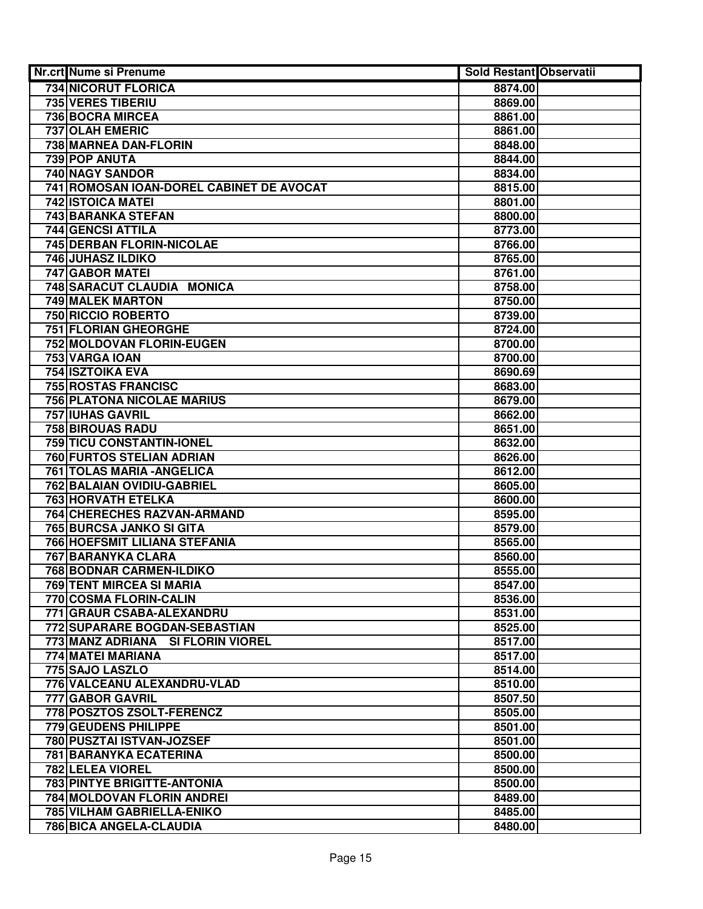| <b>Nr.crt Nume si Prenume</b>            | <b>Sold Restant Observatii</b> |  |
|------------------------------------------|--------------------------------|--|
| 734 NICORUT FLORICA                      | 8874.00                        |  |
| 735 VERES TIBERIU                        | 8869.00                        |  |
| 736 BOCRA MIRCEA                         | 8861.00                        |  |
| 737 OLAH EMERIC                          | 8861.00                        |  |
| 738 MARNEA DAN-FLORIN                    | 8848.00                        |  |
| 739 POP ANUTA                            | 8844.00                        |  |
| 740 NAGY SANDOR                          | 8834.00                        |  |
| 741 ROMOSAN IOAN-DOREL CABINET DE AVOCAT | 8815.00                        |  |
| 742 ISTOICA MATEI                        | 8801.00                        |  |
| 743 BARANKA STEFAN                       | 8800.00                        |  |
| 744 GENCSI ATTILA                        | 8773.00                        |  |
| 745 DERBAN FLORIN-NICOLAE                | 8766.00                        |  |
| 746 JUHASZ ILDIKO                        | 8765.00                        |  |
| 747 GABOR MATEI                          | 8761.00                        |  |
| 748 SARACUT CLAUDIA MONICA               | 8758.00                        |  |
| 749 MALEK MARTON                         | 8750.00                        |  |
| <b>750 RICCIO ROBERTO</b>                | 8739.00                        |  |
| <b>751 FLORIAN GHEORGHE</b>              | 8724.00                        |  |
| 752 MOLDOVAN FLORIN-EUGEN                | 8700.00                        |  |
| 753 VARGA IOAN                           | 8700.00                        |  |
| <b>754 ISZTOIKA EVA</b>                  | 8690.69                        |  |
| <b>755 ROSTAS FRANCISC</b>               | 8683.00                        |  |
| <b>756 PLATONA NICOLAE MARIUS</b>        | 8679.00                        |  |
| 757 IUHAS GAVRIL                         | 8662.00                        |  |
| <b>758 BIROUAS RADU</b>                  | 8651.00                        |  |
| 759 TICU CONSTANTIN-IONEL                | 8632.00                        |  |
| 760 FURTOS STELIAN ADRIAN                | 8626.00                        |  |
| 761 TOLAS MARIA - ANGELICA               | 8612.00                        |  |
| 762 BALAIAN OVIDIU-GABRIEL               | 8605.00                        |  |
| 763 HORVATH ETELKA                       | 8600.00                        |  |
| 764 CHERECHES RAZVAN-ARMAND              | 8595.00                        |  |
| 765 BURCSA JANKO SI GITA                 | 8579.00                        |  |
| 766 HOEFSMIT LILIANA STEFANIA            | 8565.00                        |  |
| 767 BARANYKA CLARA                       | 8560.00                        |  |
| 768 BODNAR CARMEN-ILDIKO                 | 8555.00                        |  |
| 769 TENT MIRCEA SI MARIA                 | 8547.00                        |  |
| 770 COSMA FLORIN-CALIN                   | 8536.00                        |  |
| 771 GRAUR CSABA-ALEXANDRU                | 8531.00                        |  |
| 772 SUPARARE BOGDAN-SEBASTIAN            | 8525.00                        |  |
| 773 MANZ ADRIANA SI FLORIN VIOREL        | 8517.00                        |  |
| 774 MATEI MARIANA                        | 8517.00                        |  |
| 775 SAJO LASZLO                          | 8514.00                        |  |
| 776 VALCEANU ALEXANDRU-VLAD              | 8510.00                        |  |
| <b>777 GABOR GAVRIL</b>                  | 8507.50                        |  |
| 778 POSZTOS ZSOLT-FERENCZ                | 8505.00                        |  |
| 779 GEUDENS PHILIPPE                     | 8501.00                        |  |
| 780 PUSZTAI ISTVAN-JOZSEF                | 8501.00                        |  |
| 781 BARANYKA ECATERINA                   | 8500.00                        |  |
| 782 LELEA VIOREL                         | 8500.00                        |  |
| <b>783 PINTYE BRIGITTE-ANTONIA</b>       | 8500.00                        |  |
| 784 MOLDOVAN FLORIN ANDREI               | 8489.00                        |  |
| 785 VILHAM GABRIELLA-ENIKO               | 8485.00                        |  |
| 786 BICA ANGELA-CLAUDIA                  | 8480.00                        |  |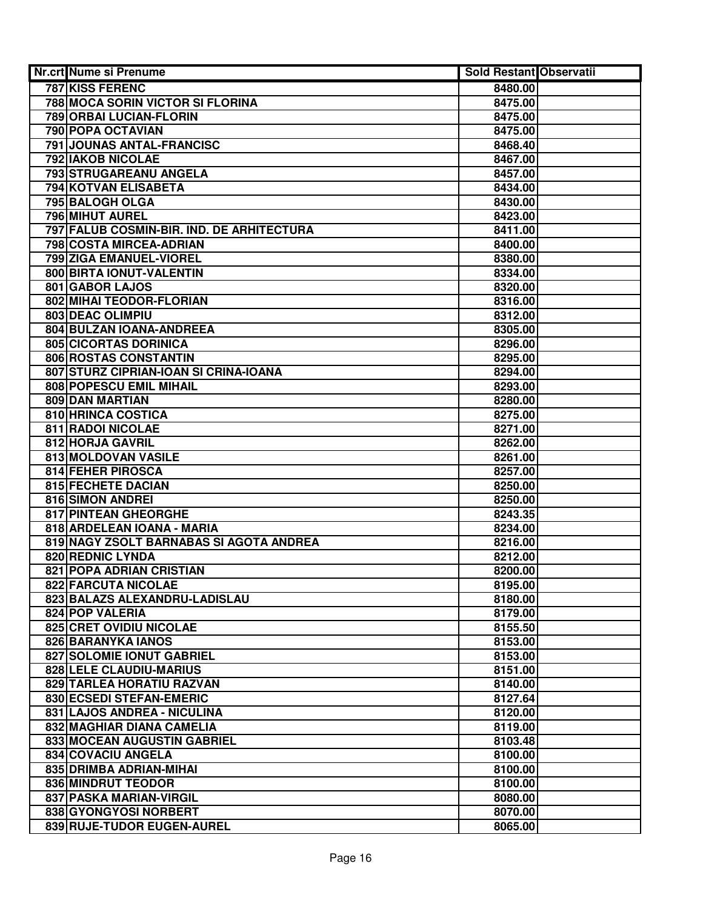| <b>Nr.crt Nume si Prenume</b>             | <b>Sold Restant Observatii</b> |  |
|-------------------------------------------|--------------------------------|--|
| 787 KISS FERENC                           | 8480.00                        |  |
| <b>788 MOCA SORIN VICTOR SI FLORINA</b>   | 8475.00                        |  |
| 789 ORBAI LUCIAN-FLORIN                   | 8475.00                        |  |
| 790 POPA OCTAVIAN                         | 8475.00                        |  |
| 791 JOUNAS ANTAL-FRANCISC                 | 8468.40                        |  |
| 792 IAKOB NICOLAE                         | 8467.00                        |  |
| 793 STRUGAREANU ANGELA                    | 8457.00                        |  |
| 794 KOTVAN ELISABETA                      | 8434.00                        |  |
| 795 BALOGH OLGA                           | 8430.00                        |  |
| 796 MIHUT AUREL                           | 8423.00                        |  |
| 797 FALUB COSMIN-BIR. IND. DE ARHITECTURA | 8411.00                        |  |
| 798 COSTA MIRCEA-ADRIAN                   | 8400.00                        |  |
| 799 ZIGA EMANUEL-VIOREL                   | 8380.00                        |  |
| 800 BIRTA IONUT-VALENTIN                  | 8334.00                        |  |
| 801 GABOR LAJOS                           | 8320.00                        |  |
| 802 MIHAI TEODOR-FLORIAN                  | 8316.00                        |  |
| 803 DEAC OLIMPIU                          | 8312.00                        |  |
| 804 BULZAN IOANA-ANDREEA                  | 8305.00                        |  |
| 805 CICORTAS DORINICA                     | 8296.00                        |  |
| 806 ROSTAS CONSTANTIN                     | 8295.00                        |  |
| 807 STURZ CIPRIAN-IOAN SI CRINA-IOANA     | 8294.00                        |  |
| 808 POPESCU EMIL MIHAIL                   | 8293.00                        |  |
| 809 DAN MARTIAN                           | 8280.00                        |  |
| 810 HRINCA COSTICA                        | 8275.00                        |  |
| 811 RADOI NICOLAE                         | 8271.00                        |  |
| 812 HORJA GAVRIL                          | 8262.00                        |  |
| 813 MOLDOVAN VASILE                       | 8261.00                        |  |
| <b>814 FEHER PIROSCA</b>                  | 8257.00                        |  |
| 815 FECHETE DACIAN                        | 8250.00                        |  |
| 816 SIMON ANDREI                          | 8250.00                        |  |
| 817 PINTEAN GHEORGHE                      | 8243.35                        |  |
| 818 ARDELEAN IOANA - MARIA                | 8234.00                        |  |
| 819 NAGY ZSOLT BARNABAS SI AGOTA ANDREA   | 8216.00                        |  |
| 820 REDNIC LYNDA                          | 8212.00                        |  |
| 821 POPA ADRIAN CRISTIAN                  | 8200.00                        |  |
| 822 FARCUTA NICOLAE                       | 8195.00                        |  |
| 823 BALAZS ALEXANDRU-LADISLAU             | 8180.00                        |  |
| 824 POP VALERIA                           | 8179.00                        |  |
| 825 CRET OVIDIU NICOLAE                   | 8155.50                        |  |
| 826 BARANYKA IANOS                        | 8153.00                        |  |
| 827 SOLOMIE IONUT GABRIEL                 | 8153.00                        |  |
| <b>828 LELE CLAUDIU-MARIUS</b>            | 8151.00                        |  |
| 829 TARLEA HORATIU RAZVAN                 | 8140.00                        |  |
| 830 ECSEDI STEFAN-EMERIC                  | 8127.64                        |  |
| 831 LAJOS ANDREA - NICULINA               | 8120.00                        |  |
| 832 MAGHIAR DIANA CAMELIA                 | 8119.00                        |  |
| 833 MOCEAN AUGUSTIN GABRIEL               | 8103.48                        |  |
| 834 COVACIU ANGELA                        | 8100.00                        |  |
| 835 DRIMBA ADRIAN-MIHAI                   | 8100.00                        |  |
| 836 MINDRUT TEODOR                        | 8100.00                        |  |
| 837 PASKA MARIAN-VIRGIL                   | 8080.00                        |  |
| 838 GYONGYOSI NORBERT                     | 8070.00                        |  |
| 839 RUJE-TUDOR EUGEN-AUREL                | 8065.00                        |  |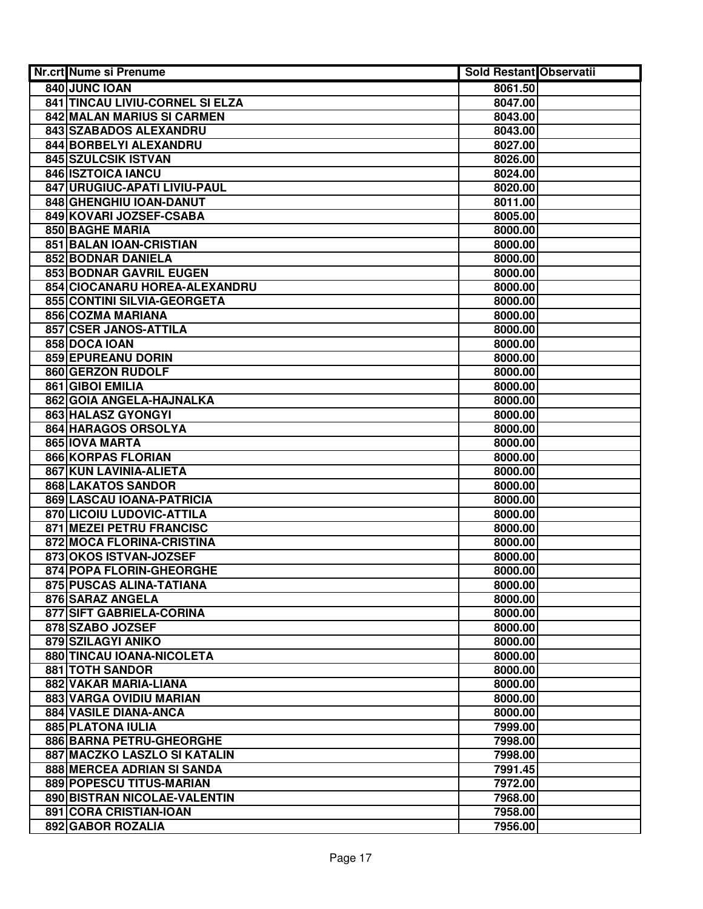| Nr.crt Nume si Prenume                              | <b>Sold Restant Observatii</b> |  |
|-----------------------------------------------------|--------------------------------|--|
| 840 JUNC IOAN                                       | 8061.50                        |  |
| 841 TINCAU LIVIU-CORNEL SI ELZA                     | 8047.00                        |  |
| 842 MALAN MARIUS SI CARMEN                          | 8043.00                        |  |
| 843 SZABADOS ALEXANDRU                              | 8043.00                        |  |
| 844 BORBELYI ALEXANDRU                              | 8027.00                        |  |
| 845 SZULCSIK ISTVAN                                 | 8026.00                        |  |
| 846 ISZTOICA IANCU                                  | 8024.00                        |  |
| 847 URUGIUC-APATI LIVIU-PAUL                        | 8020.00                        |  |
| 848 GHENGHIU IOAN-DANUT                             | 8011.00                        |  |
| 849 KOVARI JOZSEF-CSABA                             | 8005.00                        |  |
| 850 BAGHE MARIA                                     | 8000.00                        |  |
| 851 BALAN IOAN-CRISTIAN                             | 8000.00                        |  |
| 852 BODNAR DANIELA                                  | 8000.00                        |  |
| 853 BODNAR GAVRIL EUGEN                             | 8000.00                        |  |
| 854 CIOCANARU HOREA-ALEXANDRU                       | 8000.00                        |  |
| 855 CONTINI SILVIA-GEORGETA                         | 8000.00                        |  |
| 856 COZMA MARIANA                                   | 8000.00                        |  |
| 857 CSER JANOS-ATTILA                               | 8000.00                        |  |
| 858 DOCA IOAN                                       | 8000.00                        |  |
| 859 EPUREANU DORIN                                  | 8000.00                        |  |
| 860 GERZON RUDOLF                                   | 8000.00                        |  |
| 861 GIBOI EMILIA                                    | 8000.00                        |  |
| 862 GOIA ANGELA-HAJNALKA                            | 8000.00                        |  |
| 863 HALASZ GYONGYI                                  | 8000.00                        |  |
| 864 HARAGOS ORSOLYA                                 | 8000.00                        |  |
| 865 IOVA MARTA                                      | 8000.00                        |  |
| 866 KORPAS FLORIAN                                  | 8000.00                        |  |
| 867 KUN LAVINIA-ALIETA                              | 8000.00                        |  |
| 868 LAKATOS SANDOR                                  | 8000.00                        |  |
| 869 LASCAU IOANA-PATRICIA                           | 8000.00                        |  |
| 870 LICOIU LUDOVIC-ATTILA                           | 8000.00                        |  |
| 871 MEZEI PETRU FRANCISC                            | 8000.00                        |  |
| 872 MOCA FLORINA-CRISTINA                           | 8000.00                        |  |
| 873 OKOS ISTVAN-JOZSEF                              | 8000.00                        |  |
| 874 POPA FLORIN-GHEORGHE                            | 8000.00                        |  |
| 875 PUSCAS ALINA-TATIANA                            | 8000.00                        |  |
| 876 SARAZ ANGELA                                    | 8000.00                        |  |
| 877 SIFT GABRIELA-CORINA                            | 8000.00                        |  |
| 878 SZABO JOZSEF                                    | 8000.00                        |  |
| 879 SZILAGYI ANIKO                                  | 8000.00                        |  |
| 880 TINCAU IOANA-NICOLETA<br><b>881 TOTH SANDOR</b> | 8000.00<br>8000.00             |  |
| 882 VAKAR MARIA-LIANA                               | 8000.00                        |  |
| <b>883 VARGA OVIDIU MARIAN</b>                      | 8000.00                        |  |
| 884 VASILE DIANA-ANCA                               | 8000.00                        |  |
| 885 PLATONA IULIA                                   | 7999.00                        |  |
| 886 BARNA PETRU-GHEORGHE                            | 7998.00                        |  |
| 887 MACZKO LASZLO SI KATALIN                        | 7998.00                        |  |
| 888 MERCEA ADRIAN SI SANDA                          | 7991.45                        |  |
| 889 POPESCU TITUS-MARIAN                            | 7972.00                        |  |
| 890 BISTRAN NICOLAE-VALENTIN                        | 7968.00                        |  |
| 891 CORA CRISTIAN-IOAN                              | 7958.00                        |  |
| 892 GABOR ROZALIA                                   | 7956.00                        |  |
|                                                     |                                |  |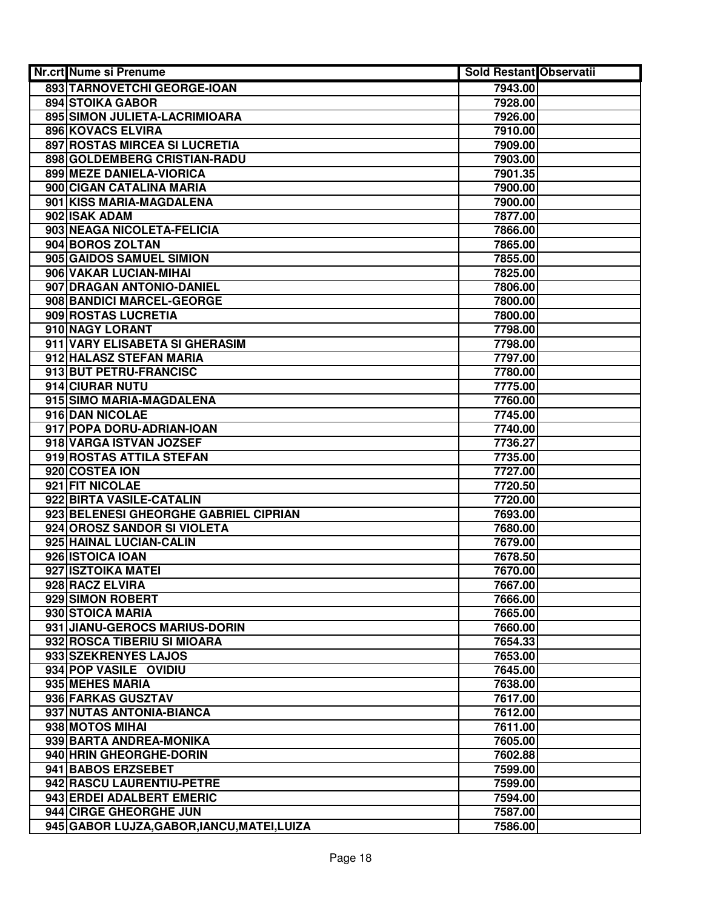| Nr.crt Nume si Prenume                      | Sold Restant Observatii |  |
|---------------------------------------------|-------------------------|--|
| 893 TARNOVETCHI GEORGE-IOAN                 | 7943.00                 |  |
| <b>894 STOIKA GABOR</b>                     | 7928.00                 |  |
| 895 SIMON JULIETA-LACRIMIOARA               | 7926.00                 |  |
| 896 KOVACS ELVIRA                           | 7910.00                 |  |
| 897 ROSTAS MIRCEA SI LUCRETIA               | 7909.00                 |  |
| 898 GOLDEMBERG CRISTIAN-RADU                | 7903.00                 |  |
| 899 MEZE DANIELA-VIORICA                    | 7901.35                 |  |
| 900 CIGAN CATALINA MARIA                    | 7900.00                 |  |
| 901 KISS MARIA-MAGDALENA                    | 7900.00                 |  |
| 902 ISAK ADAM                               | 7877.00                 |  |
| 903 NEAGA NICOLETA-FELICIA                  | 7866.00                 |  |
| 904 BOROS ZOLTAN                            | 7865.00                 |  |
| 905 GAIDOS SAMUEL SIMION                    | 7855.00                 |  |
| 906 VAKAR LUCIAN-MIHAI                      | 7825.00                 |  |
| 907 DRAGAN ANTONIO-DANIEL                   | 7806.00                 |  |
| 908 BANDICI MARCEL-GEORGE                   | 7800.00                 |  |
| 909 ROSTAS LUCRETIA                         | 7800.00                 |  |
| 910 NAGY LORANT                             | 7798.00                 |  |
| 911 VARY ELISABETA SI GHERASIM              | 7798.00                 |  |
| 912 HALASZ STEFAN MARIA                     | 7797.00                 |  |
| 913 BUT PETRU-FRANCISC                      | 7780.00                 |  |
| 914 CIURAR NUTU                             | 7775.00                 |  |
| 915 SIMO MARIA-MAGDALENA                    | 7760.00                 |  |
| 916 DAN NICOLAE                             | 7745.00                 |  |
| 917 POPA DORU-ADRIAN-IOAN                   | 7740.00                 |  |
| 918 VARGA ISTVAN JOZSEF                     | 7736.27                 |  |
| 919 ROSTAS ATTILA STEFAN                    | 7735.00                 |  |
| 920 COSTEA ION                              | 7727.00                 |  |
| 921 FIT NICOLAE                             | 7720.50                 |  |
| 922 BIRTA VASILE-CATALIN                    | 7720.00                 |  |
| 923 BELENESI GHEORGHE GABRIEL CIPRIAN       | 7693.00                 |  |
| 924 OROSZ SANDOR SI VIOLETA                 | 7680.00                 |  |
| 925 HAINAL LUCIAN-CALIN                     | 7679.00                 |  |
| 926 ISTOICA IOAN                            | 7678.50                 |  |
| 927 ISZTOIKA MATEI                          | 7670.00                 |  |
| 928 RACZ ELVIRA                             | 7667.00                 |  |
| 929 SIMON ROBERT                            | 7666.00                 |  |
| 930 STOICA MARIA                            | 7665.00                 |  |
| 931 JIANU-GEROCS MARIUS-DORIN               | 7660.00                 |  |
| 932 ROSCA TIBERIU SI MIOARA                 | 7654.33                 |  |
| 933 SZEKRENYES LAJOS                        | 7653.00                 |  |
| 934 POP VASILE OVIDIU                       | 7645.00                 |  |
| 935 MEHES MARIA                             | 7638.00                 |  |
| 936 FARKAS GUSZTAV                          | 7617.00                 |  |
| 937 NUTAS ANTONIA-BIANCA                    | 7612.00                 |  |
| 938 MOTOS MIHAI                             | 7611.00                 |  |
| 939 BARTA ANDREA-MONIKA                     | 7605.00                 |  |
| 940 HRIN GHEORGHE-DORIN                     | 7602.88                 |  |
| 941 BABOS ERZSEBET                          | 7599.00                 |  |
| 942 RASCU LAURENTIU-PETRE                   | 7599.00                 |  |
| 943 ERDEI ADALBERT EMERIC                   | 7594.00                 |  |
| 944 CIRGE GHEORGHE JUN                      | 7587.00                 |  |
| 945 GABOR LUJZA, GABOR, IANCU, MATEI, LUIZA | 7586.00                 |  |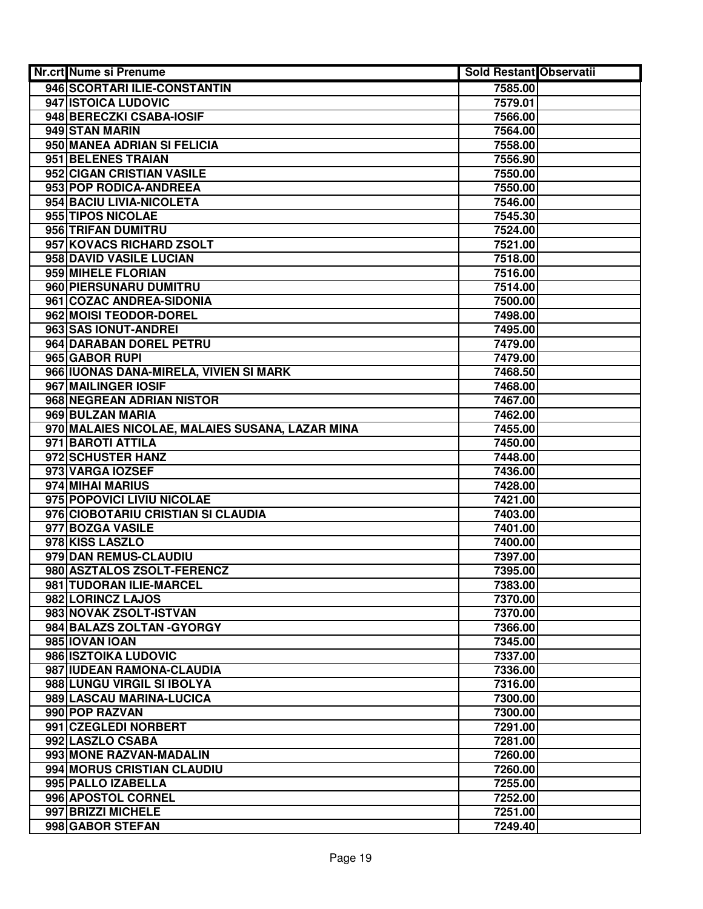| Nr.crt Nume si Prenume                          | <b>Sold Restant Observatii</b> |  |
|-------------------------------------------------|--------------------------------|--|
| 946 SCORTARI ILIE-CONSTANTIN                    | 7585.00                        |  |
| 947 ISTOICA LUDOVIC                             | 7579.01                        |  |
| 948 BERECZKI CSABA-IOSIF                        | 7566.00                        |  |
| 949 STAN MARIN                                  | 7564.00                        |  |
| 950 MANEA ADRIAN SI FELICIA                     | 7558.00                        |  |
| 951 BELENES TRAIAN                              | 7556.90                        |  |
| 952 CIGAN CRISTIAN VASILE                       | 7550.00                        |  |
| 953 POP RODICA-ANDREEA                          | 7550.00                        |  |
| 954 BACIU LIVIA-NICOLETA                        | 7546.00                        |  |
| 955 TIPOS NICOLAE                               | 7545.30                        |  |
| 956 TRIFAN DUMITRU                              | 7524.00                        |  |
| 957 KOVACS RICHARD ZSOLT                        | 7521.00                        |  |
| 958 DAVID VASILE LUCIAN                         | 7518.00                        |  |
| 959 MIHELE FLORIAN                              | 7516.00                        |  |
| 960 PIERSUNARU DUMITRU                          | 7514.00                        |  |
| 961 COZAC ANDREA-SIDONIA                        | 7500.00                        |  |
| 962 MOISI TEODOR-DOREL                          | 7498.00                        |  |
| 963 SAS IONUT-ANDREI                            | 7495.00                        |  |
| 964 DARABAN DOREL PETRU                         | 7479.00                        |  |
| 965 GABOR RUPI                                  | 7479.00                        |  |
| 966 IUONAS DANA-MIRELA, VIVIEN SI MARK          | 7468.50                        |  |
| 967 MAILINGER IOSIF                             | 7468.00                        |  |
| 968 NEGREAN ADRIAN NISTOR                       | 7467.00                        |  |
| 969 BULZAN MARIA                                | 7462.00                        |  |
| 970 MALAIES NICOLAE, MALAIES SUSANA, LAZAR MINA | 7455.00                        |  |
| 971 BAROTI ATTILA                               | 7450.00                        |  |
| 972 SCHUSTER HANZ                               | 7448.00                        |  |
| 973 VARGA IOZSEF                                | 7436.00                        |  |
| 974 MIHAI MARIUS                                | 7428.00                        |  |
| 975 POPOVICI LIVIU NICOLAE                      | 7421.00                        |  |
| 976 CIOBOTARIU CRISTIAN SI CLAUDIA              | 7403.00                        |  |
| 977 BOZGA VASILE                                | 7401.00                        |  |
| 978 KISS LASZLO                                 | 7400.00                        |  |
| 979 DAN REMUS-CLAUDIU                           | 7397.00                        |  |
| 980 ASZTALOS ZSOLT-FERENCZ                      | 7395.00                        |  |
| 981 TUDORAN ILIE-MARCEL                         | 7383.00                        |  |
| 982 LORINCZ LAJOS                               | 7370.00                        |  |
| 983 NOVAK ZSOLT-ISTVAN                          | 7370.00                        |  |
| 984 BALAZS ZOLTAN - GYORGY                      | 7366.00                        |  |
| 985 IOVAN IOAN                                  | 7345.00                        |  |
| 986 ISZTOIKA LUDOVIC                            | 7337.00                        |  |
| 987 IUDEAN RAMONA-CLAUDIA                       | 7336.00                        |  |
| 988 LUNGU VIRGIL SI IBOLYA                      | 7316.00                        |  |
| 989 LASCAU MARINA-LUCICA                        | 7300.00                        |  |
| 990 POP RAZVAN                                  | 7300.00                        |  |
| 991 CZEGLEDI NORBERT                            | 7291.00                        |  |
| 992 LASZLO CSABA                                | 7281.00                        |  |
| 993 MONE RAZVAN-MADALIN                         | 7260.00                        |  |
| 994 MORUS CRISTIAN CLAUDIU                      | 7260.00                        |  |
| 995 PALLO IZABELLA                              | 7255.00                        |  |
| 996 APOSTOL CORNEL                              | 7252.00                        |  |
| 997 BRIZZI MICHELE                              | 7251.00                        |  |
| 998 GABOR STEFAN                                | 7249.40                        |  |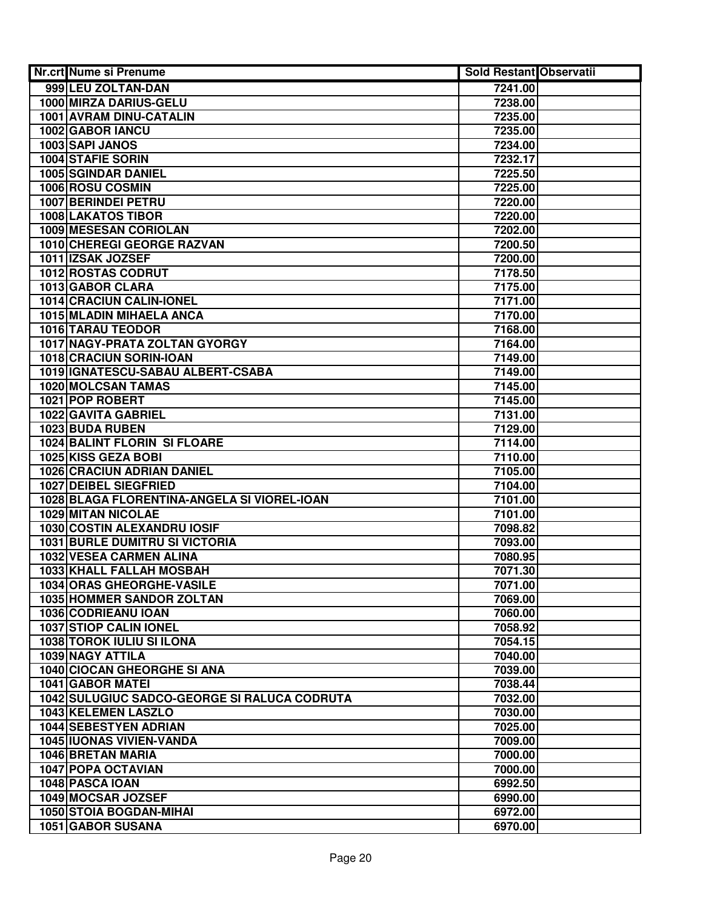| <b>Nr.crt Nume si Prenume</b>                                 | <b>Sold Restant Observatii</b> |  |
|---------------------------------------------------------------|--------------------------------|--|
| 999 LEU ZOLTAN-DAN                                            | 7241.00                        |  |
| 1000 MIRZA DARIUS-GELU                                        | 7238.00                        |  |
| 1001 AVRAM DINU-CATALIN                                       | 7235.00                        |  |
| 1002 GABOR IANCU                                              | 7235.00                        |  |
| 1003 SAPI JANOS                                               | 7234.00                        |  |
| 1004 STAFIE SORIN                                             | 7232.17                        |  |
| 1005 SGINDAR DANIEL                                           | 7225.50                        |  |
| 1006 ROSU COSMIN                                              | 7225.00                        |  |
| 1007 BERINDEI PETRU                                           | 7220.00                        |  |
| <b>1008 LAKATOS TIBOR</b>                                     | 7220.00                        |  |
| 1009 MESESAN CORIOLAN                                         | 7202.00                        |  |
| 1010 CHEREGI GEORGE RAZVAN                                    | 7200.50                        |  |
| 1011 IZSAK JOZSEF                                             | 7200.00                        |  |
| 1012 ROSTAS CODRUT                                            | 7178.50                        |  |
| 1013 GABOR CLARA                                              | 7175.00                        |  |
| 1014 CRACIUN CALIN-IONEL                                      | 7171.00                        |  |
| 1015 MLADIN MIHAELA ANCA                                      | 7170.00                        |  |
| <b>1016 TARAU TEODOR</b>                                      | 7168.00                        |  |
| 1017 NAGY-PRATA ZOLTAN GYORGY                                 | 7164.00                        |  |
| 1018 CRACIUN SORIN-IOAN                                       | 7149.00                        |  |
| 1019 IGNATESCU-SABAU ALBERT-CSABA                             | 7149.00                        |  |
| 1020 MOLCSAN TAMAS                                            | 7145.00                        |  |
| 1021 POP ROBERT                                               | 7145.00                        |  |
| 1022 GAVITA GABRIEL                                           | 7131.00                        |  |
| 1023 BUDA RUBEN                                               | 7129.00                        |  |
| <b>1024 BALINT FLORIN SI FLOARE</b>                           | 7114.00                        |  |
| 1025 KISS GEZA BOBI                                           | 7110.00                        |  |
| <b>1026 CRACIUN ADRIAN DANIEL</b>                             | 7105.00                        |  |
| 1027 DEIBEL SIEGFRIED                                         | 7104.00                        |  |
| 1028 BLAGA FLORENTINA-ANGELA SI VIOREL-IOAN                   | 7101.00                        |  |
| 1029 MITAN NICOLAE                                            | 7101.00                        |  |
| 1030 COSTIN ALEXANDRU IOSIF                                   | 7098.82                        |  |
| <b>1031 BURLE DUMITRU SI VICTORIA</b>                         | 7093.00                        |  |
| 1032 VESEA CARMEN ALINA                                       | 7080.95                        |  |
| 1033 KHALL FALLAH MOSBAH                                      | 7071.30                        |  |
| 1034 ORAS GHEORGHE-VASILE                                     | 7071.00                        |  |
| 1035 HOMMER SANDOR ZOLTAN                                     | 7069.00                        |  |
| 1036 CODRIEANU IOAN                                           | 7060.00                        |  |
| 1037 STIOP CALIN IONEL                                        | 7058.92                        |  |
| <b>1038 TOROK IULIU SI ILONA</b>                              | 7054.15                        |  |
| <b>1039 NAGY ATTILA</b><br><b>1040 CIOCAN GHEORGHE SI ANA</b> | 7040.00                        |  |
| 1041 GABOR MATEI                                              | 7039.00                        |  |
| <b>1042 SULUGIUC SADCO-GEORGE SI RALUCA CODRUTA</b>           | 7038.44<br>7032.00             |  |
|                                                               |                                |  |
| 1043 KELEMEN LASZLO<br>1044 SEBESTYEN ADRIAN                  | 7030.00<br>7025.00             |  |
| 1045 IUONAS VIVIEN-VANDA                                      | 7009.00                        |  |
| 1046 BRETAN MARIA                                             | 7000.00                        |  |
| <b>1047 POPA OCTAVIAN</b>                                     | 7000.00                        |  |
| 1048 PASCA IOAN                                               | 6992.50                        |  |
| 1049 MOCSAR JOZSEF                                            | 6990.00                        |  |
| 1050 STOIA BOGDAN-MIHAI                                       | 6972.00                        |  |
| 1051 GABOR SUSANA                                             | 6970.00                        |  |
|                                                               |                                |  |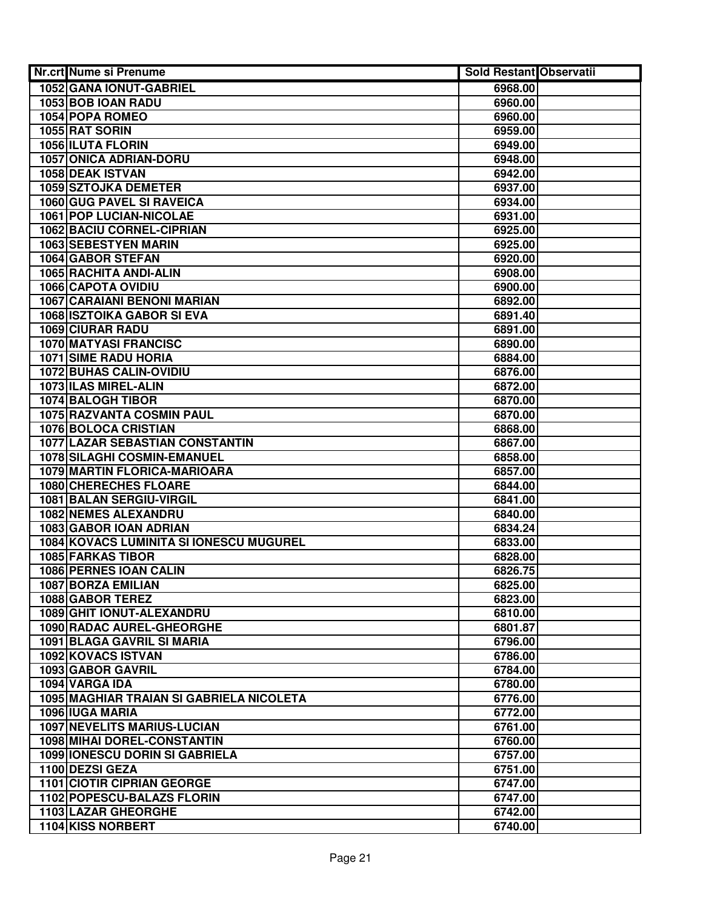| <b>Nr.crt Nume si Prenume</b>                   | <b>Sold Restant Observatii</b> |  |
|-------------------------------------------------|--------------------------------|--|
| 1052 GANA IONUT-GABRIEL                         | 6968.00                        |  |
| 1053 BOB IOAN RADU                              | 6960.00                        |  |
| 1054 POPA ROMEO                                 | 6960.00                        |  |
| 1055 RAT SORIN                                  | 6959.00                        |  |
| <b>1056 ILUTA FLORIN</b>                        | 6949.00                        |  |
| 1057 ONICA ADRIAN-DORU                          | 6948.00                        |  |
| 1058 DEAK ISTVAN                                | 6942.00                        |  |
| <b>1059 SZTOJKA DEMETER</b>                     | 6937.00                        |  |
| 1060 GUG PAVEL SI RAVEICA                       | 6934.00                        |  |
| <b>1061 POP LUCIAN-NICOLAE</b>                  | 6931.00                        |  |
| <b>1062 BACIU CORNEL-CIPRIAN</b>                | 6925.00                        |  |
| 1063 SEBESTYEN MARIN                            | 6925.00                        |  |
| 1064 GABOR STEFAN                               | 6920.00                        |  |
| 1065 RACHITA ANDI-ALIN                          | 6908.00                        |  |
| 1066 CAPOTA OVIDIU                              | 6900.00                        |  |
| <b>1067 CARAIANI BENONI MARIAN</b>              | 6892.00                        |  |
| <b>1068 ISZTOIKA GABOR SI EVA</b>               | 6891.40                        |  |
| <b>1069 CIURAR RADU</b>                         | 6891.00                        |  |
| <b>1070 MATYASI FRANCISC</b>                    | 6890.00                        |  |
| <b>1071 SIME RADU HORIA</b>                     | 6884.00                        |  |
| 1072 BUHAS CALIN-OVIDIU                         | 6876.00                        |  |
| 1073 ILAS MIREL-ALIN                            | 6872.00                        |  |
| 1074 BALOGH TIBOR                               | 6870.00                        |  |
| 1075 RAZVANTA COSMIN PAUL                       | 6870.00                        |  |
| 1076 BOLOCA CRISTIAN                            | 6868.00                        |  |
| 1077 LAZAR SEBASTIAN CONSTANTIN                 | 6867.00                        |  |
| 1078 SILAGHI COSMIN-EMANUEL                     | 6858.00                        |  |
| 1079 MARTIN FLORICA-MARIOARA                    | 6857.00                        |  |
| 1080 CHERECHES FLOARE                           | 6844.00                        |  |
| 1081 BALAN SERGIU-VIRGIL                        | 6841.00                        |  |
| <b>1082 NEMES ALEXANDRU</b>                     | 6840.00                        |  |
| 1083 GABOR IOAN ADRIAN                          | 6834.24                        |  |
| 1084 KOVACS LUMINITA SI IONESCU MUGUREL         | 6833.00                        |  |
| 1085 FARKAS TIBOR                               | 6828.00                        |  |
| 1086 PERNES IOAN CALIN                          | 6826.75                        |  |
| 1087 BORZA EMILIAN                              | 6825.00                        |  |
| 1088 GABOR TEREZ                                | 6823.00                        |  |
| 1089 GHIT IONUT-ALEXANDRU                       | 6810.00                        |  |
| 1090 RADAC AUREL-GHEORGHE                       | 6801.87                        |  |
| 1091 BLAGA GAVRIL SI MARIA                      | 6796.00                        |  |
| 1092 KOVACS ISTVAN                              | 6786.00                        |  |
| <b>1093 GABOR GAVRIL</b>                        | 6784.00                        |  |
| 1094 VARGA IDA                                  | 6780.00                        |  |
| <b>1095 MAGHIAR TRAIAN SI GABRIELA NICOLETA</b> | 6776.00                        |  |
| 1096 IUGA MARIA                                 | 6772.00                        |  |
| <b>1097 NEVELITS MARIUS-LUCIAN</b>              | 6761.00                        |  |
| 1098 MIHAI DOREL-CONSTANTIN                     | 6760.00                        |  |
| <b>1099 IONESCU DORIN SI GABRIELA</b>           | 6757.00                        |  |
| 1100 DEZSI GEZA                                 | 6751.00                        |  |
| 1101 CIOTIR CIPRIAN GEORGE                      | 6747.00                        |  |
| 1102 POPESCU-BALAZS FLORIN                      | 6747.00                        |  |
| <b>1103 LAZAR GHEORGHE</b>                      | 6742.00                        |  |
| 1104 KISS NORBERT                               | 6740.00                        |  |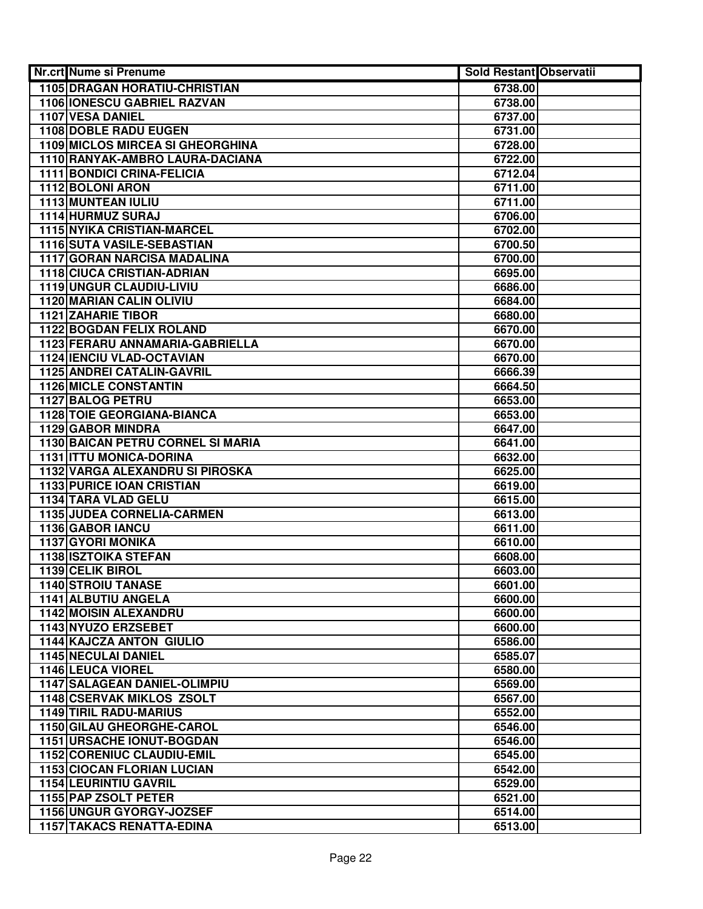| Nr.crt Nume si Prenume                       | <b>Sold Restant Observatii</b> |  |
|----------------------------------------------|--------------------------------|--|
| <b>1105 DRAGAN HORATIU-CHRISTIAN</b>         | 6738.00                        |  |
| 1106 IONESCU GABRIEL RAZVAN                  | 6738.00                        |  |
| 1107 VESA DANIEL                             | 6737.00                        |  |
| <b>1108 DOBLE RADU EUGEN</b>                 | 6731.00                        |  |
| 1109 MICLOS MIRCEA SI GHEORGHINA             | 6728.00                        |  |
| 1110 RANYAK-AMBRO LAURA-DACIANA              | 6722.00                        |  |
| 1111 BONDICI CRINA-FELICIA                   | 6712.04                        |  |
| 1112 BOLONI ARON                             | 6711.00                        |  |
| 1113 MUNTEAN IULIU                           | 6711.00                        |  |
| 1114 HURMUZ SURAJ                            | 6706.00                        |  |
| <b>1115 NYIKA CRISTIAN-MARCEL</b>            | 6702.00                        |  |
| 1116 SUTA VASILE-SEBASTIAN                   | 6700.50                        |  |
| 1117 GORAN NARCISA MADALINA                  | 6700.00                        |  |
| 1118 CIUCA CRISTIAN-ADRIAN                   | 6695.00                        |  |
| 1119 UNGUR CLAUDIU-LIVIU                     | 6686.00                        |  |
| <b>1120 MARIAN CALIN OLIVIU</b>              | 6684.00                        |  |
| <b>1121 ZAHARIE TIBOR</b>                    | 6680.00                        |  |
| <b>1122 BOGDAN FELIX ROLAND</b>              | 6670.00                        |  |
| 1123 FERARU ANNAMARIA-GABRIELLA              | 6670.00                        |  |
| <b>1124 IENCIU VLAD-OCTAVIAN</b>             | 6670.00                        |  |
| 1125 ANDREI CATALIN-GAVRIL                   | 6666.39                        |  |
| <b>1126 MICLE CONSTANTIN</b>                 | 6664.50                        |  |
| 1127 BALOG PETRU                             | 6653.00                        |  |
| <b>1128 TOIE GEORGIANA-BIANCA</b>            | 6653.00                        |  |
| 1129 GABOR MINDRA                            | 6647.00                        |  |
| 1130 BAICAN PETRU CORNEL SI MARIA            | 6641.00                        |  |
| 1131 ITTU MONICA-DORINA                      | 6632.00                        |  |
| 1132 VARGA ALEXANDRU SI PIROSKA              | 6625.00                        |  |
| <b>1133 PURICE IOAN CRISTIAN</b>             | 6619.00                        |  |
| 1134 TARA VLAD GELU                          | 6615.00                        |  |
| 1135 JUDEA CORNELIA-CARMEN                   | 6613.00                        |  |
| 1136 GABOR IANCU                             | 6611.00                        |  |
| <b>1137 GYORI MONIKA</b>                     | 6610.00                        |  |
| 1138 ISZTOIKA STEFAN                         | 6608.00                        |  |
| 1139 CELIK BIROL                             | 6603.00                        |  |
| 1140 STROIU TANASE                           | 6601.00                        |  |
| 1141 ALBUTIU ANGELA<br>1142 MOISIN ALEXANDRU | 6600.00                        |  |
| 1143 NYUZO ERZSEBET                          | 6600.00<br>6600.00             |  |
| <b>1144 KAJCZA ANTON GIULIO</b>              | 6586.00                        |  |
| <b>1145 NECULAI DANIEL</b>                   | 6585.07                        |  |
| <b>1146 LEUCA VIOREL</b>                     | 6580.00                        |  |
| <b>1147 SALAGEAN DANIEL-OLIMPIU</b>          | 6569.00                        |  |
| <b>1148 CSERVAK MIKLOS ZSOLT</b>             | 6567.00                        |  |
| <b>1149 TIRIL RADU-MARIUS</b>                | 6552.00                        |  |
| 1150 GILAU GHEORGHE-CAROL                    | 6546.00                        |  |
| <b>1151 URSACHE IONUT-BOGDAN</b>             | 6546.00                        |  |
| 1152 CORENIUC CLAUDIU-EMIL                   | 6545.00                        |  |
| <b>1153 CIOCAN FLORIAN LUCIAN</b>            | 6542.00                        |  |
| <b>1154 LEURINTIU GAVRIL</b>                 | 6529.00                        |  |
| 1155 PAP ZSOLT PETER                         | 6521.00                        |  |
| 1156 UNGUR GYORGY-JOZSEF                     | 6514.00                        |  |
| <b>1157 TAKACS RENATTA-EDINA</b>             | 6513.00                        |  |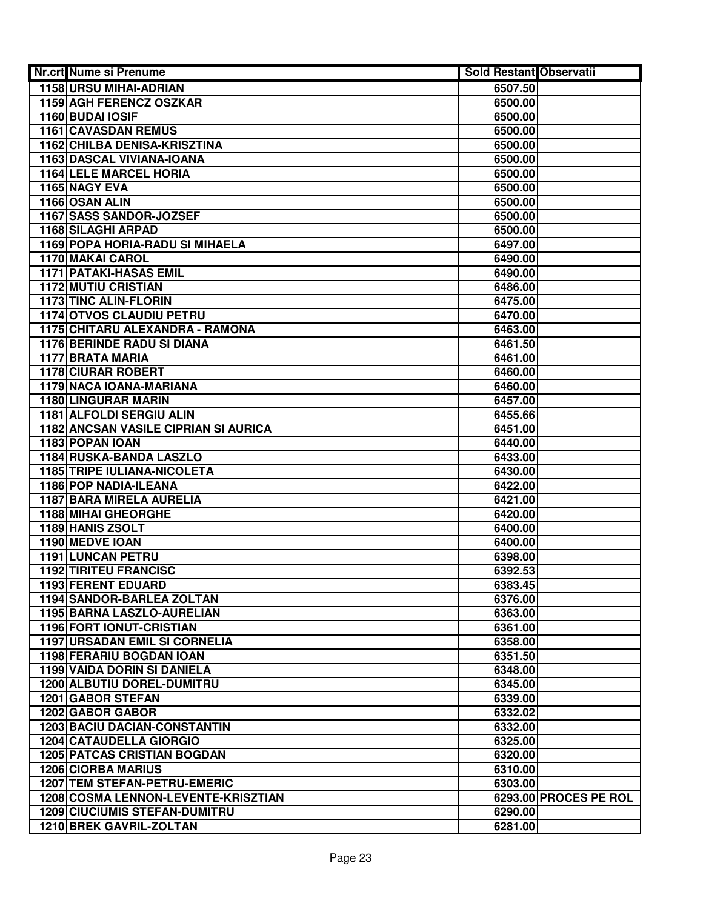| <b>Nr.crt Nume si Prenume</b>                                         | <b>Sold Restant Observatii</b> |                       |
|-----------------------------------------------------------------------|--------------------------------|-----------------------|
| <b>1158 URSU MIHAI-ADRIAN</b>                                         | 6507.50                        |                       |
| 1159 AGH FERENCZ OSZKAR                                               | 6500.00                        |                       |
| 1160 BUDAI IOSIF                                                      | 6500.00                        |                       |
| <b>1161 CAVASDAN REMUS</b>                                            | 6500.00                        |                       |
| 1162 CHILBA DENISA-KRISZTINA                                          | 6500.00                        |                       |
| 1163 DASCAL VIVIANA-IOANA                                             | 6500.00                        |                       |
| <b>1164 LELE MARCEL HORIA</b>                                         | 6500.00                        |                       |
| 1165 NAGY EVA                                                         | 6500.00                        |                       |
| 1166 OSAN ALIN                                                        | 6500.00                        |                       |
| 1167 SASS SANDOR-JOZSEF                                               | 6500.00                        |                       |
| 1168 SILAGHI ARPAD                                                    | 6500.00                        |                       |
| 1169 POPA HORIA-RADU SI MIHAELA                                       | 6497.00                        |                       |
| 1170 MAKAI CAROL                                                      | 6490.00                        |                       |
| 1171 PATAKI-HASAS EMIL                                                | 6490.00                        |                       |
| <b>1172 MUTIU CRISTIAN</b>                                            | 6486.00                        |                       |
| <b>1173 TINC ALIN-FLORIN</b>                                          | 6475.00                        |                       |
| <b>1174 OTVOS CLAUDIU PETRU</b>                                       | 6470.00                        |                       |
| <b>1175 CHITARU ALEXANDRA - RAMONA</b>                                | 6463.00                        |                       |
| <b>1176 BERINDE RADU SI DIANA</b>                                     | 6461.50                        |                       |
| <b>1177 BRATA MARIA</b>                                               | 6461.00                        |                       |
| <b>1178 CIURAR ROBERT</b>                                             | 6460.00                        |                       |
| 1179 NACA IOANA-MARIANA                                               | 6460.00                        |                       |
| <b>1180 LINGURAR MARIN</b>                                            | 6457.00                        |                       |
| 1181 ALFOLDI SERGIU ALIN                                              | 6455.66                        |                       |
| <b>1182 ANCSAN VASILE CIPRIAN SI AURICA</b>                           | 6451.00                        |                       |
| 1183 POPAN IOAN                                                       | 6440.00                        |                       |
| 1184 RUSKA-BANDA LASZLO                                               | 6433.00                        |                       |
| 1185 TRIPE IULIANA-NICOLETA                                           | 6430.00                        |                       |
| 1186 POP NADIA-ILEANA                                                 | 6422.00                        |                       |
| 1187 BARA MIRELA AURELIA                                              | 6421.00                        |                       |
| <b>1188 MIHAI GHEORGHE</b>                                            | 6420.00                        |                       |
| 1189 HANIS ZSOLT                                                      | 6400.00                        |                       |
| 1190 MEDVE IOAN                                                       | 6400.00                        |                       |
| 1191 LUNCAN PETRU                                                     | 6398.00                        |                       |
| <b>1192 TIRITEU FRANCISC</b>                                          | 6392.53                        |                       |
| 1193 FERENT EDUARD                                                    | 6383.45                        |                       |
| 1194 SANDOR-BARLEA ZOLTAN                                             | 6376.00                        |                       |
| 1195 BARNA LASZLO-AURELIAN                                            | 6363.00                        |                       |
| 1196 FORT IONUT-CRISTIAN                                              | 6361.00                        |                       |
| <b>1197 URSADAN EMIL SI CORNELIA</b>                                  | 6358.00                        |                       |
| <b>1198 FERARIU BOGDAN IOAN</b><br><b>1199 VAIDA DORIN SI DANIELA</b> | 6351.50                        |                       |
| <b>1200 ALBUTIU DOREL-DUMITRU</b>                                     | 6348.00                        |                       |
| <b>1201 GABOR STEFAN</b>                                              | 6345.00<br>6339.00             |                       |
| 1202 GABOR GABOR                                                      |                                |                       |
| <b>1203 BACIU DACIAN-CONSTANTIN</b>                                   | 6332.02<br>6332.00             |                       |
| <b>1204 CATAUDELLA GIORGIO</b>                                        | 6325.00                        |                       |
| <b>1205 PATCAS CRISTIAN BOGDAN</b>                                    | 6320.00                        |                       |
| <b>1206 CIORBA MARIUS</b>                                             | 6310.00                        |                       |
| 1207 TEM STEFAN-PETRU-EMERIC                                          | 6303.00                        |                       |
| 1208 COSMA LENNON-LEVENTE-KRISZTIAN                                   |                                | 6293.00 PROCES PE ROL |
| <b>1209 CIUCIUMIS STEFAN-DUMITRU</b>                                  | 6290.00                        |                       |
| 1210 BREK GAVRIL-ZOLTAN                                               | 6281.00                        |                       |
|                                                                       |                                |                       |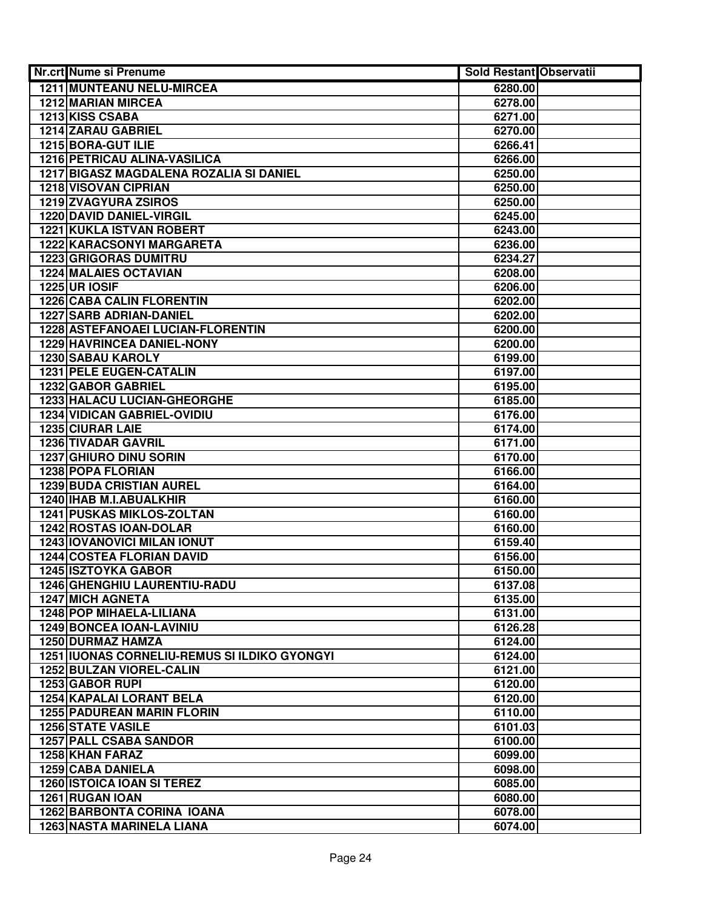| <b>Nr.crt Nume si Prenume</b>                | <b>Sold Restant Observatii</b> |  |
|----------------------------------------------|--------------------------------|--|
| 1211 MUNTEANU NELU-MIRCEA                    | 6280.00                        |  |
| 1212 MARIAN MIRCEA                           | 6278.00                        |  |
| 1213 KISS CSABA                              | 6271.00                        |  |
| 1214 ZARAU GABRIEL                           | 6270.00                        |  |
| 1215 BORA-GUT ILIE                           | 6266.41                        |  |
| 1216 PETRICAU ALINA-VASILICA                 | 6266.00                        |  |
| 1217 BIGASZ MAGDALENA ROZALIA SI DANIEL      | 6250.00                        |  |
| <b>1218 VISOVAN CIPRIAN</b>                  | 6250.00                        |  |
| 1219 ZVAGYURA ZSIROS                         | 6250.00                        |  |
| 1220 DAVID DANIEL-VIRGIL                     | 6245.00                        |  |
| 1221 KUKLA ISTVAN ROBERT                     | 6243.00                        |  |
| 1222 KARACSONYI MARGARETA                    | 6236.00                        |  |
| <b>1223 GRIGORAS DUMITRU</b>                 | 6234.27                        |  |
| <b>1224 MALAIES OCTAVIAN</b>                 | 6208.00                        |  |
| <b>1225 UR IOSIF</b>                         | 6206.00                        |  |
| <b>1226 CABA CALIN FLORENTIN</b>             | 6202.00                        |  |
| <b>1227 SARB ADRIAN-DANIEL</b>               | 6202.00                        |  |
| 1228 ASTEFANOAEI LUCIAN-FLORENTIN            | 6200.00                        |  |
| <b>1229 HAVRINCEA DANIEL-NONY</b>            | 6200.00                        |  |
| <b>1230 SABAU KAROLY</b>                     | 6199.00                        |  |
| 1231 PELE EUGEN-CATALIN                      | 6197.00                        |  |
| 1232 GABOR GABRIEL                           | 6195.00                        |  |
| 1233 HALACU LUCIAN-GHEORGHE                  | 6185.00                        |  |
| 1234 VIDICAN GABRIEL-OVIDIU                  | 6176.00                        |  |
| 1235 CIURAR LAIE                             | 6174.00                        |  |
| <b>1236 TIVADAR GAVRIL</b>                   | 6171.00                        |  |
| 1237 GHIURO DINU SORIN                       | 6170.00                        |  |
| 1238 POPA FLORIAN                            | 6166.00                        |  |
| <b>1239 BUDA CRISTIAN AUREL</b>              | 6164.00                        |  |
| 1240 IHAB M.I.ABUALKHIR                      | 6160.00                        |  |
| <b>1241 PUSKAS MIKLOS-ZOLTAN</b>             | 6160.00                        |  |
| 1242 ROSTAS IOAN-DOLAR                       | 6160.00                        |  |
| <b>1243 IOVANOVICI MILAN IONUT</b>           | 6159.40                        |  |
| <b>1244 COSTEA FLORIAN DAVID</b>             | 6156.00                        |  |
| <b>1245 ISZTOYKA GABOR</b>                   | 6150.00                        |  |
| 1246 GHENGHIU LAURENTIU-RADU                 | 6137.08                        |  |
| <b>1247 MICH AGNETA</b>                      | 6135.00                        |  |
| 1248 POP MIHAELA-LILIANA                     | 6131.00                        |  |
| <b>1249 BONCEA IOAN-LAVINIU</b>              | 6126.28                        |  |
| 1250 DURMAZ HAMZA                            | 6124.00                        |  |
| 1251 IUONAS CORNELIU-REMUS SI ILDIKO GYONGYI | 6124.00                        |  |
| 1252 BULZAN VIOREL-CALIN                     | 6121.00                        |  |
| <b>1253 GABOR RUPI</b>                       | 6120.00                        |  |
| 1254 KAPALAI LORANT BELA                     | 6120.00                        |  |
| <b>1255 PADUREAN MARIN FLORIN</b>            | 6110.00                        |  |
| <b>1256 STATE VASILE</b>                     | 6101.03                        |  |
| <b>1257 PALL CSABA SANDOR</b>                | 6100.00                        |  |
| 1258 KHAN FARAZ                              | 6099.00                        |  |
| 1259 CABA DANIELA                            | 6098.00                        |  |
| <b>1260 ISTOICA IOAN SI TEREZ</b>            | 6085.00                        |  |
| 1261 RUGAN IOAN                              | 6080.00                        |  |
| <b>1262 BARBONTA CORINA IOANA</b>            | 6078.00                        |  |
| <b>1263 NASTA MARINELA LIANA</b>             | 6074.00                        |  |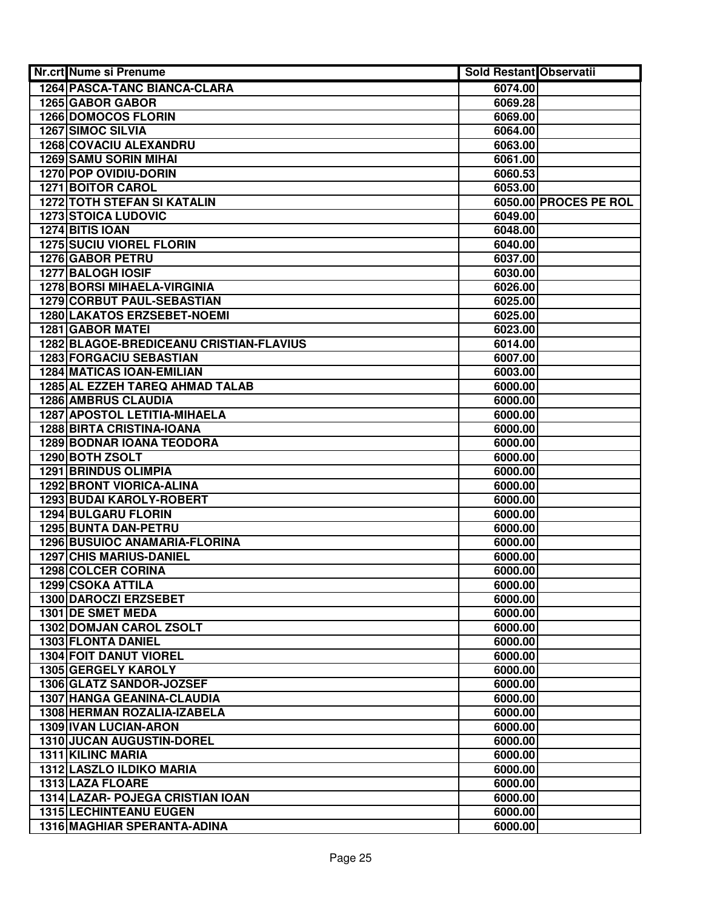| 1264 PASCA-TANC BIANCA-CLARA<br>6074.00<br>1265 GABOR GABOR<br>6069.28<br>1266 DOMOCOS FLORIN<br>6069.00<br><b>1267 SIMOC SILVIA</b><br>6064.00<br>1268 COVACIU ALEXANDRU<br>6063.00<br><b>1269 SAMU SORIN MIHAI</b><br>6061.00<br>1270 POP OVIDIU-DORIN<br>6060.53<br>1271 BOITOR CAROL<br>6053.00<br><b>1272 TOTH STEFAN SI KATALIN</b><br>6050.00 PROCES PE ROL<br><b>1273 STOICA LUDOVIC</b><br>6049.00<br>1274 BITIS IOAN<br>6048.00<br><b>1275 SUCIU VIOREL FLORIN</b><br>6040.00<br>1276 GABOR PETRU<br>6037.00<br>1277 BALOGH IOSIF<br>6030.00<br><b>1278 BORSI MIHAELA-VIRGINIA</b><br>6026.00<br><b>1279 CORBUT PAUL-SEBASTIAN</b><br>6025.00<br>1280 LAKATOS ERZSEBET-NOEMI<br>6025.00<br><b>1281 GABOR MATEI</b><br>6023.00<br>1282 BLAGOE-BREDICEANU CRISTIAN-FLAVIUS<br>6014.00<br><b>1283 FORGACIU SEBASTIAN</b><br>6007.00<br><b>1284 MATICAS IOAN-EMILIAN</b><br>6003.00<br>1285 AL EZZEH TAREQ AHMAD TALAB<br>6000.00<br>1286 AMBRUS CLAUDIA<br>6000.00<br>1287 APOSTOL LETITIA-MIHAELA<br>6000.00<br>1288 BIRTA CRISTINA-IOANA<br>6000.00<br><b>1289 BODNAR IOANA TEODORA</b><br>6000.00<br>1290 BOTH ZSOLT<br>6000.00<br><b>1291 BRINDUS OLIMPIA</b><br>6000.00<br><b>1292 BRONT VIORICA-ALINA</b><br>6000.00<br>1293 BUDAI KAROLY-ROBERT<br>6000.00<br><b>1294 BULGARU FLORIN</b><br>6000.00<br>1295 BUNTA DAN-PETRU<br>6000.00<br>1296 BUSUIOC ANAMARIA-FLORINA<br>6000.00<br><b>1297 CHIS MARIUS-DANIEL</b><br>6000.00<br><b>1298 COLCER CORINA</b><br>6000.00<br>1299 CSOKA ATTILA<br>6000.00<br>1300 DAROCZI ERZSEBET<br>6000.00<br>1301 DE SMET MEDA<br>6000.00<br>1302 DOMJAN CAROL ZSOLT<br>6000.00<br>1303 FLONTA DANIEL<br>6000.00<br><b>1304 FOIT DANUT VIOREL</b><br>6000.00<br>1305 GERGELY KAROLY<br>6000.00<br>1306 GLATZ SANDOR-JOZSEF<br>6000.00<br><b>1307 HANGA GEANINA-CLAUDIA</b><br>6000.00<br>1308 HERMAN ROZALIA-IZABELA<br>6000.00<br><b>1309 IVAN LUCIAN-ARON</b><br>6000.00<br>1310 JUCAN AUGUSTIN-DOREL<br>6000.00<br>1311 KILINC MARIA<br>6000.00<br>1312 LASZLO ILDIKO MARIA<br>6000.00<br>1313 LAZA FLOARE<br>6000.00<br>1314 LAZAR- POJEGA CRISTIAN IOAN<br>6000.00<br><b>1315 LECHINTEANU EUGEN</b><br>6000.00<br>1316 MAGHIAR SPERANTA-ADINA<br>6000.00 | Nr.crt Nume si Prenume | Sold Restant Observatii |  |
|---------------------------------------------------------------------------------------------------------------------------------------------------------------------------------------------------------------------------------------------------------------------------------------------------------------------------------------------------------------------------------------------------------------------------------------------------------------------------------------------------------------------------------------------------------------------------------------------------------------------------------------------------------------------------------------------------------------------------------------------------------------------------------------------------------------------------------------------------------------------------------------------------------------------------------------------------------------------------------------------------------------------------------------------------------------------------------------------------------------------------------------------------------------------------------------------------------------------------------------------------------------------------------------------------------------------------------------------------------------------------------------------------------------------------------------------------------------------------------------------------------------------------------------------------------------------------------------------------------------------------------------------------------------------------------------------------------------------------------------------------------------------------------------------------------------------------------------------------------------------------------------------------------------------------------------------------------------------------------------------------------------------------------------------------------------------------------------------------------------------------------------------------------------------------------------------------------------|------------------------|-------------------------|--|
|                                                                                                                                                                                                                                                                                                                                                                                                                                                                                                                                                                                                                                                                                                                                                                                                                                                                                                                                                                                                                                                                                                                                                                                                                                                                                                                                                                                                                                                                                                                                                                                                                                                                                                                                                                                                                                                                                                                                                                                                                                                                                                                                                                                                               |                        |                         |  |
|                                                                                                                                                                                                                                                                                                                                                                                                                                                                                                                                                                                                                                                                                                                                                                                                                                                                                                                                                                                                                                                                                                                                                                                                                                                                                                                                                                                                                                                                                                                                                                                                                                                                                                                                                                                                                                                                                                                                                                                                                                                                                                                                                                                                               |                        |                         |  |
|                                                                                                                                                                                                                                                                                                                                                                                                                                                                                                                                                                                                                                                                                                                                                                                                                                                                                                                                                                                                                                                                                                                                                                                                                                                                                                                                                                                                                                                                                                                                                                                                                                                                                                                                                                                                                                                                                                                                                                                                                                                                                                                                                                                                               |                        |                         |  |
|                                                                                                                                                                                                                                                                                                                                                                                                                                                                                                                                                                                                                                                                                                                                                                                                                                                                                                                                                                                                                                                                                                                                                                                                                                                                                                                                                                                                                                                                                                                                                                                                                                                                                                                                                                                                                                                                                                                                                                                                                                                                                                                                                                                                               |                        |                         |  |
|                                                                                                                                                                                                                                                                                                                                                                                                                                                                                                                                                                                                                                                                                                                                                                                                                                                                                                                                                                                                                                                                                                                                                                                                                                                                                                                                                                                                                                                                                                                                                                                                                                                                                                                                                                                                                                                                                                                                                                                                                                                                                                                                                                                                               |                        |                         |  |
|                                                                                                                                                                                                                                                                                                                                                                                                                                                                                                                                                                                                                                                                                                                                                                                                                                                                                                                                                                                                                                                                                                                                                                                                                                                                                                                                                                                                                                                                                                                                                                                                                                                                                                                                                                                                                                                                                                                                                                                                                                                                                                                                                                                                               |                        |                         |  |
|                                                                                                                                                                                                                                                                                                                                                                                                                                                                                                                                                                                                                                                                                                                                                                                                                                                                                                                                                                                                                                                                                                                                                                                                                                                                                                                                                                                                                                                                                                                                                                                                                                                                                                                                                                                                                                                                                                                                                                                                                                                                                                                                                                                                               |                        |                         |  |
|                                                                                                                                                                                                                                                                                                                                                                                                                                                                                                                                                                                                                                                                                                                                                                                                                                                                                                                                                                                                                                                                                                                                                                                                                                                                                                                                                                                                                                                                                                                                                                                                                                                                                                                                                                                                                                                                                                                                                                                                                                                                                                                                                                                                               |                        |                         |  |
|                                                                                                                                                                                                                                                                                                                                                                                                                                                                                                                                                                                                                                                                                                                                                                                                                                                                                                                                                                                                                                                                                                                                                                                                                                                                                                                                                                                                                                                                                                                                                                                                                                                                                                                                                                                                                                                                                                                                                                                                                                                                                                                                                                                                               |                        |                         |  |
|                                                                                                                                                                                                                                                                                                                                                                                                                                                                                                                                                                                                                                                                                                                                                                                                                                                                                                                                                                                                                                                                                                                                                                                                                                                                                                                                                                                                                                                                                                                                                                                                                                                                                                                                                                                                                                                                                                                                                                                                                                                                                                                                                                                                               |                        |                         |  |
|                                                                                                                                                                                                                                                                                                                                                                                                                                                                                                                                                                                                                                                                                                                                                                                                                                                                                                                                                                                                                                                                                                                                                                                                                                                                                                                                                                                                                                                                                                                                                                                                                                                                                                                                                                                                                                                                                                                                                                                                                                                                                                                                                                                                               |                        |                         |  |
|                                                                                                                                                                                                                                                                                                                                                                                                                                                                                                                                                                                                                                                                                                                                                                                                                                                                                                                                                                                                                                                                                                                                                                                                                                                                                                                                                                                                                                                                                                                                                                                                                                                                                                                                                                                                                                                                                                                                                                                                                                                                                                                                                                                                               |                        |                         |  |
|                                                                                                                                                                                                                                                                                                                                                                                                                                                                                                                                                                                                                                                                                                                                                                                                                                                                                                                                                                                                                                                                                                                                                                                                                                                                                                                                                                                                                                                                                                                                                                                                                                                                                                                                                                                                                                                                                                                                                                                                                                                                                                                                                                                                               |                        |                         |  |
|                                                                                                                                                                                                                                                                                                                                                                                                                                                                                                                                                                                                                                                                                                                                                                                                                                                                                                                                                                                                                                                                                                                                                                                                                                                                                                                                                                                                                                                                                                                                                                                                                                                                                                                                                                                                                                                                                                                                                                                                                                                                                                                                                                                                               |                        |                         |  |
|                                                                                                                                                                                                                                                                                                                                                                                                                                                                                                                                                                                                                                                                                                                                                                                                                                                                                                                                                                                                                                                                                                                                                                                                                                                                                                                                                                                                                                                                                                                                                                                                                                                                                                                                                                                                                                                                                                                                                                                                                                                                                                                                                                                                               |                        |                         |  |
|                                                                                                                                                                                                                                                                                                                                                                                                                                                                                                                                                                                                                                                                                                                                                                                                                                                                                                                                                                                                                                                                                                                                                                                                                                                                                                                                                                                                                                                                                                                                                                                                                                                                                                                                                                                                                                                                                                                                                                                                                                                                                                                                                                                                               |                        |                         |  |
|                                                                                                                                                                                                                                                                                                                                                                                                                                                                                                                                                                                                                                                                                                                                                                                                                                                                                                                                                                                                                                                                                                                                                                                                                                                                                                                                                                                                                                                                                                                                                                                                                                                                                                                                                                                                                                                                                                                                                                                                                                                                                                                                                                                                               |                        |                         |  |
|                                                                                                                                                                                                                                                                                                                                                                                                                                                                                                                                                                                                                                                                                                                                                                                                                                                                                                                                                                                                                                                                                                                                                                                                                                                                                                                                                                                                                                                                                                                                                                                                                                                                                                                                                                                                                                                                                                                                                                                                                                                                                                                                                                                                               |                        |                         |  |
|                                                                                                                                                                                                                                                                                                                                                                                                                                                                                                                                                                                                                                                                                                                                                                                                                                                                                                                                                                                                                                                                                                                                                                                                                                                                                                                                                                                                                                                                                                                                                                                                                                                                                                                                                                                                                                                                                                                                                                                                                                                                                                                                                                                                               |                        |                         |  |
|                                                                                                                                                                                                                                                                                                                                                                                                                                                                                                                                                                                                                                                                                                                                                                                                                                                                                                                                                                                                                                                                                                                                                                                                                                                                                                                                                                                                                                                                                                                                                                                                                                                                                                                                                                                                                                                                                                                                                                                                                                                                                                                                                                                                               |                        |                         |  |
|                                                                                                                                                                                                                                                                                                                                                                                                                                                                                                                                                                                                                                                                                                                                                                                                                                                                                                                                                                                                                                                                                                                                                                                                                                                                                                                                                                                                                                                                                                                                                                                                                                                                                                                                                                                                                                                                                                                                                                                                                                                                                                                                                                                                               |                        |                         |  |
|                                                                                                                                                                                                                                                                                                                                                                                                                                                                                                                                                                                                                                                                                                                                                                                                                                                                                                                                                                                                                                                                                                                                                                                                                                                                                                                                                                                                                                                                                                                                                                                                                                                                                                                                                                                                                                                                                                                                                                                                                                                                                                                                                                                                               |                        |                         |  |
|                                                                                                                                                                                                                                                                                                                                                                                                                                                                                                                                                                                                                                                                                                                                                                                                                                                                                                                                                                                                                                                                                                                                                                                                                                                                                                                                                                                                                                                                                                                                                                                                                                                                                                                                                                                                                                                                                                                                                                                                                                                                                                                                                                                                               |                        |                         |  |
|                                                                                                                                                                                                                                                                                                                                                                                                                                                                                                                                                                                                                                                                                                                                                                                                                                                                                                                                                                                                                                                                                                                                                                                                                                                                                                                                                                                                                                                                                                                                                                                                                                                                                                                                                                                                                                                                                                                                                                                                                                                                                                                                                                                                               |                        |                         |  |
|                                                                                                                                                                                                                                                                                                                                                                                                                                                                                                                                                                                                                                                                                                                                                                                                                                                                                                                                                                                                                                                                                                                                                                                                                                                                                                                                                                                                                                                                                                                                                                                                                                                                                                                                                                                                                                                                                                                                                                                                                                                                                                                                                                                                               |                        |                         |  |
|                                                                                                                                                                                                                                                                                                                                                                                                                                                                                                                                                                                                                                                                                                                                                                                                                                                                                                                                                                                                                                                                                                                                                                                                                                                                                                                                                                                                                                                                                                                                                                                                                                                                                                                                                                                                                                                                                                                                                                                                                                                                                                                                                                                                               |                        |                         |  |
|                                                                                                                                                                                                                                                                                                                                                                                                                                                                                                                                                                                                                                                                                                                                                                                                                                                                                                                                                                                                                                                                                                                                                                                                                                                                                                                                                                                                                                                                                                                                                                                                                                                                                                                                                                                                                                                                                                                                                                                                                                                                                                                                                                                                               |                        |                         |  |
|                                                                                                                                                                                                                                                                                                                                                                                                                                                                                                                                                                                                                                                                                                                                                                                                                                                                                                                                                                                                                                                                                                                                                                                                                                                                                                                                                                                                                                                                                                                                                                                                                                                                                                                                                                                                                                                                                                                                                                                                                                                                                                                                                                                                               |                        |                         |  |
|                                                                                                                                                                                                                                                                                                                                                                                                                                                                                                                                                                                                                                                                                                                                                                                                                                                                                                                                                                                                                                                                                                                                                                                                                                                                                                                                                                                                                                                                                                                                                                                                                                                                                                                                                                                                                                                                                                                                                                                                                                                                                                                                                                                                               |                        |                         |  |
|                                                                                                                                                                                                                                                                                                                                                                                                                                                                                                                                                                                                                                                                                                                                                                                                                                                                                                                                                                                                                                                                                                                                                                                                                                                                                                                                                                                                                                                                                                                                                                                                                                                                                                                                                                                                                                                                                                                                                                                                                                                                                                                                                                                                               |                        |                         |  |
|                                                                                                                                                                                                                                                                                                                                                                                                                                                                                                                                                                                                                                                                                                                                                                                                                                                                                                                                                                                                                                                                                                                                                                                                                                                                                                                                                                                                                                                                                                                                                                                                                                                                                                                                                                                                                                                                                                                                                                                                                                                                                                                                                                                                               |                        |                         |  |
|                                                                                                                                                                                                                                                                                                                                                                                                                                                                                                                                                                                                                                                                                                                                                                                                                                                                                                                                                                                                                                                                                                                                                                                                                                                                                                                                                                                                                                                                                                                                                                                                                                                                                                                                                                                                                                                                                                                                                                                                                                                                                                                                                                                                               |                        |                         |  |
|                                                                                                                                                                                                                                                                                                                                                                                                                                                                                                                                                                                                                                                                                                                                                                                                                                                                                                                                                                                                                                                                                                                                                                                                                                                                                                                                                                                                                                                                                                                                                                                                                                                                                                                                                                                                                                                                                                                                                                                                                                                                                                                                                                                                               |                        |                         |  |
|                                                                                                                                                                                                                                                                                                                                                                                                                                                                                                                                                                                                                                                                                                                                                                                                                                                                                                                                                                                                                                                                                                                                                                                                                                                                                                                                                                                                                                                                                                                                                                                                                                                                                                                                                                                                                                                                                                                                                                                                                                                                                                                                                                                                               |                        |                         |  |
|                                                                                                                                                                                                                                                                                                                                                                                                                                                                                                                                                                                                                                                                                                                                                                                                                                                                                                                                                                                                                                                                                                                                                                                                                                                                                                                                                                                                                                                                                                                                                                                                                                                                                                                                                                                                                                                                                                                                                                                                                                                                                                                                                                                                               |                        |                         |  |
|                                                                                                                                                                                                                                                                                                                                                                                                                                                                                                                                                                                                                                                                                                                                                                                                                                                                                                                                                                                                                                                                                                                                                                                                                                                                                                                                                                                                                                                                                                                                                                                                                                                                                                                                                                                                                                                                                                                                                                                                                                                                                                                                                                                                               |                        |                         |  |
|                                                                                                                                                                                                                                                                                                                                                                                                                                                                                                                                                                                                                                                                                                                                                                                                                                                                                                                                                                                                                                                                                                                                                                                                                                                                                                                                                                                                                                                                                                                                                                                                                                                                                                                                                                                                                                                                                                                                                                                                                                                                                                                                                                                                               |                        |                         |  |
|                                                                                                                                                                                                                                                                                                                                                                                                                                                                                                                                                                                                                                                                                                                                                                                                                                                                                                                                                                                                                                                                                                                                                                                                                                                                                                                                                                                                                                                                                                                                                                                                                                                                                                                                                                                                                                                                                                                                                                                                                                                                                                                                                                                                               |                        |                         |  |
|                                                                                                                                                                                                                                                                                                                                                                                                                                                                                                                                                                                                                                                                                                                                                                                                                                                                                                                                                                                                                                                                                                                                                                                                                                                                                                                                                                                                                                                                                                                                                                                                                                                                                                                                                                                                                                                                                                                                                                                                                                                                                                                                                                                                               |                        |                         |  |
|                                                                                                                                                                                                                                                                                                                                                                                                                                                                                                                                                                                                                                                                                                                                                                                                                                                                                                                                                                                                                                                                                                                                                                                                                                                                                                                                                                                                                                                                                                                                                                                                                                                                                                                                                                                                                                                                                                                                                                                                                                                                                                                                                                                                               |                        |                         |  |
|                                                                                                                                                                                                                                                                                                                                                                                                                                                                                                                                                                                                                                                                                                                                                                                                                                                                                                                                                                                                                                                                                                                                                                                                                                                                                                                                                                                                                                                                                                                                                                                                                                                                                                                                                                                                                                                                                                                                                                                                                                                                                                                                                                                                               |                        |                         |  |
|                                                                                                                                                                                                                                                                                                                                                                                                                                                                                                                                                                                                                                                                                                                                                                                                                                                                                                                                                                                                                                                                                                                                                                                                                                                                                                                                                                                                                                                                                                                                                                                                                                                                                                                                                                                                                                                                                                                                                                                                                                                                                                                                                                                                               |                        |                         |  |
|                                                                                                                                                                                                                                                                                                                                                                                                                                                                                                                                                                                                                                                                                                                                                                                                                                                                                                                                                                                                                                                                                                                                                                                                                                                                                                                                                                                                                                                                                                                                                                                                                                                                                                                                                                                                                                                                                                                                                                                                                                                                                                                                                                                                               |                        |                         |  |
|                                                                                                                                                                                                                                                                                                                                                                                                                                                                                                                                                                                                                                                                                                                                                                                                                                                                                                                                                                                                                                                                                                                                                                                                                                                                                                                                                                                                                                                                                                                                                                                                                                                                                                                                                                                                                                                                                                                                                                                                                                                                                                                                                                                                               |                        |                         |  |
|                                                                                                                                                                                                                                                                                                                                                                                                                                                                                                                                                                                                                                                                                                                                                                                                                                                                                                                                                                                                                                                                                                                                                                                                                                                                                                                                                                                                                                                                                                                                                                                                                                                                                                                                                                                                                                                                                                                                                                                                                                                                                                                                                                                                               |                        |                         |  |
|                                                                                                                                                                                                                                                                                                                                                                                                                                                                                                                                                                                                                                                                                                                                                                                                                                                                                                                                                                                                                                                                                                                                                                                                                                                                                                                                                                                                                                                                                                                                                                                                                                                                                                                                                                                                                                                                                                                                                                                                                                                                                                                                                                                                               |                        |                         |  |
|                                                                                                                                                                                                                                                                                                                                                                                                                                                                                                                                                                                                                                                                                                                                                                                                                                                                                                                                                                                                                                                                                                                                                                                                                                                                                                                                                                                                                                                                                                                                                                                                                                                                                                                                                                                                                                                                                                                                                                                                                                                                                                                                                                                                               |                        |                         |  |
|                                                                                                                                                                                                                                                                                                                                                                                                                                                                                                                                                                                                                                                                                                                                                                                                                                                                                                                                                                                                                                                                                                                                                                                                                                                                                                                                                                                                                                                                                                                                                                                                                                                                                                                                                                                                                                                                                                                                                                                                                                                                                                                                                                                                               |                        |                         |  |
|                                                                                                                                                                                                                                                                                                                                                                                                                                                                                                                                                                                                                                                                                                                                                                                                                                                                                                                                                                                                                                                                                                                                                                                                                                                                                                                                                                                                                                                                                                                                                                                                                                                                                                                                                                                                                                                                                                                                                                                                                                                                                                                                                                                                               |                        |                         |  |
|                                                                                                                                                                                                                                                                                                                                                                                                                                                                                                                                                                                                                                                                                                                                                                                                                                                                                                                                                                                                                                                                                                                                                                                                                                                                                                                                                                                                                                                                                                                                                                                                                                                                                                                                                                                                                                                                                                                                                                                                                                                                                                                                                                                                               |                        |                         |  |
|                                                                                                                                                                                                                                                                                                                                                                                                                                                                                                                                                                                                                                                                                                                                                                                                                                                                                                                                                                                                                                                                                                                                                                                                                                                                                                                                                                                                                                                                                                                                                                                                                                                                                                                                                                                                                                                                                                                                                                                                                                                                                                                                                                                                               |                        |                         |  |
|                                                                                                                                                                                                                                                                                                                                                                                                                                                                                                                                                                                                                                                                                                                                                                                                                                                                                                                                                                                                                                                                                                                                                                                                                                                                                                                                                                                                                                                                                                                                                                                                                                                                                                                                                                                                                                                                                                                                                                                                                                                                                                                                                                                                               |                        |                         |  |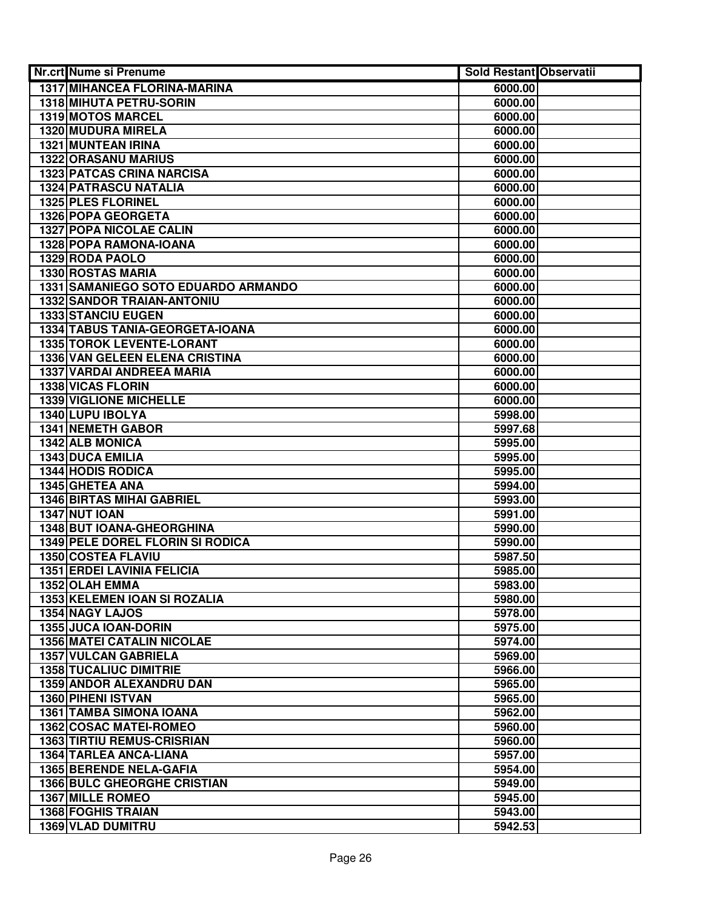| Nr.crt Nume si Prenume                                    | <b>Sold Restant Observatii</b> |  |
|-----------------------------------------------------------|--------------------------------|--|
| <b>1317 MIHANCEA FLORINA-MARINA</b>                       | 6000.00                        |  |
| 1318 MIHUTA PETRU-SORIN                                   | 6000.00                        |  |
| 1319 MOTOS MARCEL                                         | 6000.00                        |  |
| 1320 MUDURA MIRELA                                        | 6000.00                        |  |
| 1321 MUNTEAN IRINA                                        | 6000.00                        |  |
| 1322 ORASANU MARIUS                                       | 6000.00                        |  |
| <b>1323 PATCAS CRINA NARCISA</b>                          | 6000.00                        |  |
| 1324 PATRASCU NATALIA                                     | 6000.00                        |  |
| <b>1325 PLES FLORINEL</b>                                 | 6000.00                        |  |
| 1326 POPA GEORGETA                                        | 6000.00                        |  |
| <b>1327 POPA NICOLAE CALIN</b>                            | 6000.00                        |  |
| 1328 POPA RAMONA-IOANA                                    | 6000.00                        |  |
| 1329 RODA PAOLO                                           | 6000.00                        |  |
| 1330 ROSTAS MARIA                                         | 6000.00                        |  |
| 1331 SAMANIEGO SOTO EDUARDO ARMANDO                       | 6000.00                        |  |
| <b>1332 SANDOR TRAIAN-ANTONIU</b>                         | 6000.00                        |  |
| <b>1333 STANCIU EUGEN</b>                                 | 6000.00                        |  |
| 1334 TABUS TANIA-GEORGETA-IOANA                           | 6000.00                        |  |
| 1335 TOROK LEVENTE-LORANT                                 | 6000.00                        |  |
| 1336 VAN GELEEN ELENA CRISTINA                            | 6000.00                        |  |
| 1337 VARDAI ANDREEA MARIA                                 | 6000.00                        |  |
| 1338 VICAS FLORIN                                         | 6000.00                        |  |
| 1339 VIGLIONE MICHELLE                                    | 6000.00                        |  |
| 1340 LUPU IBOLYA                                          | 5998.00                        |  |
| <b>1341 NEMETH GABOR</b>                                  | 5997.68                        |  |
| 1342 ALB MONICA                                           | 5995.00                        |  |
| 1343 DUCA EMILIA                                          | 5995.00                        |  |
| <b>1344 HODIS RODICA</b>                                  | 5995.00                        |  |
| 1345 GHETEA ANA                                           | 5994.00                        |  |
| <b>1346 BIRTAS MIHAI GABRIEL</b>                          | 5993.00                        |  |
| 1347 NUT IOAN                                             | 5991.00                        |  |
| 1348 BUT IOANA-GHEORGHINA                                 | 5990.00                        |  |
| 1349 PELE DOREL FLORIN SI RODICA                          | 5990.00                        |  |
| 1350 COSTEA FLAVIU                                        | 5987.50                        |  |
| <b>1351 ERDEI LAVINIA FELICIA</b>                         | 5985.00                        |  |
| 1352 OLAH EMMA                                            | 5983.00                        |  |
| 1353 KELEMEN IOAN SI ROZALIA                              | 5980.00                        |  |
| 1354 NAGY LAJOS                                           | 5978.00                        |  |
| 1355 JUCA IOAN-DORIN<br><b>1356 MATEI CATALIN NICOLAE</b> | 5975.00<br>5974.00             |  |
| <b>1357 VULCAN GABRIELA</b>                               | 5969.00                        |  |
| <b>1358 TUCALIUC DIMITRIE</b>                             | 5966.00                        |  |
| <b>1359 ANDOR ALEXANDRU DAN</b>                           | 5965.00                        |  |
| <b>1360 PIHENI ISTVAN</b>                                 | 5965.00                        |  |
| <b>1361 TAMBA SIMONA IOANA</b>                            | 5962.00                        |  |
| 1362 COSAC MATEI-ROMEO                                    | 5960.00                        |  |
| <b>1363 TIRTIU REMUS-CRISRIAN</b>                         | 5960.00                        |  |
| 1364 TARLEA ANCA-LIANA                                    | 5957.00                        |  |
| <b>1365 BERENDE NELA-GAFIA</b>                            | 5954.00                        |  |
| <b>1366 BULC GHEORGHE CRISTIAN</b>                        | 5949.00                        |  |
| <b>1367 MILLE ROMEO</b>                                   | 5945.00                        |  |
| <b>1368 FOGHIS TRAIAN</b>                                 | 5943.00                        |  |
| 1369 VLAD DUMITRU                                         | 5942.53                        |  |
|                                                           |                                |  |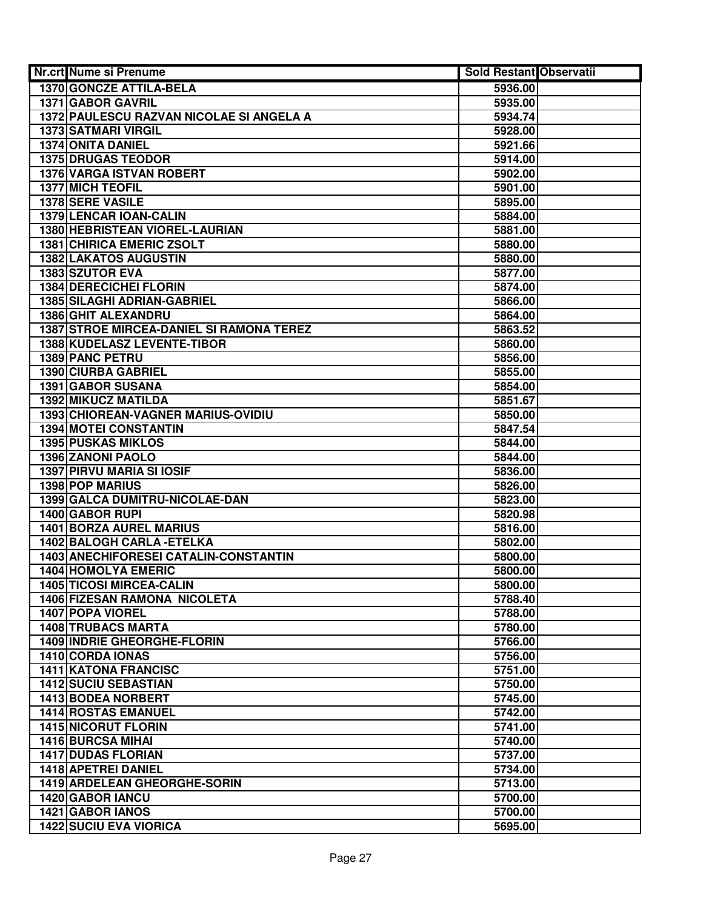| Nr.crt Nume si Prenume                          | <b>Sold Restant Observatii</b> |  |
|-------------------------------------------------|--------------------------------|--|
| <b>1370 GONCZE ATTILA-BELA</b>                  | 5936.00                        |  |
| 1371 GABOR GAVRIL                               | 5935.00                        |  |
| 1372 PAULESCU RAZVAN NICOLAE SI ANGELA A        | 5934.74                        |  |
| 1373 SATMARI VIRGIL                             | 5928.00                        |  |
| <b>1374 ONITA DANIEL</b>                        | 5921.66                        |  |
| <b>1375 DRUGAS TEODOR</b>                       | 5914.00                        |  |
| 1376 VARGA ISTVAN ROBERT                        | 5902.00                        |  |
| <b>1377 MICH TEOFIL</b>                         | 5901.00                        |  |
| 1378 SERE VASILE                                | 5895.00                        |  |
| 1379 LENCAR IOAN-CALIN                          | 5884.00                        |  |
| 1380 HEBRISTEAN VIOREL-LAURIAN                  | 5881.00                        |  |
| <b>1381 CHIRICA EMERIC ZSOLT</b>                | 5880.00                        |  |
| <b>1382 LAKATOS AUGUSTIN</b>                    | 5880.00                        |  |
| 1383 SZUTOR EVA                                 | 5877.00                        |  |
| <b>1384 DERECICHEI FLORIN</b>                   | 5874.00                        |  |
| <b>1385 SILAGHI ADRIAN-GABRIEL</b>              | 5866.00                        |  |
| <b>1386 GHIT ALEXANDRU</b>                      | 5864.00                        |  |
| <b>1387 STROE MIRCEA-DANIEL SI RAMONA TEREZ</b> | 5863.52                        |  |
| <b>1388 KUDELASZ LEVENTE-TIBOR</b>              | 5860.00                        |  |
| <b>1389 PANC PETRU</b>                          | 5856.00                        |  |
| 1390 CIURBA GABRIEL                             | 5855.00                        |  |
| 1391 GABOR SUSANA                               | 5854.00                        |  |
| 1392 MIKUCZ MATILDA                             | 5851.67                        |  |
| 1393 CHIOREAN-VAGNER MARIUS-OVIDIU              | 5850.00                        |  |
| <b>1394 MOTEI CONSTANTIN</b>                    | 5847.54                        |  |
| <b>1395 PUSKAS MIKLOS</b>                       | 5844.00                        |  |
| 1396 ZANONI PAOLO                               | 5844.00                        |  |
| 1397 PIRVU MARIA SI IOSIF                       | 5836.00                        |  |
| 1398 POP MARIUS                                 | 5826.00                        |  |
| 1399 GALCA DUMITRU-NICOLAE-DAN                  | 5823.00                        |  |
| 1400 GABOR RUPI                                 | 5820.98                        |  |
| 1401 BORZA AUREL MARIUS                         | 5816.00                        |  |
| 1402 BALOGH CARLA - ETELKA                      | 5802.00                        |  |
| 1403 ANECHIFORESEI CATALIN-CONSTANTIN           | 5800.00                        |  |
| <b>1404 HOMOLYA EMERIC</b>                      | 5800.00                        |  |
| <b>1405 TICOSI MIRCEA-CALIN</b>                 | 5800.00                        |  |
| <b>1406 FIZESAN RAMONA NICOLETA</b>             | 5788.40                        |  |
| 1407 POPA VIOREL                                | 5788.00                        |  |
| <b>1408 TRUBACS MARTA</b>                       | 5780.00                        |  |
| <b>1409 INDRIE GHEORGHE-FLORIN</b>              | 5766.00                        |  |
| 1410 CORDA IONAS                                | 5756.00                        |  |
| <b>1411 KATONA FRANCISC</b>                     | 5751.00                        |  |
| <b>1412 SUCIU SEBASTIAN</b>                     | 5750.00                        |  |
| <b>1413 BODEA NORBERT</b>                       | 5745.00                        |  |
| <b>1414 ROSTAS EMANUEL</b>                      | 5742.00                        |  |
| <b>1415 NICORUT FLORIN</b>                      | 5741.00                        |  |
| 1416 BURCSA MIHAI                               | 5740.00                        |  |
| <b>1417 DUDAS FLORIAN</b>                       | 5737.00                        |  |
| 1418 APETREI DANIEL                             | 5734.00                        |  |
| <b>1419 ARDELEAN GHEORGHE-SORIN</b>             | 5713.00                        |  |
| 1420 GABOR IANCU                                | 5700.00                        |  |
| 1421 GABOR IANOS                                | 5700.00                        |  |
| <b>1422 SUCIU EVA VIORICA</b>                   | 5695.00                        |  |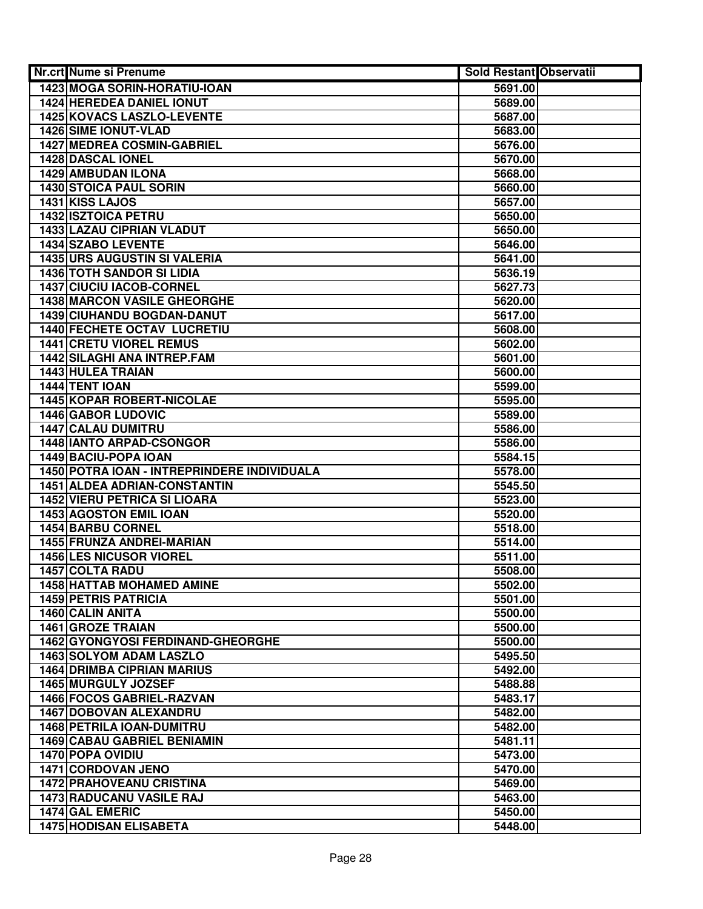| <b>Nr.crt Nume si Prenume</b>               | <b>Sold Restant Observatii</b> |  |
|---------------------------------------------|--------------------------------|--|
| 1423 MOGA SORIN-HORATIU-IOAN                | 5691.00                        |  |
| <b>1424 HEREDEA DANIEL IONUT</b>            | 5689.00                        |  |
| 1425 KOVACS LASZLO-LEVENTE                  | 5687.00                        |  |
| 1426 SIME IONUT-VLAD                        | 5683.00                        |  |
| <b>1427 MEDREA COSMIN-GABRIEL</b>           | 5676.00                        |  |
| 1428 DASCAL IONEL                           | 5670.00                        |  |
| 1429 AMBUDAN ILONA                          | 5668.00                        |  |
| 1430 STOICA PAUL SORIN                      | 5660.00                        |  |
| 1431 KISS LAJOS                             | 5657.00                        |  |
| 1432 ISZTOICA PETRU                         | 5650.00                        |  |
| 1433 LAZAU CIPRIAN VLADUT                   | 5650.00                        |  |
| 1434 SZABO LEVENTE                          | 5646.00                        |  |
| <b>1435 URS AUGUSTIN SI VALERIA</b>         | 5641.00                        |  |
| <b>1436 TOTH SANDOR SI LIDIA</b>            | 5636.19                        |  |
| 1437 CIUCIU IACOB-CORNEL                    | 5627.73                        |  |
| <b>1438 MARCON VASILE GHEORGHE</b>          | 5620.00                        |  |
| <b>1439 CIUHANDU BOGDAN-DANUT</b>           | 5617.00                        |  |
| <b>1440 FECHETE OCTAV LUCRETIU</b>          | 5608.00                        |  |
| <b>1441 CRETU VIOREL REMUS</b>              | 5602.00                        |  |
| <b>1442 SILAGHI ANA INTREP.FAM</b>          | 5601.00                        |  |
| 1443 HULEA TRAIAN                           | 5600.00                        |  |
| 1444 TENT IOAN                              | 5599.00                        |  |
| <b>1445 KOPAR ROBERT-NICOLAE</b>            | 5595.00                        |  |
| 1446 GABOR LUDOVIC                          | 5589.00                        |  |
| <b>1447 CALAU DUMITRU</b>                   | 5586.00                        |  |
| <b>1448 IANTO ARPAD-CSONGOR</b>             | 5586.00                        |  |
| 1449 BACIU-POPA IOAN                        | 5584.15                        |  |
| 1450 POTRA IOAN - INTREPRINDERE INDIVIDUALA | 5578.00                        |  |
| 1451 ALDEA ADRIAN-CONSTANTIN                | 5545.50                        |  |
| <b>1452 VIERU PETRICA SI LIOARA</b>         | 5523.00                        |  |
| 1453 AGOSTON EMIL IOAN                      | 5520.00                        |  |
| 1454 BARBU CORNEL                           | 5518.00                        |  |
| 1455 FRUNZA ANDREI-MARIAN                   | 5514.00                        |  |
| <b>1456 LES NICUSOR VIOREL</b>              | 5511.00                        |  |
| 1457 COLTA RADU                             | 5508.00                        |  |
| 1458 HATTAB MOHAMED AMINE                   | 5502.00                        |  |
| <b>1459 PETRIS PATRICIA</b>                 | 5501.00                        |  |
| 1460 CALIN ANITA                            | 5500.00                        |  |
| <b>1461 GROZE TRAIAN</b>                    | 5500.00                        |  |
| 1462 GYONGYOSI FERDINAND-GHEORGHE           | 5500.00                        |  |
| <b>1463 SOLYOM ADAM LASZLO</b>              | 5495.50                        |  |
| <b>1464 DRIMBA CIPRIAN MARIUS</b>           | 5492.00                        |  |
| <b>1465 MURGULY JOZSEF</b>                  | 5488.88                        |  |
| 1466 FOCOS GABRIEL-RAZVAN                   | 5483.17                        |  |
| <b>1467 DOBOVAN ALEXANDRU</b>               | 5482.00                        |  |
| 1468 PETRILA IOAN-DUMITRU                   | 5482.00                        |  |
| <b>1469 CABAU GABRIEL BENIAMIN</b>          | 5481.11                        |  |
| 1470 POPA OVIDIU                            | 5473.00                        |  |
| 1471 CORDOVAN JENO                          | 5470.00                        |  |
| <b>1472 PRAHOVEANU CRISTINA</b>             | 5469.00                        |  |
| <b>1473 RADUCANU VASILE RAJ</b>             | 5463.00                        |  |
| 1474 GAL EMERIC                             | 5450.00                        |  |
| <b>1475 HODISAN ELISABETA</b>               | 5448.00                        |  |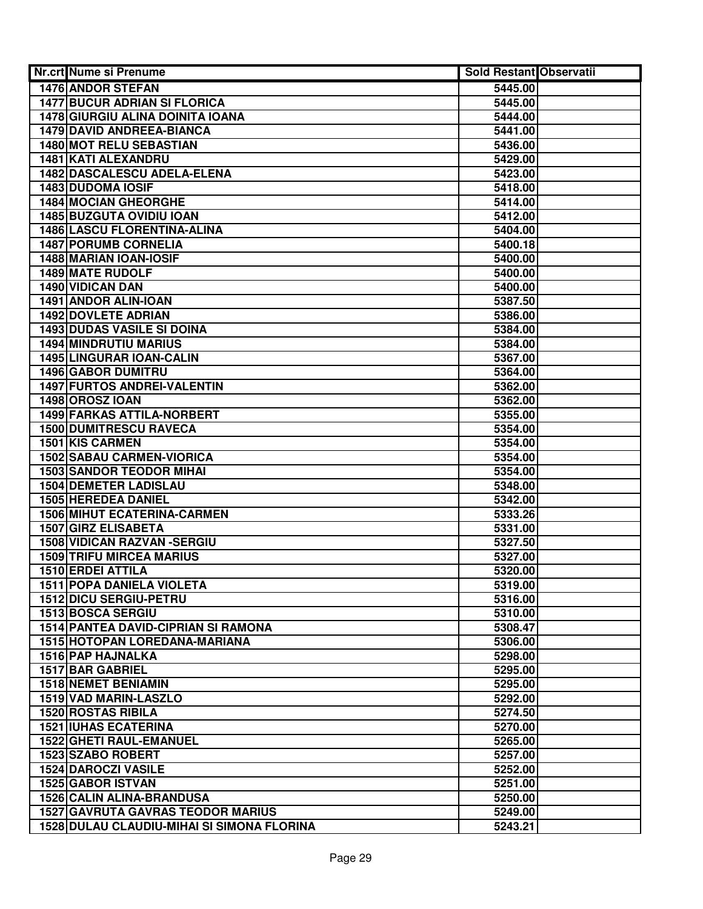| <b>Nr.crt Nume si Prenume</b>                | <b>Sold Restant Observatii</b> |  |
|----------------------------------------------|--------------------------------|--|
| <b>1476 ANDOR STEFAN</b>                     | 5445.00                        |  |
| <b>1477 BUCUR ADRIAN SI FLORICA</b>          | 5445.00                        |  |
| 1478 GIURGIU ALINA DOINITA IOANA             | 5444.00                        |  |
| 1479 DAVID ANDREEA-BIANCA                    | 5441.00                        |  |
| 1480 MOT RELU SEBASTIAN                      | 5436.00                        |  |
| 1481 KATI ALEXANDRU                          | 5429.00                        |  |
| 1482 DASCALESCU ADELA-ELENA                  | 5423.00                        |  |
| 1483 DUDOMA IOSIF                            | 5418.00                        |  |
| 1484 MOCIAN GHEORGHE                         | 5414.00                        |  |
| 1485 BUZGUTA OVIDIU IOAN                     | 5412.00                        |  |
| <b>1486 LASCU FLORENTINA-ALINA</b>           | 5404.00                        |  |
| <b>1487 PORUMB CORNELIA</b>                  | 5400.18                        |  |
| 1488 MARIAN IOAN-IOSIF                       | 5400.00                        |  |
| <b>1489 MATE RUDOLF</b>                      | 5400.00                        |  |
| 1490 VIDICAN DAN                             | 5400.00                        |  |
| 1491 ANDOR ALIN-IOAN                         | 5387.50                        |  |
| <b>1492 DOVLETE ADRIAN</b>                   | 5386.00                        |  |
| <b>1493 DUDAS VASILE SI DOINA</b>            | 5384.00                        |  |
| <b>1494 MINDRUTIU MARIUS</b>                 | 5384.00                        |  |
| <b>1495 LINGURAR IOAN-CALIN</b>              | 5367.00                        |  |
| 1496 GABOR DUMITRU                           | 5364.00                        |  |
| 1497 FURTOS ANDREI-VALENTIN                  | 5362.00                        |  |
| 1498 OROSZ IOAN                              | 5362.00                        |  |
| 1499 FARKAS ATTILA-NORBERT                   | 5355.00                        |  |
| <b>1500 DUMITRESCU RAVECA</b>                | 5354.00                        |  |
| 1501 KIS CARMEN                              | 5354.00                        |  |
| <b>1502 SABAU CARMEN-VIORICA</b>             | 5354.00                        |  |
| <b>1503 SANDOR TEODOR MIHAI</b>              | 5354.00                        |  |
| <b>1504 DEMETER LADISLAU</b>                 | 5348.00                        |  |
| 1505 HEREDEA DANIEL                          | 5342.00                        |  |
| <b>1506 MIHUT ECATERINA-CARMEN</b>           | 5333.26                        |  |
| 1507 GIRZ ELISABETA                          | 5331.00                        |  |
| <b>1508 VIDICAN RAZVAN -SERGIU</b>           | 5327.50                        |  |
| <b>1509 TRIFU MIRCEA MARIUS</b>              | 5327.00                        |  |
| 1510 ERDEI ATTILA                            | 5320.00                        |  |
| <b>1511 POPA DANIELA VIOLETA</b>             | 5319.00                        |  |
| <b>1512 DICU SERGIU-PETRU</b>                | 5316.00                        |  |
| 1513 BOSCA SERGIU                            | 5310.00                        |  |
| <b>1514 PANTEA DAVID-CIPRIAN SI RAMONA</b>   | 5308.47                        |  |
| <b>1515 HOTOPAN LOREDANA-MARIANA</b>         | 5306.00                        |  |
| <b>1516 PAP HAJNALKA</b>                     | 5298.00                        |  |
| <b>1517 BAR GABRIEL</b>                      | 5295.00                        |  |
| <b>1518 NEMET BENIAMIN</b>                   | 5295.00                        |  |
| 1519 VAD MARIN-LASZLO                        | 5292.00                        |  |
| <b>1520 ROSTAS RIBILA</b>                    | 5274.50                        |  |
| <b>1521 IUHAS ECATERINA</b>                  | 5270.00                        |  |
| 1522 GHETI RAUL-EMANUEL<br>1523 SZABO ROBERT | 5265.00<br>5257.00             |  |
| <b>1524 DAROCZI VASILE</b>                   | 5252.00                        |  |
| 1525 GABOR ISTVAN                            | 5251.00                        |  |
| <b>1526 CALIN ALINA-BRANDUSA</b>             | 5250.00                        |  |
| <b>1527 GAVRUTA GAVRAS TEODOR MARIUS</b>     | 5249.00                        |  |
| 1528 DULAU CLAUDIU-MIHAI SI SIMONA FLORINA   | 5243.21                        |  |
|                                              |                                |  |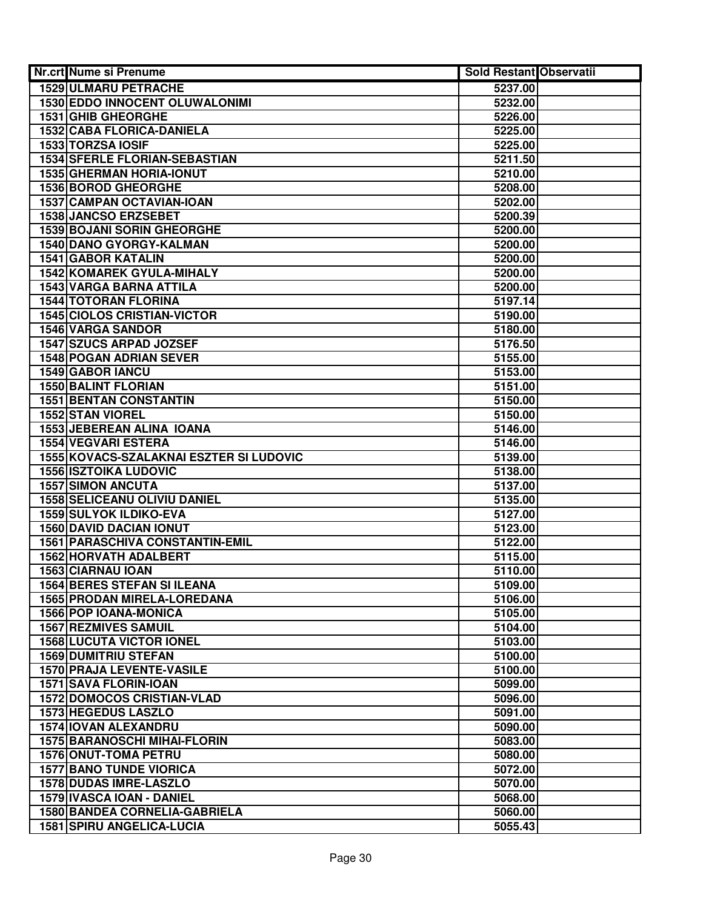| <b>Nr.crt Nume si Prenume</b>           | <b>Sold Restant Observatii</b> |  |
|-----------------------------------------|--------------------------------|--|
| <b>1529 ULMARU PETRACHE</b>             | 5237.00                        |  |
| <b>1530 EDDO INNOCENT OLUWALONIMI</b>   | 5232.00                        |  |
| 1531 GHIB GHEORGHE                      | 5226.00                        |  |
| 1532 CABA FLORICA-DANIELA               | 5225.00                        |  |
| 1533 TORZSA IOSIF                       | 5225.00                        |  |
| <b>1534 SFERLE FLORIAN-SEBASTIAN</b>    | 5211.50                        |  |
| <b>1535 GHERMAN HORIA-IONUT</b>         | 5210.00                        |  |
| 1536 BOROD GHEORGHE                     | 5208.00                        |  |
| 1537 CAMPAN OCTAVIAN-IOAN               | 5202.00                        |  |
| 1538 JANCSO ERZSEBET                    | 5200.39                        |  |
| <b>1539 BOJANI SORIN GHEORGHE</b>       | 5200.00                        |  |
| 1540 DANO GYORGY-KALMAN                 | 5200.00                        |  |
| <b>1541 GABOR KATALIN</b>               | 5200.00                        |  |
| <b>1542 KOMAREK GYULA-MIHALY</b>        | 5200.00                        |  |
| 1543 VARGA BARNA ATTILA                 | 5200.00                        |  |
| <b>1544 TOTORAN FLORINA</b>             | 5197.14                        |  |
| <b>1545 CIOLOS CRISTIAN-VICTOR</b>      | 5190.00                        |  |
| <b>1546 VARGA SANDOR</b>                | 5180.00                        |  |
| <b>1547 SZUCS ARPAD JOZSEF</b>          | 5176.50                        |  |
| <b>1548 POGAN ADRIAN SEVER</b>          | 5155.00                        |  |
| 1549 GABOR IANCU                        | 5153.00                        |  |
| <b>1550 BALINT FLORIAN</b>              | 5151.00                        |  |
| <b>1551 BENTAN CONSTANTIN</b>           | 5150.00                        |  |
| 1552 STAN VIOREL                        | 5150.00                        |  |
| 1553 JEBEREAN ALINA IOANA               | 5146.00                        |  |
| <b>1554 VEGVARI ESTERA</b>              | 5146.00                        |  |
| 1555 KOVACS-SZALAKNAI ESZTER SI LUDOVIC | 5139.00                        |  |
| <b>1556 ISZTOIKA LUDOVIC</b>            | 5138.00                        |  |
| <b>1557 SIMON ANCUTA</b>                | 5137.00                        |  |
| <b>1558 SELICEANU OLIVIU DANIEL</b>     | 5135.00                        |  |
| 1559 SULYOK ILDIKO-EVA                  | 5127.00                        |  |
| <b>1560 DAVID DACIAN IONUT</b>          | 5123.00                        |  |
| <b>1561 PARASCHIVA CONSTANTIN-EMIL</b>  | 5122.00                        |  |
| 1562 HORVATH ADALBERT                   | 5115.00                        |  |
| 1563 CIARNAU IOAN                       | 5110.00                        |  |
| 1564 BERES STEFAN SI ILEANA             | 5109.00                        |  |
| 1565 PRODAN MIRELA-LOREDANA             | 5106.00                        |  |
| 1566 POP IOANA-MONICA                   | 5105.00                        |  |
| <b>1567 REZMIVES SAMUIL</b>             | 5104.00                        |  |
| <b>1568 LUCUTA VICTOR IONEL</b>         | 5103.00                        |  |
| <b>1569 DUMITRIU STEFAN</b>             | 5100.00                        |  |
| <b>1570 PRAJA LEVENTE-VASILE</b>        | 5100.00                        |  |
| <b>1571 SAVA FLORIN-IOAN</b>            | 5099.00                        |  |
| <b>1572 DOMOCOS CRISTIAN-VLAD</b>       | 5096.00                        |  |
| <b>1573 HEGEDUS LASZLO</b>              | 5091.00                        |  |
| 1574 IOVAN ALEXANDRU                    | 5090.00                        |  |
| <b>1575 BARANOSCHI MIHAI-FLORIN</b>     | 5083.00                        |  |
| 1576 ONUT-TOMA PETRU                    | 5080.00                        |  |
| <b>1577 BANO TUNDE VIORICA</b>          | 5072.00                        |  |
| 1578 DUDAS IMRE-LASZLO                  | 5070.00                        |  |
| 1579 IVASCA IOAN - DANIEL               | 5068.00                        |  |
| 1580 BANDEA CORNELIA-GABRIELA           | 5060.00                        |  |
| <b>1581 SPIRU ANGELICA-LUCIA</b>        | 5055.43                        |  |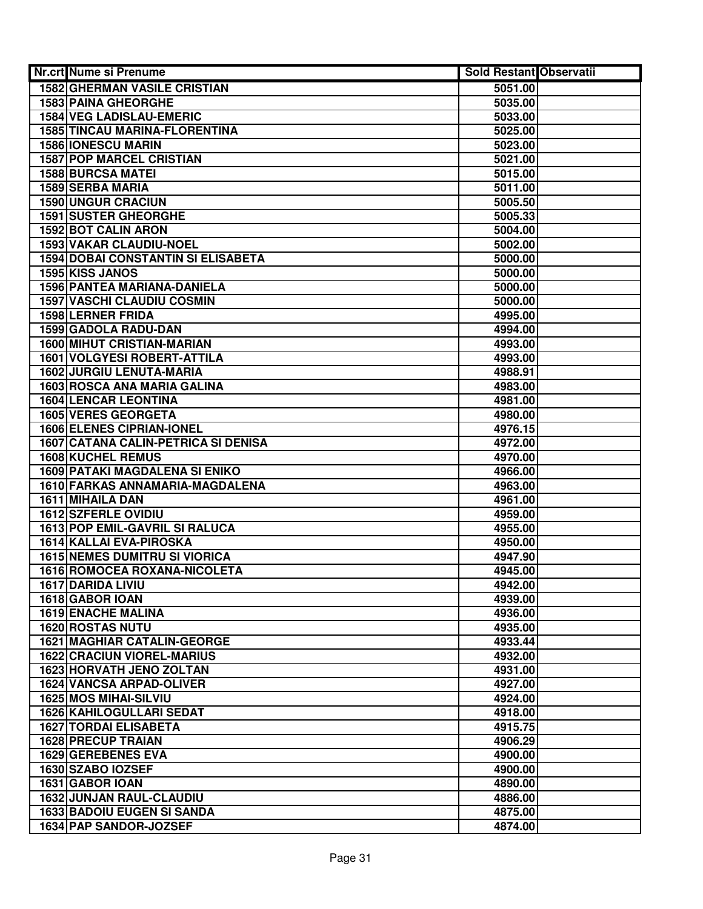| <b>Nr.crt Nume si Prenume</b>                             | <b>Sold Restant Observatii</b> |  |
|-----------------------------------------------------------|--------------------------------|--|
| <b>1582 GHERMAN VASILE CRISTIAN</b>                       | 5051.00                        |  |
| 1583 PAINA GHEORGHE                                       | 5035.00                        |  |
| <b>1584 VEG LADISLAU-EMERIC</b>                           | 5033.00                        |  |
| 1585 TINCAU MARINA-FLORENTINA                             | 5025.00                        |  |
| <b>1586 IONESCU MARIN</b>                                 | 5023.00                        |  |
| <b>1587 POP MARCEL CRISTIAN</b>                           | 5021.00                        |  |
| <b>1588 BURCSA MATEI</b>                                  | 5015.00                        |  |
| 1589 SERBA MARIA                                          | 5011.00                        |  |
| <b>1590 UNGUR CRACIUN</b>                                 | 5005.50                        |  |
| <b>1591 SUSTER GHEORGHE</b>                               | 5005.33                        |  |
| 1592 BOT CALIN ARON                                       | 5004.00                        |  |
| 1593 VAKAR CLAUDIU-NOEL                                   | 5002.00                        |  |
| <b>1594 DOBAI CONSTANTIN SI ELISABETA</b>                 | 5000.00                        |  |
| 1595 KISS JANOS                                           | 5000.00                        |  |
| 1596 PANTEA MARIANA-DANIELA                               | 5000.00                        |  |
| <b>1597 VASCHI CLAUDIU COSMIN</b>                         | 5000.00                        |  |
| <b>1598 LERNER FRIDA</b>                                  | 4995.00                        |  |
| 1599 GADOLA RADU-DAN                                      | 4994.00                        |  |
| <b>1600 MIHUT CRISTIAN-MARIAN</b>                         | 4993.00                        |  |
| <b>1601 VOLGYESI ROBERT-ATTILA</b>                        | 4993.00                        |  |
| 1602 JURGIU LENUTA-MARIA                                  | 4988.91                        |  |
| 1603 ROSCA ANA MARIA GALINA                               | 4983.00                        |  |
| <b>1604 LENCAR LEONTINA</b>                               | 4981.00                        |  |
| 1605 VERES GEORGETA                                       | 4980.00                        |  |
| <b>1606 ELENES CIPRIAN-IONEL</b>                          | 4976.15                        |  |
| 1607 CATANA CALIN-PETRICA SI DENISA                       | 4972.00                        |  |
| <b>1608 KUCHEL REMUS</b>                                  | 4970.00                        |  |
| 1609 PATAKI MAGDALENA SI ENIKO                            | 4966.00                        |  |
| 1610 FARKAS ANNAMARIA-MAGDALENA                           | 4963.00                        |  |
| 1611 MIHAILA DAN                                          | 4961.00                        |  |
| 1612 SZFERLE OVIDIU                                       | 4959.00                        |  |
| 1613 POP EMIL-GAVRIL SI RALUCA                            | 4955.00                        |  |
| 1614 KALLAI EVA-PIROSKA                                   | 4950.00                        |  |
| <b>1615 NEMES DUMITRU SI VIORICA</b>                      | 4947.90                        |  |
| 1616 ROMOCEA ROXANA-NICOLETA                              | 4945.00                        |  |
| 1617 DARIDA LIVIU                                         | 4942.00                        |  |
| 1618 GABOR IOAN                                           | 4939.00                        |  |
| <b>1619 ENACHE MALINA</b>                                 | 4936.00                        |  |
| 1620 ROSTAS NUTU                                          | 4935.00                        |  |
| <b>1621 MAGHIAR CATALIN-GEORGE</b>                        | 4933.44                        |  |
| <b>1622 CRACIUN VIOREL-MARIUS</b>                         | 4932.00                        |  |
| <b>1623 HORVATH JENO ZOLTAN</b>                           | 4931.00                        |  |
| <b>1624 VANCSA ARPAD-OLIVER</b>                           | 4927.00                        |  |
| <b>1625 MOS MIHAI-SILVIU</b>                              | 4924.00                        |  |
| 1626 KAHILOGULLARI SEDAT                                  | 4918.00                        |  |
| <b>1627 TORDAI ELISABETA</b><br><b>1628 PRECUP TRAIAN</b> | 4915.75                        |  |
| 1629 GEREBENES EVA                                        | 4906.29<br>4900.00             |  |
| 1630 SZABO IOZSEF                                         | 4900.00                        |  |
| 1631 GABOR IOAN                                           | 4890.00                        |  |
| 1632 JUNJAN RAUL-CLAUDIU                                  | 4886.00                        |  |
| <b>1633 BADOIU EUGEN SI SANDA</b>                         | 4875.00                        |  |
| 1634 PAP SANDOR-JOZSEF                                    | 4874.00                        |  |
|                                                           |                                |  |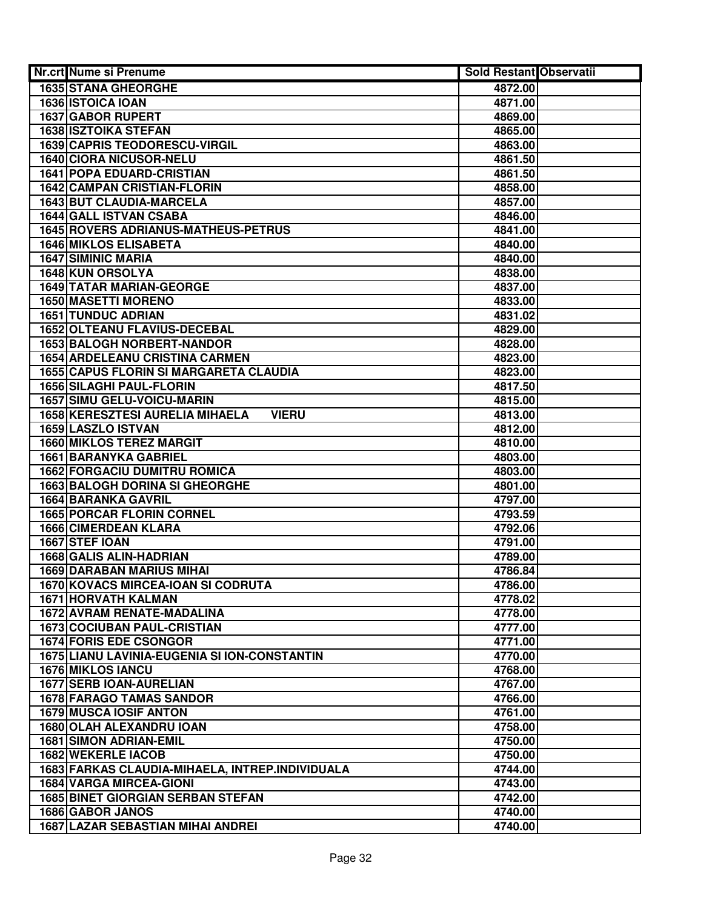| Nr.crt Nume si Prenume                          | Sold Restant Observatii |  |
|-------------------------------------------------|-------------------------|--|
| <b>1635 STANA GHEORGHE</b>                      | 4872.00                 |  |
| 1636 ISTOICA IOAN                               | 4871.00                 |  |
| 1637 GABOR RUPERT                               | 4869.00                 |  |
| <b>1638 ISZTOIKA STEFAN</b>                     | 4865.00                 |  |
| <b>1639 CAPRIS TEODORESCU-VIRGIL</b>            | 4863.00                 |  |
| 1640 CIORA NICUSOR-NELU                         | 4861.50                 |  |
| <b>1641 POPA EDUARD-CRISTIAN</b>                | 4861.50                 |  |
| <b>1642 CAMPAN CRISTIAN-FLORIN</b>              | 4858.00                 |  |
| 1643 BUT CLAUDIA-MARCELA                        | 4857.00                 |  |
| 1644 GALL ISTVAN CSABA                          | 4846.00                 |  |
| 1645 ROVERS ADRIANUS-MATHEUS-PETRUS             | 4841.00                 |  |
| <b>1646 MIKLOS ELISABETA</b>                    | 4840.00                 |  |
| <b>1647 SIMINIC MARIA</b>                       | 4840.00                 |  |
| 1648 KUN ORSOLYA                                | 4838.00                 |  |
| <b>1649 TATAR MARIAN-GEORGE</b>                 | 4837.00                 |  |
| <b>1650 MASETTI MORENO</b>                      | 4833.00                 |  |
| <b>1651 TUNDUC ADRIAN</b>                       | 4831.02                 |  |
| <b>1652 OLTEANU FLAVIUS-DECEBAL</b>             | 4829.00                 |  |
| <b>1653 BALOGH NORBERT-NANDOR</b>               | 4828.00                 |  |
| <b>1654 ARDELEANU CRISTINA CARMEN</b>           | 4823.00                 |  |
| 1655 CAPUS FLORIN SI MARGARETA CLAUDIA          | 4823.00                 |  |
| <b>1656 SILAGHI PAUL-FLORIN</b>                 | 4817.50                 |  |
| <b>1657 SIMU GELU-VOICU-MARIN</b>               | 4815.00                 |  |
| 1658 KERESZTESI AURELIA MIHAELA<br><b>VIERU</b> | 4813.00                 |  |
| 1659 LASZLO ISTVAN                              | 4812.00                 |  |
| <b>1660 MIKLOS TEREZ MARGIT</b>                 | 4810.00                 |  |
| <b>1661 BARANYKA GABRIEL</b>                    | 4803.00                 |  |
| <b>1662 FORGACIU DUMITRU ROMICA</b>             | 4803.00                 |  |
| <b>1663 BALOGH DORINA SI GHEORGHE</b>           | 4801.00                 |  |
| 1664 BARANKA GAVRIL                             | 4797.00                 |  |
| <b>1665 PORCAR FLORIN CORNEL</b>                | 4793.59                 |  |
| 1666 CIMERDEAN KLARA                            | 4792.06                 |  |
| 1667 STEF IOAN                                  | 4791.00                 |  |
| 1668 GALIS ALIN-HADRIAN                         | 4789.00                 |  |
| <b>1669 DARABAN MARIUS MIHAI</b>                | 4786.84                 |  |
| 1670 KOVACS MIRCEA-IOAN SI CODRUTA              | 4786.00                 |  |
| <b>1671 HORVATH KALMAN</b>                      | 4778.02                 |  |
| 1672 AVRAM RENATE-MADALINA                      | 4778.00                 |  |
| <b>1673 COCIUBAN PAUL-CRISTIAN</b>              | 4777.00                 |  |
| <b>1674 FORIS EDE CSONGOR</b>                   | 4771.00                 |  |
| 1675 LIANU LAVINIA-EUGENIA SI ION-CONSTANTIN    | 4770.00                 |  |
| <b>1676 MIKLOS IANCU</b>                        | 4768.00                 |  |
| <b>1677 SERB IOAN-AURELIAN</b>                  | 4767.00                 |  |
| <b>1678 FARAGO TAMAS SANDOR</b>                 | 4766.00                 |  |
| <b>1679 MUSCA IOSIF ANTON</b>                   | 4761.00                 |  |
| 1680 OLAH ALEXANDRU IOAN                        | 4758.00                 |  |
| <b>1681 SIMON ADRIAN-EMIL</b>                   | 4750.00                 |  |
| 1682 WEKERLE IACOB                              | 4750.00                 |  |
| 1683 FARKAS CLAUDIA-MIHAELA, INTREP.INDIVIDUALA | 4744.00                 |  |
| <b>1684 VARGA MIRCEA-GIONI</b>                  | 4743.00                 |  |
| <b>1685 BINET GIORGIAN SERBAN STEFAN</b>        | 4742.00                 |  |
| 1686 GABOR JANOS                                | 4740.00                 |  |
| <b>1687 LAZAR SEBASTIAN MIHAI ANDREI</b>        | 4740.00                 |  |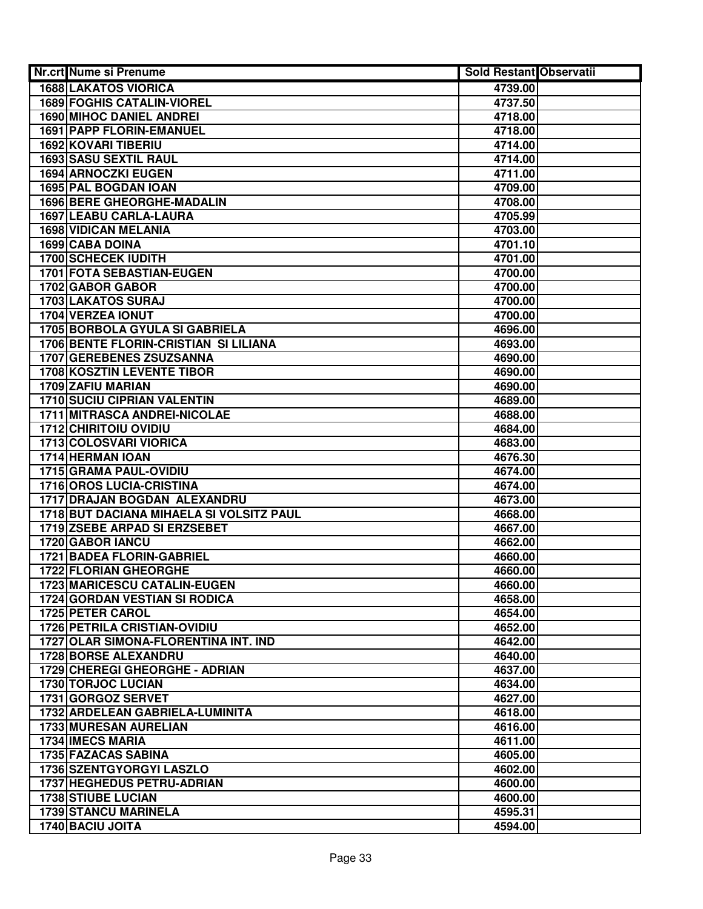| Nr.crt Nume si Prenume                                         | <b>Sold Restant Observatii</b> |  |
|----------------------------------------------------------------|--------------------------------|--|
| <b>1688 LAKATOS VIORICA</b>                                    | 4739.00                        |  |
| <b>1689 FOGHIS CATALIN-VIOREL</b>                              | 4737.50                        |  |
| <b>1690 MIHOC DANIEL ANDREI</b>                                | 4718.00                        |  |
| 1691 PAPP FLORIN-EMANUEL                                       | 4718.00                        |  |
| <b>1692 KOVARI TIBERIU</b>                                     | 4714.00                        |  |
| 1693 SASU SEXTIL RAUL                                          | 4714.00                        |  |
| <b>1694 ARNOCZKI EUGEN</b>                                     | 4711.00                        |  |
| 1695 PAL BOGDAN IOAN                                           | 4709.00                        |  |
| 1696 BERE GHEORGHE-MADALIN                                     | 4708.00                        |  |
| 1697 LEABU CARLA-LAURA                                         | 4705.99                        |  |
| <b>1698 VIDICAN MELANIA</b>                                    | 4703.00                        |  |
| 1699 CABA DOINA                                                | 4701.10                        |  |
| 1700 SCHECEK IUDITH                                            | 4701.00                        |  |
| 1701 FOTA SEBASTIAN-EUGEN                                      | 4700.00                        |  |
| 1702 GABOR GABOR                                               | 4700.00                        |  |
| <b>1703 LAKATOS SURAJ</b>                                      | 4700.00                        |  |
| 1704 VERZEA IONUT                                              | 4700.00                        |  |
| <b>1705 BORBOLA GYULA SI GABRIELA</b>                          | 4696.00                        |  |
| <b>1706 BENTE FLORIN-CRISTIAN SI LILIANA</b>                   | 4693.00                        |  |
| <b>1707 GEREBENES ZSUZSANNA</b>                                | 4690.00                        |  |
| 1708 KOSZTIN LEVENTE TIBOR                                     | 4690.00                        |  |
| 1709 ZAFIU MARIAN                                              | 4690.00                        |  |
| <b>1710 SUCIU CIPRIAN VALENTIN</b>                             | 4689.00                        |  |
| 1711 MITRASCA ANDREI-NICOLAE                                   | 4688.00                        |  |
| <b>1712 CHIRITOIU OVIDIU</b>                                   | 4684.00                        |  |
| 1713 COLOSVARI VIORICA                                         | 4683.00                        |  |
| 1714 HERMAN IOAN                                               | 4676.30                        |  |
| 1715 GRAMA PAUL-OVIDIU                                         | 4674.00                        |  |
| 1716 OROS LUCIA-CRISTINA                                       | 4674.00                        |  |
| 1717 DRAJAN BOGDAN ALEXANDRU                                   | 4673.00                        |  |
| 1718 BUT DACIANA MIHAELA SI VOLSITZ PAUL                       | 4668.00                        |  |
| 1719 ZSEBE ARPAD SI ERZSEBET                                   | 4667.00                        |  |
| 1720 GABOR IANCU                                               | 4662.00                        |  |
| <b>1721 BADEA FLORIN-GABRIEL</b>                               | 4660.00                        |  |
| <b>1722 FLORIAN GHEORGHE</b>                                   | 4660.00                        |  |
| 1723 MARICESCU CATALIN-EUGEN                                   | 4660.00                        |  |
| <b>1724 GORDAN VESTIAN SI RODICA</b>                           | 4658.00                        |  |
| 1725 PETER CAROL                                               | 4654.00                        |  |
| <b>1726 PETRILA CRISTIAN-OVIDIU</b>                            | 4652.00                        |  |
| 1727 OLAR SIMONA-FLORENTINA INT. IND                           | 4642.00                        |  |
| 1728 BORSE ALEXANDRU                                           | 4640.00                        |  |
| 1729 CHEREGI GHEORGHE - ADRIAN                                 | 4637.00                        |  |
| 1730 TORJOC LUCIAN                                             | 4634.00                        |  |
| 1731 GORGOZ SERVET                                             | 4627.00                        |  |
| 1732 ARDELEAN GABRIELA-LUMINITA                                | 4618.00                        |  |
| 1733 MURESAN AURELIAN                                          | 4616.00                        |  |
| 1734 IMECS MARIA                                               | 4611.00                        |  |
| 1735 FAZACAS SABINA                                            | 4605.00                        |  |
| 1736 SZENTGYORGYI LASZLO                                       | 4602.00                        |  |
| <b>1737 HEGHEDUS PETRU-ADRIAN</b><br><b>1738 STIUBE LUCIAN</b> | 4600.00<br>4600.00             |  |
| <b>1739 STANCU MARINELA</b>                                    | 4595.31                        |  |
| 1740 BACIU JOITA                                               | 4594.00                        |  |
|                                                                |                                |  |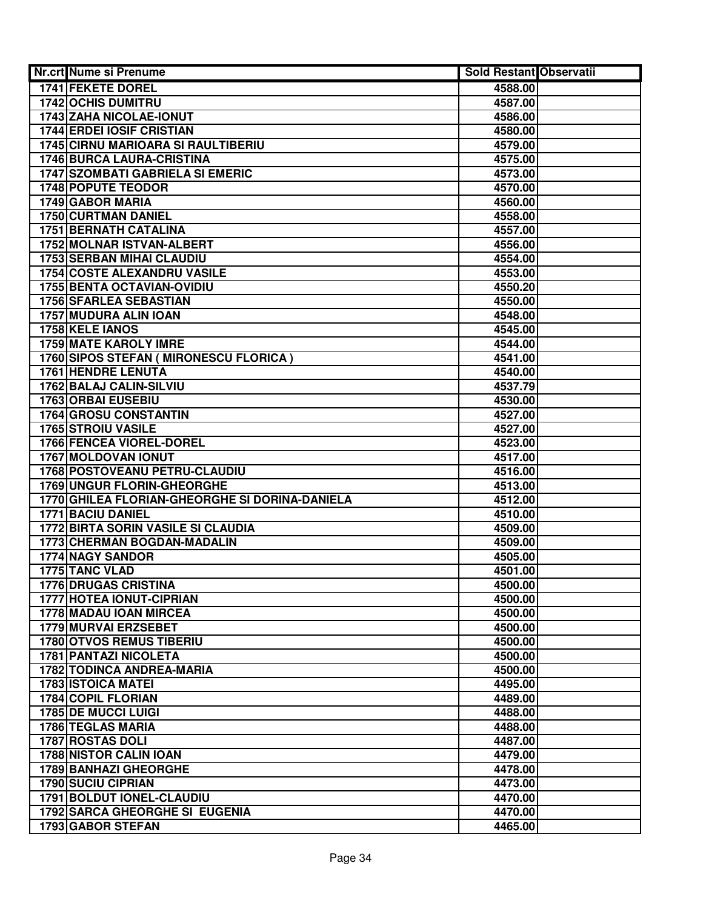| <b>Nr.crt Nume si Prenume</b>                                  | <b>Sold Restant Observatii</b> |  |
|----------------------------------------------------------------|--------------------------------|--|
| <b>1741 FEKETE DOREL</b>                                       | 4588.00                        |  |
| <b>1742 OCHIS DUMITRU</b>                                      | 4587.00                        |  |
| 1743 ZAHA NICOLAE-IONUT                                        | 4586.00                        |  |
| <b>1744 ERDEI IOSIF CRISTIAN</b>                               | 4580.00                        |  |
| <b>1745 CIRNU MARIOARA SI RAULTIBERIU</b>                      | 4579.00                        |  |
| <b>1746 BURCA LAURA-CRISTINA</b>                               | 4575.00                        |  |
| <b>1747 SZOMBATI GABRIELA SI EMERIC</b>                        | 4573.00                        |  |
| <b>1748 POPUTE TEODOR</b>                                      | 4570.00                        |  |
| 1749 GABOR MARIA                                               | 4560.00                        |  |
| 1750 CURTMAN DANIEL                                            | 4558.00                        |  |
| 1751 BERNATH CATALINA                                          | 4557.00                        |  |
| 1752 MOLNAR ISTVAN-ALBERT                                      | 4556.00                        |  |
| <b>1753 SERBAN MIHAI CLAUDIU</b>                               | 4554.00                        |  |
| <b>1754 COSTE ALEXANDRU VASILE</b>                             | 4553.00                        |  |
| 1755 BENTA OCTAVIAN-OVIDIU                                     | 4550.20                        |  |
| <b>1756 SFARLEA SEBASTIAN</b>                                  | 4550.00                        |  |
| 1757 MUDURA ALIN IOAN                                          | 4548.00                        |  |
| 1758 KELE IANOS                                                | 4545.00                        |  |
| <b>1759 MATE KAROLY IMRE</b>                                   | 4544.00                        |  |
| <b>1760 SIPOS STEFAN ( MIRONESCU FLORICA )</b>                 | 4541.00                        |  |
| <b>1761 HENDRE LENUTA</b>                                      | 4540.00                        |  |
| 1762 BALAJ CALIN-SILVIU                                        | 4537.79                        |  |
| 1763 ORBAI EUSEBIU                                             | 4530.00                        |  |
| 1764 GROSU CONSTANTIN                                          | 4527.00                        |  |
| <b>1765 STROIU VASILE</b>                                      | 4527.00                        |  |
| 1766 FENCEA VIOREL-DOREL                                       | 4523.00                        |  |
| <b>1767 MOLDOVAN IONUT</b>                                     | 4517.00                        |  |
| 1768 POSTOVEANU PETRU-CLAUDIU                                  | 4516.00                        |  |
| 1769 UNGUR FLORIN-GHEORGHE                                     | 4513.00                        |  |
| 1770 GHILEA FLORIAN-GHEORGHE SI DORINA-DANIELA                 | 4512.00                        |  |
| 1771 BACIU DANIEL                                              | 4510.00                        |  |
| <b>1772 BIRTA SORIN VASILE SI CLAUDIA</b>                      | 4509.00                        |  |
| 1773 CHERMAN BOGDAN-MADALIN                                    | 4509.00                        |  |
| <b>1774 NAGY SANDOR</b>                                        | 4505.00                        |  |
| 1775 TANC VLAD                                                 | 4501.00                        |  |
| <b>1776 DRUGAS CRISTINA</b>                                    | 4500.00                        |  |
| 1777 HOTEA IONUT-CIPRIAN                                       | 4500.00                        |  |
| 1778 MADAU IOAN MIRCEA                                         | 4500.00                        |  |
| <b>1779 MURVAI ERZSEBET</b><br><b>1780 OTVOS REMUS TIBERIU</b> | 4500.00                        |  |
| <b>1781 PANTAZI NICOLETA</b>                                   | 4500.00                        |  |
| <b>1782 TODINCA ANDREA-MARIA</b>                               | 4500.00<br>4500.00             |  |
| <b>1783 ISTOICA MATEI</b>                                      | 4495.00                        |  |
| 1784 COPIL FLORIAN                                             | 4489.00                        |  |
| <b>1785 DE MUCCI LUIGI</b>                                     | 4488.00                        |  |
| 1786 TEGLAS MARIA                                              | 4488.00                        |  |
| 1787 ROSTAS DOLI                                               | 4487.00                        |  |
| <b>1788 NISTOR CALIN IOAN</b>                                  | 4479.00                        |  |
| 1789 BANHAZI GHEORGHE                                          | 4478.00                        |  |
| <b>1790 SUCIU CIPRIAN</b>                                      | 4473.00                        |  |
| 1791 BOLDUT IONEL-CLAUDIU                                      | 4470.00                        |  |
| <b>1792 SARCA GHEORGHE SI EUGENIA</b>                          | 4470.00                        |  |
| 1793 GABOR STEFAN                                              | 4465.00                        |  |
|                                                                |                                |  |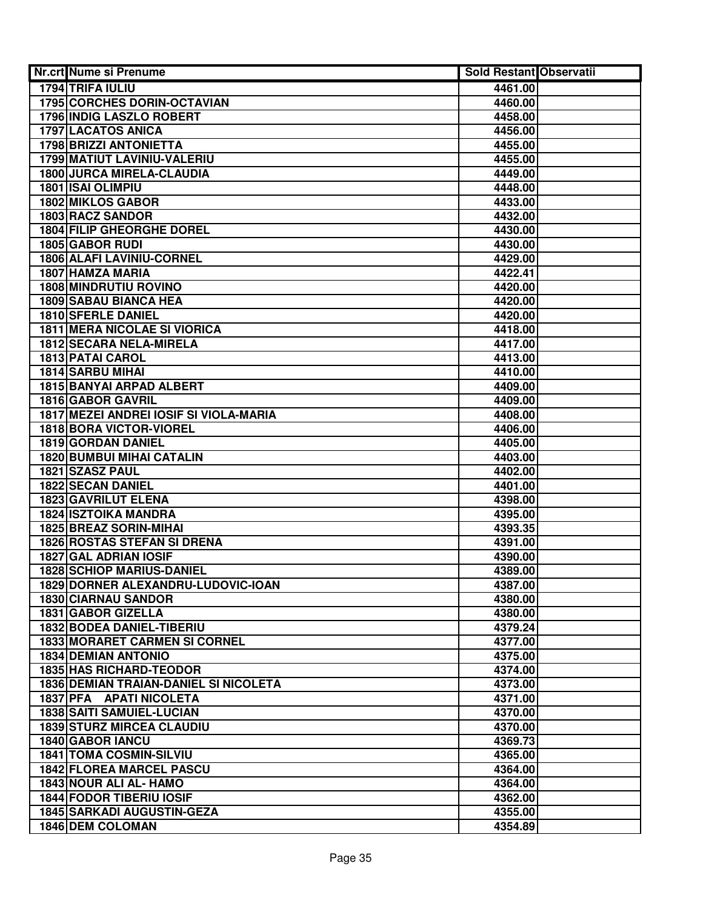| Nr.crt Nume si Prenume                                    | <b>Sold Restant Observatii</b> |  |
|-----------------------------------------------------------|--------------------------------|--|
| 1794 TRIFA IULIU                                          | 4461.00                        |  |
| <b>1795 CORCHES DORIN-OCTAVIAN</b>                        | 4460.00                        |  |
| <b>1796 INDIG LASZLO ROBERT</b>                           | 4458.00                        |  |
| <b>1797 LACATOS ANICA</b>                                 | 4456.00                        |  |
| 1798 BRIZZI ANTONIETTA                                    | 4455.00                        |  |
| 1799 MATIUT LAVINIU-VALERIU                               | 4455.00                        |  |
| <b>1800 JURCA MIRELA-CLAUDIA</b>                          | 4449.00                        |  |
| 1801 ISAI OLIMPIU                                         | 4448.00                        |  |
| 1802 MIKLOS GABOR                                         | 4433.00                        |  |
| 1803 RACZ SANDOR                                          | 4432.00                        |  |
| <b>1804 FILIP GHEORGHE DOREL</b>                          | 4430.00                        |  |
| 1805 GABOR RUDI                                           | 4430.00                        |  |
| 1806 ALAFI LAVINIU-CORNEL                                 | 4429.00                        |  |
| 1807 HAMZA MARIA                                          | 4422.41                        |  |
| <b>1808 MINDRUTIU ROVINO</b>                              | 4420.00                        |  |
| <b>1809 SABAU BIANCA HEA</b>                              | 4420.00                        |  |
| <b>1810 SFERLE DANIEL</b>                                 | 4420.00                        |  |
| <b>1811 MERA NICOLAE SI VIORICA</b>                       | 4418.00                        |  |
| <b>1812 SECARA NELA-MIRELA</b>                            | 4417.00                        |  |
| 1813 PATAI CAROL                                          | 4413.00                        |  |
| 1814 SARBU MIHAI                                          | 4410.00                        |  |
| 1815 BANYAI ARPAD ALBERT                                  | 4409.00                        |  |
| 1816 GABOR GAVRIL                                         | 4409.00                        |  |
| 1817 MEZEI ANDREI IOSIF SI VIOLA-MARIA                    | 4408.00                        |  |
| 1818 BORA VICTOR-VIOREL                                   | 4406.00                        |  |
| 1819 GORDAN DANIEL                                        | 4405.00                        |  |
| <b>1820 BUMBUI MIHAI CATALIN</b>                          | 4403.00                        |  |
| 1821 SZASZ PAUL                                           | 4402.00                        |  |
| <b>1822 SECAN DANIEL</b>                                  | 4401.00                        |  |
| 1823 GAVRILUT ELENA                                       | 4398.00                        |  |
| <b>1824 ISZTOIKA MANDRA</b>                               | 4395.00                        |  |
| 1825 BREAZ SORIN-MIHAI                                    | 4393.35                        |  |
| <b>1826 ROSTAS STEFAN SI DRENA</b>                        | 4391.00                        |  |
| 1827 GAL ADRIAN IOSIF<br><b>1828 SCHIOP MARIUS-DANIEL</b> | 4390.00                        |  |
| 1829 DORNER ALEXANDRU-LUDOVIC-IOAN                        | 4389.00                        |  |
| <b>1830 CIARNAU SANDOR</b>                                | 4387.00<br>4380.00             |  |
| 1831 GABOR GIZELLA                                        | 4380.00                        |  |
| 1832 BODEA DANIEL-TIBERIU                                 | 4379.24                        |  |
| <b>1833 MORARET CARMEN SI CORNEL</b>                      | 4377.00                        |  |
| <b>1834 DEMIAN ANTONIO</b>                                | 4375.00                        |  |
| <b>1835 HAS RICHARD-TEODOR</b>                            | 4374.00                        |  |
| <b>1836 DEMIAN TRAIAN-DANIEL SI NICOLETA</b>              | 4373.00                        |  |
| 1837 PFA APATI NICOLETA                                   | 4371.00                        |  |
| 1838 SAITI SAMUIEL-LUCIAN                                 | 4370.00                        |  |
| <b>1839 STURZ MIRCEA CLAUDIU</b>                          | 4370.00                        |  |
| 1840 GABOR IANCU                                          | 4369.73                        |  |
| <b>1841 TOMA COSMIN-SILVIU</b>                            | 4365.00                        |  |
| <b>1842 FLOREA MARCEL PASCU</b>                           | 4364.00                        |  |
| 1843 NOUR ALI AL- HAMO                                    | 4364.00                        |  |
| 1844 FODOR TIBERIU IOSIF                                  | 4362.00                        |  |
| <b>1845 SARKADI AUGUSTIN-GEZA</b>                         | 4355.00                        |  |
| <b>1846 DEM COLOMAN</b>                                   | 4354.89                        |  |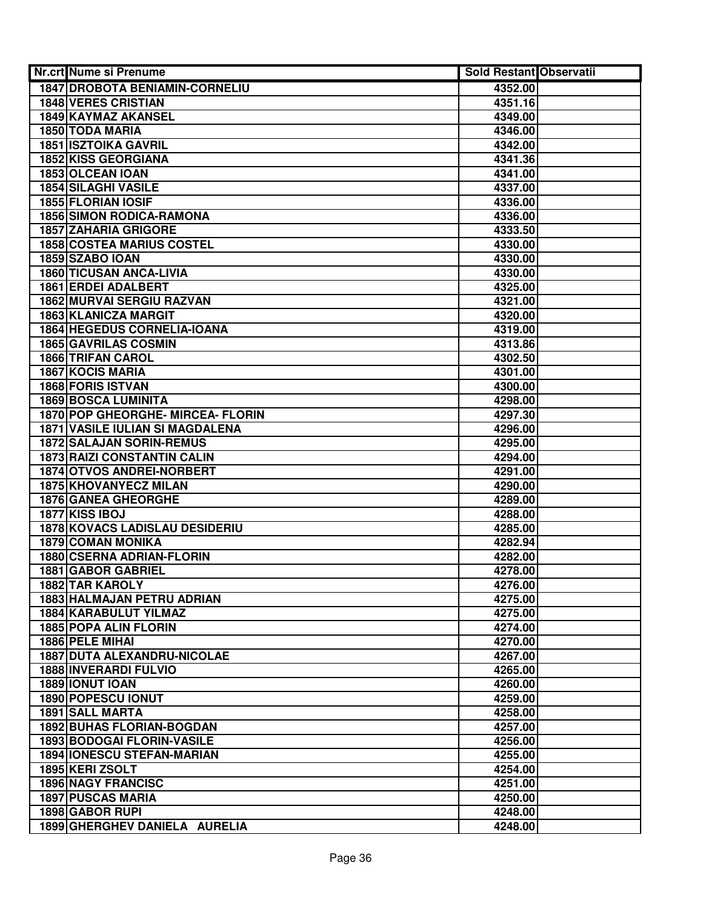| Nr.crt Nume si Prenume                 | Sold Restant Observatii |  |
|----------------------------------------|-------------------------|--|
| <b>1847 DROBOTA BENIAMIN-CORNELIU</b>  | 4352.00                 |  |
| <b>1848 VERES CRISTIAN</b>             | 4351.16                 |  |
| 1849 KAYMAZ AKANSEL                    | 4349.00                 |  |
| 1850 TODA MARIA                        | 4346.00                 |  |
| <b>1851 ISZTOIKA GAVRIL</b>            | 4342.00                 |  |
| 1852 KISS GEORGIANA                    | 4341.36                 |  |
| 1853 OLCEAN IOAN                       | 4341.00                 |  |
| 1854 SILAGHI VASILE                    | 4337.00                 |  |
| 1855 FLORIAN IOSIF                     | 4336.00                 |  |
| <b>1856 SIMON RODICA-RAMONA</b>        | 4336.00                 |  |
| <b>1857 ZAHARIA GRIGORE</b>            | 4333.50                 |  |
| <b>1858 COSTEA MARIUS COSTEL</b>       | 4330.00                 |  |
| 1859 SZABO IOAN                        | 4330.00                 |  |
| 1860 TICUSAN ANCA-LIVIA                | 4330.00                 |  |
| 1861 ERDEI ADALBERT                    | 4325.00                 |  |
| <b>1862 MURVAI SERGIU RAZVAN</b>       | 4321.00                 |  |
| <b>1863 KLANICZA MARGIT</b>            | 4320.00                 |  |
| 1864 HEGEDUS CORNELIA-IOANA            | 4319.00                 |  |
| <b>1865 GAVRILAS COSMIN</b>            | 4313.86                 |  |
| <b>1866 TRIFAN CAROL</b>               | 4302.50                 |  |
| <b>1867 KOCIS MARIA</b>                | 4301.00                 |  |
| 1868 FORIS ISTVAN                      | 4300.00                 |  |
| <b>1869 BOSCA LUMINITA</b>             | 4298.00                 |  |
| 1870 POP GHEORGHE- MIRCEA- FLORIN      | 4297.30                 |  |
| <b>1871 VASILE IULIAN SI MAGDALENA</b> | 4296.00                 |  |
| <b>1872 SALAJAN SORIN-REMUS</b>        | 4295.00                 |  |
| <b>1873 RAIZI CONSTANTIN CALIN</b>     | 4294.00                 |  |
| 1874 OTVOS ANDREI-NORBERT              | 4291.00                 |  |
| 1875 KHOVANYECZ MILAN                  | 4290.00                 |  |
| 1876 GANEA GHEORGHE                    | 4289.00                 |  |
| 1877 KISS IBOJ                         | 4288.00                 |  |
| <b>1878 KOVACS LADISLAU DESIDERIU</b>  | 4285.00                 |  |
| <b>1879 COMAN MONIKA</b>               | 4282.94                 |  |
| 1880 CSERNA ADRIAN-FLORIN              | 4282.00                 |  |
| 1881 GABOR GABRIEL                     | 4278.00                 |  |
| <b>1882 TAR KAROLY</b>                 | 4276.00                 |  |
| <b>1883 HALMAJAN PETRU ADRIAN</b>      | 4275.00                 |  |
| 1884 KARABULUT YILMAZ                  | 4275.00                 |  |
| <b>1885 POPA ALIN FLORIN</b>           | 4274.00                 |  |
| 1886 PELE MIHAI                        | 4270.00                 |  |
| <b>1887 DUTA ALEXANDRU-NICOLAE</b>     | 4267.00                 |  |
| <b>1888 INVERARDI FULVIO</b>           | 4265.00                 |  |
| 1889 IONUT IOAN                        | 4260.00                 |  |
| <b>1890 POPESCU IONUT</b>              | 4259.00                 |  |
| <b>1891 SALL MARTA</b>                 | 4258.00                 |  |
| <b>1892 BUHAS FLORIAN-BOGDAN</b>       | 4257.00                 |  |
| <b>1893 BODOGAI FLORIN-VASILE</b>      | 4256.00                 |  |
| <b>1894 IONESCU STEFAN-MARIAN</b>      | 4255.00                 |  |
| 1895 KERI ZSOLT                        | 4254.00                 |  |
| <b>1896 NAGY FRANCISC</b>              | 4251.00                 |  |
| <b>1897 PUSCAS MARIA</b>               | 4250.00                 |  |
| 1898 GABOR RUPI                        | 4248.00                 |  |
| 1899 GHERGHEV DANIELA AURELIA          | 4248.00                 |  |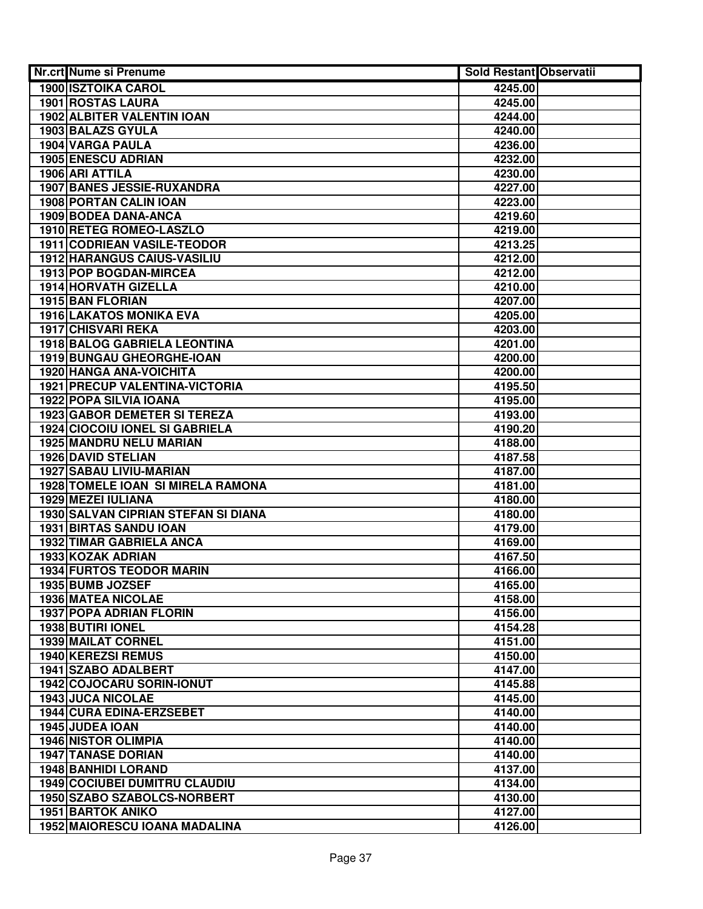| <b>Nr.crt Nume si Prenume</b>         | <b>Sold Restant Observatii</b> |  |
|---------------------------------------|--------------------------------|--|
| <b>1900 ISZTOIKA CAROL</b>            | 4245.00                        |  |
| <b>1901 ROSTAS LAURA</b>              | 4245.00                        |  |
| <b>1902 ALBITER VALENTIN IOAN</b>     | 4244.00                        |  |
| 1903 BALAZS GYULA                     | 4240.00                        |  |
| 1904 VARGA PAULA                      | 4236.00                        |  |
| 1905 ENESCU ADRIAN                    | 4232.00                        |  |
| 1906 ARI ATTILA                       | 4230.00                        |  |
| 1907 BANES JESSIE-RUXANDRA            | 4227.00                        |  |
| 1908 PORTAN CALIN IOAN                | 4223.00                        |  |
| 1909 BODEA DANA-ANCA                  | 4219.60                        |  |
| 1910 RETEG ROMEO-LASZLO               | 4219.00                        |  |
| 1911 CODRIEAN VASILE-TEODOR           | 4213.25                        |  |
| 1912 HARANGUS CAIUS-VASILIU           | 4212.00                        |  |
| 1913 POP BOGDAN-MIRCEA                | 4212.00                        |  |
| 1914 HORVATH GIZELLA                  | 4210.00                        |  |
| 1915 BAN FLORIAN                      | 4207.00                        |  |
| <b>1916 LAKATOS MONIKA EVA</b>        | 4205.00                        |  |
| <b>1917 CHISVARI REKA</b>             | 4203.00                        |  |
| 1918 BALOG GABRIELA LEONTINA          | 4201.00                        |  |
| 1919 BUNGAU GHEORGHE-IOAN             | 4200.00                        |  |
| 1920 HANGA ANA-VOICHITA               | 4200.00                        |  |
| <b>1921 PRECUP VALENTINA-VICTORIA</b> | 4195.50                        |  |
| 1922 POPA SILVIA IOANA                | 4195.00                        |  |
| 1923 GABOR DEMETER SI TEREZA          | 4193.00                        |  |
| <b>1924 CIOCOIU IONEL SI GABRIELA</b> | 4190.20                        |  |
| 1925 MANDRU NELU MARIAN               | 4188.00                        |  |
| <b>1926 DAVID STELIAN</b>             | 4187.58                        |  |
| 1927 SABAU LIVIU-MARIAN               | 4187.00                        |  |
| 1928 TOMELE IOAN SI MIRELA RAMONA     | 4181.00                        |  |
| 1929 MEZEI IULIANA                    | 4180.00                        |  |
| 1930 SALVAN CIPRIAN STEFAN SI DIANA   | 4180.00                        |  |
| <b>1931 BIRTAS SANDU IOAN</b>         | 4179.00                        |  |
| 1932 TIMAR GABRIELA ANCA              | 4169.00                        |  |
| 1933 KOZAK ADRIAN                     | 4167.50                        |  |
| <b>1934 FURTOS TEODOR MARIN</b>       | 4166.00                        |  |
| 1935 BUMB JOZSEF                      | 4165.00                        |  |
| <b>1936 MATEA NICOLAE</b>             | 4158.00                        |  |
| <b>1937 POPA ADRIAN FLORIN</b>        | 4156.00                        |  |
| 1938 BUTIRI IONEL                     | 4154.28                        |  |
| <b>1939 MAILAT CORNEL</b>             | 4151.00                        |  |
| <b>1940 KEREZSI REMUS</b>             | 4150.00                        |  |
| 1941 SZABO ADALBERT                   | 4147.00                        |  |
| 1942 COJOCARU SORIN-IONUT             | 4145.88                        |  |
| <b>1943 JUCA NICOLAE</b>              | 4145.00                        |  |
| <b>1944 CURA EDINA-ERZSEBET</b>       | 4140.00                        |  |
| 1945 JUDEA IOAN                       | 4140.00                        |  |
| <b>1946 NISTOR OLIMPIA</b>            | 4140.00                        |  |
| <b>1947 TANASE DORIAN</b>             | 4140.00                        |  |
| <b>1948 BANHIDI LORAND</b>            | 4137.00                        |  |
| <b>1949 COCIUBEI DUMITRU CLAUDIU</b>  | 4134.00                        |  |
| 1950 SZABO SZABOLCS-NORBERT           | 4130.00                        |  |
| <b>1951 BARTOK ANIKO</b>              | 4127.00                        |  |
| 1952 MAIORESCU IOANA MADALINA         | 4126.00                        |  |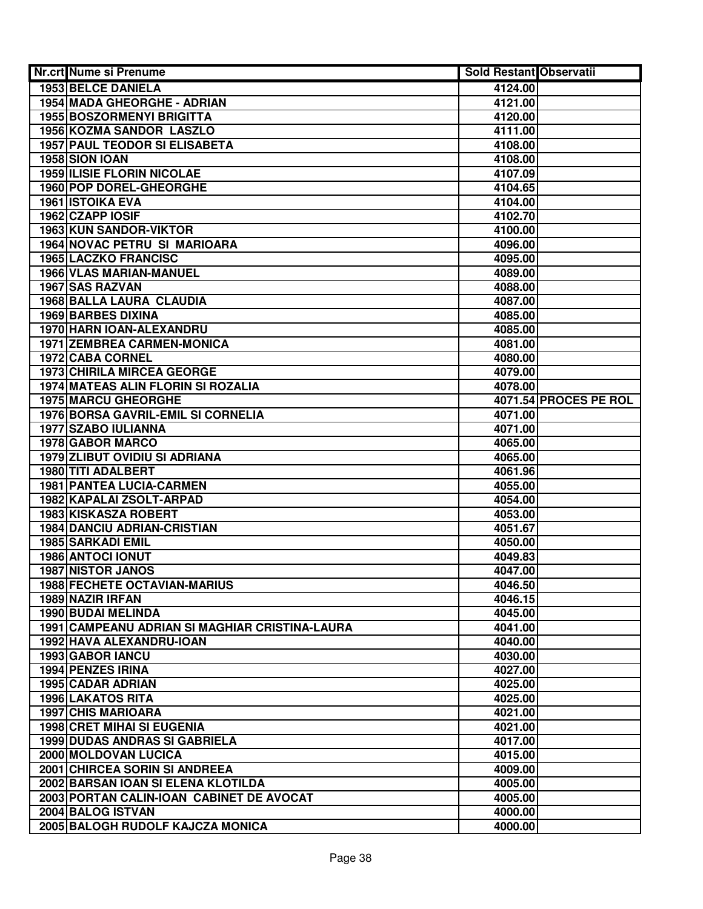| Nr.crt Nume si Prenume                         | Sold Restant Observatii |                       |
|------------------------------------------------|-------------------------|-----------------------|
| <b>1953 BELCE DANIELA</b>                      | 4124.00                 |                       |
| 1954 MADA GHEORGHE - ADRIAN                    | 4121.00                 |                       |
| <b>1955 BOSZORMENYI BRIGITTA</b>               | 4120.00                 |                       |
| <b>1956 KOZMA SANDOR LASZLO</b>                | 4111.00                 |                       |
| <b>1957 PAUL TEODOR SI ELISABETA</b>           | 4108.00                 |                       |
| 1958 SION IOAN                                 | 4108.00                 |                       |
| <b>1959 ILISIE FLORIN NICOLAE</b>              | 4107.09                 |                       |
| 1960 POP DOREL-GHEORGHE                        | 4104.65                 |                       |
| 1961 ISTOIKA EVA                               | 4104.00                 |                       |
| 1962 CZAPP IOSIF                               | 4102.70                 |                       |
| <b>1963 KUN SANDOR-VIKTOR</b>                  | 4100.00                 |                       |
| 1964 NOVAC PETRU SI MARIOARA                   | 4096.00                 |                       |
| <b>1965 LACZKO FRANCISC</b>                    | 4095.00                 |                       |
| 1966 VLAS MARIAN-MANUEL                        | 4089.00                 |                       |
| 1967 SAS RAZVAN                                | 4088.00                 |                       |
| <b>1968 BALLA LAURA CLAUDIA</b>                | 4087.00                 |                       |
| <b>1969 BARBES DIXINA</b>                      | 4085.00                 |                       |
| 1970 HARN IOAN-ALEXANDRU                       | 4085.00                 |                       |
| <b>1971 ZEMBREA CARMEN-MONICA</b>              | 4081.00                 |                       |
| <b>1972 CABA CORNEL</b>                        | 4080.00                 |                       |
| 1973 CHIRILA MIRCEA GEORGE                     | 4079.00                 |                       |
| <b>1974 MATEAS ALIN FLORIN SI ROZALIA</b>      | 4078.00                 |                       |
| 1975 MARCU GHEORGHE                            |                         | 4071.54 PROCES PE ROL |
| 1976 BORSA GAVRIL-EMIL SI CORNELIA             | 4071.00                 |                       |
| 1977 SZABO IULIANNA                            | 4071.00                 |                       |
| 1978 GABOR MARCO                               | 4065.00                 |                       |
| <b>1979 ZLIBUT OVIDIU SI ADRIANA</b>           | 4065.00                 |                       |
| 1980 TITI ADALBERT                             | 4061.96                 |                       |
| <b>1981 PANTEA LUCIA-CARMEN</b>                | 4055.00                 |                       |
| 1982 KAPALAI ZSOLT-ARPAD                       | 4054.00                 |                       |
| 1983 KISKASZA ROBERT                           | 4053.00                 |                       |
| <b>1984 DANCIU ADRIAN-CRISTIAN</b>             | 4051.67                 |                       |
| 1985 SARKADI EMIL                              | 4050.00                 |                       |
| 1986 ANTOCI IONUT                              | 4049.83<br>4047.00      |                       |
| <b>1987 NISTOR JANOS</b>                       | 4046.50                 |                       |
| 1988 FECHETE OCTAVIAN-MARIUS                   |                         |                       |
| 1989 NAZIR IRFAN<br>1990 BUDAI MELINDA         | 4046.15<br>4045.00      |                       |
| 1991 CAMPEANU ADRIAN SI MAGHIAR CRISTINA-LAURA | 4041.00                 |                       |
| 1992 HAVA ALEXANDRU-IOAN                       | 4040.00                 |                       |
| 1993 GABOR IANCU                               | 4030.00                 |                       |
| 1994 PENZES IRINA                              | 4027.00                 |                       |
| <b>1995 CADAR ADRIAN</b>                       | 4025.00                 |                       |
| <b>1996 LAKATOS RITA</b>                       | 4025.00                 |                       |
| <b>1997 CHIS MARIOARA</b>                      | 4021.00                 |                       |
| <b>1998 CRET MIHAI SI EUGENIA</b>              | 4021.00                 |                       |
| <b>1999 DUDAS ANDRAS SI GABRIELA</b>           | 4017.00                 |                       |
| 2000 MOLDOVAN LUCICA                           | 4015.00                 |                       |
| 2001 CHIRCEA SORIN SI ANDREEA                  | 4009.00                 |                       |
| 2002 BARSAN IOAN SI ELENA KLOTILDA             | 4005.00                 |                       |
| 2003 PORTAN CALIN-IOAN CABINET DE AVOCAT       | 4005.00                 |                       |
| 2004 BALOG ISTVAN                              | 4000.00                 |                       |
| 2005 BALOGH RUDOLF KAJCZA MONICA               | 4000.00                 |                       |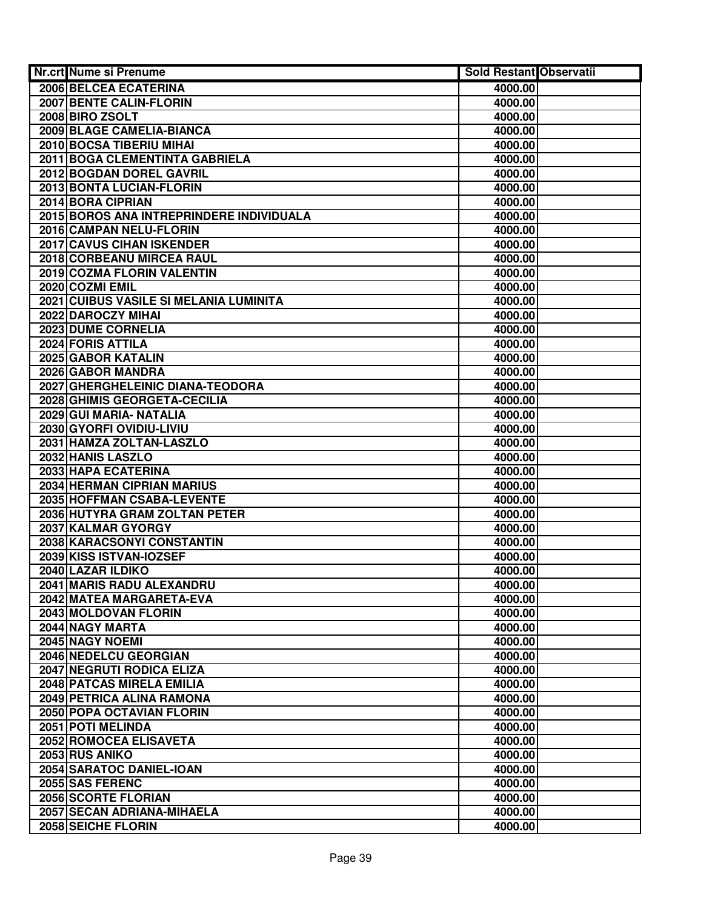| Nr.crt Nume si Prenume                   | Sold Restant Observatii |  |
|------------------------------------------|-------------------------|--|
| 2006 BELCEA ECATERINA                    | 4000.00                 |  |
| 2007 BENTE CALIN-FLORIN                  | 4000.00                 |  |
| 2008 BIRO ZSOLT                          | 4000.00                 |  |
| 2009 BLAGE CAMELIA-BIANCA                | 4000.00                 |  |
| 2010 BOCSA TIBERIU MIHAI                 | 4000.00                 |  |
| 2011 BOGA CLEMENTINTA GABRIELA           | 4000.00                 |  |
| 2012 BOGDAN DOREL GAVRIL                 | 4000.00                 |  |
| 2013 BONTA LUCIAN-FLORIN                 | 4000.00                 |  |
| 2014 BORA CIPRIAN                        | 4000.00                 |  |
| 2015 BOROS ANA INTREPRINDERE INDIVIDUALA | 4000.00                 |  |
| 2016 CAMPAN NELU-FLORIN                  | 4000.00                 |  |
| 2017 CAVUS CIHAN ISKENDER                | 4000.00                 |  |
| 2018 CORBEANU MIRCEA RAUL                | 4000.00                 |  |
| 2019 COZMA FLORIN VALENTIN               | 4000.00                 |  |
| 2020 COZMI EMIL                          | 4000.00                 |  |
| 2021 CUIBUS VASILE SI MELANIA LUMINITA   | 4000.00                 |  |
| 2022 DAROCZY MIHAI                       | 4000.00                 |  |
| 2023 DUME CORNELIA                       | 4000.00                 |  |
| <b>2024 FORIS ATTILA</b>                 | 4000.00                 |  |
| 2025 GABOR KATALIN                       | 4000.00                 |  |
| 2026 GABOR MANDRA                        | 4000.00                 |  |
| 2027 GHERGHELEINIC DIANA-TEODORA         | 4000.00                 |  |
| 2028 GHIMIS GEORGETA-CECILIA             | 4000.00                 |  |
| 2029 GUI MARIA- NATALIA                  | 4000.00                 |  |
| 2030 GYORFI OVIDIU-LIVIU                 | 4000.00                 |  |
| 2031 HAMZA ZOLTAN-LASZLO                 | 4000.00                 |  |
| 2032 HANIS LASZLO                        | 4000.00                 |  |
| 2033 HAPA ECATERINA                      | 4000.00                 |  |
| 2034 HERMAN CIPRIAN MARIUS               | 4000.00                 |  |
| 2035 HOFFMAN CSABA-LEVENTE               | 4000.00                 |  |
| 2036 HUTYRA GRAM ZOLTAN PETER            | 4000.00                 |  |
| 2037 KALMAR GYORGY                       | 4000.00                 |  |
| 2038 KARACSONYI CONSTANTIN               | 4000.00                 |  |
| 2039 KISS ISTVAN-IOZSEF                  | 4000.00                 |  |
| 2040 LAZAR ILDIKO                        | 4000.00                 |  |
| 2041 MARIS RADU ALEXANDRU                | 4000.00                 |  |
| 2042 MATEA MARGARETA-EVA                 | 4000.00                 |  |
| 2043 MOLDOVAN FLORIN                     | 4000.00                 |  |
| 2044 NAGY MARTA                          | 4000.00                 |  |
| 2045 NAGY NOEMI                          | 4000.00                 |  |
| 2046 NEDELCU GEORGIAN                    | 4000.00                 |  |
| 2047 NEGRUTI RODICA ELIZA                | 4000.00                 |  |
| 2048 PATCAS MIRELA EMILIA                | 4000.00                 |  |
| 2049 PETRICA ALINA RAMONA                | 4000.00                 |  |
| 2050 POPA OCTAVIAN FLORIN                | 4000.00                 |  |
| 2051 POTI MELINDA                        | 4000.00                 |  |
| 2052 ROMOCEA ELISAVETA                   | 4000.00                 |  |
| 2053 RUS ANIKO                           | 4000.00                 |  |
| 2054 SARATOC DANIEL-IOAN                 | 4000.00                 |  |
| 2055 SAS FERENC                          | 4000.00                 |  |
| 2056 SCORTE FLORIAN                      | 4000.00                 |  |
| 2057 SECAN ADRIANA-MIHAELA               | 4000.00                 |  |
| 2058 SEICHE FLORIN                       | 4000.00                 |  |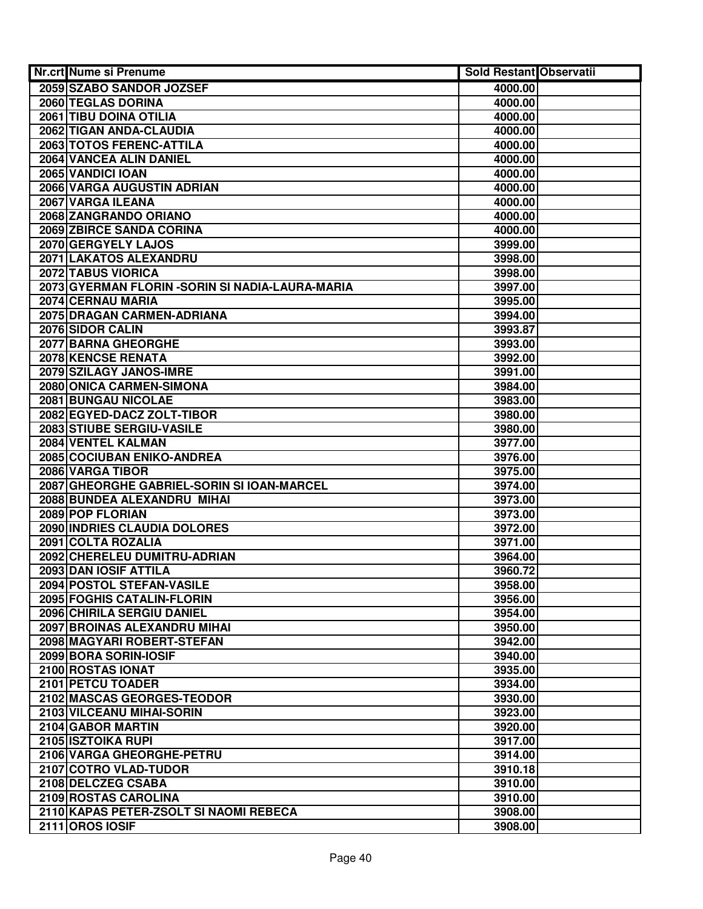| Nr.crt Nume si Prenume                           | Sold Restant Observatii |  |
|--------------------------------------------------|-------------------------|--|
| 2059 SZABO SANDOR JOZSEF                         | 4000.00                 |  |
| 2060 TEGLAS DORINA                               | 4000.00                 |  |
| 2061 TIBU DOINA OTILIA                           | 4000.00                 |  |
| 2062 TIGAN ANDA-CLAUDIA                          | 4000.00                 |  |
| 2063 TOTOS FERENC-ATTILA                         | 4000.00                 |  |
| 2064 VANCEA ALIN DANIEL                          | 4000.00                 |  |
| 2065 VANDICI IOAN                                | 4000.00                 |  |
| 2066 VARGA AUGUSTIN ADRIAN                       | 4000.00                 |  |
| 2067 VARGA ILEANA                                | 4000.00                 |  |
| 2068 ZANGRANDO ORIANO                            | 4000.00                 |  |
| 2069 ZBIRCE SANDA CORINA                         | 4000.00                 |  |
| 2070 GERGYELY LAJOS                              | 3999.00                 |  |
| 2071 LAKATOS ALEXANDRU                           | 3998.00                 |  |
| 2072 TABUS VIORICA                               | 3998.00                 |  |
| 2073 GYERMAN FLORIN - SORIN SI NADIA-LAURA-MARIA | 3997.00                 |  |
| 2074 CERNAU MARIA                                | 3995.00                 |  |
| 2075 DRAGAN CARMEN-ADRIANA                       | 3994.00                 |  |
| 2076 SIDOR CALIN                                 | 3993.87                 |  |
| <b>2077 BARNA GHEORGHE</b>                       | 3993.00                 |  |
| <b>2078 KENCSE RENATA</b>                        | 3992.00                 |  |
| 2079 SZILAGY JANOS-IMRE                          | 3991.00                 |  |
| 2080 ONICA CARMEN-SIMONA                         | 3984.00                 |  |
| 2081 BUNGAU NICOLAE                              | 3983.00                 |  |
| 2082 EGYED-DACZ ZOLT-TIBOR                       | 3980.00                 |  |
| 2083 STIUBE SERGIU-VASILE                        | 3980.00                 |  |
| 2084 VENTEL KALMAN                               | 3977.00                 |  |
| 2085 COCIUBAN ENIKO-ANDREA                       | 3976.00                 |  |
| 2086 VARGA TIBOR                                 | 3975.00                 |  |
| 2087 GHEORGHE GABRIEL-SORIN SI IOAN-MARCEL       | 3974.00                 |  |
| 2088 BUNDEA ALEXANDRU MIHAI                      | 3973.00                 |  |
| 2089 POP FLORIAN                                 | 3973.00                 |  |
| 2090 INDRIES CLAUDIA DOLORES                     | 3972.00                 |  |
| 2091 COLTA ROZALIA                               | 3971.00                 |  |
| 2092 CHERELEU DUMITRU-ADRIAN                     | 3964.00                 |  |
| 2093 DAN IOSIF ATTILA                            | 3960.72                 |  |
| 2094 POSTOL STEFAN-VASILE                        | 3958.00                 |  |
| 2095 FOGHIS CATALIN-FLORIN                       | 3956.00                 |  |
| 2096 CHIRILA SERGIU DANIEL                       | 3954.00                 |  |
| 2097 BROINAS ALEXANDRU MIHAI                     | 3950.00                 |  |
| 2098 MAGYARI ROBERT-STEFAN                       | 3942.00                 |  |
| 2099 BORA SORIN-IOSIF                            | 3940.00                 |  |
| 2100 ROSTAS IONAT                                | 3935.00                 |  |
| 2101 PETCU TOADER                                | 3934.00                 |  |
| 2102 MASCAS GEORGES-TEODOR                       | 3930.00                 |  |
| 2103 VILCEANU MIHAI-SORIN                        | 3923.00                 |  |
| 2104 GABOR MARTIN                                | 3920.00                 |  |
| 2105 ISZTOIKA RUPI                               | 3917.00                 |  |
| 2106 VARGA GHEORGHE-PETRU                        | 3914.00                 |  |
| 2107 COTRO VLAD-TUDOR                            | 3910.18                 |  |
| 2108 DELCZEG CSABA                               | 3910.00                 |  |
| 2109 ROSTAS CAROLINA                             | 3910.00                 |  |
| 2110 KAPAS PETER-ZSOLT SI NAOMI REBECA           | 3908.00                 |  |
| 2111 OROS IOSIF                                  | 3908.00                 |  |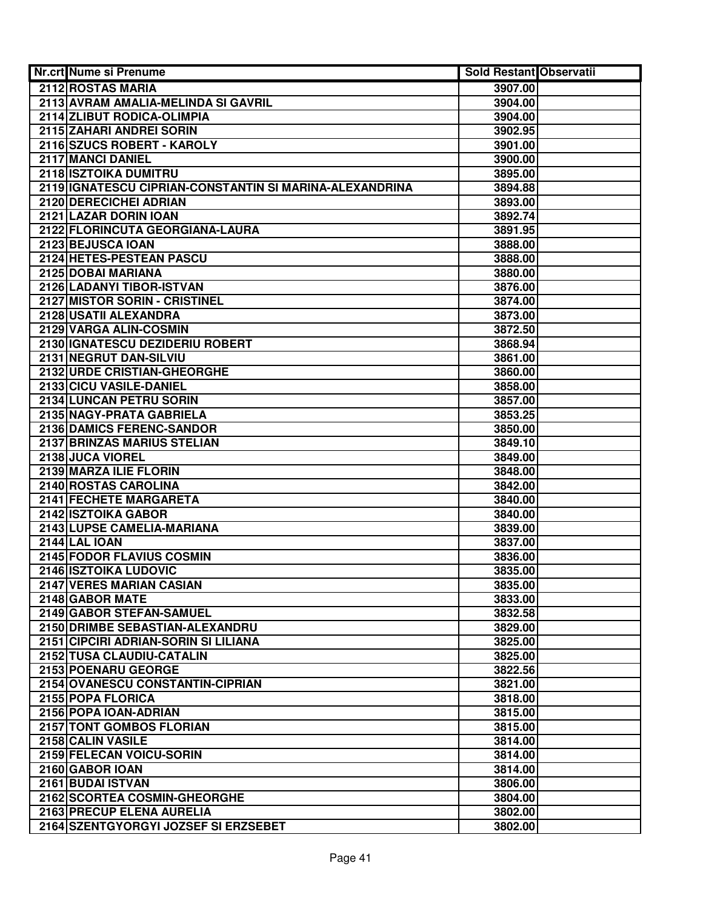| Nr.crt Nume si Prenume                                  | Sold Restant Observatii |  |
|---------------------------------------------------------|-------------------------|--|
| 2112 ROSTAS MARIA                                       | 3907.00                 |  |
| 2113 AVRAM AMALIA-MELINDA SI GAVRIL                     | 3904.00                 |  |
| 2114 ZLIBUT RODICA-OLIMPIA                              | 3904.00                 |  |
| 2115 ZAHARI ANDREI SORIN                                | 3902.95                 |  |
| 2116 SZUCS ROBERT - KAROLY                              | 3901.00                 |  |
| 2117 MANCI DANIEL                                       | 3900.00                 |  |
| 2118 ISZTOIKA DUMITRU                                   | 3895.00                 |  |
| 2119 IGNATESCU CIPRIAN-CONSTANTIN SI MARINA-ALEXANDRINA | 3894.88                 |  |
| 2120 DERECICHEI ADRIAN                                  | 3893.00                 |  |
| 2121 LAZAR DORIN IOAN                                   | 3892.74                 |  |
| 2122 FLORINCUTA GEORGIANA-LAURA                         | 3891.95                 |  |
| 2123 BEJUSCA IOAN                                       | 3888.00                 |  |
| 2124 HETES-PESTEAN PASCU                                | 3888.00                 |  |
| 2125 DOBAI MARIANA                                      | 3880.00                 |  |
| 2126 LADANYI TIBOR-ISTVAN                               | 3876.00                 |  |
| 2127 MISTOR SORIN - CRISTINEL                           | 3874.00                 |  |
| 2128 USATII ALEXANDRA                                   | 3873.00                 |  |
| 2129 VARGA ALIN-COSMIN                                  | 3872.50                 |  |
| 2130 GNATESCU DEZIDERIU ROBERT                          | 3868.94                 |  |
| 2131 NEGRUT DAN-SILVIU                                  | 3861.00                 |  |
| 2132 URDE CRISTIAN-GHEORGHE                             | 3860.00                 |  |
| 2133 CICU VASILE-DANIEL                                 | 3858.00                 |  |
| 2134 LUNCAN PETRU SORIN                                 | 3857.00                 |  |
| 2135 NAGY-PRATA GABRIELA                                | 3853.25                 |  |
| 2136 DAMICS FERENC-SANDOR                               | 3850.00                 |  |
| 2137 BRINZAS MARIUS STELIAN                             | 3849.10                 |  |
| 2138 JUCA VIOREL                                        | 3849.00                 |  |
| 2139 MARZA ILIE FLORIN                                  | 3848.00                 |  |
| 2140 ROSTAS CAROLINA                                    | 3842.00                 |  |
| 2141 FECHETE MARGARETA                                  | 3840.00                 |  |
| 2142 ISZTOIKA GABOR                                     | 3840.00                 |  |
| 2143 LUPSE CAMELIA-MARIANA                              | 3839.00                 |  |
| <b>2144 LAL IOAN</b>                                    | 3837.00                 |  |
| 2145 FODOR FLAVIUS COSMIN                               | 3836.00                 |  |
| 2146 ISZTOIKA LUDOVIC                                   | 3835.00                 |  |
| 2147 VERES MARIAN CASIAN                                | 3835.00                 |  |
| 2148 GABOR MATE                                         | 3833.00                 |  |
| 2149 GABOR STEFAN-SAMUEL                                | 3832.58                 |  |
| 2150 DRIMBE SEBASTIAN-ALEXANDRU                         | 3829.00                 |  |
| 2151 CIPCIRI ADRIAN-SORIN SI LILIANA                    | 3825.00                 |  |
| 2152 TUSA CLAUDIU-CATALIN                               | 3825.00                 |  |
| 2153 POENARU GEORGE                                     | 3822.56                 |  |
| 2154 OVANESCU CONSTANTIN-CIPRIAN                        | 3821.00                 |  |
| 2155 POPA FLORICA                                       | 3818.00                 |  |
| 2156 POPA IOAN-ADRIAN                                   | 3815.00                 |  |
| 2157 TONT GOMBOS FLORIAN                                | 3815.00                 |  |
| 2158 CALIN VASILE                                       | 3814.00                 |  |
| 2159 FELECAN VOICU-SORIN                                | 3814.00                 |  |
| 2160 GABOR IOAN                                         | 3814.00                 |  |
| 2161 BUDAI ISTVAN                                       | 3806.00                 |  |
| 2162 SCORTEA COSMIN-GHEORGHE                            | 3804.00                 |  |
| 2163 PRECUP ELENA AURELIA                               | 3802.00                 |  |
| 2164 SZENTGYORGYI JOZSEF SI ERZSEBET                    | 3802.00                 |  |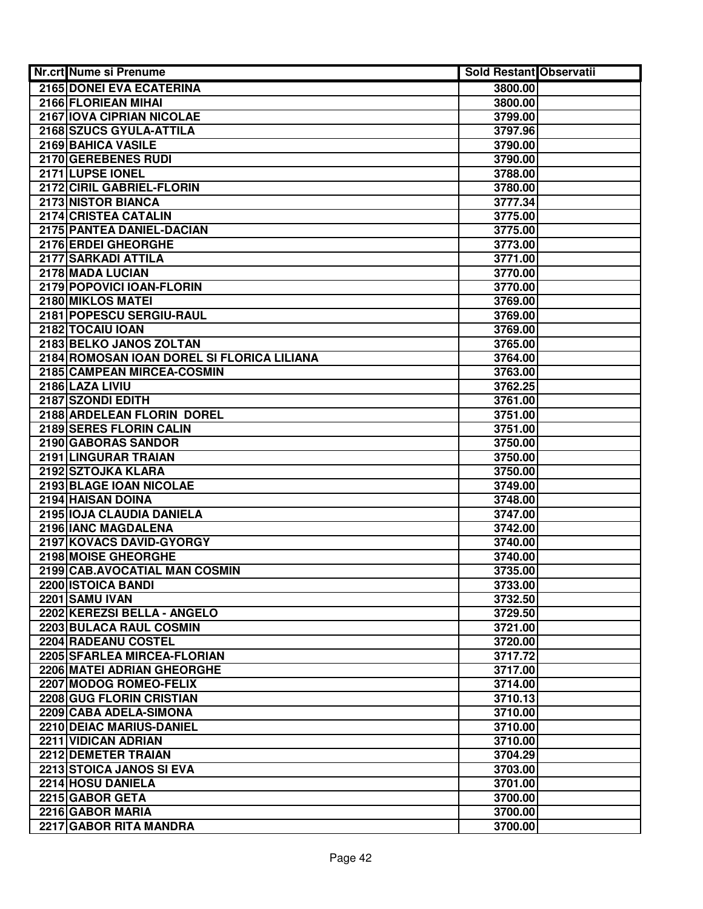| Nr.crt Nume si Prenume                          | <b>Sold Restant Observatii</b> |  |
|-------------------------------------------------|--------------------------------|--|
| 2165 DONEI EVA ECATERINA                        | 3800.00                        |  |
| 2166 FLORIEAN MIHAI                             | 3800.00                        |  |
| 2167 IOVA CIPRIAN NICOLAE                       | 3799.00                        |  |
| 2168 SZUCS GYULA-ATTILA                         | 3797.96                        |  |
| 2169 BAHICA VASILE                              | 3790.00                        |  |
| 2170 GEREBENES RUDI                             | 3790.00                        |  |
| 2171 LUPSE IONEL                                | 3788.00                        |  |
| 2172 CIRIL GABRIEL-FLORIN                       | 3780.00                        |  |
| 2173 NISTOR BIANCA                              | 3777.34                        |  |
| 2174 CRISTEA CATALIN                            | 3775.00                        |  |
| 2175 PANTEA DANIEL-DACIAN                       | 3775.00                        |  |
| 2176 ERDEI GHEORGHE                             | 3773.00                        |  |
| 2177 SARKADI ATTILA                             | 3771.00                        |  |
| 2178 MADA LUCIAN                                | 3770.00                        |  |
| 2179 POPOVICI IOAN-FLORIN                       | 3770.00                        |  |
| 2180 MIKLOS MATEI                               | 3769.00                        |  |
| 2181 POPESCU SERGIU-RAUL                        | 3769.00                        |  |
| 2182 TOCAIU IOAN                                | 3769.00                        |  |
| 2183 BELKO JANOS ZOLTAN                         | 3765.00                        |  |
| 2184 ROMOSAN IOAN DOREL SI FLORICA LILIANA      | 3764.00                        |  |
| 2185 CAMPEAN MIRCEA-COSMIN                      | 3763.00                        |  |
| 2186 LAZA LIVIU                                 | 3762.25                        |  |
| 2187 SZONDI EDITH                               | 3761.00                        |  |
| 2188 ARDELEAN FLORIN DOREL                      | 3751.00                        |  |
| 2189 SERES FLORIN CALIN                         | 3751.00                        |  |
| 2190 GABORAS SANDOR                             | 3750.00                        |  |
| 2191 LINGURAR TRAIAN                            | 3750.00                        |  |
| 2192 SZTOJKA KLARA                              | 3750.00                        |  |
| 2193 BLAGE IOAN NICOLAE                         | 3749.00                        |  |
| 2194 HAISAN DOINA                               | 3748.00                        |  |
| 2195 IOJA CLAUDIA DANIELA                       | 3747.00                        |  |
| 2196 IANC MAGDALENA                             | 3742.00                        |  |
| 2197 KOVACS DAVID-GYORGY                        | 3740.00                        |  |
| 2198 MOISE GHEORGHE                             | 3740.00                        |  |
| 2199 CAB.AVOCATIAL MAN COSMIN                   | 3735.00                        |  |
| 2200 ISTOICA BANDI                              | 3733.00                        |  |
| 2201 SAMU IVAN                                  | 3732.50                        |  |
| 2202 KEREZSI BELLA - ANGELO                     | 3729.50                        |  |
| 2203 BULACA RAUL COSMIN                         | 3721.00                        |  |
| 2204 RADEANU COSTEL                             | 3720.00                        |  |
| 2205 SFARLEA MIRCEA-FLORIAN                     | 3717.72                        |  |
| <b>2206 MATEI ADRIAN GHEORGHE</b>               | 3717.00                        |  |
| 2207 MODOG ROMEO-FELIX                          | 3714.00                        |  |
| 2208 GUG FLORIN CRISTIAN                        | 3710.13                        |  |
| 2209 CABA ADELA-SIMONA                          | 3710.00                        |  |
| 2210 DEIAC MARIUS-DANIEL<br>2211 VIDICAN ADRIAN | 3710.00                        |  |
| 2212 DEMETER TRAIAN                             | 3710.00                        |  |
| 2213 STOICA JANOS SI EVA                        | 3704.29<br>3703.00             |  |
| 2214 HOSU DANIELA                               | 3701.00                        |  |
| 2215 GABOR GETA                                 | 3700.00                        |  |
| 2216 GABOR MARIA                                | 3700.00                        |  |
| 2217 GABOR RITA MANDRA                          | 3700.00                        |  |
|                                                 |                                |  |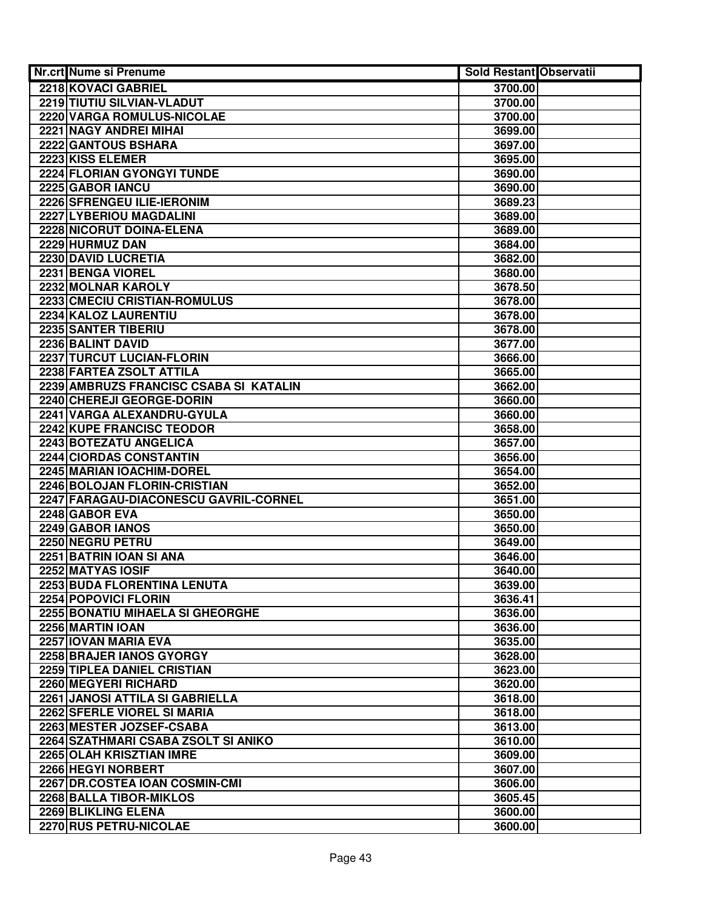| <b>Nr.crt Nume si Prenume</b>           | <b>Sold Restant Observatii</b> |  |
|-----------------------------------------|--------------------------------|--|
| 2218 KOVACI GABRIEL                     | 3700.00                        |  |
| 2219 TIUTIU SILVIAN-VLADUT              | 3700.00                        |  |
| 2220 VARGA ROMULUS-NICOLAE              | 3700.00                        |  |
| 2221 NAGY ANDREI MIHAI                  | 3699.00                        |  |
| 2222 GANTOUS BSHARA                     | 3697.00                        |  |
| 2223 KISS ELEMER                        | 3695.00                        |  |
| 2224 FLORIAN GYONGYI TUNDE              | 3690.00                        |  |
| 2225 GABOR IANCU                        | 3690.00                        |  |
| 2226 SFRENGEU ILIE-IERONIM              | 3689.23                        |  |
| 2227 LYBERIOU MAGDALINI                 | 3689.00                        |  |
| 2228 NICORUT DOINA-ELENA                | 3689.00                        |  |
| 2229 HURMUZ DAN                         | 3684.00                        |  |
| 2230 DAVID LUCRETIA                     | 3682.00                        |  |
| 2231 BENGA VIOREL                       | 3680.00                        |  |
| 2232 MOLNAR KAROLY                      | 3678.50                        |  |
| 2233 CMECIU CRISTIAN-ROMULUS            | 3678.00                        |  |
| 2234 KALOZ LAURENTIU                    | 3678.00                        |  |
| 2235 SANTER TIBERIU                     | 3678.00                        |  |
| 2236 BALINT DAVID                       | 3677.00                        |  |
| 2237 TURCUT LUCIAN-FLORIN               | 3666.00                        |  |
| 2238 FARTEA ZSOLT ATTILA                | 3665.00                        |  |
| 2239 AMBRUZS FRANCISC CSABA SI KATALIN  | 3662.00                        |  |
| 2240 CHEREJI GEORGE-DORIN               | 3660.00                        |  |
| 2241 VARGA ALEXANDRU-GYULA              | 3660.00                        |  |
| 2242 KUPE FRANCISC TEODOR               | 3658.00                        |  |
| 2243 BOTEZATU ANGELICA                  | 3657.00                        |  |
| 2244 CIORDAS CONSTANTIN                 | 3656.00                        |  |
| 2245 MARIAN IOACHIM-DOREL               | 3654.00                        |  |
| 2246 BOLOJAN FLORIN-CRISTIAN            | 3652.00                        |  |
| 2247 FARAGAU-DIACONESCU GAVRIL-CORNEL   | 3651.00                        |  |
| 2248 GABOR EVA                          | 3650.00                        |  |
| 2249 GABOR IANOS                        | 3650.00                        |  |
| 2250 NEGRU PETRU                        | 3649.00                        |  |
| 2251 BATRIN IOAN SI ANA                 | 3646.00                        |  |
| 2252 MATYAS IOSIF                       | 3640.00                        |  |
| 2253 BUDA FLORENTINA LENUTA             | 3639.00                        |  |
| 2254 POPOVICI FLORIN                    | 3636.41                        |  |
| <b>2255 BONATIU MIHAELA SI GHEORGHE</b> | 3636.00                        |  |
| 2256 MARTIN IOAN                        | 3636.00                        |  |
| 2257 IOVAN MARIA EVA                    | 3635.00                        |  |
| 2258 BRAJER IANOS GYORGY                | 3628.00                        |  |
| 2259 TIPLEA DANIEL CRISTIAN             | 3623.00                        |  |
| 2260 MEGYERI RICHARD                    | 3620.00                        |  |
| 2261 JANOSI ATTILA SI GABRIELLA         | 3618.00                        |  |
| 2262 SFERLE VIOREL SI MARIA             | 3618.00                        |  |
| 2263 MESTER JOZSEF-CSABA                | 3613.00                        |  |
| 2264 SZATHMARI CSABA ZSOLT SI ANIKO     | 3610.00                        |  |
| 2265 OLAH KRISZTIAN IMRE                | 3609.00                        |  |
| 2266 HEGYI NORBERT                      | 3607.00                        |  |
| 2267 DR.COSTEA IOAN COSMIN-CMI          | 3606.00                        |  |
| 2268 BALLA TIBOR-MIKLOS                 | 3605.45                        |  |
| 2269 BLIKLING ELENA                     | 3600.00                        |  |
| 2270 RUS PETRU-NICOLAE                  | 3600.00                        |  |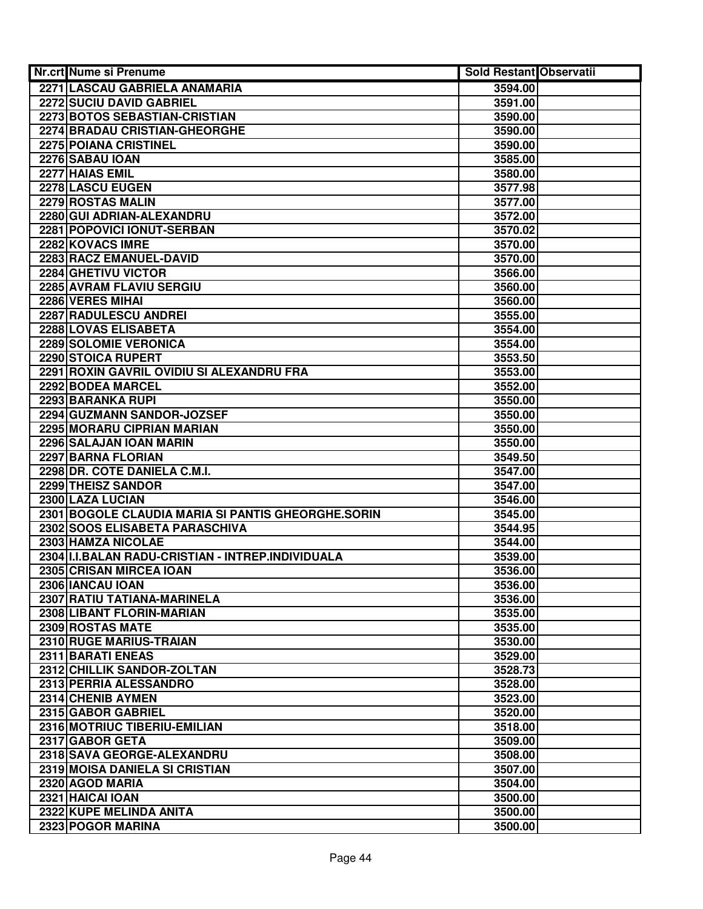| Nr.crt Nume si Prenume                             | Sold Restant Observatii |  |
|----------------------------------------------------|-------------------------|--|
| 2271 LASCAU GABRIELA ANAMARIA                      | 3594.00                 |  |
| 2272 SUCIU DAVID GABRIEL                           | 3591.00                 |  |
| 2273 BOTOS SEBASTIAN-CRISTIAN                      | 3590.00                 |  |
| 2274 BRADAU CRISTIAN-GHEORGHE                      | 3590.00                 |  |
| 2275 POIANA CRISTINEL                              | 3590.00                 |  |
| 2276 SABAU IOAN                                    | 3585.00                 |  |
| 2277 HAIAS EMIL                                    | 3580.00                 |  |
| 2278 LASCU EUGEN                                   | 3577.98                 |  |
| 2279 ROSTAS MALIN                                  | 3577.00                 |  |
| 2280 GUI ADRIAN-ALEXANDRU                          | 3572.00                 |  |
| 2281 POPOVICI IONUT-SERBAN                         | 3570.02                 |  |
| 2282 KOVACS IMRE                                   | 3570.00                 |  |
| 2283 RACZ EMANUEL-DAVID                            | 3570.00                 |  |
| 2284 GHETIVU VICTOR                                | 3566.00                 |  |
| 2285 AVRAM FLAVIU SERGIU                           | 3560.00                 |  |
| 2286 VERES MIHAI                                   | 3560.00                 |  |
| 2287 RADULESCU ANDREI                              | 3555.00                 |  |
| 2288 LOVAS ELISABETA                               | 3554.00                 |  |
| 2289 SOLOMIE VERONICA                              | 3554.00                 |  |
| 2290 STOICA RUPERT                                 | 3553.50                 |  |
| 2291 ROXIN GAVRIL OVIDIU SI ALEXANDRU FRA          | 3553.00                 |  |
| 2292 BODEA MARCEL                                  | 3552.00                 |  |
| 2293 BARANKA RUPI                                  | 3550.00                 |  |
| 2294 GUZMANN SANDOR-JOZSEF                         | 3550.00                 |  |
| 2295 MORARU CIPRIAN MARIAN                         | 3550.00                 |  |
| 2296 SALAJAN IOAN MARIN                            | 3550.00                 |  |
| 2297 BARNA FLORIAN                                 | 3549.50                 |  |
| 2298 DR. COTE DANIELA C.M.I.                       | 3547.00                 |  |
| 2299 THEISZ SANDOR                                 | 3547.00                 |  |
| 2300 LAZA LUCIAN                                   | 3546.00                 |  |
| 2301 BOGOLE CLAUDIA MARIA SI PANTIS GHEORGHE.SORIN | 3545.00                 |  |
| 2302 SOOS ELISABETA PARASCHIVA                     | 3544.95                 |  |
| 2303 HAMZA NICOLAE                                 | 3544.00                 |  |
| 2304 II.I.BALAN RADU-CRISTIAN - INTREP.INDIVIDUALA | 3539.00                 |  |
| 2305 CRISAN MIRCEA IOAN                            | 3536.00                 |  |
| 2306 IANCAU IOAN                                   | 3536.00                 |  |
| 2307 RATIU TATIANA-MARINELA                        | 3536.00                 |  |
| 2308 LIBANT FLORIN-MARIAN                          | 3535.00                 |  |
| 2309 ROSTAS MATE                                   | 3535.00                 |  |
| 2310 RUGE MARIUS-TRAIAN                            | 3530.00                 |  |
| 2311 BARATI ENEAS                                  | 3529.00                 |  |
| 2312 CHILLIK SANDOR-ZOLTAN                         | 3528.73                 |  |
| 2313 PERRIA ALESSANDRO                             | 3528.00                 |  |
| 2314 CHENIB AYMEN                                  | 3523.00                 |  |
| 2315 GABOR GABRIEL                                 | 3520.00                 |  |
| 2316 MOTRIUC TIBERIU-EMILIAN                       | 3518.00                 |  |
| 2317 GABOR GETA                                    | 3509.00                 |  |
| 2318 SAVA GEORGE-ALEXANDRU                         | 3508.00                 |  |
| 2319 MOISA DANIELA SI CRISTIAN                     | 3507.00                 |  |
| 2320 AGOD MARIA                                    | 3504.00                 |  |
| 2321 HAICAI IOAN                                   | 3500.00                 |  |
| 2322 KUPE MELINDA ANITA                            | 3500.00                 |  |
| 2323 POGOR MARINA                                  | 3500.00                 |  |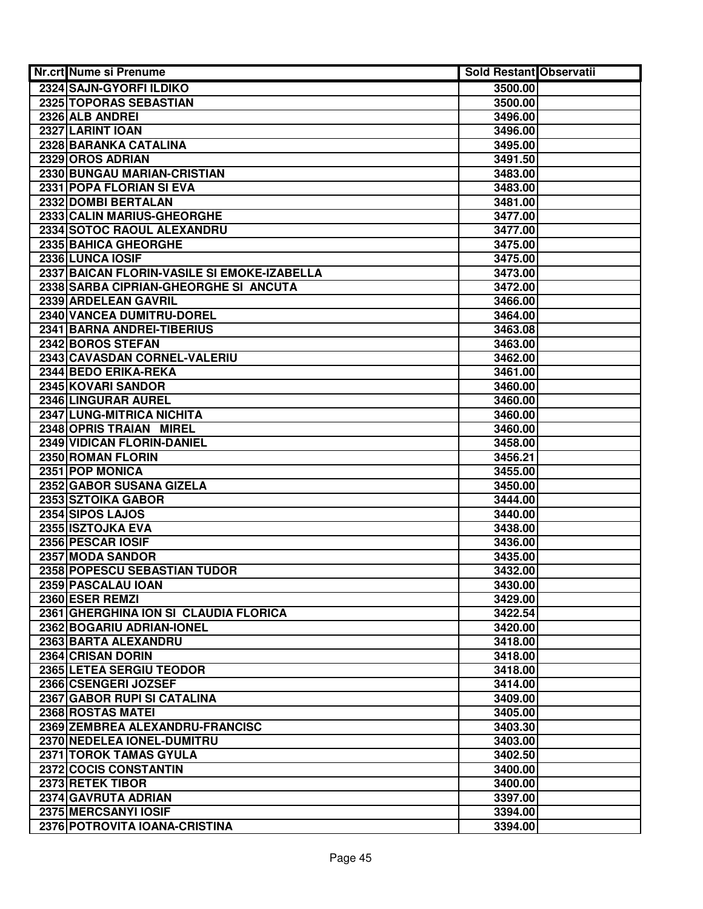| Nr.crt Nume si Prenume                      | Sold Restant Observatii |  |
|---------------------------------------------|-------------------------|--|
| 2324 SAJN-GYORFI ILDIKO                     | 3500.00                 |  |
| 2325 TOPORAS SEBASTIAN                      | 3500.00                 |  |
| 2326 ALB ANDREI                             | 3496.00                 |  |
| 2327 LARINT IOAN                            | 3496.00                 |  |
| 2328 BARANKA CATALINA                       | 3495.00                 |  |
| 2329 OROS ADRIAN                            | 3491.50                 |  |
| 2330 BUNGAU MARIAN-CRISTIAN                 | 3483.00                 |  |
| 2331 POPA FLORIAN SI EVA                    | 3483.00                 |  |
| 2332 DOMBI BERTALAN                         | 3481.00                 |  |
| 2333 CALIN MARIUS-GHEORGHE                  | 3477.00                 |  |
| 2334 SOTOC RAOUL ALEXANDRU                  | 3477.00                 |  |
| 2335 BAHICA GHEORGHE                        | 3475.00                 |  |
| 2336 LUNCA IOSIF                            | 3475.00                 |  |
| 2337 BAICAN FLORIN-VASILE SI EMOKE-IZABELLA | 3473.00                 |  |
| 2338 SARBA CIPRIAN-GHEORGHE SI ANCUTA       | 3472.00                 |  |
| 2339 ARDELEAN GAVRIL                        | 3466.00                 |  |
| 2340 VANCEA DUMITRU-DOREL                   | 3464.00                 |  |
| 2341 BARNA ANDREI-TIBERIUS                  | 3463.08                 |  |
| 2342 BOROS STEFAN                           | 3463.00                 |  |
| 2343 CAVASDAN CORNEL-VALERIU                | 3462.00                 |  |
| 2344 BEDO ERIKA-REKA                        | 3461.00                 |  |
| 2345 KOVARI SANDOR                          | 3460.00                 |  |
| 2346 LINGURAR AUREL                         | 3460.00                 |  |
| 2347 LUNG-MITRICA NICHITA                   | 3460.00                 |  |
| 2348 OPRIS TRAIAN MIREL                     | 3460.00                 |  |
| 2349 VIDICAN FLORIN-DANIEL                  | 3458.00                 |  |
| 2350 ROMAN FLORIN                           | 3456.21                 |  |
| 2351 POP MONICA                             | 3455.00                 |  |
| 2352 GABOR SUSANA GIZELA                    | 3450.00                 |  |
| 2353 SZTOIKA GABOR                          | 3444.00                 |  |
| 2354 SIPOS LAJOS                            | 3440.00                 |  |
| 2355 ISZTOJKA EVA                           | 3438.00                 |  |
| 2356 PESCAR IOSIF                           | 3436.00                 |  |
| 2357 MODA SANDOR                            | 3435.00                 |  |
| 2358 POPESCU SEBASTIAN TUDOR                | 3432.00                 |  |
| 2359 PASCALAU IOAN                          | 3430.00                 |  |
| 2360 ESER REMZI                             | 3429.00                 |  |
| 2361 GHERGHINA ION SI CLAUDIA FLORICA       | 3422.54                 |  |
| 2362 BOGARIU ADRIAN-IONEL                   | 3420.00                 |  |
| 2363 BARTA ALEXANDRU                        | 3418.00                 |  |
| 2364 CRISAN DORIN                           | 3418.00                 |  |
| 2365 LETEA SERGIU TEODOR                    | 3418.00                 |  |
| 2366 CSENGERI JOZSEF                        | 3414.00                 |  |
| 2367 GABOR RUPI SI CATALINA                 | 3409.00                 |  |
| 2368 ROSTAS MATEI                           | 3405.00                 |  |
| 2369 ZEMBREA ALEXANDRU-FRANCISC             | 3403.30                 |  |
| 2370 NEDELEA IONEL-DUMITRU                  | 3403.00                 |  |
| 2371 TOROK TAMAS GYULA                      | 3402.50                 |  |
| 2372 COCIS CONSTANTIN                       | 3400.00                 |  |
| 2373 RETEK TIBOR                            | 3400.00                 |  |
| 2374 GAVRUTA ADRIAN                         | 3397.00                 |  |
| 2375 MERCSANYI IOSIF                        | 3394.00                 |  |
| 2376 POTROVITA IOANA-CRISTINA               | 3394.00                 |  |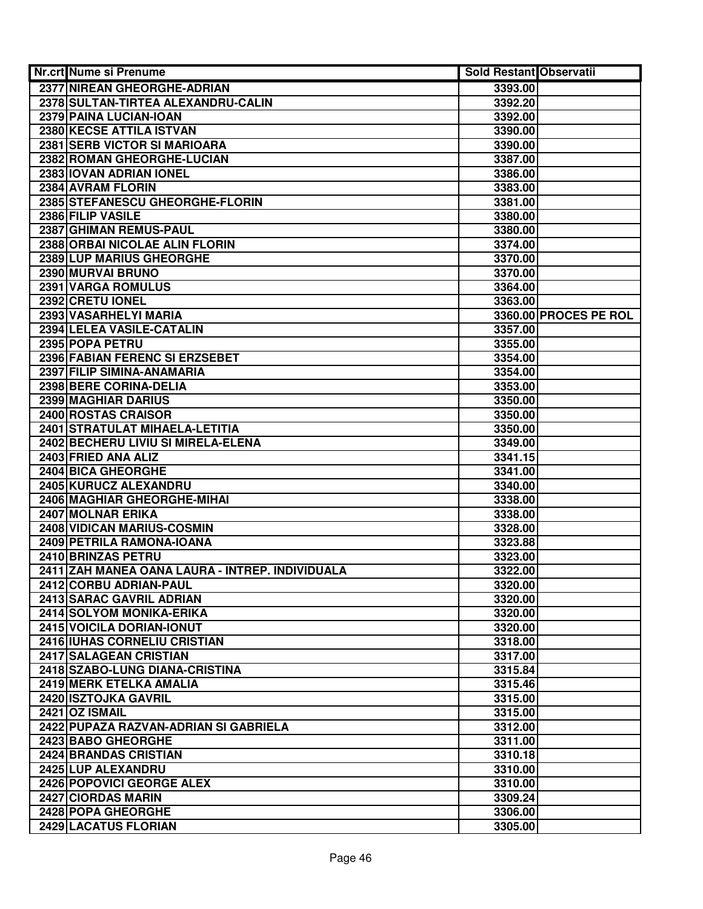| Nr.crt Nume si Prenume                          | <b>Sold Restant Observatii</b> |                       |
|-------------------------------------------------|--------------------------------|-----------------------|
| 2377 NIREAN GHEORGHE-ADRIAN                     | 3393.00                        |                       |
| 2378 SULTAN-TIRTEA ALEXANDRU-CALIN              | 3392.20                        |                       |
| 2379 PAINA LUCIAN-IOAN                          | 3392.00                        |                       |
| 2380 KECSE ATTILA ISTVAN                        | 3390.00                        |                       |
| 2381 SERB VICTOR SI MARIOARA                    | 3390.00                        |                       |
| 2382 ROMAN GHEORGHE-LUCIAN                      | 3387.00                        |                       |
| 2383 IOVAN ADRIAN IONEL                         | 3386.00                        |                       |
| 2384 AVRAM FLORIN                               | 3383.00                        |                       |
| 2385 STEFANESCU GHEORGHE-FLORIN                 | 3381.00                        |                       |
| 2386 FILIP VASILE                               | 3380.00                        |                       |
| 2387 GHIMAN REMUS-PAUL                          | 3380.00                        |                       |
| 2388 ORBAI NICOLAE ALIN FLORIN                  | 3374.00                        |                       |
| 2389 LUP MARIUS GHEORGHE                        | 3370.00                        |                       |
| 2390 MURVAI BRUNO                               | 3370.00                        |                       |
| 2391 VARGA ROMULUS                              | 3364.00                        |                       |
| 2392 CRETU IONEL                                | 3363.00                        |                       |
| 2393 VASARHELYI MARIA                           |                                | 3360.00 PROCES PE ROL |
| 2394 LELEA VASILE-CATALIN                       | 3357.00                        |                       |
| 2395 POPA PETRU                                 | 3355.00                        |                       |
| 2396 FABIAN FERENC SI ERZSEBET                  | 3354.00                        |                       |
| 2397 FILIP SIMINA-ANAMARIA                      | 3354.00                        |                       |
| 2398 BERE CORINA-DELIA                          | 3353.00                        |                       |
| 2399 MAGHIAR DARIUS                             | 3350.00                        |                       |
| 2400 ROSTAS CRAISOR                             | 3350.00                        |                       |
| 2401 STRATULAT MIHAELA-LETITIA                  | 3350.00                        |                       |
| 2402 BECHERU LIVIU SI MIRELA-ELENA              | 3349.00                        |                       |
| 2403 FRIED ANA ALIZ                             | 3341.15                        |                       |
| 2404 BICA GHEORGHE                              | 3341.00                        |                       |
| 2405 KURUCZ ALEXANDRU                           | 3340.00                        |                       |
| 2406 MAGHIAR GHEORGHE-MIHAI                     | 3338.00                        |                       |
| 2407 MOLNAR ERIKA                               | 3338.00                        |                       |
| 2408 VIDICAN MARIUS-COSMIN                      | 3328.00                        |                       |
| 2409 PETRILA RAMONA-IOANA                       | 3323.88                        |                       |
| 2410 BRINZAS PETRU                              | 3323.00                        |                       |
| 2411 ZAH MANEA OANA LAURA - INTREP. INDIVIDUALA | 3322.00                        |                       |
| 2412 CORBU ADRIAN-PAUL                          | 3320.00                        |                       |
| 2413 SARAC GAVRIL ADRIAN                        | 3320.00                        |                       |
| 2414 SOLYOM MONIKA-ERIKA                        | 3320.00                        |                       |
| 2415 VOICILA DORIAN-IONUT                       | 3320.00                        |                       |
| 2416 IUHAS CORNELIU CRISTIAN                    | 3318.00                        |                       |
| 2417 SALAGEAN CRISTIAN                          | 3317.00                        |                       |
| 2418 SZABO-LUNG DIANA-CRISTINA                  | 3315.84                        |                       |
| 2419 MERK ETELKA AMALIA                         | 3315.46                        |                       |
| 2420 ISZTOJKA GAVRIL                            | 3315.00                        |                       |
| <b>2421 OZ ISMAIL</b>                           | 3315.00                        |                       |
| 2422 PUPAZA RAZVAN-ADRIAN SI GABRIELA           | 3312.00                        |                       |
| 2423 BABO GHEORGHE                              | 3311.00                        |                       |
| 2424 BRANDAS CRISTIAN                           | 3310.18                        |                       |
| 2425 LUP ALEXANDRU                              | 3310.00                        |                       |
| 2426 POPOVICI GEORGE ALEX                       | 3310.00                        |                       |
| 2427 CIORDAS MARIN<br>2428 POPA GHEORGHE        | 3309.24                        |                       |
| 2429 LACATUS FLORIAN                            | 3306.00                        |                       |
|                                                 | 3305.00                        |                       |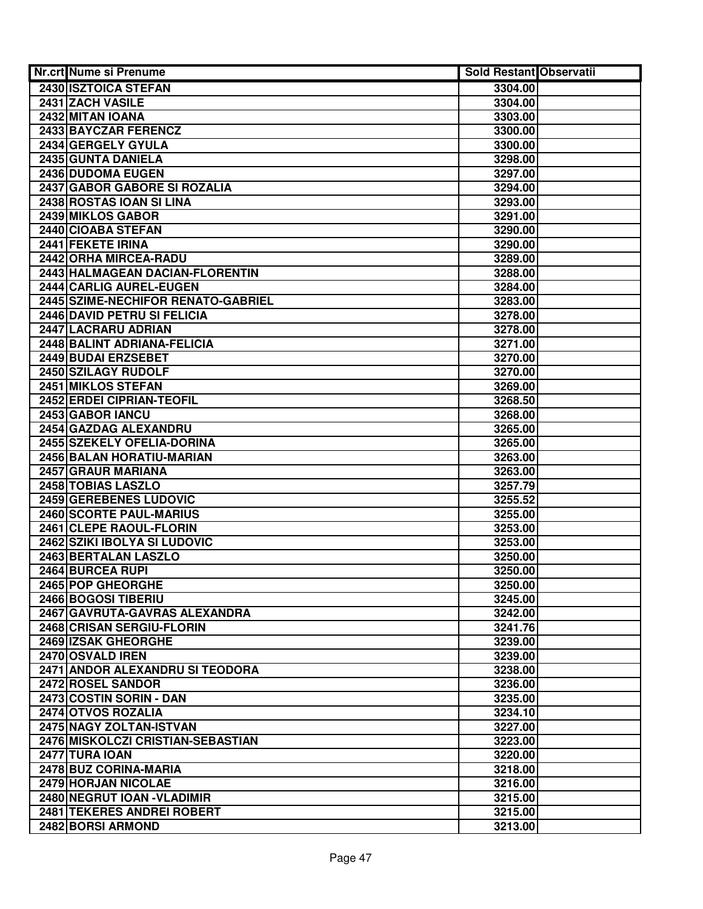| Nr.crt Nume si Prenume                                     | <b>Sold Restant Observatii</b> |  |
|------------------------------------------------------------|--------------------------------|--|
| 2430 ISZTOICA STEFAN                                       | 3304.00                        |  |
| 2431 ZACH VASILE                                           | 3304.00                        |  |
| 2432 MITAN IOANA                                           | 3303.00                        |  |
| 2433 BAYCZAR FERENCZ                                       | 3300.00                        |  |
| 2434 GERGELY GYULA                                         | 3300.00                        |  |
| 2435 GUNTA DANIELA                                         | 3298.00                        |  |
| 2436 DUDOMA EUGEN                                          | 3297.00                        |  |
| 2437 GABOR GABORE SI ROZALIA                               | 3294.00                        |  |
| 2438 ROSTAS IOAN SI LINA                                   | 3293.00                        |  |
| 2439 MIKLOS GABOR                                          | 3291.00                        |  |
| 2440 CIOABA STEFAN                                         | 3290.00                        |  |
| 2441 FEKETE IRINA                                          | 3290.00                        |  |
| 2442 ORHA MIRCEA-RADU                                      | 3289.00                        |  |
| 2443 HALMAGEAN DACIAN-FLORENTIN                            | 3288.00                        |  |
| 2444 CARLIG AUREL-EUGEN                                    | 3284.00                        |  |
| 2445 SZIME-NECHIFOR RENATO-GABRIEL                         | 3283.00                        |  |
| 2446 DAVID PETRU SI FELICIA                                | 3278.00                        |  |
| 2447 LACRARU ADRIAN                                        | 3278.00                        |  |
| 2448 BALINT ADRIANA-FELICIA                                | 3271.00                        |  |
| 2449 BUDAI ERZSEBET                                        | 3270.00                        |  |
| 2450 SZILAGY RUDOLF                                        | 3270.00                        |  |
| 2451 MIKLOS STEFAN                                         | 3269.00                        |  |
| 2452 ERDEI CIPRIAN-TEOFIL                                  | 3268.50                        |  |
| 2453 GABOR IANCU                                           | 3268.00                        |  |
| 2454 GAZDAG ALEXANDRU                                      | 3265.00                        |  |
| 2455 SZEKELY OFELIA-DORINA                                 | 3265.00                        |  |
| 2456 BALAN HORATIU-MARIAN                                  | 3263.00                        |  |
| 2457 GRAUR MARIANA                                         | 3263.00                        |  |
| 2458 TOBIAS LASZLO                                         | 3257.79                        |  |
| 2459 GEREBENES LUDOVIC                                     | 3255.52                        |  |
| 2460 SCORTE PAUL-MARIUS                                    | 3255.00                        |  |
| 2461 CLEPE RAOUL-FLORIN                                    | 3253.00                        |  |
| 2462 SZIKI IBOLYA SI LUDOVIC                               | 3253.00                        |  |
| 2463 BERTALAN LASZLO                                       | 3250.00                        |  |
| 2464 BURCEA RUPI                                           | 3250.00                        |  |
| 2465 POP GHEORGHE                                          | 3250.00                        |  |
| 2466 BOGOSI TIBERIU                                        | 3245.00                        |  |
| 2467 GAVRUTA-GAVRAS ALEXANDRA                              | 3242.00                        |  |
| 2468 CRISAN SERGIU-FLORIN                                  | 3241.76                        |  |
| <b>2469 IZSAK GHEORGHE</b>                                 | 3239.00                        |  |
| 2470 OSVALD IREN                                           | 3239.00                        |  |
| 2471 ANDOR ALEXANDRU SI TEODORA                            | 3238.00                        |  |
| 2472 ROSEL SANDOR                                          | 3236.00                        |  |
| 2473 COSTIN SORIN - DAN                                    | 3235.00                        |  |
| 2474 OTVOS ROZALIA                                         | 3234.10                        |  |
| 2475 NAGY ZOLTAN-ISTVAN                                    | 3227.00                        |  |
| 2476 MISKOLCZI CRISTIAN-SEBASTIAN<br><b>2477 TURA IOAN</b> | 3223.00<br>3220.00             |  |
| 2478 BUZ CORINA-MARIA                                      | 3218.00                        |  |
| 2479 HORJAN NICOLAE                                        | 3216.00                        |  |
| 2480 NEGRUT IOAN - VLADIMIR                                | 3215.00                        |  |
| 2481 TEKERES ANDREI ROBERT                                 | 3215.00                        |  |
| 2482 BORSI ARMOND                                          | 3213.00                        |  |
|                                                            |                                |  |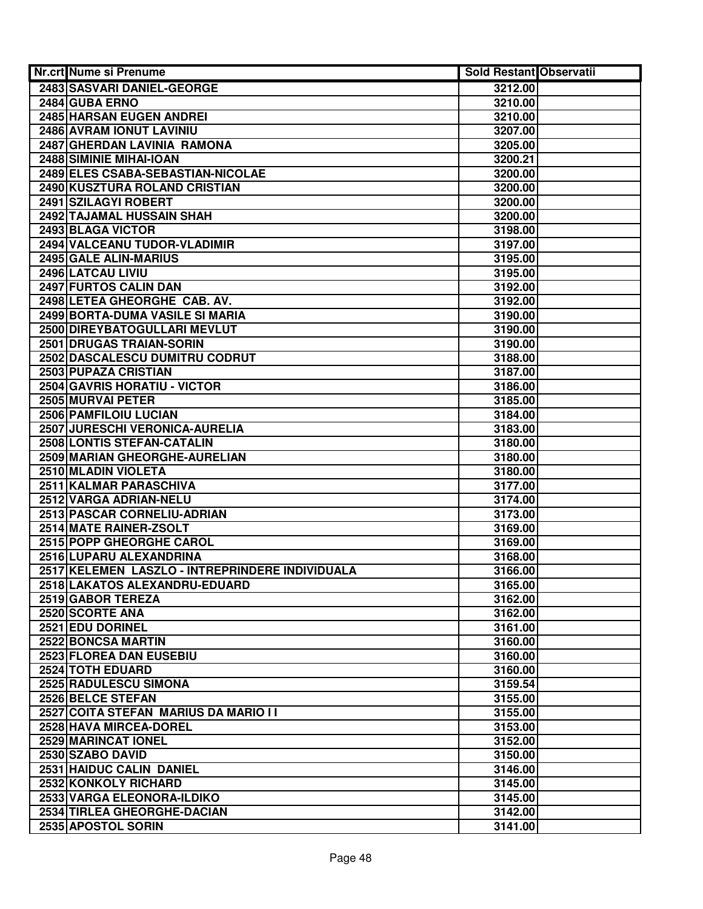| Nr.crt Nume si Prenume                          | <b>Sold Restant Observatii</b> |  |
|-------------------------------------------------|--------------------------------|--|
| 2483 SASVARI DANIEL-GEORGE                      | 3212.00                        |  |
| 2484 GUBA ERNO                                  | 3210.00                        |  |
| 2485 HARSAN EUGEN ANDREI                        | 3210.00                        |  |
| 2486 AVRAM IONUT LAVINIU                        | 3207.00                        |  |
| 2487 GHERDAN LAVINIA RAMONA                     | 3205.00                        |  |
| 2488 SIMINIE MIHAI-IOAN                         | 3200.21                        |  |
| 2489 ELES CSABA-SEBASTIAN-NICOLAE               | 3200.00                        |  |
| 2490 KUSZTURA ROLAND CRISTIAN                   | 3200.00                        |  |
| 2491 SZILAGYI ROBERT                            | 3200.00                        |  |
| 2492 TAJAMAL HUSSAIN SHAH                       | 3200.00                        |  |
| 2493 BLAGA VICTOR                               | 3198.00                        |  |
| 2494 VALCEANU TUDOR-VLADIMIR                    | 3197.00                        |  |
| 2495 GALE ALIN-MARIUS                           | 3195.00                        |  |
| 2496 LATCAU LIVIU                               | 3195.00                        |  |
| 2497 FURTOS CALIN DAN                           | 3192.00                        |  |
| 2498 LETEA GHEORGHE CAB. AV.                    | 3192.00                        |  |
| 2499 BORTA-DUMA VASILE SI MARIA                 | 3190.00                        |  |
| 2500 DIREYBATOGULLARI MEVLUT                    | 3190.00                        |  |
| <b>2501 DRUGAS TRAIAN-SORIN</b>                 | 3190.00                        |  |
| 2502 DASCALESCU DUMITRU CODRUT                  | 3188.00                        |  |
| 2503 PUPAZA CRISTIAN                            | 3187.00                        |  |
| 2504 GAVRIS HORATIU - VICTOR                    | 3186.00                        |  |
| 2505 MURVAI PETER                               | 3185.00                        |  |
| 2506 PAMFILOIU LUCIAN                           | 3184.00                        |  |
| 2507 JURESCHI VERONICA-AURELIA                  | 3183.00                        |  |
| 2508 LONTIS STEFAN-CATALIN                      | 3180.00                        |  |
| 2509 MARIAN GHEORGHE-AURELIAN                   | 3180.00                        |  |
| 2510 MLADIN VIOLETA                             | 3180.00                        |  |
| 2511 KALMAR PARASCHIVA                          | 3177.00                        |  |
| 2512 VARGA ADRIAN-NELU                          | 3174.00                        |  |
| 2513 PASCAR CORNELIU-ADRIAN                     | 3173.00                        |  |
| 2514 MATE RAINER-ZSOLT                          | 3169.00                        |  |
| 2515 POPP GHEORGHE CAROL                        | 3169.00                        |  |
| 2516 LUPARU ALEXANDRINA                         | 3168.00                        |  |
| 2517 KELEMEN LASZLO - INTREPRINDERE INDIVIDUALA | 3166.00                        |  |
| 2518 LAKATOS ALEXANDRU-EDUARD                   | 3165.00                        |  |
| 2519 GABOR TEREZA                               | 3162.00                        |  |
| 2520 SCORTE ANA                                 | 3162.00                        |  |
| 2521 EDU DORINEL                                | 3161.00                        |  |
| 2522 BONCSA MARTIN                              | 3160.00                        |  |
| 2523 FLOREA DAN EUSEBIU                         | 3160.00                        |  |
| 2524 TOTH EDUARD                                | 3160.00                        |  |
| 2525 RADULESCU SIMONA                           | 3159.54                        |  |
| 2526 BELCE STEFAN                               | 3155.00                        |  |
| 2527 COITA STEFAN MARIUS DA MARIO II            | 3155.00                        |  |
| 2528 HAVA MIRCEA-DOREL                          | 3153.00                        |  |
| 2529 MARINCAT IONEL                             | 3152.00                        |  |
| 2530 SZABO DAVID                                | 3150.00                        |  |
| 2531 HAIDUC CALIN DANIEL                        | 3146.00                        |  |
| 2532 KONKOLY RICHARD                            | 3145.00                        |  |
| 2533 VARGA ELEONORA-ILDIKO                      | 3145.00                        |  |
| 2534 TIRLEA GHEORGHE-DACIAN                     | 3142.00                        |  |
| 2535 APOSTOL SORIN                              | 3141.00                        |  |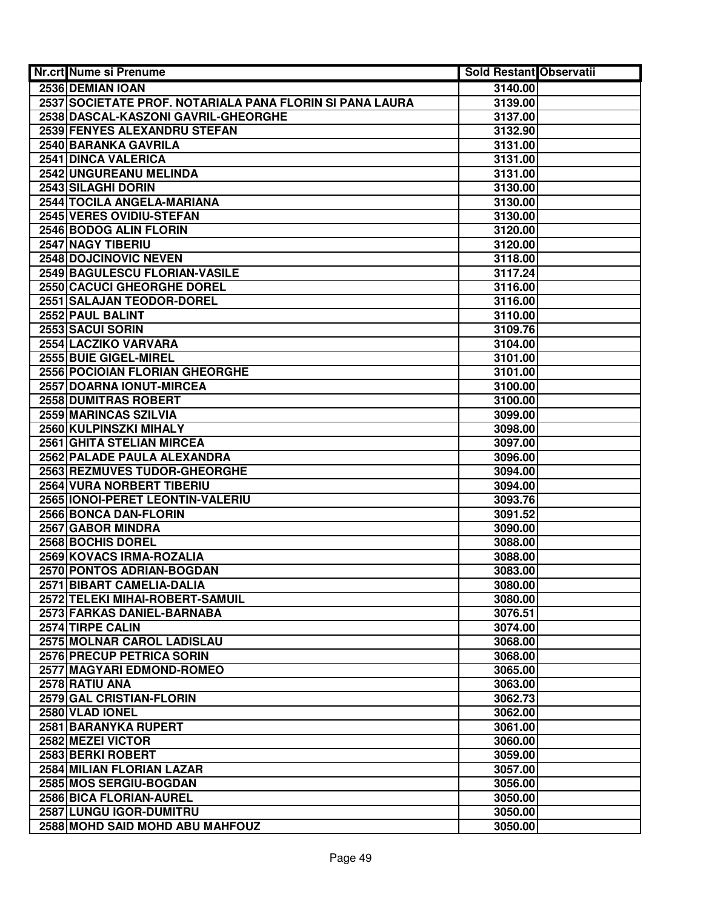| Nr.crt Nume si Prenume                                   | Sold Restant Observatii |  |
|----------------------------------------------------------|-------------------------|--|
| 2536 DEMIAN IOAN                                         | 3140.00                 |  |
| 2537 SOCIETATE PROF. NOTARIALA PANA FLORIN SI PANA LAURA | 3139.00                 |  |
| 2538 DASCAL-KASZONI GAVRIL-GHEORGHE                      | 3137.00                 |  |
| 2539 FENYES ALEXANDRU STEFAN                             | 3132.90                 |  |
| 2540 BARANKA GAVRILA                                     | 3131.00                 |  |
| 2541 DINCA VALERICA                                      | 3131.00                 |  |
| 2542 UNGUREANU MELINDA                                   | 3131.00                 |  |
| 2543 SILAGHI DORIN                                       | 3130.00                 |  |
| 2544 TOCILA ANGELA-MARIANA                               | 3130.00                 |  |
| 2545 VERES OVIDIU-STEFAN                                 | 3130.00                 |  |
| 2546 BODOG ALIN FLORIN                                   | 3120.00                 |  |
| 2547 NAGY TIBERIU                                        | 3120.00                 |  |
| 2548 DOJCINOVIC NEVEN                                    | 3118.00                 |  |
| 2549 BAGULESCU FLORIAN-VASILE                            | 3117.24                 |  |
| 2550 CACUCI GHEORGHE DOREL                               | 3116.00                 |  |
| 2551 SALAJAN TEODOR-DOREL                                | 3116.00                 |  |
| 2552 PAUL BALINT                                         | 3110.00                 |  |
| 2553 SACUI SORIN                                         | 3109.76                 |  |
| 2554 LACZIKO VARVARA                                     | 3104.00                 |  |
| 2555 BUIE GIGEL-MIREL                                    | 3101.00                 |  |
| 2556 POCIOIAN FLORIAN GHEORGHE                           | 3101.00                 |  |
| 2557 DOARNA IONUT-MIRCEA                                 | 3100.00                 |  |
| 2558 DUMITRAS ROBERT                                     | 3100.00                 |  |
| 2559 MARINCAS SZILVIA                                    | 3099.00                 |  |
| 2560 KULPINSZKI MIHALY                                   | 3098.00                 |  |
| 2561 GHITA STELIAN MIRCEA                                | 3097.00                 |  |
| 2562 PALADE PAULA ALEXANDRA                              | 3096.00                 |  |
| 2563 REZMUVES TUDOR-GHEORGHE                             | 3094.00                 |  |
| 2564 VURA NORBERT TIBERIU                                | 3094.00                 |  |
| 2565 IONOI-PERET LEONTIN-VALERIU                         | 3093.76                 |  |
| 2566 BONCA DAN-FLORIN                                    | 3091.52                 |  |
| 2567 GABOR MINDRA                                        | 3090.00                 |  |
| 2568 BOCHIS DOREL                                        | 3088.00                 |  |
| 2569 KOVACS IRMA-ROZALIA                                 | 3088.00                 |  |
| 2570 PONTOS ADRIAN-BOGDAN                                | 3083.00                 |  |
| 2571 BIBART CAMELIA-DALIA                                | 3080.00                 |  |
| 2572 TELEKI MIHAI-ROBERT-SAMUIL                          | 3080.00                 |  |
| 2573 FARKAS DANIEL-BARNABA                               | 3076.51                 |  |
| 2574 TIRPE CALIN                                         | 3074.00                 |  |
| 2575 MOLNAR CAROL LADISLAU                               | 3068.00                 |  |
| <b>2576 PRECUP PETRICA SORIN</b>                         | 3068.00                 |  |
| <b>2577 MAGYARI EDMOND-ROMEO</b>                         | 3065.00                 |  |
| 2578 RATIU ANA                                           | 3063.00                 |  |
| 2579 GAL CRISTIAN-FLORIN                                 | 3062.73                 |  |
| 2580 VLAD IONEL                                          | 3062.00                 |  |
| 2581 BARANYKA RUPERT                                     | 3061.00                 |  |
| 2582 MEZEI VICTOR                                        | 3060.00                 |  |
| 2583 BERKI ROBERT                                        | 3059.00                 |  |
| 2584 MILIAN FLORIAN LAZAR                                | 3057.00                 |  |
| 2585 MOS SERGIU-BOGDAN                                   | 3056.00                 |  |
| 2586 BICA FLORIAN-AUREL                                  | 3050.00                 |  |
| 2587 LUNGU IGOR-DUMITRU                                  | 3050.00                 |  |
| 2588 MOHD SAID MOHD ABU MAHFOUZ                          | 3050.00                 |  |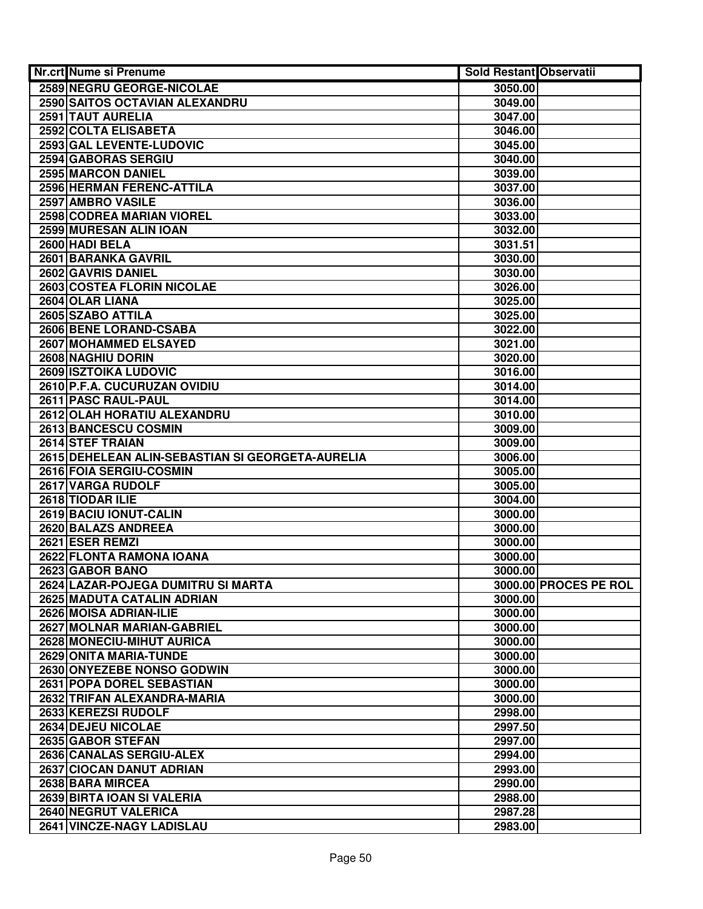| Nr.crt Nume si Prenume                           | <b>Sold Restant Observatii</b> |                       |
|--------------------------------------------------|--------------------------------|-----------------------|
| <b>2589 NEGRU GEORGE-NICOLAE</b>                 | 3050.00                        |                       |
| 2590 SAITOS OCTAVIAN ALEXANDRU                   | 3049.00                        |                       |
| 2591 TAUT AURELIA                                | 3047.00                        |                       |
| 2592 COLTA ELISABETA                             | 3046.00                        |                       |
| 2593 GAL LEVENTE-LUDOVIC                         | 3045.00                        |                       |
| 2594 GABORAS SERGIU                              | 3040.00                        |                       |
| 2595 MARCON DANIEL                               | 3039.00                        |                       |
| 2596 HERMAN FERENC-ATTILA                        | 3037.00                        |                       |
| 2597 AMBRO VASILE                                | 3036.00                        |                       |
| 2598 CODREA MARIAN VIOREL                        | 3033.00                        |                       |
| 2599 MURESAN ALIN IOAN                           | 3032.00                        |                       |
| 2600 HADI BELA                                   | 3031.51                        |                       |
| 2601 BARANKA GAVRIL                              | 3030.00                        |                       |
| 2602 GAVRIS DANIEL                               | 3030.00                        |                       |
| 2603 COSTEA FLORIN NICOLAE                       | 3026.00                        |                       |
| 2604 OLAR LIANA                                  | 3025.00                        |                       |
| 2605 SZABO ATTILA                                | 3025.00                        |                       |
| 2606 BENE LORAND-CSABA                           | 3022.00                        |                       |
| 2607 MOHAMMED ELSAYED                            | 3021.00                        |                       |
| <b>2608 NAGHIU DORIN</b>                         | 3020.00                        |                       |
| 2609 ISZTOIKA LUDOVIC                            | 3016.00                        |                       |
| 2610 P.F.A. CUCURUZAN OVIDIU                     | 3014.00                        |                       |
| 2611 PASC RAUL-PAUL                              | 3014.00                        |                       |
| 2612 OLAH HORATIU ALEXANDRU                      | 3010.00                        |                       |
| 2613 BANCESCU COSMIN                             | 3009.00                        |                       |
| 2614 STEF TRAIAN                                 | 3009.00                        |                       |
| 2615 DEHELEAN ALIN-SEBASTIAN SI GEORGETA-AURELIA | 3006.00                        |                       |
| 2616 FOIA SERGIU-COSMIN                          | 3005.00                        |                       |
| 2617 VARGA RUDOLF                                | 3005.00                        |                       |
| 2618 TIODAR ILIE                                 | 3004.00                        |                       |
| 2619 BACIU IONUT-CALIN                           | 3000.00                        |                       |
| 2620 BALAZS ANDREEA                              | 3000.00                        |                       |
| 2621 ESER REMZI                                  | 3000.00                        |                       |
| 2622 FLONTA RAMONA IOANA                         | 3000.00                        |                       |
| 2623 GABOR BANO                                  | 3000.00                        |                       |
| 2624 LAZAR-POJEGA DUMITRU SI MARTA               |                                | 3000.00 PROCES PE ROL |
| 2625 MADUTA CATALIN ADRIAN                       | 3000.00                        |                       |
| 2626 MOISA ADRIAN-ILIE                           | 3000.00                        |                       |
| 2627 MOLNAR MARIAN-GABRIEL                       | 3000.00                        |                       |
| 2628 MONECIU-MIHUT AURICA                        | 3000.00                        |                       |
| 2629 ONITA MARIA-TUNDE                           | 3000.00                        |                       |
| 2630 ONYEZEBE NONSO GODWIN                       | 3000.00                        |                       |
| 2631 POPA DOREL SEBASTIAN                        | 3000.00                        |                       |
| 2632 TRIFAN ALEXANDRA-MARIA                      | 3000.00                        |                       |
| 2633 KEREZSI RUDOLF                              | 2998.00                        |                       |
| 2634 DEJEU NICOLAE                               | 2997.50                        |                       |
| 2635 GABOR STEFAN                                | 2997.00                        |                       |
| 2636 CANALAS SERGIU-ALEX                         | 2994.00                        |                       |
| 2637 CIOCAN DANUT ADRIAN                         | 2993.00                        |                       |
| 2638 BARA MIRCEA                                 | 2990.00                        |                       |
| 2639 BIRTA IOAN SI VALERIA                       | 2988.00                        |                       |
| 2640 NEGRUT VALERICA                             | 2987.28                        |                       |
| 2641 VINCZE-NAGY LADISLAU                        | 2983.00                        |                       |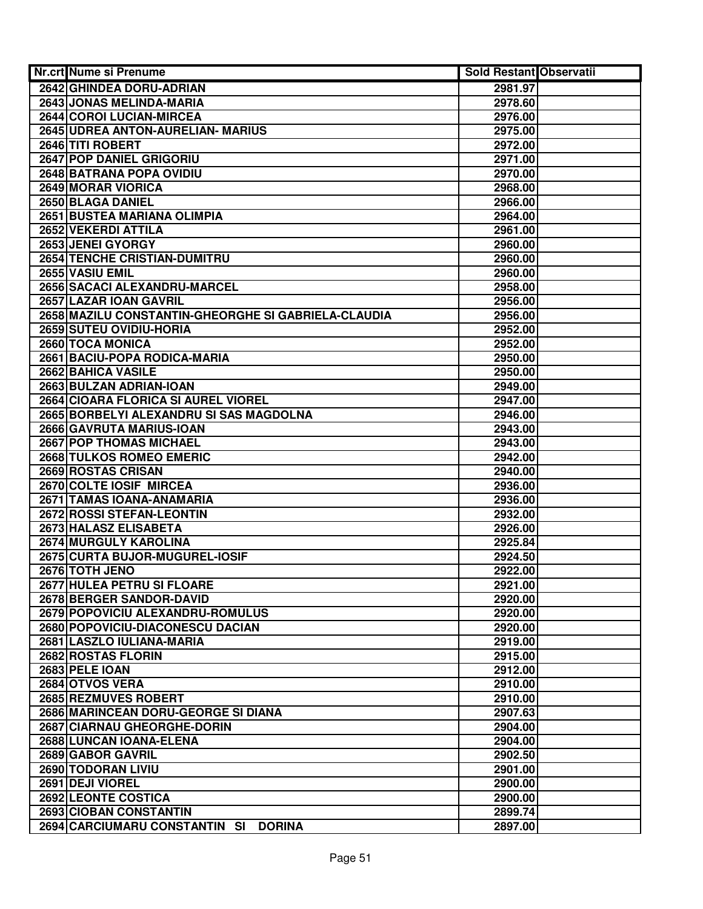| Nr.crt Nume si Prenume                              | <b>Sold Restant Observatii</b> |  |
|-----------------------------------------------------|--------------------------------|--|
| 2642 GHINDEA DORU-ADRIAN                            | 2981.97                        |  |
| 2643 JONAS MELINDA-MARIA                            | 2978.60                        |  |
| 2644 COROI LUCIAN-MIRCEA                            | 2976.00                        |  |
| 2645 UDREA ANTON-AURELIAN- MARIUS                   | 2975.00                        |  |
| 2646 TITI ROBERT                                    | 2972.00                        |  |
| 2647 POP DANIEL GRIGORIU                            | 2971.00                        |  |
| 2648 BATRANA POPA OVIDIU                            | 2970.00                        |  |
| 2649 MORAR VIORICA                                  | 2968.00                        |  |
| 2650 BLAGA DANIEL                                   | 2966.00                        |  |
| 2651 BUSTEA MARIANA OLIMPIA                         | 2964.00                        |  |
| 2652 VEKERDI ATTILA                                 | 2961.00                        |  |
| 2653 JENEI GYORGY                                   | 2960.00                        |  |
| 2654 TENCHE CRISTIAN-DUMITRU                        | 2960.00                        |  |
| 2655 VASIU EMIL                                     | 2960.00                        |  |
| 2656 SACACI ALEXANDRU-MARCEL                        | 2958.00                        |  |
| 2657 LAZAR IOAN GAVRIL                              | 2956.00                        |  |
| 2658 MAZILU CONSTANTIN-GHEORGHE SI GABRIELA-CLAUDIA | 2956.00                        |  |
| <b>2659 SUTEU OVIDIU-HORIA</b>                      | 2952.00                        |  |
| 2660 TOCA MONICA                                    | 2952.00                        |  |
| 2661 BACIU-POPA RODICA-MARIA                        | 2950.00                        |  |
| 2662 BAHICA VASILE                                  | 2950.00                        |  |
| 2663 BULZAN ADRIAN-IOAN                             | 2949.00                        |  |
| 2664 CIOARA FLORICA SI AUREL VIOREL                 | 2947.00                        |  |
| 2665 BORBELYI ALEXANDRU SI SAS MAGDOLNA             | 2946.00                        |  |
| 2666 GAVRUTA MARIUS-IOAN                            | 2943.00                        |  |
| 2667 POP THOMAS MICHAEL                             | 2943.00                        |  |
| 2668 TULKOS ROMEO EMERIC                            | 2942.00                        |  |
| 2669 ROSTAS CRISAN                                  | 2940.00                        |  |
| 2670 COLTE IOSIF MIRCEA                             | 2936.00                        |  |
| 2671 TAMAS IOANA-ANAMARIA                           | 2936.00                        |  |
| 2672 ROSSI STEFAN-LEONTIN                           | 2932.00                        |  |
| 2673 HALASZ ELISABETA                               | 2926.00                        |  |
| 2674 MURGULY KAROLINA                               | 2925.84                        |  |
| 2675 CURTA BUJOR-MUGUREL-IOSIF                      | 2924.50                        |  |
| 2676 TOTH JENO                                      | 2922.00                        |  |
| <b>2677 HULEA PETRU SI FLOARE</b>                   | 2921.00                        |  |
| 2678 BERGER SANDOR-DAVID                            | 2920.00                        |  |
| 2679 POPOVICIU ALEXANDRU-ROMULUS                    | 2920.00                        |  |
| 2680 POPOVICIU-DIACONESCU DACIAN                    | 2920.00                        |  |
| 2681 LASZLO IULIANA-MARIA                           | 2919.00                        |  |
| 2682 ROSTAS FLORIN                                  | 2915.00                        |  |
| 2683 PELE IOAN                                      | 2912.00                        |  |
| 2684 OTVOS VERA                                     | 2910.00                        |  |
| 2685 REZMUVES ROBERT                                | 2910.00                        |  |
| 2686 MARINCEAN DORU-GEORGE SI DIANA                 | 2907.63                        |  |
| 2687 CIARNAU GHEORGHE-DORIN                         | 2904.00                        |  |
| 2688 LUNCAN IOANA-ELENA                             | 2904.00                        |  |
| 2689 GABOR GAVRIL                                   | 2902.50                        |  |
| 2690 TODORAN LIVIU                                  | 2901.00                        |  |
| 2691 DEJI VIOREL                                    | 2900.00                        |  |
| 2692 LEONTE COSTICA                                 | 2900.00                        |  |
| 2693 CIOBAN CONSTANTIN                              | 2899.74                        |  |
| 2694 CARCIUMARU CONSTANTIN SI<br><b>DORINA</b>      | 2897.00                        |  |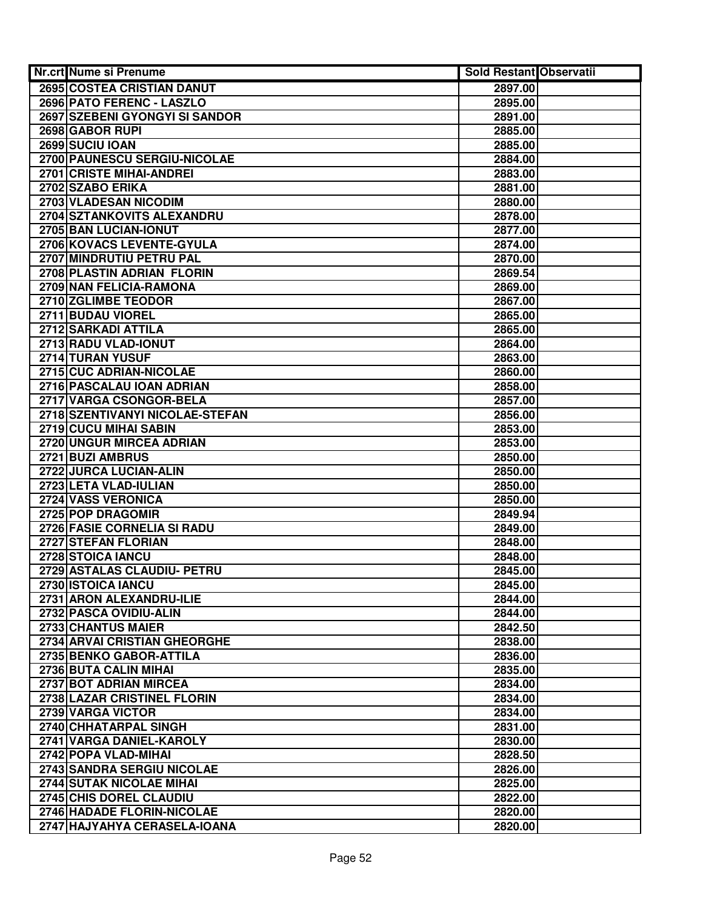| Nr.crt Nume si Prenume              | Sold Restant Observatii |  |
|-------------------------------------|-------------------------|--|
| 2695 COSTEA CRISTIAN DANUT          | 2897.00                 |  |
| 2696 PATO FERENC - LASZLO           | 2895.00                 |  |
| 2697 SZEBENI GYONGYI SI SANDOR      | 2891.00                 |  |
| 2698 GABOR RUPI                     | 2885.00                 |  |
| 2699 SUCIU IOAN                     | 2885.00                 |  |
| 2700 PAUNESCU SERGIU-NICOLAE        | 2884.00                 |  |
| 2701 CRISTE MIHAI-ANDREI            | 2883.00                 |  |
| 2702 SZABO ERIKA                    | 2881.00                 |  |
| 2703 VLADESAN NICODIM               | 2880.00                 |  |
| 2704 SZTANKOVITS ALEXANDRU          | 2878.00                 |  |
| 2705 BAN LUCIAN-IONUT               | 2877.00                 |  |
| 2706 KOVACS LEVENTE-GYULA           | 2874.00                 |  |
| 2707 MINDRUTIU PETRU PAL            | 2870.00                 |  |
| 2708 PLASTIN ADRIAN FLORIN          | 2869.54                 |  |
| 2709 NAN FELICIA-RAMONA             | 2869.00                 |  |
| 2710 ZGLIMBE TEODOR                 | 2867.00                 |  |
| 2711 BUDAU VIOREL                   | 2865.00                 |  |
| 2712 SARKADI ATTILA                 | 2865.00                 |  |
| 2713 RADU VLAD-IONUT                | 2864.00                 |  |
| 2714 TURAN YUSUF                    | 2863.00                 |  |
| 2715 CUC ADRIAN-NICOLAE             | 2860.00                 |  |
| 2716 PASCALAU IOAN ADRIAN           | 2858.00                 |  |
| 2717 VARGA CSONGOR-BELA             | 2857.00                 |  |
| 2718 SZENTIVANYI NICOLAE-STEFAN     | 2856.00                 |  |
| 2719 CUCU MIHAI SABIN               | 2853.00                 |  |
| 2720 UNGUR MIRCEA ADRIAN            | 2853.00                 |  |
| 2721 BUZI AMBRUS                    | 2850.00                 |  |
| 2722 JURCA LUCIAN-ALIN              | 2850.00                 |  |
| 2723 LETA VLAD-IULIAN               | 2850.00                 |  |
| 2724 VASS VERONICA                  | 2850.00                 |  |
| 2725 POP DRAGOMIR                   | 2849.94                 |  |
| 2726 FASIE CORNELIA SI RADU         | 2849.00                 |  |
| 2727 STEFAN FLORIAN                 | 2848.00                 |  |
| 2728 STOICA IANCU                   | 2848.00                 |  |
| 2729 ASTALAS CLAUDIU- PETRU         | 2845.00                 |  |
| 2730 ISTOICA IANCU                  | 2845.00                 |  |
| 2731 ARON ALEXANDRU-ILIE            | 2844.00                 |  |
| 2732 PASCA OVIDIU-ALIN              | 2844.00                 |  |
| 2733 CHANTUS MAIER                  | 2842.50                 |  |
| <b>2734 ARVAI CRISTIAN GHEORGHE</b> | 2838.00                 |  |
| 2735 BENKO GABOR-ATTILA             | 2836.00                 |  |
| 2736 BUTA CALIN MIHAI               | 2835.00                 |  |
| 2737 BOT ADRIAN MIRCEA              | 2834.00                 |  |
| <b>2738 LAZAR CRISTINEL FLORIN</b>  | 2834.00                 |  |
| 2739 VARGA VICTOR                   | 2834.00                 |  |
| 2740 CHHATARPAL SINGH               | 2831.00                 |  |
| 2741 VARGA DANIEL-KAROLY            | 2830.00                 |  |
| 2742 POPA VLAD-MIHAI                | 2828.50                 |  |
| 2743 SANDRA SERGIU NICOLAE          | 2826.00                 |  |
| 2744 SUTAK NICOLAE MIHAI            | 2825.00                 |  |
| 2745 CHIS DOREL CLAUDIU             | 2822.00                 |  |
| 2746 HADADE FLORIN-NICOLAE          | 2820.00                 |  |
| 2747 HAJYAHYA CERASELA-IOANA        | 2820.00                 |  |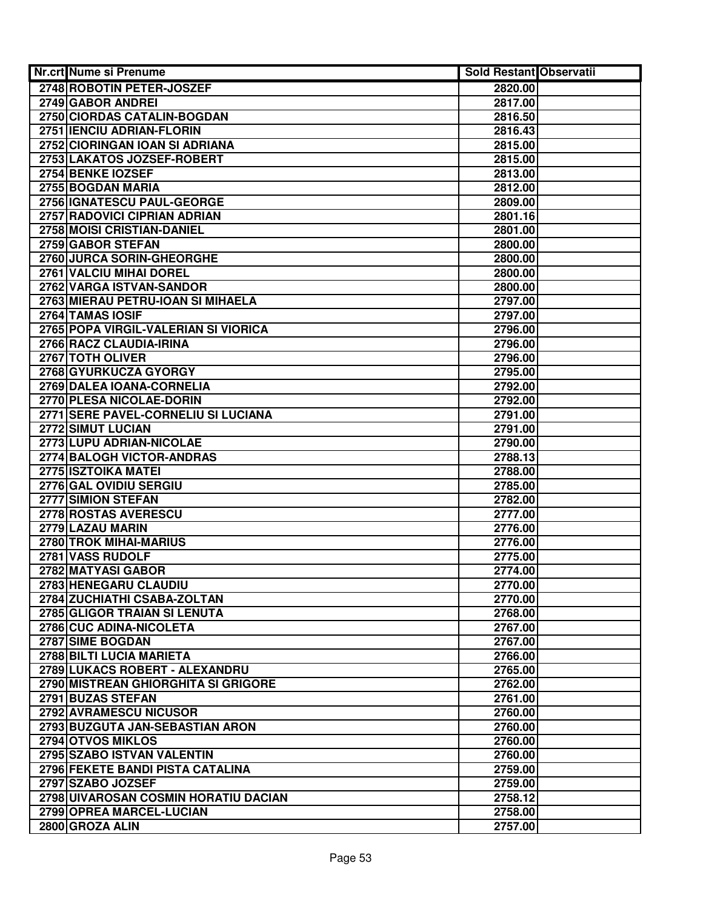| Nr.crt Nume si Prenume               | Sold Restant Observatii |  |
|--------------------------------------|-------------------------|--|
| 2748 ROBOTIN PETER-JOSZEF            | 2820.00                 |  |
| 2749 GABOR ANDREI                    | 2817.00                 |  |
| 2750 CIORDAS CATALIN-BOGDAN          | 2816.50                 |  |
| 2751 IENCIU ADRIAN-FLORIN            | 2816.43                 |  |
| 2752 CIORINGAN IOAN SI ADRIANA       | 2815.00                 |  |
| 2753 LAKATOS JOZSEF-ROBERT           | 2815.00                 |  |
| 2754 BENKE IOZSEF                    | 2813.00                 |  |
| 2755 BOGDAN MARIA                    | 2812.00                 |  |
| 2756 IGNATESCU PAUL-GEORGE           | 2809.00                 |  |
| 2757 RADOVICI CIPRIAN ADRIAN         | 2801.16                 |  |
| 2758 MOISI CRISTIAN-DANIEL           | 2801.00                 |  |
| 2759 GABOR STEFAN                    | 2800.00                 |  |
| 2760 JURCA SORIN-GHEORGHE            | 2800.00                 |  |
| 2761 VALCIU MIHAI DOREL              | 2800.00                 |  |
| 2762 VARGA ISTVAN-SANDOR             | 2800.00                 |  |
| 2763 MIERAU PETRU-IOAN SI MIHAELA    | 2797.00                 |  |
| 2764 TAMAS IOSIF                     | 2797.00                 |  |
| 2765 POPA VIRGIL-VALERIAN SI VIORICA | 2796.00                 |  |
| 2766 RACZ CLAUDIA-IRINA              | 2796.00                 |  |
| 2767 TOTH OLIVER                     | 2796.00                 |  |
| 2768 GYURKUCZA GYORGY                | 2795.00                 |  |
| 2769 DALEA IOANA-CORNELIA            | 2792.00                 |  |
| 2770 PLESA NICOLAE-DORIN             | 2792.00                 |  |
| 2771 SERE PAVEL-CORNELIU SI LUCIANA  | 2791.00                 |  |
| 2772 SIMUT LUCIAN                    | 2791.00                 |  |
| 2773 LUPU ADRIAN-NICOLAE             | 2790.00                 |  |
| 2774 BALOGH VICTOR-ANDRAS            | 2788.13                 |  |
| 2775 ISZTOIKA MATEI                  | 2788.00                 |  |
| 2776 GAL OVIDIU SERGIU               | 2785.00                 |  |
| 2777 SIMION STEFAN                   | 2782.00                 |  |
| 2778 ROSTAS AVERESCU                 | 2777.00                 |  |
| 2779 LAZAU MARIN                     | 2776.00                 |  |
| 2780 TROK MIHAI-MARIUS               | 2776.00                 |  |
| 2781 VASS RUDOLF                     | 2775.00                 |  |
| 2782 MATYASI GABOR                   | 2774.00                 |  |
| 2783 HENEGARU CLAUDIU                | 2770.00                 |  |
| 2784 ZUCHIATHI CSABA-ZOLTAN          | 2770.00                 |  |
| 2785 GLIGOR TRAIAN SI LENUTA         | 2768.00                 |  |
| 2786 CUC ADINA-NICOLETA              | 2767.00                 |  |
| 2787 SIME BOGDAN                     | 2767.00                 |  |
| 2788 BILTI LUCIA MARIETA             | 2766.00                 |  |
| 2789 LUKACS ROBERT - ALEXANDRU       | 2765.00                 |  |
| 2790 MISTREAN GHIORGHITA SI GRIGORE  | 2762.00                 |  |
| 2791 BUZAS STEFAN                    | 2761.00                 |  |
| 2792 AVRAMESCU NICUSOR               | 2760.00                 |  |
| 2793 BUZGUTA JAN-SEBASTIAN ARON      | 2760.00                 |  |
| 2794 OTVOS MIKLOS                    | 2760.00                 |  |
| 2795 SZABO ISTVAN VALENTIN           | 2760.00                 |  |
| 2796 FEKETE BANDI PISTA CATALINA     | 2759.00                 |  |
| 2797 SZABO JOZSEF                    | 2759.00                 |  |
| 2798 UIVAROSAN COSMIN HORATIU DACIAN | 2758.12                 |  |
| 2799 OPREA MARCEL-LUCIAN             | 2758.00                 |  |
| 2800 GROZA ALIN                      | 2757.00                 |  |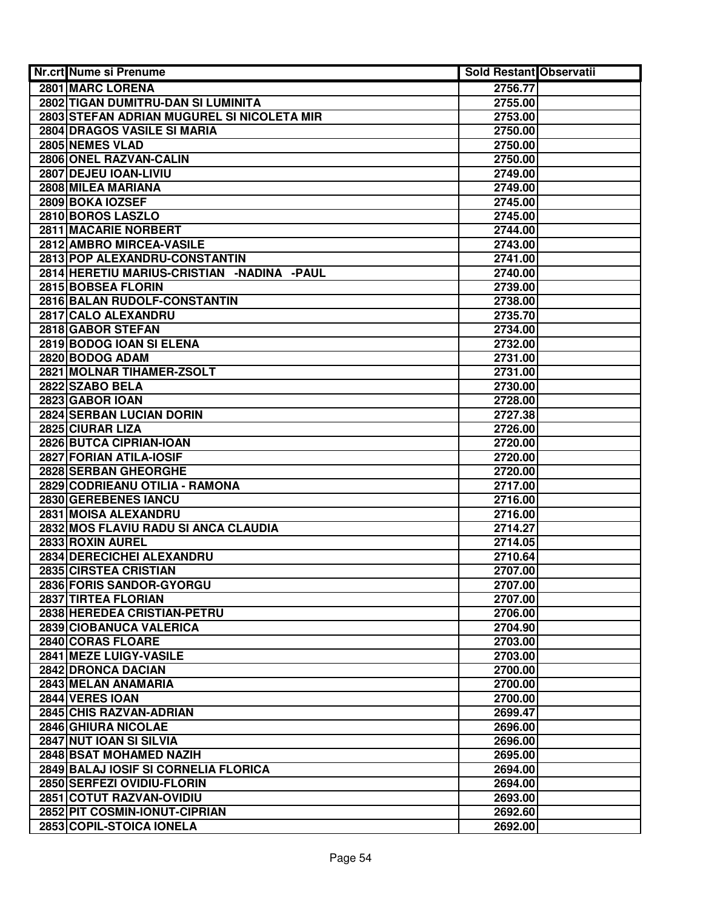| Nr.crt Nume si Prenume                     | <b>Sold Restant Observatii</b> |  |
|--------------------------------------------|--------------------------------|--|
| 2801 MARC LORENA                           | 2756.77                        |  |
| 2802 TIGAN DUMITRU-DAN SI LUMINITA         | 2755.00                        |  |
| 2803 STEFAN ADRIAN MUGUREL SI NICOLETA MIR | 2753.00                        |  |
| 2804 DRAGOS VASILE SI MARIA                | 2750.00                        |  |
| 2805 NEMES VLAD                            | 2750.00                        |  |
| 2806 ONEL RAZVAN-CALIN                     | 2750.00                        |  |
| 2807 DEJEU IOAN-LIVIU                      | 2749.00                        |  |
| 2808 MILEA MARIANA                         | 2749.00                        |  |
| 2809 BOKA IOZSEF                           | 2745.00                        |  |
| 2810 BOROS LASZLO                          | 2745.00                        |  |
| 2811 MACARIE NORBERT                       | 2744.00                        |  |
| 2812 AMBRO MIRCEA-VASILE                   | 2743.00                        |  |
| 2813 POP ALEXANDRU-CONSTANTIN              | 2741.00                        |  |
| 2814 HERETIU MARIUS-CRISTIAN -NADINA -PAUL | 2740.00                        |  |
| 2815 BOBSEA FLORIN                         | 2739.00                        |  |
| 2816 BALAN RUDOLF-CONSTANTIN               | 2738.00                        |  |
| 2817 CALO ALEXANDRU                        | 2735.70                        |  |
| 2818 GABOR STEFAN                          | 2734.00                        |  |
| 2819 BODOG IOAN SI ELENA                   | 2732.00                        |  |
| 2820 BODOG ADAM                            | 2731.00                        |  |
| 2821 MOLNAR TIHAMER-ZSOLT                  | 2731.00                        |  |
| 2822 SZABO BELA                            | 2730.00                        |  |
| 2823 GABOR IOAN                            | 2728.00                        |  |
| 2824 SERBAN LUCIAN DORIN                   | 2727.38                        |  |
| 2825 CIURAR LIZA                           | 2726.00                        |  |
| 2826 BUTCA CIPRIAN-IOAN                    | 2720.00                        |  |
| 2827 FORIAN ATILA-IOSIF                    | 2720.00                        |  |
| 2828 SERBAN GHEORGHE                       | 2720.00                        |  |
| 2829 CODRIEANU OTILIA - RAMONA             | 2717.00                        |  |
| 2830 GEREBENES IANCU                       | 2716.00                        |  |
| 2831 MOISA ALEXANDRU                       | 2716.00                        |  |
| 2832 MOS FLAVIU RADU SI ANCA CLAUDIA       | 2714.27                        |  |
| 2833 ROXIN AUREL                           | 2714.05                        |  |
| 2834 DERECICHEI ALEXANDRU                  | 2710.64                        |  |
| 2835 CIRSTEA CRISTIAN                      | 2707.00                        |  |
| 2836 FORIS SANDOR-GYORGU                   | 2707.00                        |  |
| 2837 TIRTEA FLORIAN                        | 2707.00                        |  |
| 2838 HEREDEA CRISTIAN-PETRU                | 2706.00                        |  |
| 2839 CIOBANUCA VALERICA                    | 2704.90                        |  |
| 2840 CORAS FLOARE                          | 2703.00                        |  |
| 2841 MEZE LUIGY-VASILE                     | 2703.00                        |  |
| 2842 DRONCA DACIAN                         | 2700.00                        |  |
| 2843 MELAN ANAMARIA                        | 2700.00                        |  |
| 2844 VERES IOAN                            | 2700.00                        |  |
| 2845 CHIS RAZVAN-ADRIAN                    | 2699.47                        |  |
| 2846 GHIURA NICOLAE                        | 2696.00                        |  |
| 2847 NUT IOAN SI SILVIA                    | 2696.00                        |  |
| 2848 BSAT MOHAMED NAZIH                    | 2695.00                        |  |
| 2849 BALAJ IOSIF SI CORNELIA FLORICA       | 2694.00                        |  |
| 2850 SERFEZI OVIDIU-FLORIN                 | 2694.00                        |  |
| 2851 COTUT RAZVAN-OVIDIU                   | 2693.00                        |  |
| 2852 PIT COSMIN-IONUT-CIPRIAN              | 2692.60                        |  |
| 2853 COPIL-STOICA IONELA                   | 2692.00                        |  |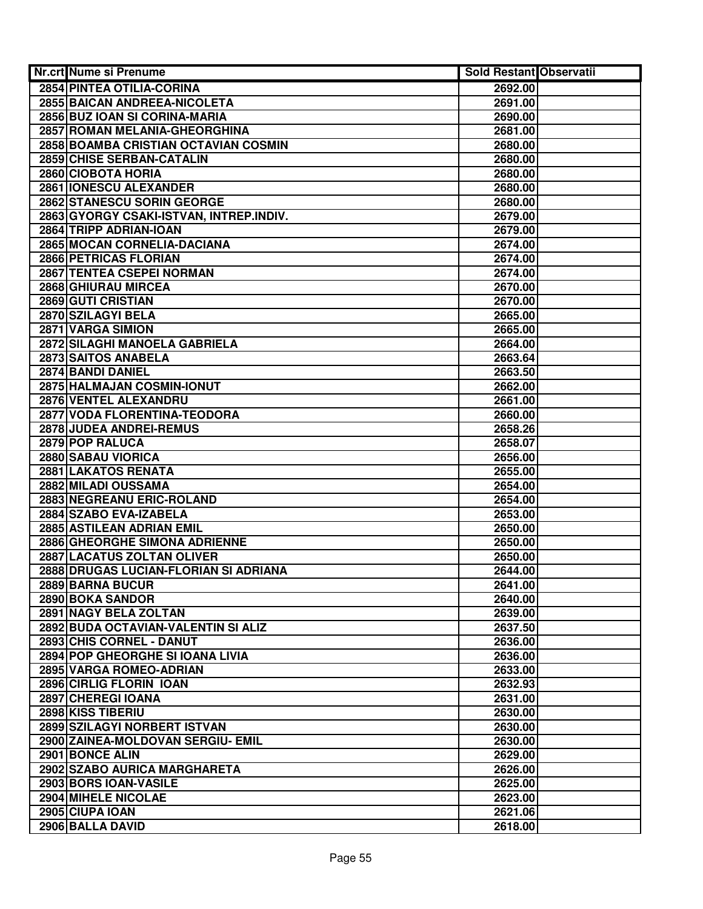| <b>Nr.crt Nume si Prenume</b>                               | <b>Sold Restant Observatii</b> |  |
|-------------------------------------------------------------|--------------------------------|--|
| 2854 PINTEA OTILIA-CORINA                                   | 2692.00                        |  |
| 2855 BAICAN ANDREEA-NICOLETA                                | 2691.00                        |  |
| 2856 BUZ IOAN SI CORINA-MARIA                               | 2690.00                        |  |
| 2857 ROMAN MELANIA-GHEORGHINA                               | 2681.00                        |  |
| 2858 BOAMBA CRISTIAN OCTAVIAN COSMIN                        | 2680.00                        |  |
| 2859 CHISE SERBAN-CATALIN                                   | 2680.00                        |  |
| 2860 CIOBOTA HORIA                                          | 2680.00                        |  |
| 2861 IONESCU ALEXANDER                                      | 2680.00                        |  |
| 2862 STANESCU SORIN GEORGE                                  | 2680.00                        |  |
| 2863 GYORGY CSAKI-ISTVAN, INTREP.INDIV.                     | 2679.00                        |  |
| 2864 TRIPP ADRIAN-IOAN                                      | 2679.00                        |  |
| 2865 MOCAN CORNELIA-DACIANA                                 | 2674.00                        |  |
| 2866 PETRICAS FLORIAN                                       | 2674.00                        |  |
| 2867 TENTEA CSEPEI NORMAN                                   | 2674.00                        |  |
| 2868 GHIURAU MIRCEA                                         | 2670.00                        |  |
| 2869 GUTI CRISTIAN                                          | 2670.00                        |  |
| 2870 SZILAGYI BELA                                          | 2665.00                        |  |
| 2871 VARGA SIMION                                           | 2665.00                        |  |
| 2872 SILAGHI MANOELA GABRIELA                               | 2664.00                        |  |
| 2873 SAITOS ANABELA                                         | 2663.64                        |  |
| 2874 BANDI DANIEL                                           | 2663.50                        |  |
| 2875 HALMAJAN COSMIN-IONUT                                  | 2662.00                        |  |
| 2876 VENTEL ALEXANDRU                                       | 2661.00                        |  |
| 2877 VODA FLORENTINA-TEODORA                                | 2660.00                        |  |
| 2878 JUDEA ANDREI-REMUS                                     | 2658.26                        |  |
| 2879 POP RALUCA                                             | 2658.07                        |  |
| 2880 SABAU VIORICA                                          | 2656.00                        |  |
| 2881 LAKATOS RENATA                                         | 2655.00                        |  |
| 2882 MILADI OUSSAMA                                         | 2654.00                        |  |
| 2883 NEGREANU ERIC-ROLAND                                   | 2654.00                        |  |
| 2884 SZABO EVA-IZABELA                                      | 2653.00                        |  |
| 2885 ASTILEAN ADRIAN EMIL                                   | 2650.00                        |  |
| 2886 GHEORGHE SIMONA ADRIENNE                               | 2650.00                        |  |
| 2887 LACATUS ZOLTAN OLIVER                                  | 2650.00                        |  |
| 2888 DRUGAS LUCIAN-FLORIAN SI ADRIANA                       | 2644.00                        |  |
| 2889 BARNA BUCUR                                            | 2641.00                        |  |
| 2890 BOKA SANDOR                                            | 2640.00                        |  |
| 2891 NAGY BELA ZOLTAN                                       | 2639.00                        |  |
| 2892 BUDA OCTAVIAN-VALENTIN SI ALIZ                         | 2637.50                        |  |
| 2893 CHIS CORNEL - DANUT                                    | 2636.00                        |  |
| 2894 POP GHEORGHE SI IOANA LIVIA<br>2895 VARGA ROMEO-ADRIAN | 2636.00                        |  |
| 2896 CIRLIG FLORIN IOAN                                     | 2633.00<br>2632.93             |  |
| 2897 CHEREGI IOANA                                          | 2631.00                        |  |
| 2898 KISS TIBERIU                                           | 2630.00                        |  |
| 2899 SZILAGYI NORBERT ISTVAN                                | 2630.00                        |  |
| 2900 ZAINEA-MOLDOVAN SERGIU- EMIL                           | 2630.00                        |  |
| 2901 BONCE ALIN                                             | 2629.00                        |  |
| 2902 SZABO AURICA MARGHARETA                                | 2626.00                        |  |
| 2903 BORS IOAN-VASILE                                       | 2625.00                        |  |
| 2904 MIHELE NICOLAE                                         | 2623.00                        |  |
| 2905 CIUPA IOAN                                             | 2621.06                        |  |
| 2906 BALLA DAVID                                            | 2618.00                        |  |
|                                                             |                                |  |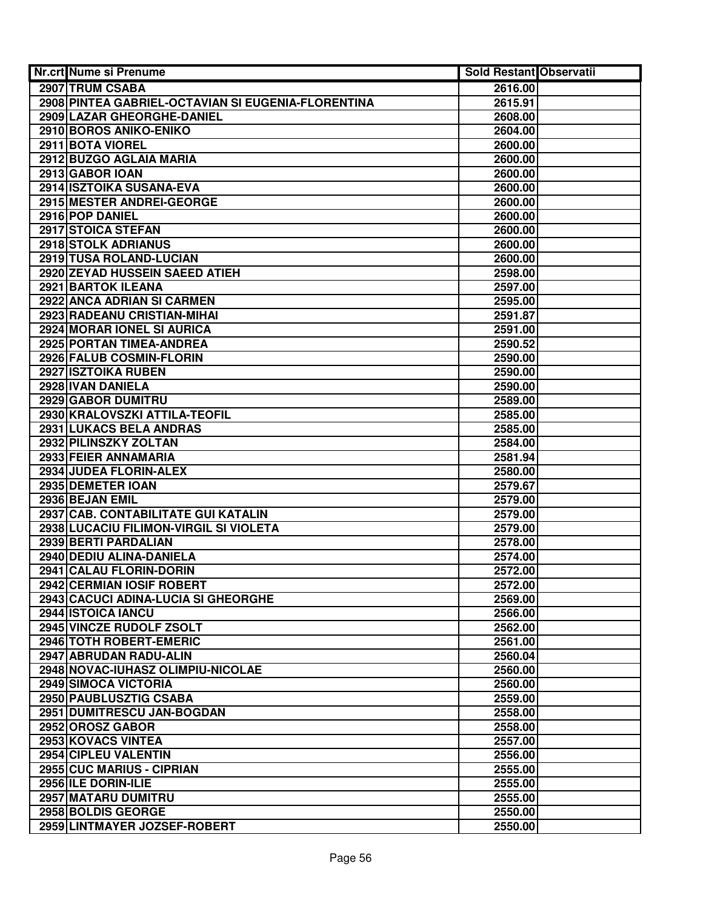| Nr.crt Nume si Prenume                             | <b>Sold Restant Observatii</b> |  |
|----------------------------------------------------|--------------------------------|--|
| 2907 TRUM CSABA                                    | 2616.00                        |  |
| 2908 PINTEA GABRIEL-OCTAVIAN SI EUGENIA-FLORENTINA | 2615.91                        |  |
| 2909 LAZAR GHEORGHE-DANIEL                         | 2608.00                        |  |
| 2910 BOROS ANIKO-ENIKO                             | 2604.00                        |  |
| 2911 BOTA VIOREL                                   | 2600.00                        |  |
| 2912 BUZGO AGLAIA MARIA                            | 2600.00                        |  |
| 2913 GABOR IOAN                                    | 2600.00                        |  |
| 2914 ISZTOIKA SUSANA-EVA                           | 2600.00                        |  |
| 2915 MESTER ANDREI-GEORGE                          | 2600.00                        |  |
| 2916 POP DANIEL                                    | 2600.00                        |  |
| 2917 STOICA STEFAN                                 | 2600.00                        |  |
| 2918 STOLK ADRIANUS                                | 2600.00                        |  |
| 2919 TUSA ROLAND-LUCIAN                            | 2600.00                        |  |
| 2920 ZEYAD HUSSEIN SAEED ATIEH                     | 2598.00                        |  |
| 2921 BARTOK ILEANA                                 | 2597.00                        |  |
| 2922 ANCA ADRIAN SI CARMEN                         | 2595.00                        |  |
| 2923 RADEANU CRISTIAN-MIHAI                        | 2591.87                        |  |
| 2924 MORAR IONEL SI AURICA                         | 2591.00                        |  |
| 2925 PORTAN TIMEA-ANDREA                           | 2590.52                        |  |
| 2926 FALUB COSMIN-FLORIN                           | 2590.00                        |  |
| 2927 ISZTOIKA RUBEN                                | 2590.00                        |  |
| 2928 IVAN DANIELA                                  | 2590.00                        |  |
| 2929 GABOR DUMITRU                                 | 2589.00                        |  |
| 2930 KRALOVSZKI ATTILA-TEOFIL                      | 2585.00                        |  |
| 2931 LUKACS BELA ANDRAS                            | 2585.00                        |  |
| 2932 PILINSZKY ZOLTAN                              | 2584.00                        |  |
| 2933 FEIER ANNAMARIA                               | 2581.94                        |  |
| 2934 JUDEA FLORIN-ALEX                             | 2580.00                        |  |
| 2935 DEMETER IOAN                                  | 2579.67                        |  |
| 2936 BEJAN EMIL                                    | 2579.00                        |  |
| 2937 CAB. CONTABILITATE GUI KATALIN                | 2579.00                        |  |
| 2938 LUCACIU FILIMON-VIRGIL SI VIOLETA             | 2579.00                        |  |
| 2939 BERTI PARDALIAN                               | 2578.00                        |  |
| 2940 DEDIU ALINA-DANIELA                           | 2574.00                        |  |
| 2941 CALAU FLORIN-DORIN                            | 2572.00                        |  |
| 2942 CERMIAN IOSIF ROBERT                          | 2572.00                        |  |
| 2943 CACUCI ADINA-LUCIA SI GHEORGHE                | 2569.00                        |  |
| 2944 ISTOICA IANCU                                 | 2566.00                        |  |
| 2945 VINCZE RUDOLF ZSOLT                           | 2562.00                        |  |
| 2946 TOTH ROBERT-EMERIC                            | 2561.00                        |  |
| 2947 ABRUDAN RADU-ALIN                             | 2560.04                        |  |
| 2948 NOVAC-IUHASZ OLIMPIU-NICOLAE                  | 2560.00                        |  |
| <b>2949 SIMOCA VICTORIA</b>                        | 2560.00                        |  |
| 2950 PAUBLUSZTIG CSABA                             | 2559.00                        |  |
| 2951 DUMITRESCU JAN-BOGDAN                         | 2558.00                        |  |
| 2952 OROSZ GABOR                                   | 2558.00                        |  |
| 2953 KOVACS VINTEA                                 | 2557.00                        |  |
| 2954 CIPLEU VALENTIN                               | 2556.00                        |  |
| 2955 CUC MARIUS - CIPRIAN                          | 2555.00                        |  |
| 2956 ILE DORIN-ILIE                                | 2555.00                        |  |
| 2957 MATARU DUMITRU                                | 2555.00                        |  |
| 2958 BOLDIS GEORGE                                 | 2550.00                        |  |
| 2959 LINTMAYER JOZSEF-ROBERT                       | 2550.00                        |  |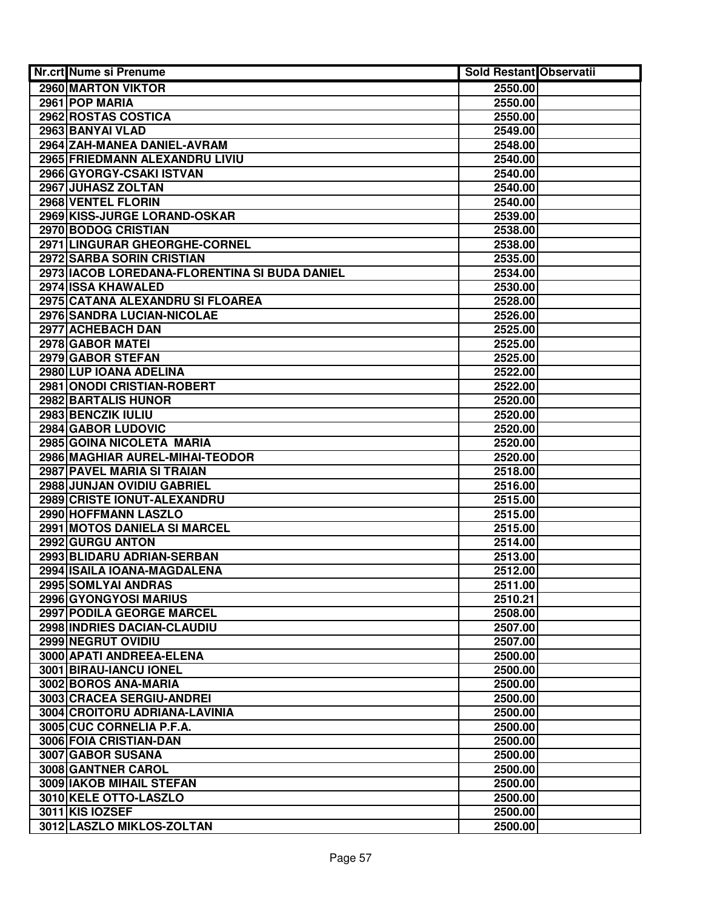| Nr.crt Nume si Prenume                        | Sold Restant Observatii |  |
|-----------------------------------------------|-------------------------|--|
| 2960 MARTON VIKTOR                            | 2550.00                 |  |
| 2961 POP MARIA                                | 2550.00                 |  |
| 2962 ROSTAS COSTICA                           | 2550.00                 |  |
| 2963 BANYAI VLAD                              | 2549.00                 |  |
| 2964 ZAH-MANEA DANIEL-AVRAM                   | 2548.00                 |  |
| 2965 FRIEDMANN ALEXANDRU LIVIU                | 2540.00                 |  |
| 2966 GYORGY-CSAKI ISTVAN                      | 2540.00                 |  |
| 2967 JUHASZ ZOLTAN                            | 2540.00                 |  |
| 2968 VENTEL FLORIN                            | 2540.00                 |  |
| 2969 KISS-JURGE LORAND-OSKAR                  | 2539.00                 |  |
| 2970 BODOG CRISTIAN                           | 2538.00                 |  |
| 2971 LINGURAR GHEORGHE-CORNEL                 | 2538.00                 |  |
| 2972 SARBA SORIN CRISTIAN                     | 2535.00                 |  |
| 2973 IACOB LOREDANA-FLORENTINA SI BUDA DANIEL | 2534.00                 |  |
| 2974 ISSA KHAWALED                            | 2530.00                 |  |
| 2975 CATANA ALEXANDRU SI FLOAREA              | 2528.00                 |  |
| 2976 SANDRA LUCIAN-NICOLAE                    | 2526.00                 |  |
| 2977 ACHEBACH DAN                             | 2525.00                 |  |
| 2978 GABOR MATEI                              | 2525.00                 |  |
| 2979 GABOR STEFAN                             | 2525.00                 |  |
| 2980 LUP IOANA ADELINA                        | 2522.00                 |  |
| 2981 ONODI CRISTIAN-ROBERT                    | 2522.00                 |  |
| 2982 BARTALIS HUNOR                           | 2520.00                 |  |
| 2983 BENCZIK IULIU                            | 2520.00                 |  |
| 2984 GABOR LUDOVIC                            | 2520.00                 |  |
| 2985 GOINA NICOLETA MARIA                     | 2520.00                 |  |
| 2986 MAGHIAR AUREL-MIHAI-TEODOR               | 2520.00                 |  |
| 2987 PAVEL MARIA SI TRAIAN                    | 2518.00                 |  |
| 2988 JUNJAN OVIDIU GABRIEL                    | 2516.00                 |  |
| 2989 CRISTE IONUT-ALEXANDRU                   | 2515.00                 |  |
| 2990 HOFFMANN LASZLO                          | 2515.00                 |  |
| 2991 MOTOS DANIELA SI MARCEL                  | 2515.00                 |  |
| 2992 GURGU ANTON                              | 2514.00                 |  |
| 2993 BLIDARU ADRIAN-SERBAN                    | 2513.00                 |  |
| 2994 ISAILA IOANA-MAGDALENA                   | 2512.00                 |  |
| 2995 SOMLYAI ANDRAS                           | 2511.00                 |  |
| 2996 GYONGYOSI MARIUS                         | 2510.21                 |  |
| 2997 PODILA GEORGE MARCEL                     | 2508.00                 |  |
| 2998 INDRIES DACIAN-CLAUDIU                   | 2507.00                 |  |
| 2999 NEGRUT OVIDIU                            | 2507.00                 |  |
| 3000 APATI ANDREEA-ELENA                      | 2500.00                 |  |
| 3001 BIRAU-IANCU IONEL                        | 2500.00                 |  |
| 3002 BOROS ANA-MARIA                          | 2500.00                 |  |
| 3003 CRACEA SERGIU-ANDREI                     | 2500.00                 |  |
| 3004 CROITORU ADRIANA-LAVINIA                 | 2500.00                 |  |
| 3005 CUC CORNELIA P.F.A.                      | 2500.00                 |  |
| 3006 FOIA CRISTIAN-DAN                        | 2500.00                 |  |
| 3007 GABOR SUSANA                             | 2500.00                 |  |
| 3008 GANTNER CAROL                            | 2500.00                 |  |
| 3009 IAKOB MIHAIL STEFAN                      | 2500.00                 |  |
| 3010 KELE OTTO-LASZLO                         | 2500.00                 |  |
| 3011 KIS IOZSEF                               | 2500.00                 |  |
| 3012 LASZLO MIKLOS-ZOLTAN                     | 2500.00                 |  |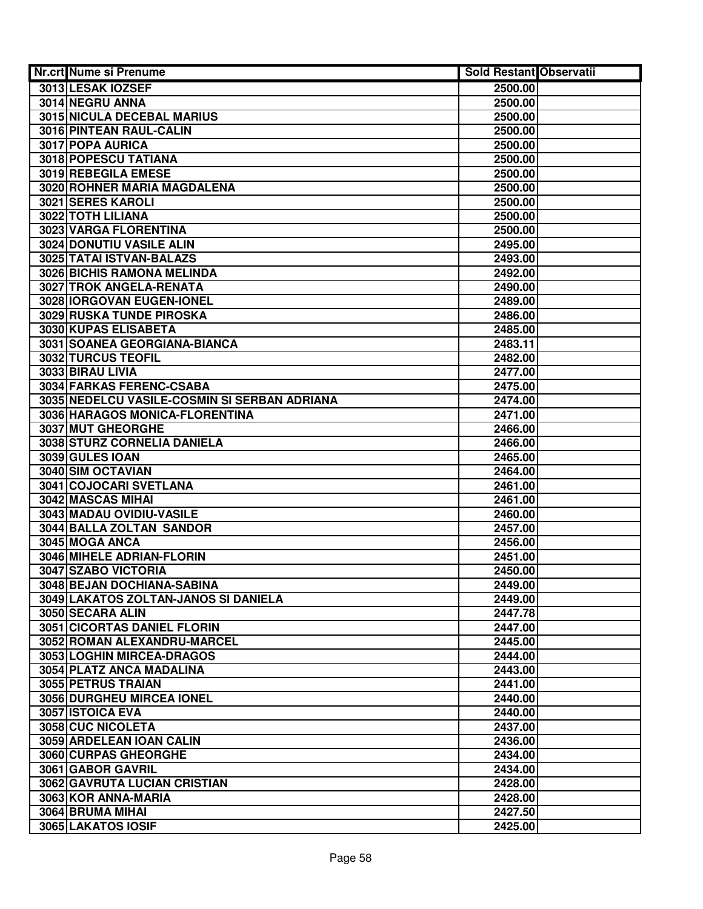| Nr.crt Nume si Prenume                           | Sold Restant Observatii |  |
|--------------------------------------------------|-------------------------|--|
| 3013 LESAK IOZSEF                                | 2500.00                 |  |
| 3014 NEGRU ANNA                                  | 2500.00                 |  |
| <b>3015 NICULA DECEBAL MARIUS</b>                | 2500.00                 |  |
| 3016 PINTEAN RAUL-CALIN                          | 2500.00                 |  |
| 3017 POPA AURICA                                 | 2500.00                 |  |
| 3018 POPESCU TATIANA                             | 2500.00                 |  |
| 3019 REBEGILA EMESE                              | 2500.00                 |  |
| 3020 ROHNER MARIA MAGDALENA                      | 2500.00                 |  |
| 3021 SERES KAROLI                                | 2500.00                 |  |
| 3022 TOTH LILIANA                                | 2500.00                 |  |
| 3023 VARGA FLORENTINA                            | 2500.00                 |  |
| 3024 DONUTIU VASILE ALIN                         | 2495.00                 |  |
| 3025 TATAI ISTVAN-BALAZS                         | 2493.00                 |  |
| 3026 BICHIS RAMONA MELINDA                       | 2492.00                 |  |
| 3027 TROK ANGELA-RENATA                          | 2490.00                 |  |
| 3028 IORGOVAN EUGEN-IONEL                        | 2489.00                 |  |
| 3029 RUSKA TUNDE PIROSKA                         | 2486.00                 |  |
| 3030 KUPAS ELISABETA                             | 2485.00                 |  |
| 3031 SOANEA GEORGIANA-BIANCA                     | 2483.11                 |  |
| 3032 TURCUS TEOFIL                               | 2482.00                 |  |
| 3033 BIRAU LIVIA                                 | 2477.00                 |  |
| 3034 FARKAS FERENC-CSABA                         | 2475.00                 |  |
| 3035 NEDELCU VASILE-COSMIN SI SERBAN ADRIANA     | 2474.00                 |  |
| 3036 HARAGOS MONICA-FLORENTINA                   | 2471.00                 |  |
| 3037 MUT GHEORGHE                                | 2466.00                 |  |
| 3038 STURZ CORNELIA DANIELA                      | 2466.00                 |  |
| 3039 GULES IOAN                                  | 2465.00                 |  |
| 3040 SIM OCTAVIAN                                | 2464.00                 |  |
| 3041 COJOCARI SVETLANA                           | 2461.00                 |  |
| 3042 MASCAS MIHAI                                | 2461.00                 |  |
| 3043 MADAU OVIDIU-VASILE                         | 2460.00                 |  |
| 3044 BALLA ZOLTAN SANDOR                         | 2457.00                 |  |
| 3045 MOGA ANCA                                   | 2456.00                 |  |
| 3046 MIHELE ADRIAN-FLORIN<br>3047 SZABO VICTORIA | 2451.00<br>2450.00      |  |
| 3048 BEJAN DOCHIANA-SABINA                       | 2449.00                 |  |
| 3049 LAKATOS ZOLTAN-JANOS SI DANIELA             | 2449.00                 |  |
| 3050 SECARA ALIN                                 | 2447.78                 |  |
| 3051 CICORTAS DANIEL FLORIN                      | 2447.00                 |  |
| 3052 ROMAN ALEXANDRU-MARCEL                      | 2445.00                 |  |
| 3053 LOGHIN MIRCEA-DRAGOS                        | 2444.00                 |  |
| 3054 PLATZ ANCA MADALINA                         | 2443.00                 |  |
| 3055 PETRUS TRAIAN                               | 2441.00                 |  |
| 3056 DURGHEU MIRCEA IONEL                        | 2440.00                 |  |
| 3057 ISTOICA EVA                                 | 2440.00                 |  |
| 3058 CUC NICOLETA                                | 2437.00                 |  |
| 3059 ARDELEAN IOAN CALIN                         | 2436.00                 |  |
| 3060 CURPAS GHEORGHE                             | 2434.00                 |  |
| 3061 GABOR GAVRIL                                | 2434.00                 |  |
| 3062 GAVRUTA LUCIAN CRISTIAN                     | 2428.00                 |  |
| 3063 KOR ANNA-MARIA                              | 2428.00                 |  |
| 3064 BRUMA MIHAI                                 | 2427.50                 |  |
| 3065 LAKATOS IOSIF                               | 2425.00                 |  |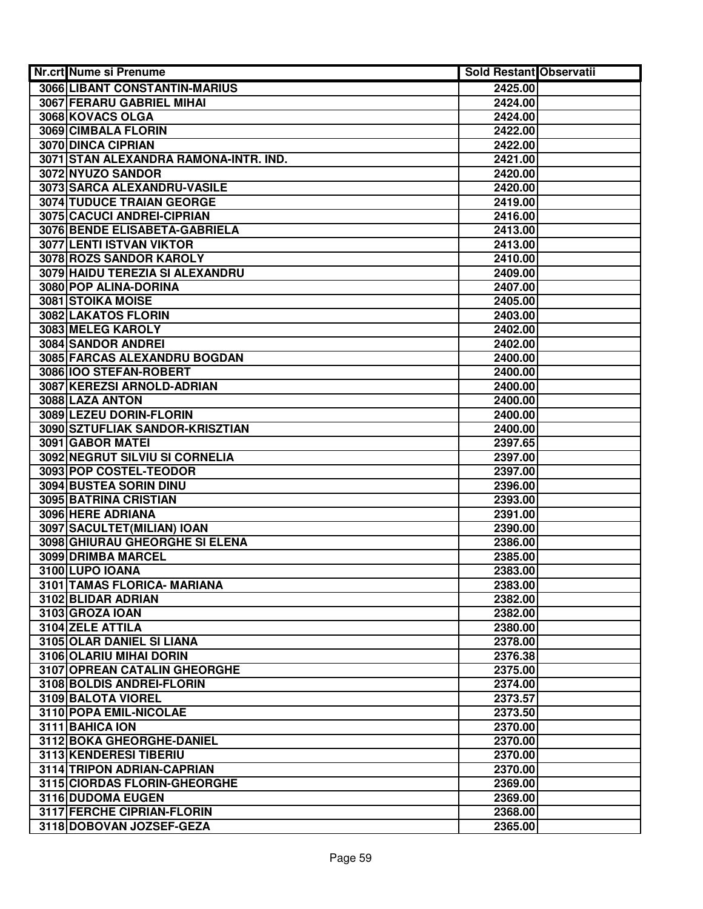| Nr.crt Nume si Prenume                | <b>Sold Restant Observatii</b> |  |
|---------------------------------------|--------------------------------|--|
| 3066 LIBANT CONSTANTIN-MARIUS         | 2425.00                        |  |
| 3067 FERARU GABRIEL MIHAI             | 2424.00                        |  |
| 3068 KOVACS OLGA                      | 2424.00                        |  |
| 3069 CIMBALA FLORIN                   | 2422.00                        |  |
| <b>3070 DINCA CIPRIAN</b>             | 2422.00                        |  |
| 3071 STAN ALEXANDRA RAMONA-INTR. IND. | 2421.00                        |  |
| 3072 NYUZO SANDOR                     | 2420.00                        |  |
| 3073 SARCA ALEXANDRU-VASILE           | 2420.00                        |  |
| <b>3074 TUDUCE TRAIAN GEORGE</b>      | 2419.00                        |  |
| 3075 CACUCI ANDREI-CIPRIAN            | 2416.00                        |  |
| 3076 BENDE ELISABETA-GABRIELA         | 2413.00                        |  |
| 3077 LENTI ISTVAN VIKTOR              | 2413.00                        |  |
| 3078 ROZS SANDOR KAROLY               | 2410.00                        |  |
| 3079 HAIDU TEREZIA SI ALEXANDRU       | 2409.00                        |  |
| 3080 POP ALINA-DORINA                 | 2407.00                        |  |
| <b>3081 STOIKA MOISE</b>              | 2405.00                        |  |
| 3082 LAKATOS FLORIN                   | 2403.00                        |  |
| 3083 MELEG KAROLY                     | 2402.00                        |  |
| 3084 SANDOR ANDREI                    | 2402.00                        |  |
| 3085 FARCAS ALEXANDRU BOGDAN          | 2400.00                        |  |
| 3086 100 STEFAN-ROBERT                | 2400.00                        |  |
| 3087 KEREZSI ARNOLD-ADRIAN            | 2400.00                        |  |
| 3088 LAZA ANTON                       | 2400.00                        |  |
| 3089 LEZEU DORIN-FLORIN               | 2400.00                        |  |
| 3090 SZTUFLIAK SANDOR-KRISZTIAN       | 2400.00                        |  |
| 3091 GABOR MATEI                      | 2397.65                        |  |
| 3092 NEGRUT SILVIU SI CORNELIA        | 2397.00                        |  |
| 3093 POP COSTEL-TEODOR                | 2397.00                        |  |
| 3094 BUSTEA SORIN DINU                | 2396.00                        |  |
| 3095 BATRINA CRISTIAN                 | 2393.00                        |  |
| 3096 HERE ADRIANA                     | 2391.00                        |  |
| 3097 SACULTET (MILIAN) IOAN           | 2390.00                        |  |
| 3098 GHIURAU GHEORGHE SI ELENA        | 2386.00                        |  |
| 3099 DRIMBA MARCEL                    | 2385.00                        |  |
| 3100 LUPO IOANA                       | 2383.00                        |  |
| 3101 TAMAS FLORICA- MARIANA           | 2383.00                        |  |
| 3102 BLIDAR ADRIAN                    | 2382.00                        |  |
| 3103 GROZA IOAN                       | 2382.00                        |  |
| 3104 ZELE ATTILA                      | 2380.00                        |  |
| 3105 OLAR DANIEL SI LIANA             | 2378.00                        |  |
| 3106 OLARIU MIHAI DORIN               | 2376.38                        |  |
| <b>3107 OPREAN CATALIN GHEORGHE</b>   | 2375.00                        |  |
| 3108 BOLDIS ANDREI-FLORIN             | 2374.00                        |  |
| 3109 BALOTA VIOREL                    | 2373.57                        |  |
| 3110 POPA EMIL-NICOLAE                | 2373.50                        |  |
| 3111 BAHICA ION                       | 2370.00                        |  |
| 3112 BOKA GHEORGHE-DANIEL             | 2370.00                        |  |
| 3113 KENDERESI TIBERIU                | 2370.00                        |  |
| 3114 TRIPON ADRIAN-CAPRIAN            | 2370.00                        |  |
| 3115 CIORDAS FLORIN-GHEORGHE          | 2369.00                        |  |
| 3116 DUDOMA EUGEN                     | 2369.00                        |  |
| 3117 FERCHE CIPRIAN-FLORIN            | 2368.00                        |  |
| 3118 DOBOVAN JOZSEF-GEZA              | 2365.00                        |  |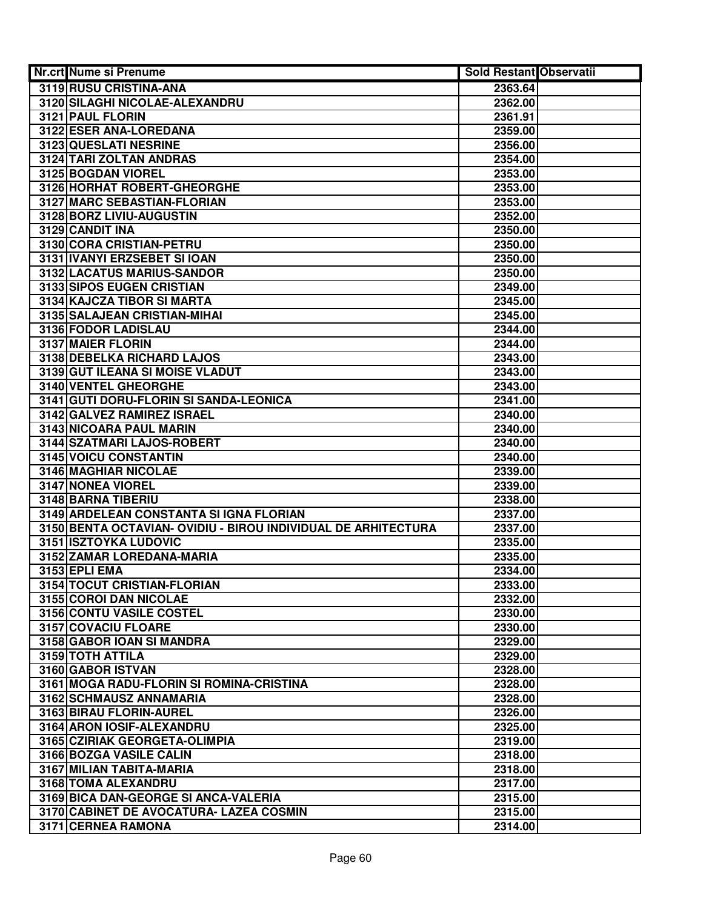| 3119 RUSU CRISTINA-ANA<br>2363.64<br>3120 SILAGHI NICOLAE-ALEXANDRU<br>2362.00<br>3121 PAUL FLORIN<br>2361.91<br>3122 ESER ANA-LOREDANA<br>2359.00<br>3123 QUESLATI NESRINE<br>2356.00<br>3124 TARI ZOLTAN ANDRAS<br>2354.00 |  |
|------------------------------------------------------------------------------------------------------------------------------------------------------------------------------------------------------------------------------|--|
|                                                                                                                                                                                                                              |  |
|                                                                                                                                                                                                                              |  |
|                                                                                                                                                                                                                              |  |
|                                                                                                                                                                                                                              |  |
|                                                                                                                                                                                                                              |  |
|                                                                                                                                                                                                                              |  |
| 3125 BOGDAN VIOREL<br>2353.00                                                                                                                                                                                                |  |
| 3126 HORHAT ROBERT-GHEORGHE<br>2353.00                                                                                                                                                                                       |  |
| 3127 MARC SEBASTIAN-FLORIAN<br>2353.00                                                                                                                                                                                       |  |
| 3128 BORZ LIVIU-AUGUSTIN<br>2352.00                                                                                                                                                                                          |  |
| 3129 CANDIT INA<br>2350.00                                                                                                                                                                                                   |  |
| 3130 CORA CRISTIAN-PETRU<br>2350.00                                                                                                                                                                                          |  |
| 3131 IVANYI ERZSEBET SI IOAN<br>2350.00                                                                                                                                                                                      |  |
| 3132 LACATUS MARIUS-SANDOR<br>2350.00                                                                                                                                                                                        |  |
| 3133 SIPOS EUGEN CRISTIAN<br>2349.00                                                                                                                                                                                         |  |
| 3134 KAJCZA TIBOR SI MARTA<br>2345.00                                                                                                                                                                                        |  |
| 3135 SALAJEAN CRISTIAN-MIHAI<br>2345.00                                                                                                                                                                                      |  |
| 3136 FODOR LADISLAU<br>2344.00                                                                                                                                                                                               |  |
| 3137 MAIER FLORIN<br>2344.00                                                                                                                                                                                                 |  |
| 3138 DEBELKA RICHARD LAJOS<br>2343.00                                                                                                                                                                                        |  |
| 3139 GUT ILEANA SI MOISE VLADUT<br>2343.00                                                                                                                                                                                   |  |
| <b>3140 VENTEL GHEORGHE</b><br>2343.00                                                                                                                                                                                       |  |
| 3141 GUTI DORU-FLORIN SI SANDA-LEONICA<br>2341.00                                                                                                                                                                            |  |
| 3142 GALVEZ RAMIREZ ISRAEL<br>2340.00                                                                                                                                                                                        |  |
| 3143 NICOARA PAUL MARIN<br>2340.00                                                                                                                                                                                           |  |
| 3144 SZATMARI LAJOS-ROBERT<br>2340.00                                                                                                                                                                                        |  |
| 3145 VOICU CONSTANTIN<br>2340.00                                                                                                                                                                                             |  |
| 3146 MAGHIAR NICOLAE<br>2339.00                                                                                                                                                                                              |  |
| 3147 NONEA VIOREL<br>2339.00                                                                                                                                                                                                 |  |
| 3148 BARNA TIBERIU<br>2338.00                                                                                                                                                                                                |  |
| 3149 ARDELEAN CONSTANTA SI IGNA FLORIAN<br>2337.00                                                                                                                                                                           |  |
| 3150 BENTA OCTAVIAN- OVIDIU - BIROU INDIVIDUAL DE ARHITECTURA<br>2337.00                                                                                                                                                     |  |
| <b>3151 ISZTOYKA LUDOVIC</b><br>2335.00                                                                                                                                                                                      |  |
| 3152 ZAMAR LOREDANA-MARIA<br>2335.00                                                                                                                                                                                         |  |
| 3153 EPLI EMA<br>2334.00                                                                                                                                                                                                     |  |
| 3154 TOCUT CRISTIAN-FLORIAN<br>2333.00                                                                                                                                                                                       |  |
| 3155 COROI DAN NICOLAE<br>2332.00                                                                                                                                                                                            |  |
| 3156 CONTU VASILE COSTEL<br>2330.00                                                                                                                                                                                          |  |
| 3157 COVACIU FLOARE<br>2330.00<br>3158 GABOR IOAN SI MANDRA<br>2329.00                                                                                                                                                       |  |
|                                                                                                                                                                                                                              |  |
| 3159 TOTH ATTILA<br>2329.00<br>3160 GABOR ISTVAN<br>2328.00                                                                                                                                                                  |  |
| 3161 MOGA RADU-FLORIN SI ROMINA-CRISTINA<br>2328.00                                                                                                                                                                          |  |
| 3162 SCHMAUSZ ANNAMARIA<br>2328.00                                                                                                                                                                                           |  |
| 3163 BIRAU FLORIN-AUREL<br>2326.00                                                                                                                                                                                           |  |
| 3164 ARON IOSIF-ALEXANDRU<br>2325.00                                                                                                                                                                                         |  |
| 3165 CZIRIAK GEORGETA-OLIMPIA<br>2319.00                                                                                                                                                                                     |  |
| 3166 BOZGA VASILE CALIN<br>2318.00                                                                                                                                                                                           |  |
| 3167 MILIAN TABITA-MARIA<br>2318.00                                                                                                                                                                                          |  |
| 3168 TOMA ALEXANDRU<br>2317.00                                                                                                                                                                                               |  |
| 3169 BICA DAN-GEORGE SI ANCA-VALERIA<br>2315.00                                                                                                                                                                              |  |
| 3170 CABINET DE AVOCATURA- LAZEA COSMIN<br>2315.00                                                                                                                                                                           |  |
| 3171 CERNEA RAMONA<br>2314.00                                                                                                                                                                                                |  |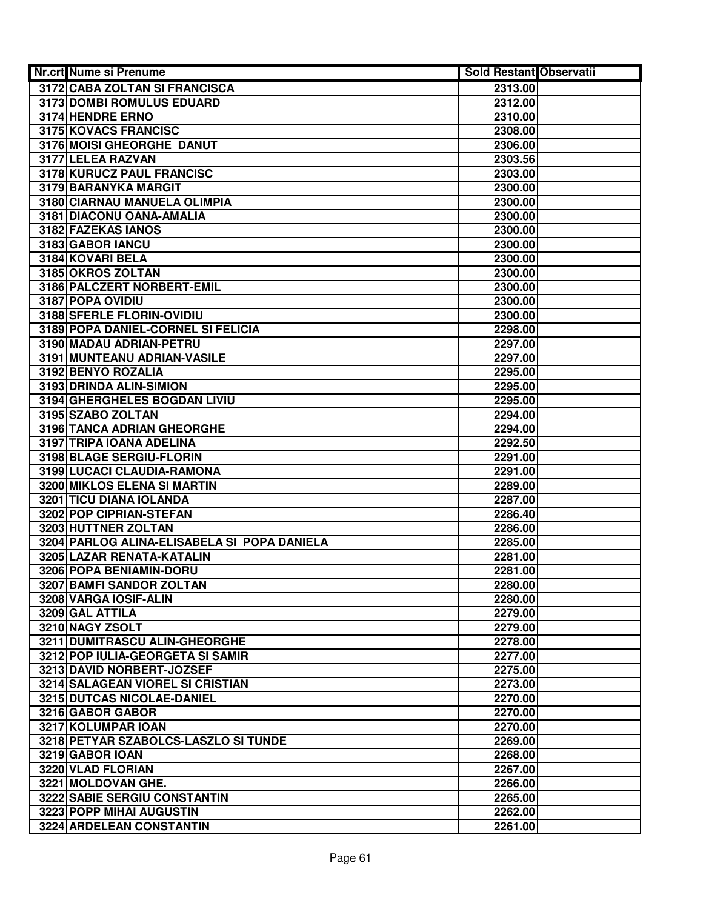| Nr.crt Nume si Prenume                           | Sold Restant Observatii |  |
|--------------------------------------------------|-------------------------|--|
| 3172 CABA ZOLTAN SI FRANCISCA                    | 2313.00                 |  |
| 3173 DOMBI ROMULUS EDUARD                        | 2312.00                 |  |
| 3174 HENDRE ERNO                                 | 2310.00                 |  |
| 3175 KOVACS FRANCISC                             | 2308.00                 |  |
| 3176 MOISI GHEORGHE DANUT                        | 2306.00                 |  |
| 3177 LELEA RAZVAN                                | 2303.56                 |  |
| 3178 KURUCZ PAUL FRANCISC                        | 2303.00                 |  |
| 3179 BARANYKA MARGIT                             | 2300.00                 |  |
| 3180 CIARNAU MANUELA OLIMPIA                     | 2300.00                 |  |
| 3181 DIACONU OANA-AMALIA                         | 2300.00                 |  |
| 3182 FAZEKAS IANOS                               | 2300.00                 |  |
| 3183 GABOR IANCU                                 | 2300.00                 |  |
| 3184 KOVARI BELA                                 | 2300.00                 |  |
| 3185 OKROS ZOLTAN                                | 2300.00                 |  |
| 3186 PALCZERT NORBERT-EMIL                       | 2300.00                 |  |
| 3187 POPA OVIDIU                                 | 2300.00                 |  |
| 3188 SFERLE FLORIN-OVIDIU                        | 2300.00                 |  |
| 3189 POPA DANIEL-CORNEL SI FELICIA               | 2298.00                 |  |
| 3190 MADAU ADRIAN-PETRU                          | 2297.00                 |  |
| 3191 MUNTEANU ADRIAN-VASILE                      | 2297.00                 |  |
| 3192 BENYO ROZALIA                               | 2295.00                 |  |
| 3193 DRINDA ALIN-SIMION                          | 2295.00                 |  |
| 3194 GHERGHELES BOGDAN LIVIU                     | 2295.00                 |  |
| 3195 SZABO ZOLTAN                                | 2294.00                 |  |
| 3196 TANCA ADRIAN GHEORGHE                       | 2294.00                 |  |
| 3197 TRIPA IOANA ADELINA                         | 2292.50                 |  |
| 3198 BLAGE SERGIU-FLORIN                         | 2291.00                 |  |
| 3199 LUCACI CLAUDIA-RAMONA                       | 2291.00                 |  |
| 3200 MIKLOS ELENA SI MARTIN                      | 2289.00                 |  |
| 3201 TICU DIANA IOLANDA                          | 2287.00                 |  |
| 3202 POP CIPRIAN-STEFAN                          | 2286.40                 |  |
| 3203 HUTTNER ZOLTAN                              | 2286.00                 |  |
| 3204 PARLOG ALINA-ELISABELA SI POPA DANIELA      | 2285.00                 |  |
| 3205 LAZAR RENATA-KATALIN                        | 2281.00                 |  |
| 3206 POPA BENIAMIN-DORU                          | 2281.00                 |  |
| 3207 BAMFI SANDOR ZOLTAN                         | 2280.00                 |  |
| 3208 VARGA IOSIF-ALIN                            | 2280.00                 |  |
| 3209 GAL ATTILA                                  | 2279.00                 |  |
| 3210 NAGY ZSOLT<br>3211 DUMITRASCU ALIN-GHEORGHE | 2279.00<br>2278.00      |  |
| 3212 POP IULIA-GEORGETA SI SAMIR                 | 2277.00                 |  |
| 3213 DAVID NORBERT-JOZSEF                        | 2275.00                 |  |
| <b>3214 SALAGEAN VIOREL SI CRISTIAN</b>          | 2273.00                 |  |
| 3215 DUTCAS NICOLAE-DANIEL                       | 2270.00                 |  |
| 3216 GABOR GABOR                                 | 2270.00                 |  |
| 3217 KOLUMPAR IOAN                               | 2270.00                 |  |
| 3218 PETYAR SZABOLCS-LASZLO SI TUNDE             | 2269.00                 |  |
| 3219 GABOR IOAN                                  | 2268.00                 |  |
| 3220 VLAD FLORIAN                                | 2267.00                 |  |
| 3221 MOLDOVAN GHE.                               | 2266.00                 |  |
| 3222 SABIE SERGIU CONSTANTIN                     | 2265.00                 |  |
| 3223 POPP MIHAI AUGUSTIN                         | 2262.00                 |  |
| 3224 ARDELEAN CONSTANTIN                         | 2261.00                 |  |
|                                                  |                         |  |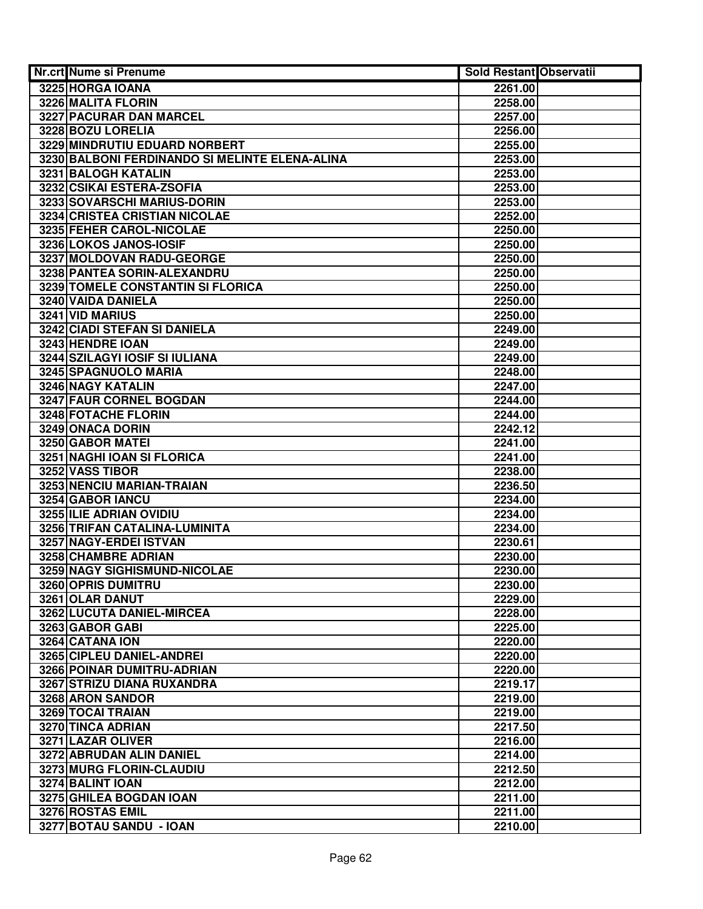| Nr.crt Nume si Prenume                               | <b>Sold Restant Observatii</b> |  |
|------------------------------------------------------|--------------------------------|--|
| 3225 HORGA IOANA                                     | 2261.00                        |  |
| 3226 MALITA FLORIN                                   | 2258.00                        |  |
| <b>3227 PACURAR DAN MARCEL</b>                       | 2257.00                        |  |
| 3228 BOZU LORELIA                                    | 2256.00                        |  |
| 3229 MINDRUTIU EDUARD NORBERT                        | 2255.00                        |  |
| 3230 BALBONI FERDINANDO SI MELINTE ELENA-ALINA       | 2253.00                        |  |
| 3231 BALOGH KATALIN                                  | 2253.00                        |  |
| 3232 CSIKAI ESTERA-ZSOFIA                            | 2253.00                        |  |
| 3233 SOVARSCHI MARIUS-DORIN                          | 2253.00                        |  |
| 3234 CRISTEA CRISTIAN NICOLAE                        | 2252.00                        |  |
| 3235 FEHER CAROL-NICOLAE                             | 2250.00                        |  |
| 3236 LOKOS JANOS-IOSIF                               | 2250.00                        |  |
| 3237 MOLDOVAN RADU-GEORGE                            | 2250.00                        |  |
| 3238 PANTEA SORIN-ALEXANDRU                          | 2250.00                        |  |
| 3239 TOMELE CONSTANTIN SI FLORICA                    | 2250.00                        |  |
| 3240 VAIDA DANIELA                                   | 2250.00                        |  |
| 3241 VID MARIUS                                      | 2250.00                        |  |
| <b>3242 CIADI STEFAN SI DANIELA</b>                  | 2249.00                        |  |
| 3243 HENDRE IOAN                                     | 2249.00                        |  |
| <b>3244 SZILAGYI IOSIF SI IULIANA</b>                | 2249.00                        |  |
| 3245 SPAGNUOLO MARIA                                 | 2248.00                        |  |
| 3246 NAGY KATALIN                                    | 2247.00                        |  |
| 3247 FAUR CORNEL BOGDAN                              | 2244.00                        |  |
| 3248 FOTACHE FLORIN                                  | 2244.00                        |  |
| 3249 ONACA DORIN                                     | 2242.12                        |  |
| 3250 GABOR MATEI                                     | 2241.00                        |  |
| 3251 NAGHI IOAN SI FLORICA                           | 2241.00                        |  |
| 3252 VASS TIBOR                                      | 2238.00                        |  |
| 3253 NENCIU MARIAN-TRAIAN                            | 2236.50                        |  |
| 3254 GABOR IANCU                                     | 2234.00                        |  |
| 3255 ILIE ADRIAN OVIDIU                              | 2234.00                        |  |
| 3256 TRIFAN CATALINA-LUMINITA                        | 2234.00                        |  |
| 3257 NAGY-ERDEI ISTVAN                               | 2230.61                        |  |
| 3258 CHAMBRE ADRIAN                                  | 2230.00                        |  |
| 3259 NAGY SIGHISMUND-NICOLAE                         | 2230.00                        |  |
| 3260 OPRIS DUMITRU                                   | 2230.00                        |  |
| 3261 OLAR DANUT                                      | 2229.00                        |  |
| 3262 LUCUTA DANIEL-MIRCEA                            | 2228.00                        |  |
| 3263 GABOR GABI                                      | 2225.00                        |  |
| 3264 CATANA ION                                      | 2220.00                        |  |
| 3265 CIPLEU DANIEL-ANDREI                            | 2220.00                        |  |
| 3266 POINAR DUMITRU-ADRIAN                           | 2220.00                        |  |
| <b>3267 STRIZU DIANA RUXANDRA</b>                    | 2219.17                        |  |
| 3268 ARON SANDOR                                     | 2219.00                        |  |
| 3269 TOCAI TRAIAN                                    | 2219.00                        |  |
| 3270 TINCA ADRIAN                                    | 2217.50                        |  |
| 3271 LAZAR OLIVER                                    | 2216.00                        |  |
| 3272 ABRUDAN ALIN DANIEL<br>3273 MURG FLORIN-CLAUDIU | 2214.00<br>2212.50             |  |
| 3274 BALINT IOAN                                     | 2212.00                        |  |
| 3275 GHILEA BOGDAN IOAN                              | 2211.00                        |  |
| 3276 ROSTAS EMIL                                     | 2211.00                        |  |
| 3277 BOTAU SANDU - IOAN                              | 2210.00                        |  |
|                                                      |                                |  |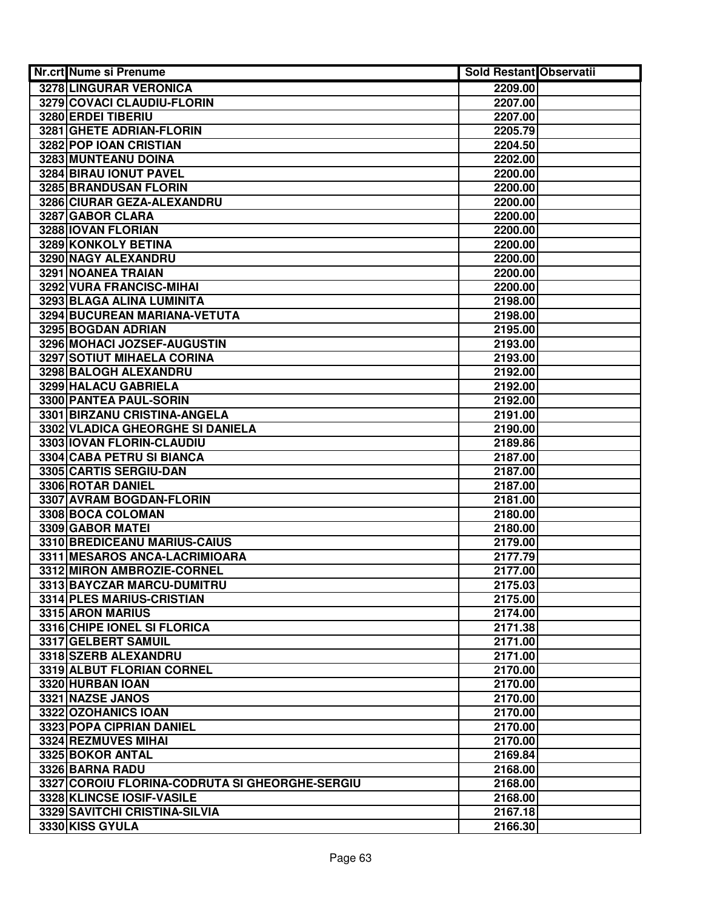| Nr.crt Nume si Prenume                             | <b>Sold Restant Observatii</b> |  |
|----------------------------------------------------|--------------------------------|--|
| <b>3278 LINGURAR VERONICA</b>                      | 2209.00                        |  |
| 3279 COVACI CLAUDIU-FLORIN                         | 2207.00                        |  |
| 3280 ERDEI TIBERIU                                 | 2207.00                        |  |
| 3281 GHETE ADRIAN-FLORIN                           | 2205.79                        |  |
| 3282 POP IOAN CRISTIAN                             | 2204.50                        |  |
| 3283 MUNTEANU DOINA                                | 2202.00                        |  |
| 3284 BIRAU IONUT PAVEL                             | 2200.00                        |  |
| 3285 BRANDUSAN FLORIN                              | 2200.00                        |  |
| 3286 CIURAR GEZA-ALEXANDRU                         | 2200.00                        |  |
| 3287 GABOR CLARA                                   | 2200.00                        |  |
| 3288 IOVAN FLORIAN                                 | 2200.00                        |  |
| 3289 KONKOLY BETINA                                | 2200.00                        |  |
| 3290 NAGY ALEXANDRU                                | 2200.00                        |  |
| 3291 NOANEA TRAIAN                                 | 2200.00                        |  |
| 3292 VURA FRANCISC-MIHAI                           | 2200.00                        |  |
| 3293 BLAGA ALINA LUMINITA                          | 2198.00                        |  |
| 3294 BUCUREAN MARIANA-VETUTA                       | 2198.00                        |  |
| 3295 BOGDAN ADRIAN                                 | 2195.00                        |  |
| 3296 MOHACI JOZSEF-AUGUSTIN                        | 2193.00                        |  |
| <b>3297 SOTIUT MIHAELA CORINA</b>                  | 2193.00                        |  |
| 3298 BALOGH ALEXANDRU                              | 2192.00                        |  |
| 3299 HALACU GABRIELA                               | 2192.00                        |  |
| 3300 PANTEA PAUL-SORIN                             | 2192.00                        |  |
| 3301 BIRZANU CRISTINA-ANGELA                       | 2191.00                        |  |
| 3302 VLADICA GHEORGHE SI DANIELA                   | 2190.00                        |  |
| 3303 IOVAN FLORIN-CLAUDIU                          | 2189.86                        |  |
| 3304 CABA PETRU SI BIANCA                          | 2187.00                        |  |
| 3305 CARTIS SERGIU-DAN                             | 2187.00                        |  |
| 3306 ROTAR DANIEL                                  | 2187.00                        |  |
| 3307 AVRAM BOGDAN-FLORIN                           | 2181.00                        |  |
| 3308 BOCA COLOMAN                                  | 2180.00                        |  |
| 3309 GABOR MATEI                                   | 2180.00                        |  |
| 3310 BREDICEANU MARIUS-CAIUS                       | 2179.00                        |  |
| 3311 MESAROS ANCA-LACRIMIOARA                      | 2177.79                        |  |
| 3312 MIRON AMBROZIE-CORNEL                         | 2177.00                        |  |
| 3313 BAYCZAR MARCU-DUMITRU                         | 2175.03                        |  |
| 3314 PLES MARIUS-CRISTIAN<br>3315 ARON MARIUS      | 2175.00<br>2174.00             |  |
|                                                    |                                |  |
| 3316 CHIPE IONEL SI FLORICA<br>3317 GELBERT SAMUIL | 2171.38<br>2171.00             |  |
| 3318 SZERB ALEXANDRU                               | 2171.00                        |  |
| 3319 ALBUT FLORIAN CORNEL                          | 2170.00                        |  |
| 3320 HURBAN IOAN                                   | 2170.00                        |  |
| 3321 NAZSE JANOS                                   | 2170.00                        |  |
| 3322 OZOHANICS IOAN                                | 2170.00                        |  |
| 3323 POPA CIPRIAN DANIEL                           | 2170.00                        |  |
| 3324 REZMUVES MIHAI                                | 2170.00                        |  |
| 3325 BOKOR ANTAL                                   | 2169.84                        |  |
| 3326 BARNA RADU                                    | 2168.00                        |  |
| 3327 COROIU FLORINA-CODRUTA SI GHEORGHE-SERGIU     | 2168.00                        |  |
| 3328 KLINCSE IOSIF-VASILE                          | 2168.00                        |  |
| 3329 SAVITCHI CRISTINA-SILVIA                      | 2167.18                        |  |
| 3330 KISS GYULA                                    | 2166.30                        |  |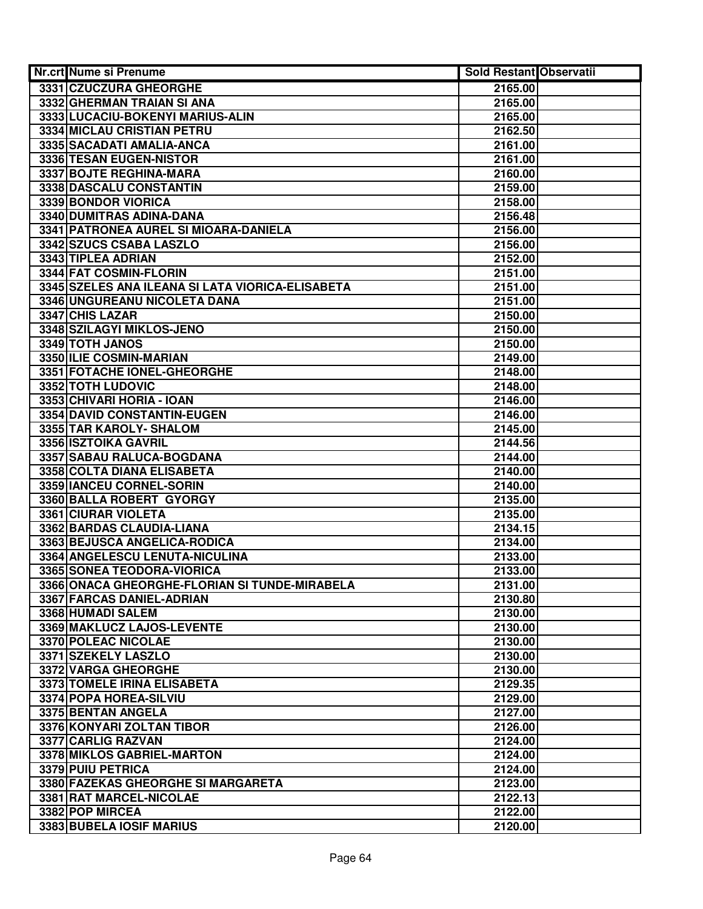| Nr.crt Nume si Prenume                           | <b>Sold Restant Observatii</b> |  |
|--------------------------------------------------|--------------------------------|--|
| 3331 CZUCZURA GHEORGHE                           | 2165.00                        |  |
| 3332 GHERMAN TRAIAN SI ANA                       | 2165.00                        |  |
| 3333 LUCACIU-BOKENYI MARIUS-ALIN                 | 2165.00                        |  |
| 3334 MICLAU CRISTIAN PETRU                       | 2162.50                        |  |
| 3335 SACADATI AMALIA-ANCA                        | 2161.00                        |  |
| 3336 TESAN EUGEN-NISTOR                          | 2161.00                        |  |
| 3337 BOJTE REGHINA-MARA                          | 2160.00                        |  |
| 3338 DASCALU CONSTANTIN                          | 2159.00                        |  |
| 3339 BONDOR VIORICA                              | 2158.00                        |  |
| 3340 DUMITRAS ADINA-DANA                         | 2156.48                        |  |
| 3341 PATRONEA AUREL SI MIOARA-DANIELA            | 2156.00                        |  |
| 3342 SZUCS CSABA LASZLO                          | 2156.00                        |  |
| 3343 TIPLEA ADRIAN                               | 2152.00                        |  |
| 3344 FAT COSMIN-FLORIN                           | 2151.00                        |  |
| 3345 SZELES ANA ILEANA SI LATA VIORICA-ELISABETA | 2151.00                        |  |
| 3346 UNGUREANU NICOLETA DANA                     | 2151.00                        |  |
| 3347 CHIS LAZAR                                  | 2150.00                        |  |
| 3348 SZILAGYI MIKLOS-JENO                        | 2150.00                        |  |
| 3349 TOTH JANOS                                  | 2150.00                        |  |
| 3350 ILIE COSMIN-MARIAN                          | 2149.00                        |  |
| 3351 FOTACHE IONEL-GHEORGHE                      | 2148.00                        |  |
| 3352 TOTH LUDOVIC                                | 2148.00                        |  |
| 3353 CHIVARI HORIA - IOAN                        | 2146.00                        |  |
| 3354 DAVID CONSTANTIN-EUGEN                      | 2146.00                        |  |
| 3355 TAR KAROLY- SHALOM                          | 2145.00                        |  |
| 3356 ISZTOIKA GAVRIL                             | 2144.56                        |  |
| 3357 SABAU RALUCA-BOGDANA                        | 2144.00                        |  |
| 3358 COLTA DIANA ELISABETA                       | 2140.00                        |  |
| 3359 IANCEU CORNEL-SORIN                         | 2140.00                        |  |
| 3360 BALLA ROBERT GYORGY                         | 2135.00                        |  |
| 3361 CIURAR VIOLETA                              | 2135.00                        |  |
| 3362 BARDAS CLAUDIA-LIANA                        | 2134.15                        |  |
| 3363 BEJUSCA ANGELICA-RODICA                     | 2134.00                        |  |
| 3364 ANGELESCU LENUTA-NICULINA                   | 2133.00                        |  |
| 3365 SONEA TEODORA-VIORICA                       | 2133.00                        |  |
| 3366 ONACA GHEORGHE-FLORIAN SI TUNDE-MIRABELA    | 2131.00                        |  |
| 3367 FARCAS DANIEL-ADRIAN                        | 2130.80                        |  |
| 3368 HUMADI SALEM                                | 2130.00                        |  |
| 3369 MAKLUCZ LAJOS-LEVENTE                       | 2130.00                        |  |
| 3370 POLEAC NICOLAE                              | 2130.00                        |  |
| 3371 SZEKELY LASZLO                              | 2130.00                        |  |
| 3372 VARGA GHEORGHE                              | 2130.00                        |  |
| 3373 TOMELE IRINA ELISABETA                      | 2129.35                        |  |
| 3374 POPA HOREA-SILVIU                           | 2129.00                        |  |
| 3375 BENTAN ANGELA                               | 2127.00                        |  |
| 3376 KONYARI ZOLTAN TIBOR                        | 2126.00                        |  |
| 3377 CARLIG RAZVAN                               | 2124.00                        |  |
| 3378 MIKLOS GABRIEL-MARTON                       | 2124.00                        |  |
| 3379 PUIU PETRICA                                | 2124.00                        |  |
| 3380 FAZEKAS GHEORGHE SI MARGARETA               | 2123.00                        |  |
| 3381 RAT MARCEL-NICOLAE                          | 2122.13                        |  |
| 3382 POP MIRCEA                                  | 2122.00                        |  |
| 3383 BUBELA IOSIF MARIUS                         | 2120.00                        |  |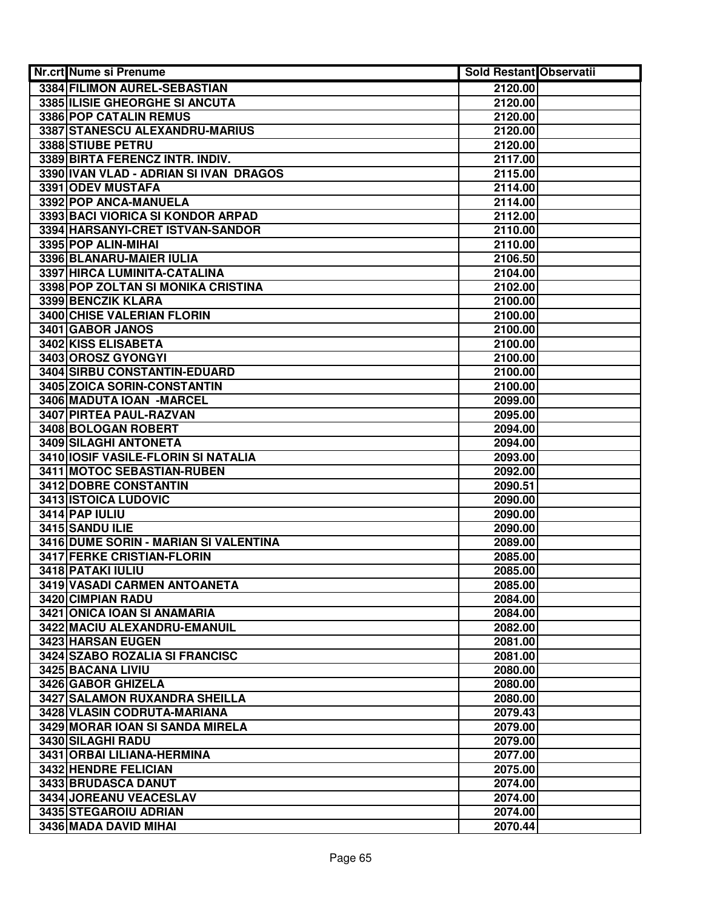| Nr.crt Nume si Prenume                            | <b>Sold Restant Observatii</b> |  |
|---------------------------------------------------|--------------------------------|--|
| 3384 FILIMON AUREL-SEBASTIAN                      | 2120.00                        |  |
| 3385 ILISIE GHEORGHE SI ANCUTA                    | 2120.00                        |  |
| 3386 POP CATALIN REMUS                            | 2120.00                        |  |
| 3387 STANESCU ALEXANDRU-MARIUS                    | 2120.00                        |  |
| 3388 STIUBE PETRU                                 | 2120.00                        |  |
| 3389 BIRTA FERENCZ INTR. INDIV.                   | 2117.00                        |  |
| 3390 IVAN VLAD - ADRIAN SI IVAN DRAGOS            | 2115.00                        |  |
| 3391 ODEV MUSTAFA                                 | 2114.00                        |  |
| 3392 POP ANCA-MANUELA                             | 2114.00                        |  |
| 3393 BACI VIORICA SI KONDOR ARPAD                 | 2112.00                        |  |
| 3394 HARSANYI-CRET ISTVAN-SANDOR                  | 2110.00                        |  |
| 3395 POP ALIN-MIHAI                               | 2110.00                        |  |
| 3396 BLANARU-MAIER IULIA                          | 2106.50                        |  |
| 3397 HIRCA LUMINITA-CATALINA                      | 2104.00                        |  |
| 3398 POP ZOLTAN SI MONIKA CRISTINA                | 2102.00                        |  |
| 3399 BENCZIK KLARA                                | 2100.00                        |  |
| <b>3400 CHISE VALERIAN FLORIN</b>                 | 2100.00                        |  |
| 3401 GABOR JANOS                                  | 2100.00                        |  |
| 3402 KISS ELISABETA                               | 2100.00                        |  |
| 3403 OROSZ GYONGYI                                | 2100.00                        |  |
| 3404 SIRBU CONSTANTIN-EDUARD                      | 2100.00                        |  |
| 3405 ZOICA SORIN-CONSTANTIN                       | 2100.00                        |  |
| 3406 MADUTA IOAN - MARCEL                         | 2099.00                        |  |
| 3407 PIRTEA PAUL-RAZVAN                           | 2095.00                        |  |
| 3408 BOLOGAN ROBERT                               | 2094.00                        |  |
| 3409 SILAGHI ANTONETA                             | 2094.00                        |  |
| 3410 IOSIF VASILE-FLORIN SI NATALIA               | 2093.00                        |  |
| 3411 MOTOC SEBASTIAN-RUBEN                        | 2092.00                        |  |
| 3412 DOBRE CONSTANTIN                             | 2090.51                        |  |
| 3413 ISTOICA LUDOVIC                              | 2090.00                        |  |
| 3414 PAP IULIU                                    | 2090.00                        |  |
| 3415 SANDU ILIE                                   | 2090.00                        |  |
| 3416 DUME SORIN - MARIAN SI VALENTINA             | 2089.00                        |  |
| 3417 FERKE CRISTIAN-FLORIN                        | 2085.00                        |  |
| 3418 PATAKI IULIU                                 | 2085.00                        |  |
| 3419 VASADI CARMEN ANTOANETA                      | 2085.00                        |  |
| 3420 CIMPIAN RADU<br>3421 ONICA IOAN SI ANAMARIA  | 2084.00                        |  |
|                                                   | 2084.00                        |  |
| 3422 MACIU ALEXANDRU-EMANUIL<br>3423 HARSAN EUGEN | 2082.00<br>2081.00             |  |
| 3424 SZABO ROZALIA SI FRANCISC                    |                                |  |
| 3425 BACANA LIVIU                                 | 2081.00<br>2080.00             |  |
| 3426 GABOR GHIZELA                                | 2080.00                        |  |
| <b>3427 SALAMON RUXANDRA SHEILLA</b>              | 2080.00                        |  |
| 3428 VLASIN CODRUTA-MARIANA                       | 2079.43                        |  |
| 3429 MORAR IOAN SI SANDA MIRELA                   | 2079.00                        |  |
| 3430 SILAGHI RADU                                 | 2079.00                        |  |
| 3431 ORBAI LILIANA-HERMINA                        | 2077.00                        |  |
| 3432 HENDRE FELICIAN                              | 2075.00                        |  |
| 3433 BRUDASCA DANUT                               | 2074.00                        |  |
| 3434 JOREANU VEACESLAV                            | 2074.00                        |  |
| 3435 STEGAROIU ADRIAN                             | 2074.00                        |  |
| 3436 MADA DAVID MIHAI                             | 2070.44                        |  |
|                                                   |                                |  |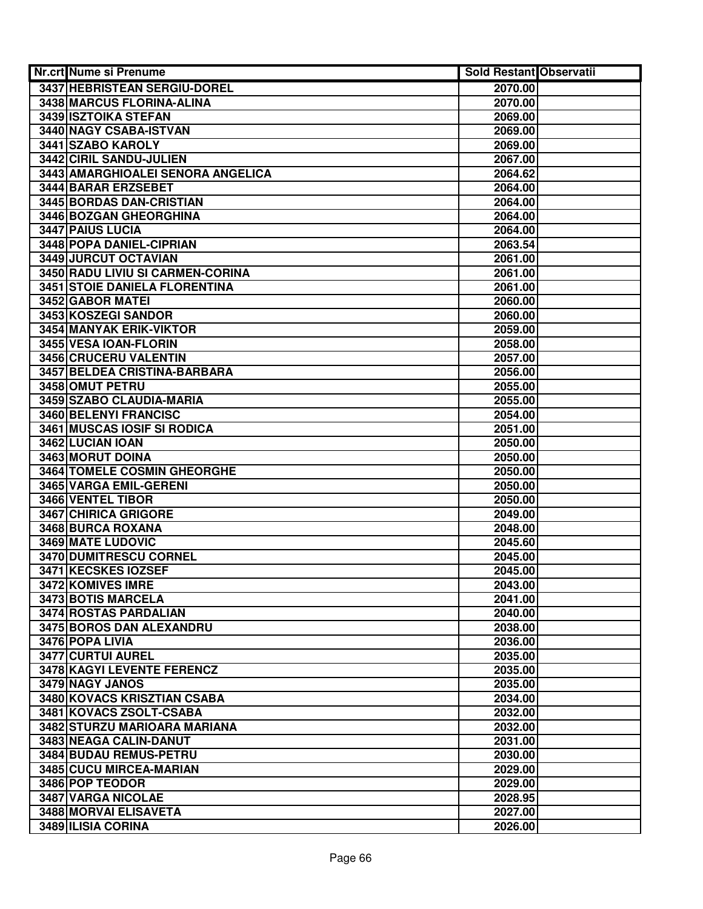| Nr.crt Nume si Prenume                          | Sold Restant Observatii |  |
|-------------------------------------------------|-------------------------|--|
| 3437 HEBRISTEAN SERGIU-DOREL                    | 2070.00                 |  |
| 3438 MARCUS FLORINA-ALINA                       | 2070.00                 |  |
| 3439 ISZTOIKA STEFAN                            | 2069.00                 |  |
| 3440 NAGY CSABA-ISTVAN                          | 2069.00                 |  |
| 3441 SZABO KAROLY                               | 2069.00                 |  |
| 3442 CIRIL SANDU-JULIEN                         | 2067.00                 |  |
| 3443 AMARGHIOALEI SENORA ANGELICA               | 2064.62                 |  |
| 3444 BARAR ERZSEBET                             | 2064.00                 |  |
| 3445 BORDAS DAN-CRISTIAN                        | 2064.00                 |  |
| 3446 BOZGAN GHEORGHINA                          | 2064.00                 |  |
| 3447 PAIUS LUCIA                                | 2064.00                 |  |
| 3448 POPA DANIEL-CIPRIAN                        | 2063.54                 |  |
| 3449 JURCUT OCTAVIAN                            | 2061.00                 |  |
| 3450 RADU LIVIU SI CARMEN-CORINA                | 2061.00                 |  |
| <b>3451 STOIE DANIELA FLORENTINA</b>            | 2061.00                 |  |
| 3452 GABOR MATEI                                | 2060.00                 |  |
| 3453 KOSZEGI SANDOR                             | 2060.00                 |  |
| <b>3454 MANYAK ERIK-VIKTOR</b>                  | 2059.00                 |  |
| 3455 VESA IOAN-FLORIN                           | 2058.00                 |  |
| 3456 CRUCERU VALENTIN                           | 2057.00                 |  |
| 3457 BELDEA CRISTINA-BARBARA                    | 2056.00                 |  |
| 3458 OMUT PETRU                                 | 2055.00                 |  |
| 3459 SZABO CLAUDIA-MARIA                        | 2055.00                 |  |
| 3460 BELENYI FRANCISC                           | 2054.00                 |  |
| 3461 MUSCAS IOSIF SI RODICA                     | 2051.00                 |  |
| 3462 LUCIAN IOAN                                | 2050.00                 |  |
| 3463 MORUT DOINA                                | 2050.00                 |  |
| 3464 TOMELE COSMIN GHEORGHE                     | 2050.00                 |  |
| 3465 VARGA EMIL-GERENI                          | 2050.00                 |  |
| 3466 VENTEL TIBOR                               | 2050.00                 |  |
| 3467 CHIRICA GRIGORE                            | 2049.00                 |  |
| 3468 BURCA ROXANA                               | 2048.00                 |  |
| 3469 MATE LUDOVIC                               | 2045.60                 |  |
| 3470 DUMITRESCU CORNEL                          | 2045.00                 |  |
| 3471 KECSKES IOZSEF                             | 2045.00                 |  |
| 3472 KOMIVES IMRE                               | 2043.00                 |  |
| 3473 BOTIS MARCELA<br>3474 ROSTAS PARDALIAN     | 2041.00                 |  |
|                                                 | 2040.00                 |  |
| 3475 BOROS DAN ALEXANDRU<br>3476 POPA LIVIA     | 2038.00<br>2036.00      |  |
|                                                 |                         |  |
| 3477 CURTUI AUREL<br>3478 KAGYI LEVENTE FERENCZ | 2035.00<br>2035.00      |  |
| 3479 NAGY JANOS                                 | 2035.00                 |  |
| <b>3480 KOVACS KRISZTIAN CSABA</b>              | 2034.00                 |  |
| 3481 KOVACS ZSOLT-CSABA                         | 2032.00                 |  |
| 3482 STURZU MARIOARA MARIANA                    | 2032.00                 |  |
| 3483 NEAGA CALIN-DANUT                          | 2031.00                 |  |
| 3484 BUDAU REMUS-PETRU                          | 2030.00                 |  |
| 3485 CUCU MIRCEA-MARIAN                         | 2029.00                 |  |
| 3486 POP TEODOR                                 | 2029.00                 |  |
| 3487 VARGA NICOLAE                              | 2028.95                 |  |
| 3488 MORVAI ELISAVETA                           | 2027.00                 |  |
| 3489 ILISIA CORINA                              | 2026.00                 |  |
|                                                 |                         |  |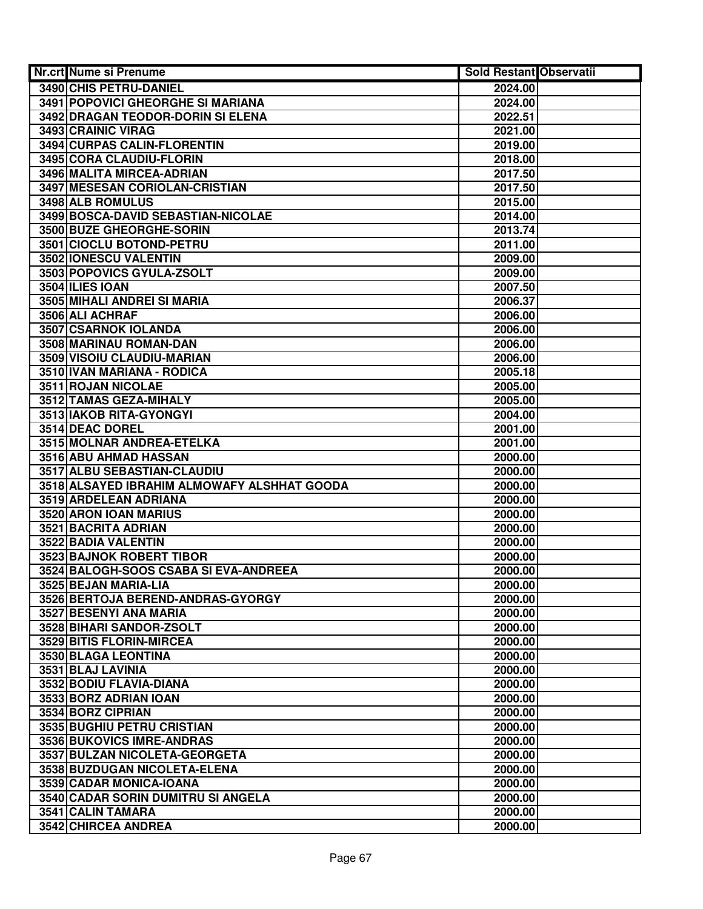| Nr.crt Nume si Prenume                          | Sold Restant Observatii |  |
|-------------------------------------------------|-------------------------|--|
| 3490 CHIS PETRU-DANIEL                          | 2024.00                 |  |
| <b>3491 POPOVICI GHEORGHE SI MARIANA</b>        | 2024.00                 |  |
| 3492 DRAGAN TEODOR-DORIN SI ELENA               | 2022.51                 |  |
| 3493 CRAINIC VIRAG                              | 2021.00                 |  |
| 3494 CURPAS CALIN-FLORENTIN                     | 2019.00                 |  |
| 3495 CORA CLAUDIU-FLORIN                        | 2018.00                 |  |
| 3496 MALITA MIRCEA-ADRIAN                       | 2017.50                 |  |
| 3497 MESESAN CORIOLAN-CRISTIAN                  | 2017.50                 |  |
| 3498 ALB ROMULUS                                | 2015.00                 |  |
| 3499 BOSCA-DAVID SEBASTIAN-NICOLAE              | 2014.00                 |  |
| 3500 BUZE GHEORGHE-SORIN                        | 2013.74                 |  |
| 3501 CIOCLU BOTOND-PETRU                        | 2011.00                 |  |
| 3502 IONESCU VALENTIN                           | 2009.00                 |  |
| 3503 POPOVICS GYULA-ZSOLT                       | 2009.00                 |  |
| 3504 ILIES IOAN                                 | 2007.50                 |  |
| 3505 MIHALI ANDREI SI MARIA                     | 2006.37                 |  |
| 3506 ALI ACHRAF                                 | 2006.00                 |  |
| <b>3507 CSARNOK IOLANDA</b>                     | 2006.00                 |  |
| 3508 MARINAU ROMAN-DAN                          | 2006.00                 |  |
| 3509 VISOIU CLAUDIU-MARIAN                      | 2006.00                 |  |
| 3510 IVAN MARIANA - RODICA                      | 2005.18                 |  |
| 3511 ROJAN NICOLAE                              | 2005.00                 |  |
| 3512 TAMAS GEZA-MIHALY                          | 2005.00                 |  |
| 3513 IAKOB RITA-GYONGYI                         | 2004.00                 |  |
| 3514 DEAC DOREL                                 | 2001.00                 |  |
| 3515 MOLNAR ANDREA-ETELKA                       | 2001.00                 |  |
| 3516 ABU AHMAD HASSAN                           | 2000.00                 |  |
| 3517 ALBU SEBASTIAN-CLAUDIU                     | 2000.00                 |  |
| 3518 ALSAYED IBRAHIM ALMOWAFY ALSHHAT GOODA     | 2000.00                 |  |
| 3519 ARDELEAN ADRIANA                           | 2000.00                 |  |
| 3520 ARON IOAN MARIUS                           | 2000.00                 |  |
| 3521 BACRITA ADRIAN                             | 2000.00                 |  |
| 3522 BADIA VALENTIN<br>3523 BAJNOK ROBERT TIBOR | 2000.00                 |  |
| 3524 BALOGH-SOOS CSABA SI EVA-ANDREEA           | 2000.00<br>2000.00      |  |
| 3525 BEJAN MARIA-LIA                            | 2000.00                 |  |
| 3526 BERTOJA BEREND-ANDRAS-GYORGY               | 2000.00                 |  |
| 3527 BESENYI ANA MARIA                          | 2000.00                 |  |
| 3528 BIHARI SANDOR-ZSOLT                        | 2000.00                 |  |
| 3529 BITIS FLORIN-MIRCEA                        | 2000.00                 |  |
| 3530 BLAGA LEONTINA                             | 2000.00                 |  |
| 3531 BLAJ LAVINIA                               | 2000.00                 |  |
| 3532 BODIU FLAVIA-DIANA                         | 2000.00                 |  |
| 3533 BORZ ADRIAN IOAN                           | 2000.00                 |  |
| 3534 BORZ CIPRIAN                               | 2000.00                 |  |
| 3535 BUGHIU PETRU CRISTIAN                      | 2000.00                 |  |
| 3536 BUKOVICS IMRE-ANDRAS                       | 2000.00                 |  |
| 3537 BULZAN NICOLETA-GEORGETA                   | 2000.00                 |  |
| 3538 BUZDUGAN NICOLETA-ELENA                    | 2000.00                 |  |
| 3539 CADAR MONICA-IOANA                         | 2000.00                 |  |
| 3540 CADAR SORIN DUMITRU SI ANGELA              | 2000.00                 |  |
| 3541 CALIN TAMARA                               | 2000.00                 |  |
| 3542 CHIRCEA ANDREA                             | 2000.00                 |  |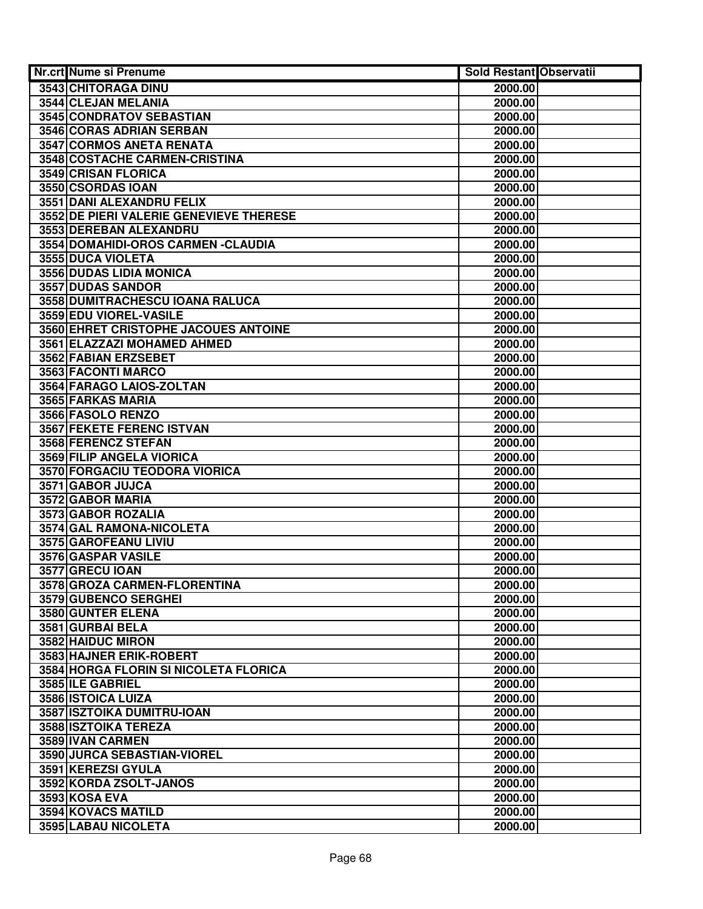| Nr.crt Nume si Prenume                  | Sold Restant Observatii |  |
|-----------------------------------------|-------------------------|--|
| 3543 CHITORAGA DINU                     | 2000.00                 |  |
| 3544 CLEJAN MELANIA                     | 2000.00                 |  |
| 3545 CONDRATOV SEBASTIAN                | 2000.00                 |  |
| 3546 CORAS ADRIAN SERBAN                | 2000.00                 |  |
| <b>3547 CORMOS ANETA RENATA</b>         | 2000.00                 |  |
| 3548 COSTACHE CARMEN-CRISTINA           | 2000.00                 |  |
| 3549 CRISAN FLORICA                     | 2000.00                 |  |
| 3550 CSORDAS IOAN                       | 2000.00                 |  |
| 3551 DANI ALEXANDRU FELIX               | 2000.00                 |  |
| 3552 DE PIERI VALERIE GENEVIEVE THERESE | 2000.00                 |  |
| 3553 DEREBAN ALEXANDRU                  | 2000.00                 |  |
| 3554 DOMAHIDI-OROS CARMEN - CLAUDIA     | 2000.00                 |  |
| 3555 DUCA VIOLETA                       | 2000.00                 |  |
| 3556 DUDAS LIDIA MONICA                 | 2000.00                 |  |
| 3557 DUDAS SANDOR                       | 2000.00                 |  |
| 3558 DUMITRACHESCU IOANA RALUCA         | 2000.00                 |  |
| 3559 EDU VIOREL-VASILE                  | 2000.00                 |  |
| 3560 EHRET CRISTOPHE JACOUES ANTOINE    | 2000.00                 |  |
| 3561 ELAZZAZI MOHAMED AHMED             | 2000.00                 |  |
| 3562 FABIAN ERZSEBET                    | 2000.00                 |  |
| 3563 FACONTI MARCO                      | 2000.00                 |  |
| 3564 FARAGO LAIOS-ZOLTAN                | 2000.00                 |  |
| 3565 FARKAS MARIA                       | 2000.00                 |  |
| 3566 FASOLO RENZO                       | 2000.00                 |  |
| 3567 FEKETE FERENC ISTVAN               | 2000.00                 |  |
| 3568 FERENCZ STEFAN                     | 2000.00                 |  |
| 3569 FILIP ANGELA VIORICA               | 2000.00                 |  |
| 3570 FORGACIU TEODORA VIORICA           | 2000.00                 |  |
| 3571 GABOR JUJCA                        | 2000.00                 |  |
| 3572 GABOR MARIA                        | 2000.00                 |  |
| 3573 GABOR ROZALIA                      | 2000.00                 |  |
| 3574 GAL RAMONA-NICOLETA                | 2000.00                 |  |
| 3575 GAROFEANU LIVIU                    | 2000.00                 |  |
| 3576 GASPAR VASILE                      | 2000.00                 |  |
| 3577 GRECU IOAN                         | 2000.00                 |  |
| 3578 GROZA CARMEN-FLORENTINA            | 2000.00                 |  |
| 3579 GUBENCO SERGHEI                    | 2000.00                 |  |
| 3580 GUNTER ELENA                       | 2000.00                 |  |
| 3581 GURBAI BELA<br>3582 HAIDUC MIRON   | 2000.00<br>2000.00      |  |
| 3583 HAJNER ERIK-ROBERT                 | 2000.00                 |  |
| 3584 HORGA FLORIN SI NICOLETA FLORICA   | 2000.00                 |  |
| 3585 ILE GABRIEL                        | 2000.00                 |  |
| 3586 ISTOICA LUIZA                      | 2000.00                 |  |
| 3587 ISZTOIKA DUMITRU-IOAN              | 2000.00                 |  |
| 3588 ISZTOIKA TEREZA                    | 2000.00                 |  |
| 3589 IVAN CARMEN                        | 2000.00                 |  |
| 3590 JURCA SEBASTIAN-VIOREL             | 2000.00                 |  |
| 3591 KEREZSI GYULA                      | 2000.00                 |  |
| 3592 KORDA ZSOLT-JANOS                  | 2000.00                 |  |
| 3593 KOSA EVA                           | 2000.00                 |  |
| 3594 KOVACS MATILD                      | 2000.00                 |  |
| 3595 LABAU NICOLETA                     | 2000.00                 |  |
|                                         |                         |  |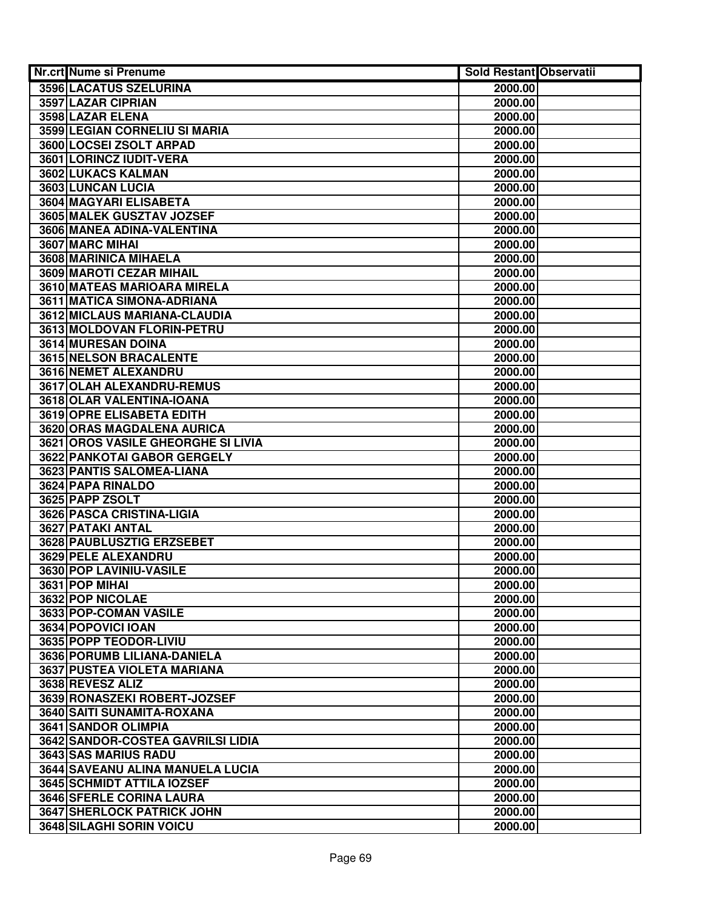| Nr.crt Nume si Prenume                         | <b>Sold Restant Observatii</b> |  |
|------------------------------------------------|--------------------------------|--|
| 3596 LACATUS SZELURINA                         | 2000.00                        |  |
| 3597 LAZAR CIPRIAN                             | 2000.00                        |  |
| 3598 LAZAR ELENA                               | 2000.00                        |  |
| 3599 LEGIAN CORNELIU SI MARIA                  | 2000.00                        |  |
| 3600 LOCSEI ZSOLT ARPAD                        | 2000.00                        |  |
| 3601 LORINCZ IUDIT-VERA                        | 2000.00                        |  |
| 3602 LUKACS KALMAN                             | 2000.00                        |  |
| 3603 LUNCAN LUCIA                              | 2000.00                        |  |
| 3604 MAGYARI ELISABETA                         | 2000.00                        |  |
| 3605 MALEK GUSZTAV JOZSEF                      | 2000.00                        |  |
| 3606 MANEA ADINA-VALENTINA                     | 2000.00                        |  |
| 3607 MARC MIHAI                                | 2000.00                        |  |
| 3608 MARINICA MIHAELA                          | 2000.00                        |  |
| 3609 MAROTI CEZAR MIHAIL                       | 2000.00                        |  |
| 3610 MATEAS MARIOARA MIRELA                    | 2000.00                        |  |
| 3611 MATICA SIMONA-ADRIANA                     | 2000.00                        |  |
| 3612 MICLAUS MARIANA-CLAUDIA                   | 2000.00                        |  |
| 3613 MOLDOVAN FLORIN-PETRU                     | 2000.00                        |  |
| 3614 MURESAN DOINA                             | 2000.00                        |  |
| 3615 NELSON BRACALENTE                         | 2000.00                        |  |
| 3616 NEMET ALEXANDRU                           | 2000.00                        |  |
| 3617 OLAH ALEXANDRU-REMUS                      | 2000.00                        |  |
| 3618 OLAR VALENTINA-IOANA                      | 2000.00                        |  |
| 3619 OPRE ELISABETA EDITH                      | 2000.00                        |  |
| 3620 ORAS MAGDALENA AURICA                     | 2000.00                        |  |
| 3621 OROS VASILE GHEORGHE SI LIVIA             | 2000.00                        |  |
| 3622 PANKOTAI GABOR GERGELY                    | 2000.00                        |  |
| 3623 PANTIS SALOMEA-LIANA                      | 2000.00                        |  |
| 3624 PAPA RINALDO                              | 2000.00                        |  |
| 3625 PAPP ZSOLT                                | 2000.00                        |  |
| 3626 PASCA CRISTINA-LIGIA<br>3627 PATAKI ANTAL | 2000.00                        |  |
| 3628 PAUBLUSZTIG ERZSEBET                      | 2000.00<br>2000.00             |  |
| 3629 PELE ALEXANDRU                            | 2000.00                        |  |
| 3630 POP LAVINIU-VASILE                        | 2000.00                        |  |
| 3631 POP MIHAI                                 | 2000.00                        |  |
| 3632 POP NICOLAE                               | 2000.00                        |  |
| 3633 POP-COMAN VASILE                          | 2000.00                        |  |
| 3634 POPOVICI IOAN                             | 2000.00                        |  |
| 3635 POPP TEODOR-LIVIU                         | 2000.00                        |  |
| 3636 PORUMB LILIANA-DANIELA                    | 2000.00                        |  |
| <b>3637 PUSTEA VIOLETA MARIANA</b>             | 2000.00                        |  |
| 3638 REVESZ ALIZ                               | 2000.00                        |  |
| 3639 RONASZEKI ROBERT-JOZSEF                   | 2000.00                        |  |
| 3640 SAITI SUNAMITA-ROXANA                     | 2000.00                        |  |
| 3641 SANDOR OLIMPIA                            | 2000.00                        |  |
| <b>3642 SANDOR-COSTEA GAVRILSI LIDIA</b>       | 2000.00                        |  |
| 3643 SAS MARIUS RADU                           | 2000.00                        |  |
| <b>3644 SAVEANU ALINA MANUELA LUCIA</b>        | 2000.00                        |  |
| 3645 SCHMIDT ATTILA IOZSEF                     | 2000.00                        |  |
| <b>3646 SFERLE CORINA LAURA</b>                | 2000.00                        |  |
| 3647 SHERLOCK PATRICK JOHN                     | 2000.00                        |  |
| 3648 SILAGHI SORIN VOICU                       | 2000.00                        |  |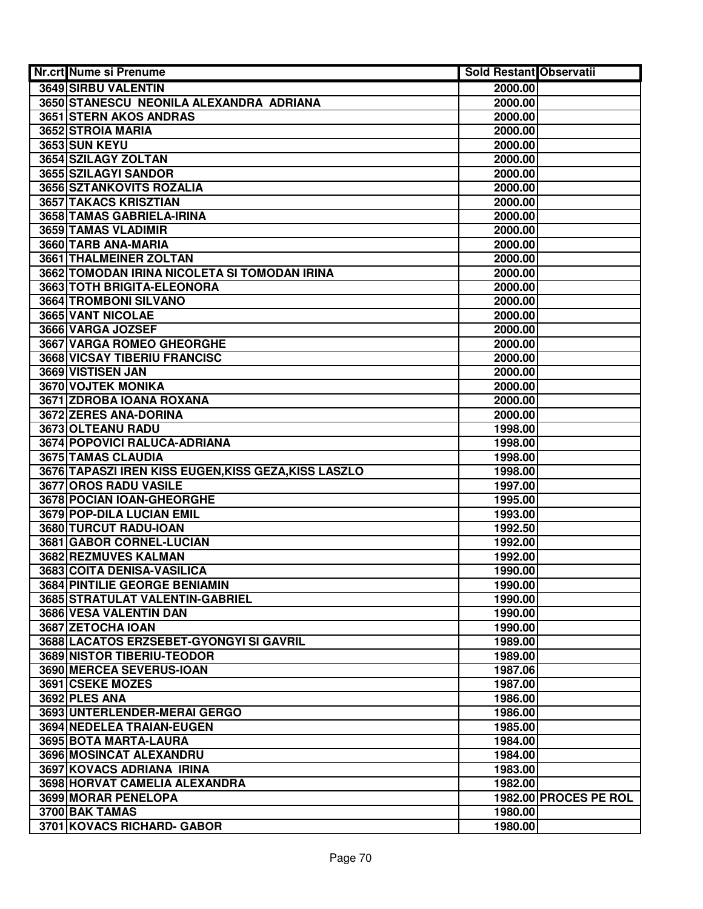| Nr.crt Nume si Prenume                               | <b>Sold Restant Observatii</b> |                       |
|------------------------------------------------------|--------------------------------|-----------------------|
| 3649 SIRBU VALENTIN                                  | 2000.00                        |                       |
| 3650 STANESCU NEONILA ALEXANDRA ADRIANA              | 2000.00                        |                       |
| 3651 STERN AKOS ANDRAS                               | 2000.00                        |                       |
| 3652 STROIA MARIA                                    | 2000.00                        |                       |
| 3653 SUN KEYU                                        | 2000.00                        |                       |
| 3654 SZILAGY ZOLTAN                                  | 2000.00                        |                       |
| 3655 SZILAGYI SANDOR                                 | 2000.00                        |                       |
| 3656 SZTANKOVITS ROZALIA                             | 2000.00                        |                       |
| 3657 TAKACS KRISZTIAN                                | 2000.00                        |                       |
| 3658 TAMAS GABRIELA-IRINA                            | 2000.00                        |                       |
| 3659 TAMAS VLADIMIR                                  | 2000.00                        |                       |
| 3660 TARB ANA-MARIA                                  | 2000.00                        |                       |
| 3661 THALMEINER ZOLTAN                               | 2000.00                        |                       |
| 3662 TOMODAN IRINA NICOLETA SI TOMODAN IRINA         | 2000.00                        |                       |
| 3663 TOTH BRIGITA-ELEONORA                           | 2000.00                        |                       |
| <b>3664 TROMBONI SILVANO</b>                         | 2000.00                        |                       |
| <b>3665 VANT NICOLAE</b>                             | 2000.00                        |                       |
| 3666 VARGA JOZSEF                                    | 2000.00                        |                       |
| <b>3667 VARGA ROMEO GHEORGHE</b>                     | 2000.00                        |                       |
| <b>3668 VICSAY TIBERIU FRANCISC</b>                  | 2000.00                        |                       |
| 3669 VISTISEN JAN                                    | 2000.00                        |                       |
| 3670 VOJTEK MONIKA                                   | 2000.00                        |                       |
| 3671 ZDROBA IOANA ROXANA                             | 2000.00                        |                       |
| 3672 ZERES ANA-DORINA                                | 2000.00                        |                       |
| 3673 OLTEANU RADU                                    | 1998.00                        |                       |
| 3674 POPOVICI RALUCA-ADRIANA                         | 1998.00                        |                       |
| 3675 TAMAS CLAUDIA                                   | 1998.00                        |                       |
| 3676 TAPASZI IREN KISS EUGEN, KISS GEZA, KISS LASZLO | 1998.00                        |                       |
| 3677 OROS RADU VASILE                                | 1997.00                        |                       |
| 3678 POCIAN IOAN-GHEORGHE                            | 1995.00                        |                       |
| 3679 POP-DILA LUCIAN EMIL                            | 1993.00                        |                       |
| 3680 TURCUT RADU-IOAN                                | 1992.50                        |                       |
| 3681 GABOR CORNEL-LUCIAN                             | 1992.00                        |                       |
| 3682 REZMUVES KALMAN                                 | 1992.00                        |                       |
| 3683 COITA DENISA-VASILICA                           | 1990.00                        |                       |
| 3684 PINTILIE GEORGE BENIAMIN                        | 1990.00                        |                       |
| 3685 STRATULAT VALENTIN-GABRIEL                      | 1990.00                        |                       |
| 3686 VESA VALENTIN DAN                               | 1990.00                        |                       |
| 3687 ZETOCHA IOAN                                    | 1990.00                        |                       |
| 3688 LACATOS ERZSEBET-GYONGYI SI GAVRIL              | 1989.00                        |                       |
| 3689 NISTOR TIBERIU-TEODOR                           | 1989.00                        |                       |
| 3690 MERCEA SEVERUS-IOAN                             | 1987.06                        |                       |
| <b>3691 CSEKE MOZES</b>                              | 1987.00                        |                       |
| 3692 PLES ANA                                        | 1986.00                        |                       |
| 3693 UNTERLENDER-MERAI GERGO                         | 1986.00                        |                       |
| 3694 NEDELEA TRAIAN-EUGEN                            | 1985.00                        |                       |
| 3695 BOTA MARTA-LAURA                                | 1984.00                        |                       |
| 3696 MOSINCAT ALEXANDRU                              | 1984.00                        |                       |
| 3697 KOVACS ADRIANA IRINA                            | 1983.00                        |                       |
| 3698 HORVAT CAMELIA ALEXANDRA                        | 1982.00                        |                       |
| 3699 MORAR PENELOPA                                  |                                | 1982.00 PROCES PE ROL |
| 3700 BAK TAMAS                                       | 1980.00                        |                       |
| 3701 KOVACS RICHARD- GABOR                           | 1980.00                        |                       |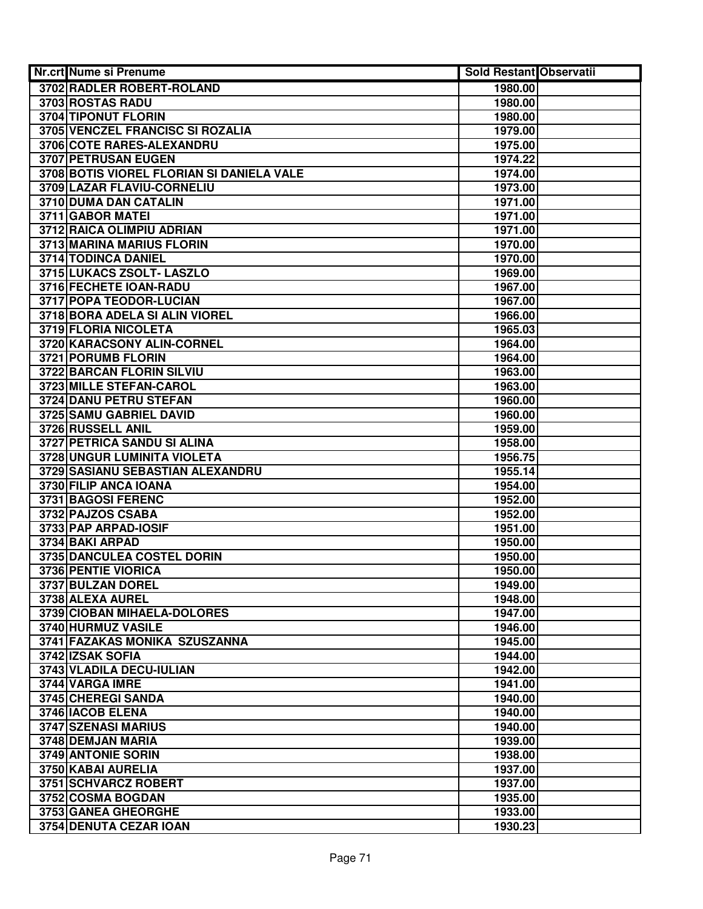| Nr.crt Nume si Prenume                    | <b>Sold Restant Observatii</b> |  |
|-------------------------------------------|--------------------------------|--|
| 3702 RADLER ROBERT-ROLAND                 | 1980.00                        |  |
| 3703 ROSTAS RADU                          | 1980.00                        |  |
| 3704 TIPONUT FLORIN                       | 1980.00                        |  |
| 3705 VENCZEL FRANCISC SI ROZALIA          | 1979.00                        |  |
| 3706 COTE RARES-ALEXANDRU                 | 1975.00                        |  |
| 3707 PETRUSAN EUGEN                       | 1974.22                        |  |
| 3708 BOTIS VIOREL FLORIAN SI DANIELA VALE | 1974.00                        |  |
| 3709 LAZAR FLAVIU-CORNELIU                | 1973.00                        |  |
| 3710 DUMA DAN CATALIN                     | 1971.00                        |  |
| 3711 GABOR MATEI                          | 1971.00                        |  |
| 3712 RAICA OLIMPIU ADRIAN                 | 1971.00                        |  |
| 3713 MARINA MARIUS FLORIN                 | 1970.00                        |  |
| 3714 TODINCA DANIEL                       | 1970.00                        |  |
| 3715 LUKACS ZSOLT- LASZLO                 | 1969.00                        |  |
| 3716 FECHETE IOAN-RADU                    | 1967.00                        |  |
| 3717 POPA TEODOR-LUCIAN                   | 1967.00                        |  |
| 3718 BORA ADELA SI ALIN VIOREL            | 1966.00                        |  |
| 3719 FLORIA NICOLETA                      | 1965.03                        |  |
| 3720 KARACSONY ALIN-CORNEL                | 1964.00                        |  |
| 3721 PORUMB FLORIN                        | 1964.00                        |  |
| 3722 BARCAN FLORIN SILVIU                 | 1963.00                        |  |
| 3723 MILLE STEFAN-CAROL                   | 1963.00                        |  |
| 3724 DANU PETRU STEFAN                    | 1960.00                        |  |
| 3725 SAMU GABRIEL DAVID                   | 1960.00                        |  |
| 3726 RUSSELL ANIL                         | 1959.00                        |  |
| <b>3727 PETRICA SANDU SI ALINA</b>        | 1958.00                        |  |
| 3728 UNGUR LUMINITA VIOLETA               | 1956.75                        |  |
| 3729 SASIANU SEBASTIAN ALEXANDRU          | 1955.14                        |  |
| 3730 FILIP ANCA IOANA                     | 1954.00                        |  |
| 3731 BAGOSI FERENC                        | 1952.00                        |  |
| 3732 PAJZOS CSABA                         | 1952.00                        |  |
| 3733 PAP ARPAD-IOSIF                      | 1951.00                        |  |
| 3734 BAKI ARPAD                           | 1950.00                        |  |
| 3735 DANCULEA COSTEL DORIN                | 1950.00                        |  |
| 3736 PENTIE VIORICA                       | 1950.00                        |  |
| 3737 BULZAN DOREL                         | 1949.00                        |  |
| 3738 ALEXA AUREL                          | 1948.00                        |  |
| 3739 CIOBAN MIHAELA-DOLORES               | 1947.00                        |  |
| 3740 HURMUZ VASILE                        | 1946.00                        |  |
| 3741 FAZAKAS MONIKA SZUSZANNA             | 1945.00                        |  |
| 3742 IZSAK SOFIA                          | 1944.00                        |  |
| 3743 VLADILA DECU-IULIAN                  | 1942.00                        |  |
| 3744 VARGA IMRE                           | 1941.00                        |  |
| 3745 CHEREGI SANDA                        | 1940.00                        |  |
| 3746 IACOB ELENA                          | 1940.00                        |  |
| 3747 SZENASI MARIUS                       | 1940.00                        |  |
| 3748 DEMJAN MARIA                         | 1939.00                        |  |
| 3749 ANTONIE SORIN                        | 1938.00                        |  |
| 3750 KABAI AURELIA                        | 1937.00                        |  |
| 3751 SCHVARCZ ROBERT                      | 1937.00                        |  |
| 3752 COSMA BOGDAN                         | 1935.00                        |  |
| 3753 GANEA GHEORGHE                       | 1933.00                        |  |
| 3754 DENUTA CEZAR IOAN                    | 1930.23                        |  |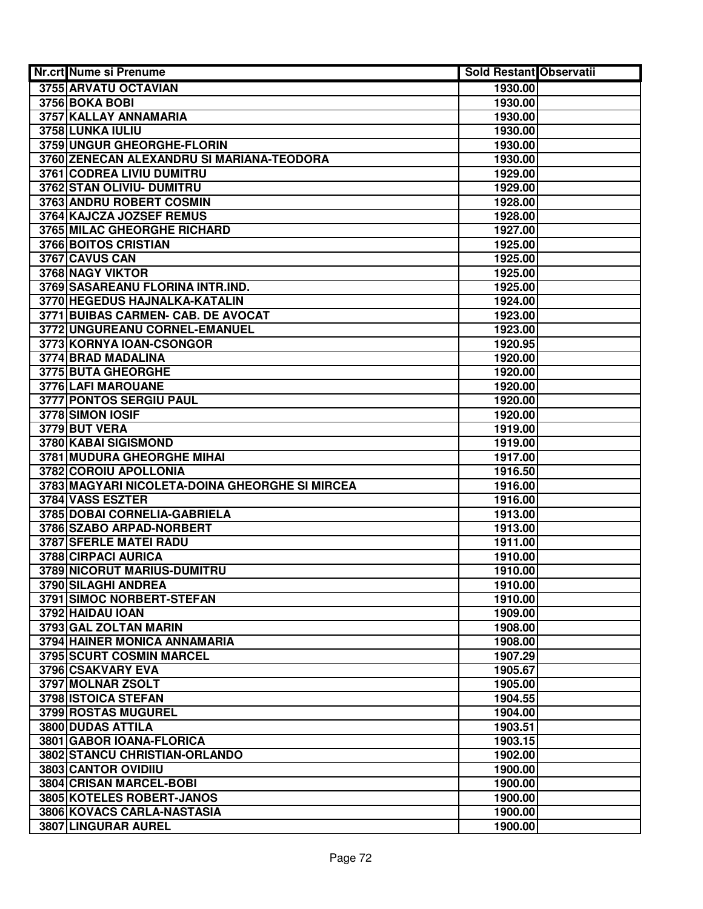| Nr.crt Nume si Prenume                         | <b>Sold Restant Observatii</b> |  |
|------------------------------------------------|--------------------------------|--|
| 3755 ARVATU OCTAVIAN                           | 1930.00                        |  |
| 3756 BOKA BOBI                                 | 1930.00                        |  |
| 3757 KALLAY ANNAMARIA                          | 1930.00                        |  |
| 3758 LUNKA IULIU                               | 1930.00                        |  |
| 3759 UNGUR GHEORGHE-FLORIN                     | 1930.00                        |  |
| 3760 ZENECAN ALEXANDRU SI MARIANA-TEODORA      | 1930.00                        |  |
| 3761 CODREA LIVIU DUMITRU                      | 1929.00                        |  |
| 3762 STAN OLIVIU- DUMITRU                      | 1929.00                        |  |
| 3763 ANDRU ROBERT COSMIN                       | 1928.00                        |  |
| 3764 KAJCZA JOZSEF REMUS                       | 1928.00                        |  |
| 3765 MILAC GHEORGHE RICHARD                    | 1927.00                        |  |
| 3766 BOITOS CRISTIAN                           | 1925.00                        |  |
| 3767 CAVUS CAN                                 | 1925.00                        |  |
| 3768 NAGY VIKTOR                               | 1925.00                        |  |
| 3769 SASAREANU FLORINA INTR.IND.               | 1925.00                        |  |
| 3770 HEGEDUS HAJNALKA-KATALIN                  | 1924.00                        |  |
| 3771 BUIBAS CARMEN- CAB. DE AVOCAT             | 1923.00                        |  |
| 3772 UNGUREANU CORNEL-EMANUEL                  | 1923.00                        |  |
| 3773 KORNYA IOAN-CSONGOR                       | 1920.95                        |  |
| 3774 BRAD MADALINA                             | 1920.00                        |  |
| 3775 BUTA GHEORGHE                             | 1920.00                        |  |
| 3776 LAFI MAROUANE                             | 1920.00                        |  |
| 3777 PONTOS SERGIU PAUL                        | 1920.00                        |  |
| 3778 SIMON IOSIF                               | 1920.00                        |  |
| 3779 BUT VERA                                  | 1919.00                        |  |
| 3780 KABAI SIGISMOND                           | 1919.00                        |  |
| 3781 MUDURA GHEORGHE MIHAI                     | 1917.00                        |  |
| 3782 COROIU APOLLONIA                          | 1916.50                        |  |
| 3783 MAGYARI NICOLETA-DOINA GHEORGHE SI MIRCEA | 1916.00                        |  |
| 3784 VASS ESZTER                               | 1916.00                        |  |
| 3785 DOBAI CORNELIA-GABRIELA                   | 1913.00                        |  |
| 3786 SZABO ARPAD-NORBERT                       | 1913.00                        |  |
| 3787 SFERLE MATEI RADU                         | 1911.00                        |  |
| 3788 CIRPACI AURICA                            | 1910.00                        |  |
| 3789 NICORUT MARIUS-DUMITRU                    | 1910.00                        |  |
| 3790 SILAGHI ANDREA                            | 1910.00                        |  |
| 3791 SIMOC NORBERT-STEFAN                      | 1910.00                        |  |
| 3792 HAIDAU IOAN                               | 1909.00                        |  |
| 3793 GAL ZOLTAN MARIN                          | 1908.00                        |  |
| 3794 HAINER MONICA ANNAMARIA                   | 1908.00                        |  |
| <b>3795 SCURT COSMIN MARCEL</b>                | 1907.29                        |  |
| 3796 CSAKVARY EVA                              | 1905.67                        |  |
| 3797 MOLNAR ZSOLT                              | 1905.00                        |  |
| 3798 ISTOICA STEFAN                            | 1904.55                        |  |
| 3799 ROSTAS MUGUREL                            | 1904.00                        |  |
| 3800 DUDAS ATTILA                              | 1903.51                        |  |
| 3801 GABOR IOANA-FLORICA                       | 1903.15                        |  |
| 3802 STANCU CHRISTIAN-ORLANDO                  | 1902.00                        |  |
| 3803 CANTOR OVIDIIU                            | 1900.00                        |  |
| 3804 CRISAN MARCEL-BOBI                        | 1900.00                        |  |
| 3805 KOTELES ROBERT-JANOS                      | 1900.00                        |  |
| 3806 KOVACS CARLA-NASTASIA                     | 1900.00                        |  |
| 3807 LINGURAR AUREL                            | 1900.00                        |  |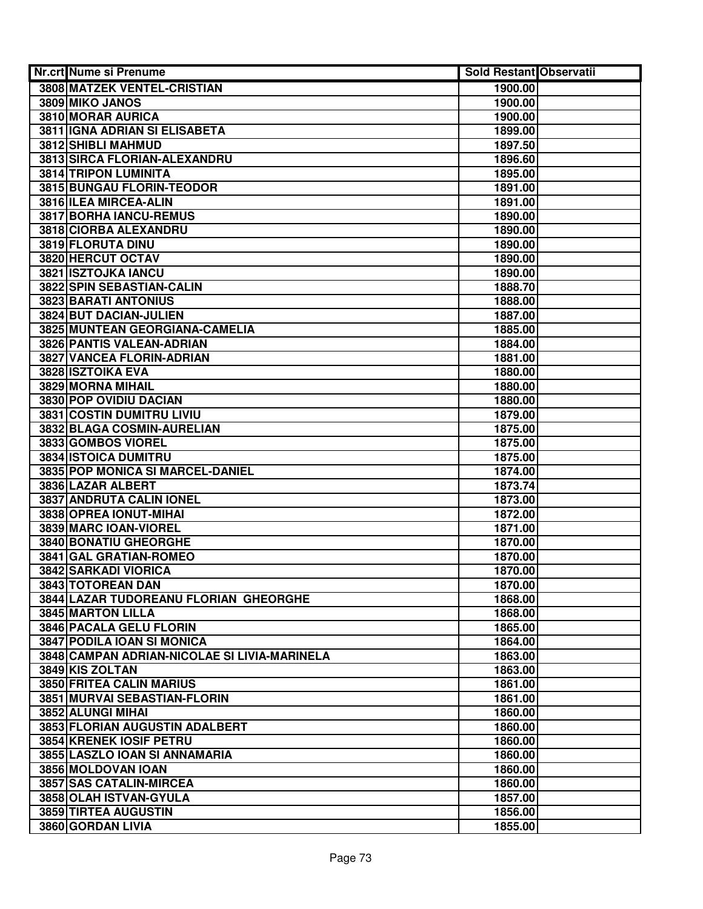| Nr.crt Nume si Prenume                       | <b>Sold Restant Observatii</b> |  |
|----------------------------------------------|--------------------------------|--|
| 3808 MATZEK VENTEL-CRISTIAN                  | 1900.00                        |  |
| 3809 MIKO JANOS                              | 1900.00                        |  |
| 3810 MORAR AURICA                            | 1900.00                        |  |
| 3811 IGNA ADRIAN SI ELISABETA                | 1899.00                        |  |
| 3812 SHIBLI MAHMUD                           | 1897.50                        |  |
| 3813 SIRCA FLORIAN-ALEXANDRU                 | 1896.60                        |  |
| 3814 TRIPON LUMINITA                         | 1895.00                        |  |
| 3815 BUNGAU FLORIN-TEODOR                    | 1891.00                        |  |
| 3816 ILEA MIRCEA-ALIN                        | 1891.00                        |  |
| 3817 BORHA IANCU-REMUS                       | 1890.00                        |  |
| 3818 CIORBA ALEXANDRU                        | 1890.00                        |  |
| 3819 FLORUTA DINU                            | 1890.00                        |  |
| 3820 HERCUT OCTAV                            | 1890.00                        |  |
| 3821 ISZTOJKA IANCU                          | 1890.00                        |  |
| 3822 SPIN SEBASTIAN-CALIN                    | 1888.70                        |  |
| 3823 BARATI ANTONIUS                         | 1888.00                        |  |
| 3824 BUT DACIAN-JULIEN                       | 1887.00                        |  |
| 3825 MUNTEAN GEORGIANA-CAMELIA               | 1885.00                        |  |
| <b>3826 PANTIS VALEAN-ADRIAN</b>             | 1884.00                        |  |
| <b>3827 VANCEA FLORIN-ADRIAN</b>             | 1881.00                        |  |
| 3828 ISZTOIKA EVA                            | 1880.00                        |  |
| 3829 MORNA MIHAIL                            | 1880.00                        |  |
| 3830 POP OVIDIU DACIAN                       | 1880.00                        |  |
| 3831 COSTIN DUMITRU LIVIU                    | 1879.00                        |  |
| 3832 BLAGA COSMIN-AURELIAN                   | 1875.00                        |  |
| 3833 GOMBOS VIOREL                           | 1875.00                        |  |
| 3834 ISTOICA DUMITRU                         | 1875.00                        |  |
| 3835 POP MONICA SI MARCEL-DANIEL             | 1874.00                        |  |
| 3836 LAZAR ALBERT                            | 1873.74                        |  |
| 3837 ANDRUTA CALIN IONEL                     | 1873.00                        |  |
| 3838 OPREA IONUT-MIHAI                       | 1872.00                        |  |
| 3839 MARC IOAN-VIOREL                        | 1871.00                        |  |
| 3840 BONATIU GHEORGHE                        | 1870.00                        |  |
| 3841 GAL GRATIAN-ROMEO                       | 1870.00                        |  |
| 3842 SARKADI VIORICA                         | 1870.00                        |  |
| 3843 TOTOREAN DAN                            | 1870.00                        |  |
| 3844 LAZAR TUDOREANU FLORIAN GHEORGHE        | 1868.00                        |  |
| 3845 MARTON LILLA                            | 1868.00                        |  |
| 3846 PACALA GELU FLORIN                      | 1865.00                        |  |
| 3847 PODILA IOAN SI MONICA                   | 1864.00                        |  |
| 3848 CAMPAN ADRIAN-NICOLAE SI LIVIA-MARINELA | 1863.00                        |  |
| 3849 KIS ZOLTAN                              | 1863.00                        |  |
| <b>3850 FRITEA CALIN MARIUS</b>              | 1861.00                        |  |
| 3851 MURVAI SEBASTIAN-FLORIN                 | 1861.00                        |  |
| 3852 ALUNGI MIHAI                            | 1860.00                        |  |
| 3853 FLORIAN AUGUSTIN ADALBERT               | 1860.00                        |  |
| 3854 KRENEK IOSIF PETRU                      | 1860.00                        |  |
| 3855 LASZLO IOAN SI ANNAMARIA                | 1860.00                        |  |
| 3856 MOLDOVAN IOAN                           | 1860.00                        |  |
| 3857 SAS CATALIN-MIRCEA                      | 1860.00                        |  |
| 3858 OLAH ISTVAN-GYULA                       | 1857.00                        |  |
| 3859 TIRTEA AUGUSTIN                         | 1856.00                        |  |
| 3860 GORDAN LIVIA                            | 1855.00                        |  |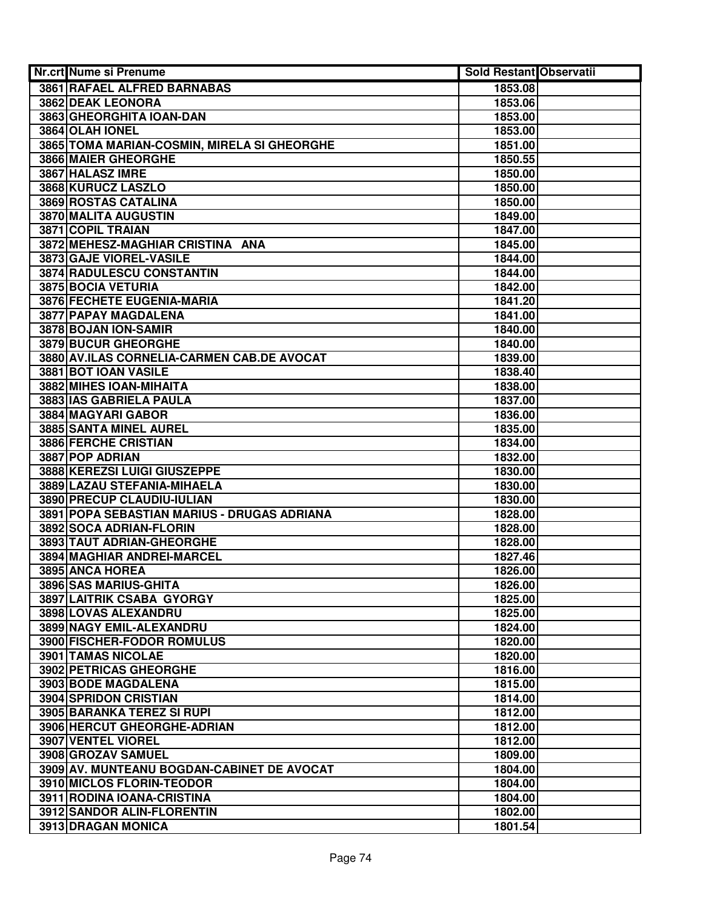| Nr.crt Nume si Prenume                      | <b>Sold Restant Observatii</b> |  |
|---------------------------------------------|--------------------------------|--|
| 3861 RAFAEL ALFRED BARNABAS                 | 1853.08                        |  |
| 3862 DEAK LEONORA                           | 1853.06                        |  |
| 3863 GHEORGHITA IOAN-DAN                    | 1853.00                        |  |
| 3864 OLAH IONEL                             | 1853.00                        |  |
| 3865 TOMA MARIAN-COSMIN, MIRELA SI GHEORGHE | 1851.00                        |  |
| 3866 MAIER GHEORGHE                         | 1850.55                        |  |
| 3867 HALASZ IMRE                            | 1850.00                        |  |
| 3868 KURUCZ LASZLO                          | 1850.00                        |  |
| 3869 ROSTAS CATALINA                        | 1850.00                        |  |
| 3870 MALITA AUGUSTIN                        | 1849.00                        |  |
| 3871 COPIL TRAIAN                           | 1847.00                        |  |
| 3872 MEHESZ-MAGHIAR CRISTINA ANA            | 1845.00                        |  |
| 3873 GAJE VIOREL-VASILE                     | 1844.00                        |  |
| 3874 RADULESCU CONSTANTIN                   | 1844.00                        |  |
| 3875 BOCIA VETURIA                          | 1842.00                        |  |
| 3876 FECHETE EUGENIA-MARIA                  | 1841.20                        |  |
| <b>3877 PAPAY MAGDALENA</b>                 | 1841.00                        |  |
| 3878 BOJAN ION-SAMIR                        | 1840.00                        |  |
| <b>3879 BUCUR GHEORGHE</b>                  | 1840.00                        |  |
| 3880 AV.ILAS CORNELIA-CARMEN CAB.DE AVOCAT  | 1839.00                        |  |
| 3881 BOT IOAN VASILE                        | 1838.40                        |  |
| 3882 MIHES IOAN-MIHAITA                     | 1838.00                        |  |
| 3883 IAS GABRIELA PAULA                     | 1837.00                        |  |
| 3884 MAGYARI GABOR                          | 1836.00                        |  |
| 3885 SANTA MINEL AUREL                      | 1835.00                        |  |
| 3886 FERCHE CRISTIAN                        | 1834.00                        |  |
| 3887 POP ADRIAN                             | 1832.00                        |  |
| 3888 KEREZSI LUIGI GIUSZEPPE                | 1830.00                        |  |
| 3889 LAZAU STEFANIA-MIHAELA                 | 1830.00                        |  |
| 3890 PRECUP CLAUDIU-IULIAN                  | 1830.00                        |  |
| 3891 POPA SEBASTIAN MARIUS - DRUGAS ADRIANA | 1828.00                        |  |
| 3892 SOCA ADRIAN-FLORIN                     | 1828.00                        |  |
| 3893 TAUT ADRIAN-GHEORGHE                   | 1828.00                        |  |
| 3894 MAGHIAR ANDREI-MARCEL                  | 1827.46                        |  |
| 3895 ANCA HOREA                             | 1826.00                        |  |
| 3896 SAS MARIUS-GHITA                       | 1826.00                        |  |
| 3897 LAITRIK CSABA GYORGY                   | 1825.00                        |  |
| 3898 LOVAS ALEXANDRU                        | 1825.00                        |  |
| 3899 NAGY EMIL-ALEXANDRU                    | 1824.00                        |  |
| 3900 FISCHER-FODOR ROMULUS                  | 1820.00                        |  |
| 3901 TAMAS NICOLAE                          | 1820.00                        |  |
| <b>3902 PETRICAS GHEORGHE</b>               | 1816.00                        |  |
| 3903 BODE MAGDALENA                         | 1815.00                        |  |
| <b>3904 SPRIDON CRISTIAN</b>                | 1814.00                        |  |
| 3905 BARANKA TEREZ SI RUPI                  | 1812.00                        |  |
| 3906 HERCUT GHEORGHE-ADRIAN                 | 1812.00                        |  |
| 3907 VENTEL VIOREL                          | 1812.00                        |  |
| 3908 GROZAV SAMUEL                          | 1809.00                        |  |
| 3909 AV. MUNTEANU BOGDAN-CABINET DE AVOCAT  | 1804.00                        |  |
| 3910 MICLOS FLORIN-TEODOR                   | 1804.00                        |  |
| 3911 RODINA IOANA-CRISTINA                  | 1804.00                        |  |
| 3912 SANDOR ALIN-FLORENTIN                  | 1802.00                        |  |
| 3913 DRAGAN MONICA                          | 1801.54                        |  |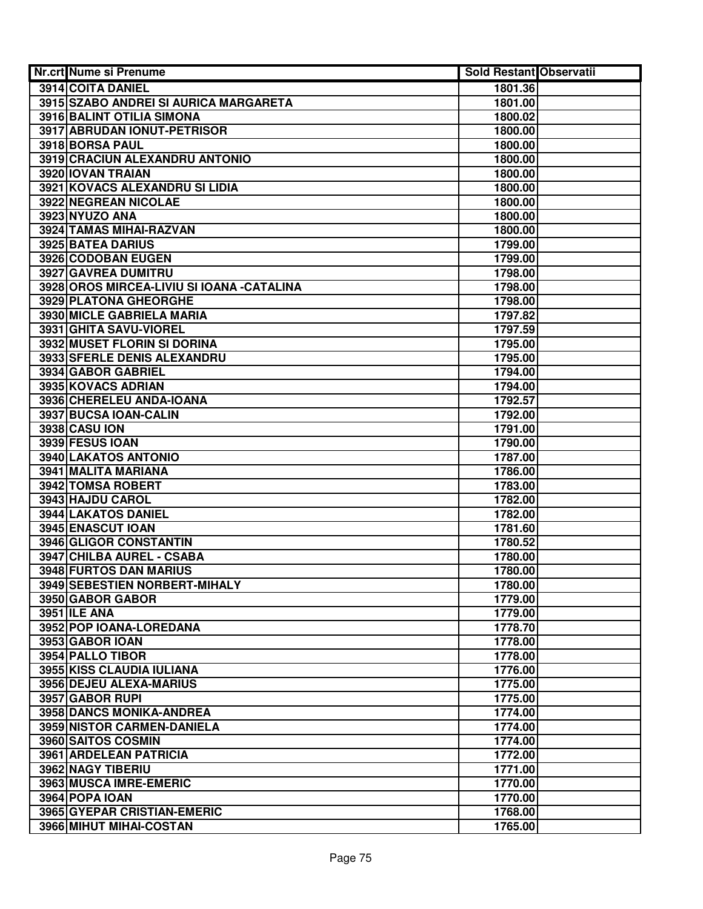| Nr.crt Nume si Prenume                     | <b>Sold Restant Observatii</b> |  |
|--------------------------------------------|--------------------------------|--|
| 3914 COITA DANIEL                          | 1801.36                        |  |
| 3915 SZABO ANDREI SI AURICA MARGARETA      | 1801.00                        |  |
| 3916 BALINT OTILIA SIMONA                  | 1800.02                        |  |
| 3917 ABRUDAN IONUT-PETRISOR                | 1800.00                        |  |
| 3918 BORSA PAUL                            | 1800.00                        |  |
| 3919 CRACIUN ALEXANDRU ANTONIO             | 1800.00                        |  |
| 3920 IOVAN TRAIAN                          | 1800.00                        |  |
| 3921 KOVACS ALEXANDRU SI LIDIA             | 1800.00                        |  |
| 3922 NEGREAN NICOLAE                       | 1800.00                        |  |
| 3923 NYUZO ANA                             | 1800.00                        |  |
| 3924 TAMAS MIHAI-RAZVAN                    | 1800.00                        |  |
| 3925 BATEA DARIUS                          | 1799.00                        |  |
| 3926 CODOBAN EUGEN                         | 1799.00                        |  |
| 3927 GAVREA DUMITRU                        | 1798.00                        |  |
| 3928 OROS MIRCEA-LIVIU SI IOANA - CATALINA | 1798.00                        |  |
| 3929 PLATONA GHEORGHE                      | 1798.00                        |  |
| 3930 MICLE GABRIELA MARIA                  | 1797.82                        |  |
| 3931 GHITA SAVU-VIOREL                     | 1797.59                        |  |
| 3932 MUSET FLORIN SI DORINA                | 1795.00                        |  |
| 3933 SFERLE DENIS ALEXANDRU                | 1795.00                        |  |
| 3934 GABOR GABRIEL                         | 1794.00                        |  |
| 3935 KOVACS ADRIAN                         | 1794.00                        |  |
| 3936 CHERELEU ANDA-IOANA                   | 1792.57                        |  |
| 3937 BUCSA IOAN-CALIN                      | 1792.00                        |  |
| <b>3938 CASU ION</b>                       | 1791.00                        |  |
| 3939 FESUS IOAN                            | 1790.00                        |  |
| 3940 LAKATOS ANTONIO                       | 1787.00                        |  |
| 3941 MALITA MARIANA                        | 1786.00                        |  |
| 3942 TOMSA ROBERT                          | 1783.00                        |  |
| 3943 HAJDU CAROL                           | 1782.00                        |  |
| 3944 LAKATOS DANIEL                        | 1782.00                        |  |
| 3945 ENASCUT IOAN                          | 1781.60                        |  |
| 3946 GLIGOR CONSTANTIN                     | 1780.52                        |  |
| 3947 CHILBA AUREL - CSABA                  | 1780.00                        |  |
| 3948 FURTOS DAN MARIUS                     | 1780.00                        |  |
| 3949 SEBESTIEN NORBERT-MIHALY              | 1780.00                        |  |
| 3950 GABOR GABOR                           | 1779.00                        |  |
| <b>3951 ILE ANA</b>                        | 1779.00                        |  |
| 3952 POP IOANA-LOREDANA<br>3953 GABOR IOAN | 1778.70<br>1778.00             |  |
| 3954 PALLO TIBOR                           | 1778.00                        |  |
| <b>3955 KISS CLAUDIA IULIANA</b>           | 1776.00                        |  |
| 3956 DEJEU ALEXA-MARIUS                    | 1775.00                        |  |
| 3957 GABOR RUPI                            | 1775.00                        |  |
| <b>3958 DANCS MONIKA-ANDREA</b>            | 1774.00                        |  |
| 3959 NISTOR CARMEN-DANIELA                 | 1774.00                        |  |
| 3960 SAITOS COSMIN                         | 1774.00                        |  |
| 3961 ARDELEAN PATRICIA                     | 1772.00                        |  |
| 3962 NAGY TIBERIU                          | 1771.00                        |  |
| 3963 MUSCA IMRE-EMERIC                     | 1770.00                        |  |
| 3964 POPA IOAN                             | 1770.00                        |  |
| 3965 GYEPAR CRISTIAN-EMERIC                | 1768.00                        |  |
| 3966 MIHUT MIHAI-COSTAN                    | 1765.00                        |  |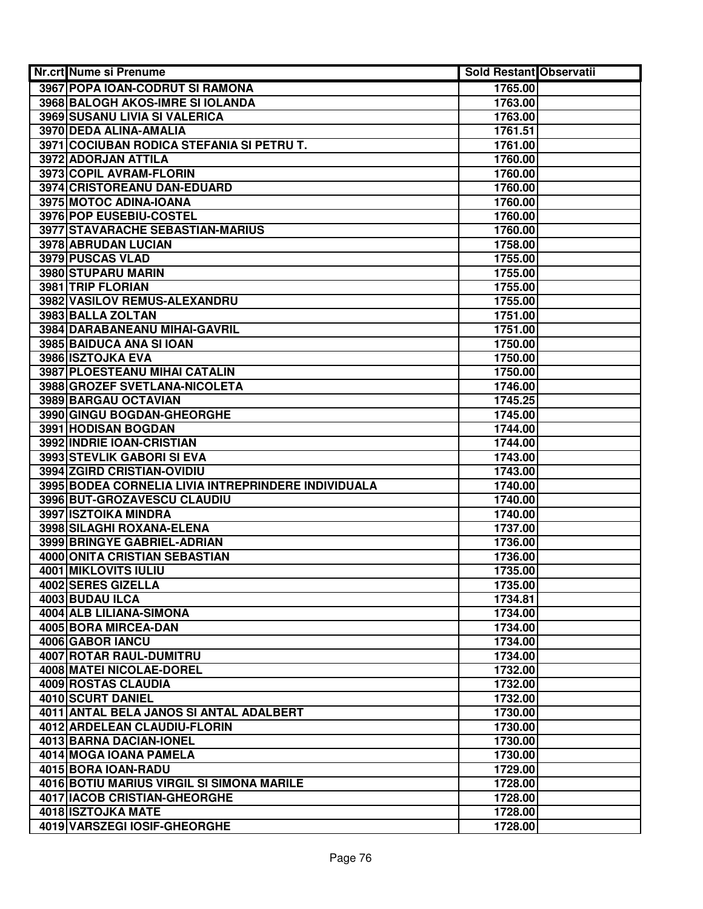| Nr.crt Nume si Prenume                              | <b>Sold Restant Observatii</b> |  |
|-----------------------------------------------------|--------------------------------|--|
| 3967 POPA IOAN-CODRUT SI RAMONA                     | 1765.00                        |  |
| 3968 BALOGH AKOS-IMRE SI IOLANDA                    | 1763.00                        |  |
| 3969 SUSANU LIVIA SI VALERICA                       | 1763.00                        |  |
| 3970 DEDA ALINA-AMALIA                              | 1761.51                        |  |
| 3971 COCIUBAN RODICA STEFANIA SI PETRU T.           | 1761.00                        |  |
| 3972 ADORJAN ATTILA                                 | 1760.00                        |  |
| 3973 COPIL AVRAM-FLORIN                             | 1760.00                        |  |
| 3974 CRISTOREANU DAN-EDUARD                         | 1760.00                        |  |
| 3975 MOTOC ADINA-IOANA                              | 1760.00                        |  |
| 3976 POP EUSEBIU-COSTEL                             | 1760.00                        |  |
| 3977 STAVARACHE SEBASTIAN-MARIUS                    | 1760.00                        |  |
| 3978 ABRUDAN LUCIAN                                 | 1758.00                        |  |
| 3979 PUSCAS VLAD                                    | 1755.00                        |  |
| 3980 STUPARU MARIN                                  | 1755.00                        |  |
| 3981 TRIP FLORIAN                                   | 1755.00                        |  |
| 3982 VASILOV REMUS-ALEXANDRU                        | 1755.00                        |  |
| 3983 BALLA ZOLTAN                                   | 1751.00                        |  |
| 3984 DARABANEANU MIHAI-GAVRIL                       | 1751.00                        |  |
| 3985 BAIDUCA ANA SI IOAN                            | 1750.00                        |  |
| 3986 ISZTOJKA EVA                                   | 1750.00                        |  |
| 3987 PLOESTEANU MIHAI CATALIN                       | 1750.00                        |  |
| 3988 GROZEF SVETLANA-NICOLETA                       | 1746.00                        |  |
| 3989 BARGAU OCTAVIAN                                | 1745.25                        |  |
| 3990 GINGU BOGDAN-GHEORGHE                          | 1745.00                        |  |
| 3991 HODISAN BOGDAN                                 | 1744.00                        |  |
| 3992 INDRIE IOAN-CRISTIAN                           | 1744.00                        |  |
| 3993 STEVLIK GABORI SI EVA                          | 1743.00                        |  |
| 3994 ZGIRD CRISTIAN-OVIDIU                          | 1743.00                        |  |
| 3995 BODEA CORNELIA LIVIA INTREPRINDERE INDIVIDUALA | 1740.00                        |  |
| 3996 BUT-GROZAVESCU CLAUDIU                         | 1740.00                        |  |
| 3997 ISZTOIKA MINDRA                                | 1740.00                        |  |
| 3998 SILAGHI ROXANA-ELENA                           | 1737.00                        |  |
| 3999 BRINGYE GABRIEL-ADRIAN                         | 1736.00                        |  |
| 4000 ONITA CRISTIAN SEBASTIAN                       | 1736.00                        |  |
| 4001 MIKLOVITS IULIU                                | 1735.00                        |  |
| 4002 SERES GIZELLA                                  | 1735.00                        |  |
| 4003 BUDAU ILCA                                     | 1734.81                        |  |
| 4004 ALB LILIANA-SIMONA                             | 1734.00                        |  |
| 4005 BORA MIRCEA-DAN                                | 1734.00                        |  |
| 4006 GABOR IANCU                                    | 1734.00                        |  |
| 4007 ROTAR RAUL-DUMITRU                             | 1734.00                        |  |
| 4008 MATEI NICOLAE-DOREL                            | 1732.00                        |  |
| 4009 ROSTAS CLAUDIA                                 | 1732.00                        |  |
| <b>4010 SCURT DANIEL</b>                            | 1732.00                        |  |
| 4011 ANTAL BELA JANOS SI ANTAL ADALBERT             | 1730.00                        |  |
| 4012 ARDELEAN CLAUDIU-FLORIN                        | 1730.00                        |  |
| 4013 BARNA DACIAN-IONEL                             | 1730.00                        |  |
| 4014 MOGA IOANA PAMELA                              | 1730.00                        |  |
| 4015 BORA IOAN-RADU                                 | 1729.00                        |  |
| 4016 BOTIU MARIUS VIRGIL SI SIMONA MARILE           | 1728.00                        |  |
| 4017 IACOB CRISTIAN-GHEORGHE                        | 1728.00                        |  |
| 4018 ISZTOJKA MATE                                  | 1728.00                        |  |
| 4019 VARSZEGI IOSIF-GHEORGHE                        | 1728.00                        |  |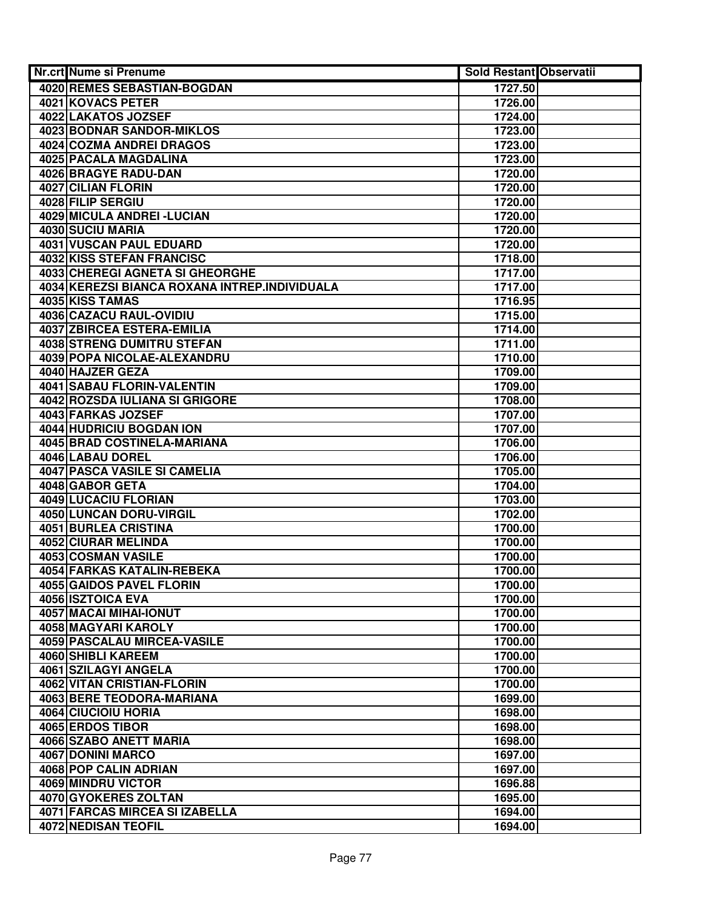| <b>Nr.crt Nume si Prenume</b>                  | <b>Sold Restant Observatii</b> |  |
|------------------------------------------------|--------------------------------|--|
| 4020 REMES SEBASTIAN-BOGDAN                    | 1727.50                        |  |
| 4021 KOVACS PETER                              | 1726.00                        |  |
| 4022 LAKATOS JOZSEF                            | 1724.00                        |  |
| 4023 BODNAR SANDOR-MIKLOS                      | 1723.00                        |  |
| <b>4024 COZMA ANDREI DRAGOS</b>                | 1723.00                        |  |
| 4025 PACALA MAGDALINA                          | 1723.00                        |  |
| 4026 BRAGYE RADU-DAN                           | 1720.00                        |  |
| 4027 CILIAN FLORIN                             | 1720.00                        |  |
| 4028 FILIP SERGIU                              | 1720.00                        |  |
| 4029 MICULA ANDREI - LUCIAN                    | 1720.00                        |  |
| 4030 SUCIU MARIA                               | 1720.00                        |  |
| 4031 VUSCAN PAUL EDUARD                        | 1720.00                        |  |
| 4032 KISS STEFAN FRANCISC                      | 1718.00                        |  |
| 4033 CHEREGI AGNETA SI GHEORGHE                | 1717.00                        |  |
| 4034 KEREZSI BIANCA ROXANA INTREP.INDIVIDUALA  | 1717.00                        |  |
| 4035 KISS TAMAS                                | 1716.95                        |  |
| 4036 CAZACU RAUL-OVIDIU                        | 1715.00                        |  |
| <b>4037 ZBIRCEA ESTERA-EMILIA</b>              | 1714.00                        |  |
| <b>4038 STRENG DUMITRU STEFAN</b>              | 1711.00                        |  |
| 4039 POPA NICOLAE-ALEXANDRU                    | 1710.00                        |  |
| 4040 HAJZER GEZA                               | 1709.00                        |  |
| 4041 SABAU FLORIN-VALENTIN                     | 1709.00                        |  |
| 4042 ROZSDA IULIANA SI GRIGORE                 | 1708.00                        |  |
| 4043 FARKAS JOZSEF<br>4044 HUDRICIU BOGDAN ION | 1707.00                        |  |
| 4045 BRAD COSTINELA-MARIANA                    | 1707.00                        |  |
| 4046 LABAU DOREL                               | 1706.00<br>1706.00             |  |
| 4047 PASCA VASILE SI CAMELIA                   | 1705.00                        |  |
| 4048 GABOR GETA                                | 1704.00                        |  |
| 4049 LUCACIU FLORIAN                           | 1703.00                        |  |
| 4050 LUNCAN DORU-VIRGIL                        | 1702.00                        |  |
| 4051 BURLEA CRISTINA                           | 1700.00                        |  |
| 4052 CIURAR MELINDA                            | 1700.00                        |  |
| 4053 COSMAN VASILE                             | 1700.00                        |  |
| 4054 FARKAS KATALIN-REBEKA                     | 1700.00                        |  |
| 4055 GAIDOS PAVEL FLORIN                       | 1700.00                        |  |
| 4056 ISZTOICA EVA                              | 1700.00                        |  |
| 4057 MACAI MIHAI-IONUT                         | 1700.00                        |  |
| 4058 MAGYARI KAROLY                            | 1700.00                        |  |
| <b>4059 PASCALAU MIRCEA-VASILE</b>             | 1700.00                        |  |
| <b>4060 SHIBLI KAREEM</b>                      | 1700.00                        |  |
| 4061 SZILAGYI ANGELA                           | 1700.00                        |  |
| <b>4062 VITAN CRISTIAN-FLORIN</b>              | 1700.00                        |  |
| 4063 BERE TEODORA-MARIANA                      | 1699.00                        |  |
| 4064 CIUCIOIU HORIA                            | 1698.00                        |  |
| 4065 ERDOS TIBOR                               | 1698.00                        |  |
| 4066 SZABO ANETT MARIA                         | 1698.00                        |  |
| 4067 DONINI MARCO                              | 1697.00                        |  |
| 4068 POP CALIN ADRIAN                          | 1697.00                        |  |
| 4069 MINDRU VICTOR                             | 1696.88                        |  |
| 4070 GYOKERES ZOLTAN                           | 1695.00                        |  |
| 4071 FARCAS MIRCEA SI IZABELLA                 | 1694.00                        |  |
| <b>4072 NEDISAN TEOFIL</b>                     | 1694.00                        |  |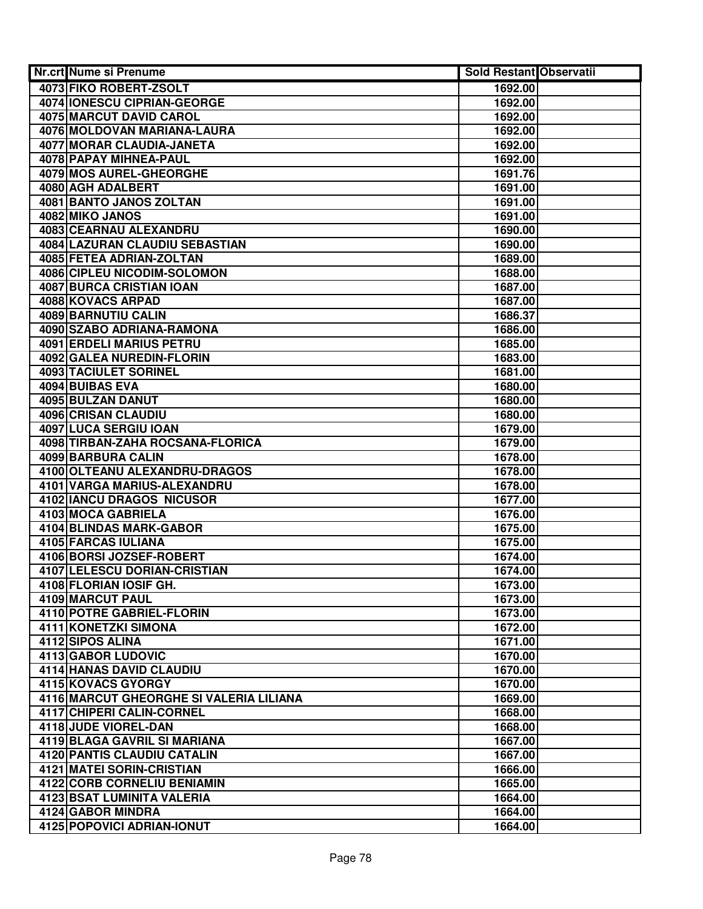| <b>Nr.crt Nume si Prenume</b>                  | <b>Sold Restant Observatii</b> |  |
|------------------------------------------------|--------------------------------|--|
| 4073 FIKO ROBERT-ZSOLT                         | 1692.00                        |  |
| 4074 IONESCU CIPRIAN-GEORGE                    | 1692.00                        |  |
| <b>4075 MARCUT DAVID CAROL</b>                 | 1692.00                        |  |
| 4076 MOLDOVAN MARIANA-LAURA                    | 1692.00                        |  |
| 4077 MORAR CLAUDIA-JANETA                      | 1692.00                        |  |
| 4078 PAPAY MIHNEA-PAUL                         | 1692.00                        |  |
| 4079 MOS AUREL-GHEORGHE                        | 1691.76                        |  |
| 4080 AGH ADALBERT                              | 1691.00                        |  |
| 4081 BANTO JANOS ZOLTAN                        | 1691.00                        |  |
| 4082 MIKO JANOS                                | 1691.00                        |  |
| 4083 CEARNAU ALEXANDRU                         | 1690.00                        |  |
| 4084 LAZURAN CLAUDIU SEBASTIAN                 | 1690.00                        |  |
| 4085 FETEA ADRIAN-ZOLTAN                       | 1689.00                        |  |
| 4086 CIPLEU NICODIM-SOLOMON                    | 1688.00                        |  |
| 4087 BURCA CRISTIAN IOAN                       | 1687.00                        |  |
| 4088 KOVACS ARPAD                              | 1687.00                        |  |
| 4089 BARNUTIU CALIN                            | 1686.37                        |  |
| 4090 SZABO ADRIANA-RAMONA                      | 1686.00                        |  |
| <b>4091 ERDELI MARIUS PETRU</b>                | 1685.00                        |  |
| <b>4092 GALEA NUREDIN-FLORIN</b>               | 1683.00                        |  |
| 4093 TACIULET SORINEL                          | 1681.00                        |  |
| 4094 BUIBAS EVA                                | 1680.00                        |  |
| 4095 BULZAN DANUT                              | 1680.00                        |  |
| 4096 CRISAN CLAUDIU                            | 1680.00                        |  |
| 4097 LUCA SERGIU IOAN                          | 1679.00                        |  |
| 4098 TIRBAN-ZAHA ROCSANA-FLORICA               | 1679.00                        |  |
| 4099 BARBURA CALIN                             | 1678.00                        |  |
| 4100 OLTEANU ALEXANDRU-DRAGOS                  | 1678.00                        |  |
| 4101 VARGA MARIUS-ALEXANDRU                    | 1678.00                        |  |
| 4102 IANCU DRAGOS NICUSOR                      | 1677.00                        |  |
| 4103 MOCA GABRIELA                             | 1676.00                        |  |
| 4104 BLINDAS MARK-GABOR<br>4105 FARCAS IULIANA | 1675.00<br>1675.00             |  |
| 4106 BORSI JOZSEF-ROBERT                       | 1674.00                        |  |
| 4107 LELESCU DORIAN-CRISTIAN                   | 1674.00                        |  |
| 4108 FLORIAN IOSIF GH.                         | 1673.00                        |  |
| 4109 MARCUT PAUL                               | 1673.00                        |  |
| 4110 POTRE GABRIEL-FLORIN                      | 1673.00                        |  |
| 4111 KONETZKI SIMONA                           | 1672.00                        |  |
| 4112 SIPOS ALINA                               | 1671.00                        |  |
| 4113 GABOR LUDOVIC                             | 1670.00                        |  |
| 4114 HANAS DAVID CLAUDIU                       | 1670.00                        |  |
| 4115 KOVACS GYORGY                             | 1670.00                        |  |
| 4116 MARCUT GHEORGHE SI VALERIA LILIANA        | 1669.00                        |  |
| 4117 CHIPERI CALIN-CORNEL                      | 1668.00                        |  |
| 4118 JUDE VIOREL-DAN                           | 1668.00                        |  |
| 4119 BLAGA GAVRIL SI MARIANA                   | 1667.00                        |  |
| 4120 PANTIS CLAUDIU CATALIN                    | 1667.00                        |  |
| 4121 MATEI SORIN-CRISTIAN                      | 1666.00                        |  |
| 4122 CORB CORNELIU BENIAMIN                    | 1665.00                        |  |
| 4123 BSAT LUMINITA VALERIA                     | 1664.00                        |  |
| 4124 GABOR MINDRA                              | 1664.00                        |  |
| 4125 POPOVICI ADRIAN-IONUT                     | 1664.00                        |  |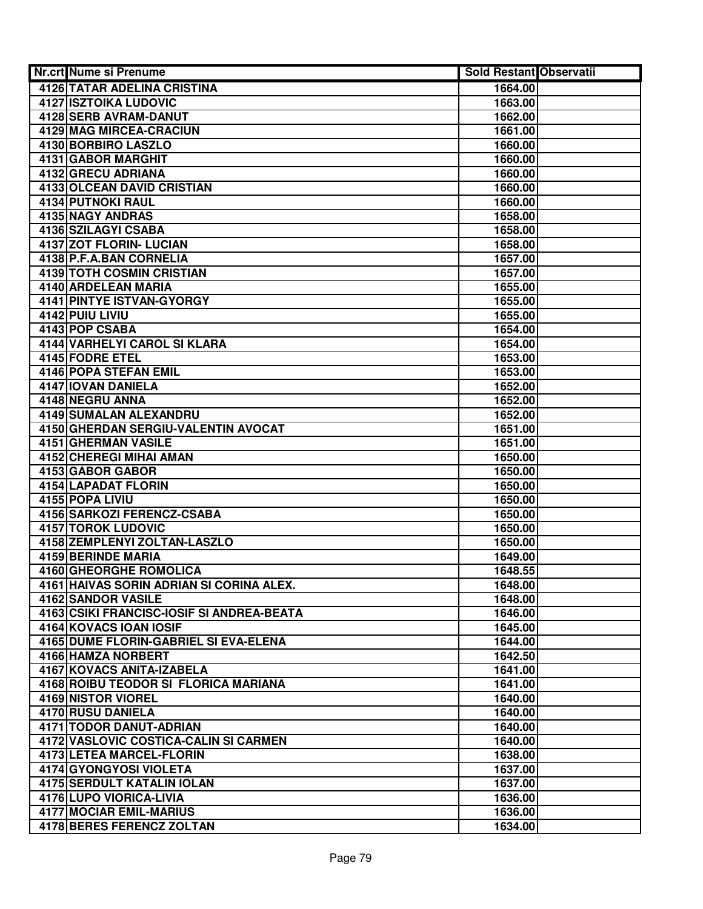| <b>Nr.crt Nume si Prenume</b>                                       | Sold Restant Observatii |  |
|---------------------------------------------------------------------|-------------------------|--|
| <b>4126 TATAR ADELINA CRISTINA</b>                                  | 1664.00                 |  |
| <b>4127 ISZTOIKA LUDOVIC</b>                                        | 1663.00                 |  |
| 4128 SERB AVRAM-DANUT                                               | 1662.00                 |  |
| 4129 MAG MIRCEA-CRACIUN                                             | 1661.00                 |  |
| 4130 BORBIRO LASZLO                                                 | 1660.00                 |  |
| 4131 GABOR MARGHIT                                                  | 1660.00                 |  |
| 4132 GRECU ADRIANA                                                  | 1660.00                 |  |
| 4133 OLCEAN DAVID CRISTIAN                                          | 1660.00                 |  |
| <b>4134 PUTNOKI RAUL</b>                                            | 1660.00                 |  |
| 4135 NAGY ANDRAS                                                    | 1658.00                 |  |
| 4136 SZILAGYI CSABA                                                 | 1658.00                 |  |
| 4137 ZOT FLORIN- LUCIAN                                             | 1658.00                 |  |
| 4138 P.F.A.BAN CORNELIA                                             | 1657.00                 |  |
| 4139 TOTH COSMIN CRISTIAN                                           | 1657.00                 |  |
| 4140 ARDELEAN MARIA                                                 | 1655.00                 |  |
| <b>4141 PINTYE ISTVAN-GYORGY</b>                                    | 1655.00                 |  |
| 4142 PUIU LIVIU                                                     | 1655.00                 |  |
| 4143 POP CSABA                                                      | 1654.00                 |  |
| <b>4144 VARHELYI CAROL SI KLARA</b>                                 | 1654.00                 |  |
| 4145 FODRE ETEL                                                     | 1653.00                 |  |
| 4146 POPA STEFAN EMIL                                               | 1653.00                 |  |
| 4147 IOVAN DANIELA                                                  | 1652.00                 |  |
| 4148 NEGRU ANNA                                                     | 1652.00                 |  |
| 4149 SUMALAN ALEXANDRU                                              | 1652.00                 |  |
| 4150 GHERDAN SERGIU-VALENTIN AVOCAT                                 | 1651.00                 |  |
| 4151 GHERMAN VASILE                                                 | 1651.00                 |  |
| 4152 CHEREGI MIHAI AMAN                                             | 1650.00                 |  |
| 4153 GABOR GABOR                                                    | 1650.00                 |  |
| 4154 LAPADAT FLORIN                                                 | 1650.00                 |  |
| 4155 POPA LIVIU                                                     | 1650.00                 |  |
| 4156 SARKOZI FERENCZ-CSABA                                          | 1650.00                 |  |
| 4157 TOROK LUDOVIC                                                  | 1650.00                 |  |
| 4158 ZEMPLENYI ZOLTAN-LASZLO                                        | 1650.00                 |  |
| 4159 BERINDE MARIA                                                  | 1649.00                 |  |
| 4160 GHEORGHE ROMOLICA                                              | 1648.55                 |  |
| 4161 HAIVAS SORIN ADRIAN SI CORINA ALEX.                            | 1648.00                 |  |
| 4162 SANDOR VASILE                                                  | 1648.00                 |  |
| 4163 CSIKI FRANCISC-IOSIF SI ANDREA-BEATA<br>4164 KOVACS IOAN IOSIF | 1646.00<br>1645.00      |  |
| 4165 DUME FLORIN-GABRIEL SI EVA-ELENA                               | 1644.00                 |  |
| 4166 HAMZA NORBERT                                                  | 1642.50                 |  |
| <b>4167 KOVACS ANITA-IZABELA</b>                                    | 1641.00                 |  |
| 4168 ROIBU TEODOR SI FLORICA MARIANA                                | 1641.00                 |  |
| <b>4169 NISTOR VIOREL</b>                                           | 1640.00                 |  |
| 4170 RUSU DANIELA                                                   | 1640.00                 |  |
| 4171 TODOR DANUT-ADRIAN                                             | 1640.00                 |  |
| 4172 VASLOVIC COSTICA-CALIN SI CARMEN                               | 1640.00                 |  |
| 4173 LETEA MARCEL-FLORIN                                            | 1638.00                 |  |
| 4174 GYONGYOSI VIOLETA                                              | 1637.00                 |  |
| <b>4175 SERDULT KATALIN IOLAN</b>                                   | 1637.00                 |  |
| 4176 LUPO VIORICA-LIVIA                                             | 1636.00                 |  |
| 4177 MOCIAR EMIL-MARIUS                                             | 1636.00                 |  |
| 4178 BERES FERENCZ ZOLTAN                                           | 1634.00                 |  |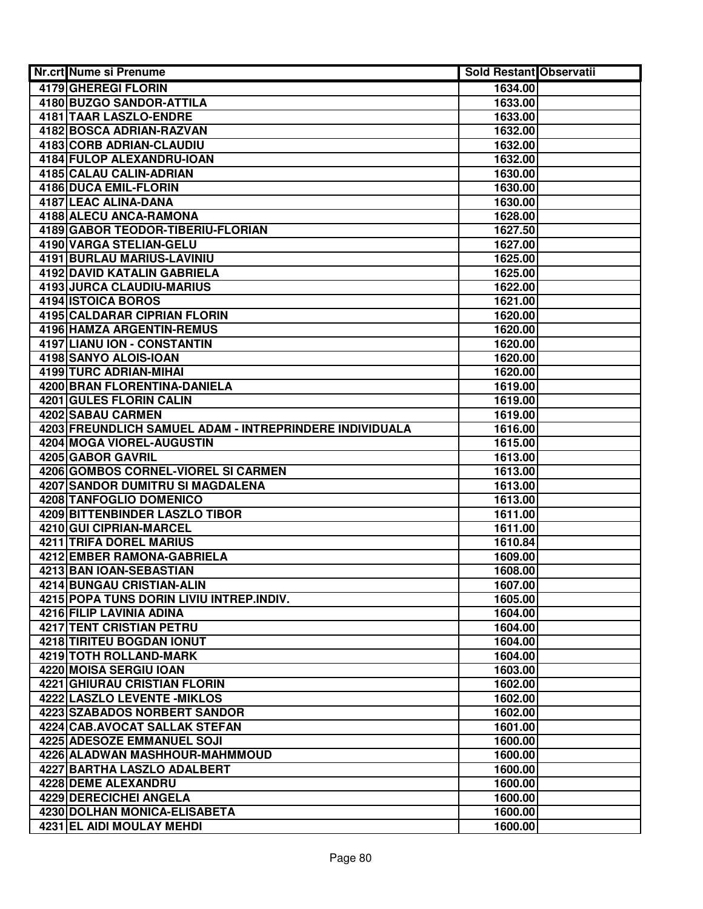| 4179 GHEREGI FLORIN<br>1634.00                                     |  |
|--------------------------------------------------------------------|--|
|                                                                    |  |
| 4180 BUZGO SANDOR-ATTILA<br>1633.00                                |  |
| <b>4181 TAAR LASZLO-ENDRE</b><br>1633.00                           |  |
| 4182 BOSCA ADRIAN-RAZVAN<br>1632.00                                |  |
| 4183 CORB ADRIAN-CLAUDIU<br>1632.00                                |  |
| 4184 FULOP ALEXANDRU-IOAN<br>1632.00                               |  |
| 4185 CALAU CALIN-ADRIAN<br>1630.00                                 |  |
| 4186 DUCA EMIL-FLORIN<br>1630.00                                   |  |
| 4187 LEAC ALINA-DANA<br>1630.00                                    |  |
| 4188 ALECU ANCA-RAMONA<br>1628.00                                  |  |
| 4189 GABOR TEODOR-TIBERIU-FLORIAN<br>1627.50                       |  |
| 4190 VARGA STELIAN-GELU<br>1627.00                                 |  |
| 4191 BURLAU MARIUS-LAVINIU<br>1625.00                              |  |
| 4192 DAVID KATALIN GABRIELA<br>1625.00                             |  |
| 4193 JURCA CLAUDIU-MARIUS<br>1622.00                               |  |
| 4194 ISTOICA BOROS<br>1621.00                                      |  |
| 4195 CALDARAR CIPRIAN FLORIN<br>1620.00                            |  |
| <b>4196 HAMZA ARGENTIN-REMUS</b><br>1620.00                        |  |
| 4197 LIANU ION - CONSTANTIN<br>1620.00                             |  |
| 4198 SANYO ALOIS-IOAN<br>1620.00                                   |  |
| 4199 TURC ADRIAN-MIHAI<br>1620.00                                  |  |
| 4200 BRAN FLORENTINA-DANIELA<br>1619.00                            |  |
| 4201 GULES FLORIN CALIN<br>1619.00                                 |  |
| 4202 SABAU CARMEN<br>1619.00                                       |  |
| 4203 FREUNDLICH SAMUEL ADAM - INTREPRINDERE INDIVIDUALA<br>1616.00 |  |
| 4204 MOGA VIOREL-AUGUSTIN<br>1615.00                               |  |
| 4205 GABOR GAVRIL<br>1613.00                                       |  |
| 4206 GOMBOS CORNEL-VIOREL SI CARMEN<br>1613.00                     |  |
| 4207 SANDOR DUMITRU SI MAGDALENA<br>1613.00                        |  |
| 4208 TANFOGLIO DOMENICO<br>1613.00                                 |  |
| 4209 BITTENBINDER LASZLO TIBOR<br>1611.00                          |  |
| 4210 GUI CIPRIAN-MARCEL<br>1611.00                                 |  |
| 4211 TRIFA DOREL MARIUS<br>1610.84                                 |  |
| 4212 EMBER RAMONA-GABRIELA<br>1609.00                              |  |
| 4213 BAN IOAN-SEBASTIAN<br>1608.00                                 |  |
| 4214 BUNGAU CRISTIAN-ALIN<br>1607.00                               |  |
| 4215 POPA TUNS DORIN LIVIU INTREP.INDIV.<br>1605.00                |  |
| 4216 FILIP LAVINIA ADINA<br>1604.00                                |  |
| 4217 TENT CRISTIAN PETRU<br>1604.00                                |  |
| 4218 TIRITEU BOGDAN IONUT<br>1604.00<br>4219 TOTH ROLLAND-MARK     |  |
| 1604.00<br>4220 MOISA SERGIU IOAN<br>1603.00                       |  |
| <b>4221 GHIURAU CRISTIAN FLORIN</b><br>1602.00                     |  |
| <b>4222 LASZLO LEVENTE - MIKLOS</b><br>1602.00                     |  |
| 4223 SZABADOS NORBERT SANDOR<br>1602.00                            |  |
| 4224 CAB.AVOCAT SALLAK STEFAN<br>1601.00                           |  |
| 4225 ADESOZE EMMANUEL SOJI<br>1600.00                              |  |
| 1600.00<br>4226 ALADWAN MASHHOUR-MAHMMOUD                          |  |
| 4227 BARTHA LASZLO ADALBERT<br>1600.00                             |  |
| 4228 DEME ALEXANDRU<br>1600.00                                     |  |
| 4229 DERECICHEI ANGELA<br>1600.00                                  |  |
| 4230 DOLHAN MONICA-ELISABETA<br>1600.00                            |  |
| 4231 EL AIDI MOULAY MEHDI<br>1600.00                               |  |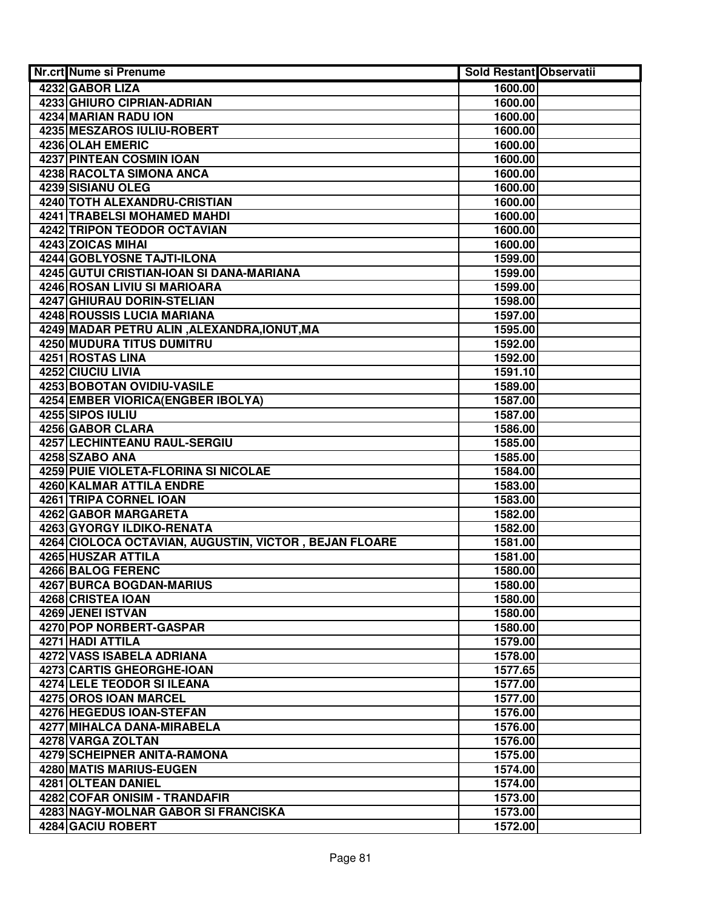| <b>Nr.crt Nume si Prenume</b>                         | Sold Restant Observatii |  |
|-------------------------------------------------------|-------------------------|--|
| 4232 GABOR LIZA                                       | 1600.00                 |  |
| 4233 GHIURO CIPRIAN-ADRIAN                            | 1600.00                 |  |
| 4234 MARIAN RADU ION                                  | 1600.00                 |  |
| 4235 MESZAROS IULIU-ROBERT                            | 1600.00                 |  |
| 4236 OLAH EMERIC                                      | 1600.00                 |  |
| 4237 PINTEAN COSMIN IOAN                              | 1600.00                 |  |
| 4238 RACOLTA SIMONA ANCA                              | 1600.00                 |  |
| 4239 SISIANU OLEG                                     | 1600.00                 |  |
| <b>4240 TOTH ALEXANDRU-CRISTIAN</b>                   | 1600.00                 |  |
| 4241 TRABELSI MOHAMED MAHDI                           | 1600.00                 |  |
| 4242 TRIPON TEODOR OCTAVIAN                           | 1600.00                 |  |
| 4243 ZOICAS MIHAI                                     | 1600.00                 |  |
| 4244 GOBLYOSNE TAJTI-ILONA                            | 1599.00                 |  |
| 4245 GUTUI CRISTIAN-IOAN SI DANA-MARIANA              | 1599.00                 |  |
| 4246 ROSAN LIVIU SI MARIOARA                          | 1599.00                 |  |
| <b>4247 GHIURAU DORIN-STELIAN</b>                     | 1598.00                 |  |
| <b>4248 ROUSSIS LUCIA MARIANA</b>                     | 1597.00                 |  |
| 4249 MADAR PETRU ALIN, ALEXANDRA, IONUT, MA           | 1595.00                 |  |
| <b>4250 MUDURA TITUS DUMITRU</b>                      | 1592.00                 |  |
| 4251 ROSTAS LINA                                      | 1592.00                 |  |
| 4252 CIUCIU LIVIA                                     | 1591.10                 |  |
| <b>4253 BOBOTAN OVIDIU-VASILE</b>                     | 1589.00                 |  |
| 4254 EMBER VIORICA (ENGBER IBOLYA)                    | 1587.00                 |  |
| 4255 SIPOS IULIU                                      | 1587.00                 |  |
| 4256 GABOR CLARA                                      | 1586.00                 |  |
| 4257 LECHINTEANU RAUL-SERGIU                          | 1585.00                 |  |
| 4258 SZABO ANA                                        | 1585.00                 |  |
| 4259 PUIE VIOLETA-FLORINA SI NICOLAE                  | 1584.00                 |  |
| 4260 KALMAR ATTILA ENDRE                              | 1583.00                 |  |
| 4261 TRIPA CORNEL IOAN                                | 1583.00                 |  |
| 4262 GABOR MARGARETA                                  | 1582.00                 |  |
| 4263 GYORGY ILDIKO-RENATA                             | 1582.00                 |  |
| 4264 CIOLOCA OCTAVIAN, AUGUSTIN, VICTOR, BEJAN FLOARE | 1581.00                 |  |
| 4265 HUSZAR ATTILA                                    | 1581.00                 |  |
| 4266 BALOG FERENC                                     | 1580.00                 |  |
| 4267 BURCA BOGDAN-MARIUS                              | 1580.00                 |  |
| 4268 CRISTEA IOAN                                     | 1580.00                 |  |
| 4269 JENEI ISTVAN                                     | 1580.00                 |  |
| 4270 POP NORBERT-GASPAR                               | 1580.00                 |  |
| 4271 HADI ATTILA                                      | 1579.00                 |  |
| 4272 VASS ISABELA ADRIANA                             | 1578.00                 |  |
| <b>4273 CARTIS GHEORGHE-IOAN</b>                      | 1577.65                 |  |
| <b>4274 LELE TEODOR SI ILEANA</b>                     | 1577.00                 |  |
| 4275 OROS IOAN MARCEL                                 | 1577.00                 |  |
| 4276 HEGEDUS IOAN-STEFAN                              | 1576.00                 |  |
| 4277 MIHALCA DANA-MIRABELA                            | 1576.00                 |  |
| 4278 VARGA ZOLTAN                                     | 1576.00                 |  |
| 4279 SCHEIPNER ANITA-RAMONA                           | 1575.00                 |  |
| 4280 MATIS MARIUS-EUGEN                               | 1574.00                 |  |
| 4281 OLTEAN DANIEL                                    | 1574.00                 |  |
| 4282 COFAR ONISIM - TRANDAFIR                         | 1573.00                 |  |
| 4283 NAGY-MOLNAR GABOR SI FRANCISKA                   | 1573.00                 |  |
| 4284 GACIU ROBERT                                     | 1572.00                 |  |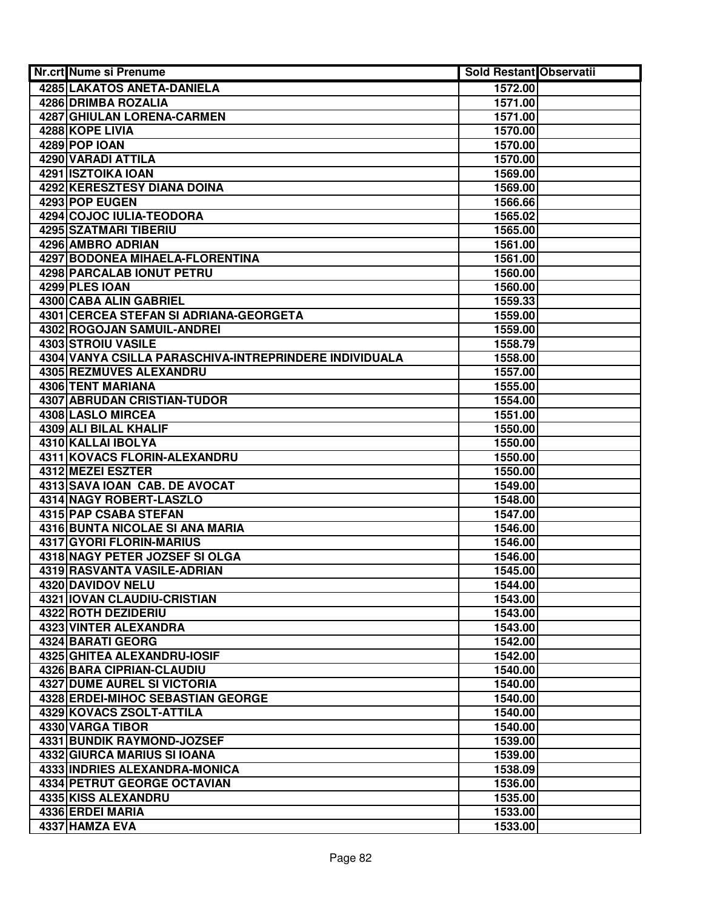| Nr.crt Nume si Prenume                                        | Sold Restant Observatii |  |
|---------------------------------------------------------------|-------------------------|--|
| <b>4285 LAKATOS ANETA-DANIELA</b>                             | 1572.00                 |  |
| 4286 DRIMBA ROZALIA                                           | 1571.00                 |  |
| 4287 GHIULAN LORENA-CARMEN                                    | 1571.00                 |  |
| 4288 KOPE LIVIA                                               | 1570.00                 |  |
| 4289 POP IOAN                                                 | 1570.00                 |  |
| 4290 VARADI ATTILA                                            | 1570.00                 |  |
| 4291 ISZTOIKA IOAN                                            | 1569.00                 |  |
| 4292 KERESZTESY DIANA DOINA                                   | 1569.00                 |  |
| 4293 POP EUGEN                                                | 1566.66                 |  |
| 4294 COJOC IULIA-TEODORA                                      | 1565.02                 |  |
| 4295 SZATMARI TIBERIU                                         | 1565.00                 |  |
| 4296 AMBRO ADRIAN                                             | 1561.00                 |  |
| 4297 BODONEA MIHAELA-FLORENTINA                               | 1561.00                 |  |
| 4298 PARCALAB IONUT PETRU                                     | 1560.00                 |  |
| 4299 PLES IOAN                                                | 1560.00                 |  |
| 4300 CABA ALIN GABRIEL                                        | 1559.33                 |  |
| 4301 CERCEA STEFAN SI ADRIANA-GEORGETA                        | 1559.00                 |  |
| 4302 ROGOJAN SAMUIL-ANDREI                                    | 1559.00                 |  |
| <b>4303 STROIU VASILE</b>                                     | 1558.79                 |  |
| 4304 VANYA CSILLA PARASCHIVA-INTREPRINDERE INDIVIDUALA        | 1558.00                 |  |
| 4305 REZMUVES ALEXANDRU                                       | 1557.00                 |  |
| <b>4306 TENT MARIANA</b>                                      | 1555.00                 |  |
| <b>4307 ABRUDAN CRISTIAN-TUDOR</b>                            | 1554.00                 |  |
| 4308 LASLO MIRCEA                                             | 1551.00                 |  |
| 4309 ALI BILAL KHALIF                                         | 1550.00                 |  |
| 4310 KALLAI IBOLYA                                            | 1550.00                 |  |
| 4311 KOVACS FLORIN-ALEXANDRU                                  | 1550.00                 |  |
| 4312 MEZEI ESZTER                                             | 1550.00                 |  |
| 4313 SAVA IOAN CAB. DE AVOCAT                                 | 1549.00                 |  |
| 4314 NAGY ROBERT-LASZLO                                       | 1548.00                 |  |
| 4315 PAP CSABA STEFAN                                         | 1547.00                 |  |
| 4316 BUNTA NICOLAE SI ANA MARIA                               | 1546.00                 |  |
| 4317 GYORI FLORIN-MARIUS                                      | 1546.00                 |  |
| 4318 NAGY PETER JOZSEF SI OLGA<br>4319 RASVANTA VASILE-ADRIAN | 1546.00<br>1545.00      |  |
| 4320 DAVIDOV NELU                                             | 1544.00                 |  |
| 4321 IOVAN CLAUDIU-CRISTIAN                                   | 1543.00                 |  |
| 4322 ROTH DEZIDERIU                                           | 1543.00                 |  |
| 4323 VINTER ALEXANDRA                                         | 1543.00                 |  |
| 4324 BARATI GEORG                                             | 1542.00                 |  |
| 4325 GHITEA ALEXANDRU-IOSIF                                   | 1542.00                 |  |
| <b>4326 BARA CIPRIAN-CLAUDIU</b>                              | 1540.00                 |  |
| <b>4327 DUME AUREL SI VICTORIA</b>                            | 1540.00                 |  |
| <b>4328 ERDEI-MIHOC SEBASTIAN GEORGE</b>                      | 1540.00                 |  |
| 4329 KOVACS ZSOLT-ATTILA                                      | 1540.00                 |  |
| 4330 VARGA TIBOR                                              | 1540.00                 |  |
| 4331 BUNDIK RAYMOND-JOZSEF                                    | 1539.00                 |  |
| 4332 GIURCA MARIUS SI IOANA                                   | 1539.00                 |  |
| 4333 INDRIES ALEXANDRA-MONICA                                 | 1538.09                 |  |
| 4334 PETRUT GEORGE OCTAVIAN                                   | 1536.00                 |  |
| 4335 KISS ALEXANDRU                                           | 1535.00                 |  |
| 4336 ERDEI MARIA                                              | 1533.00                 |  |
| 4337 HAMZA EVA                                                | 1533.00                 |  |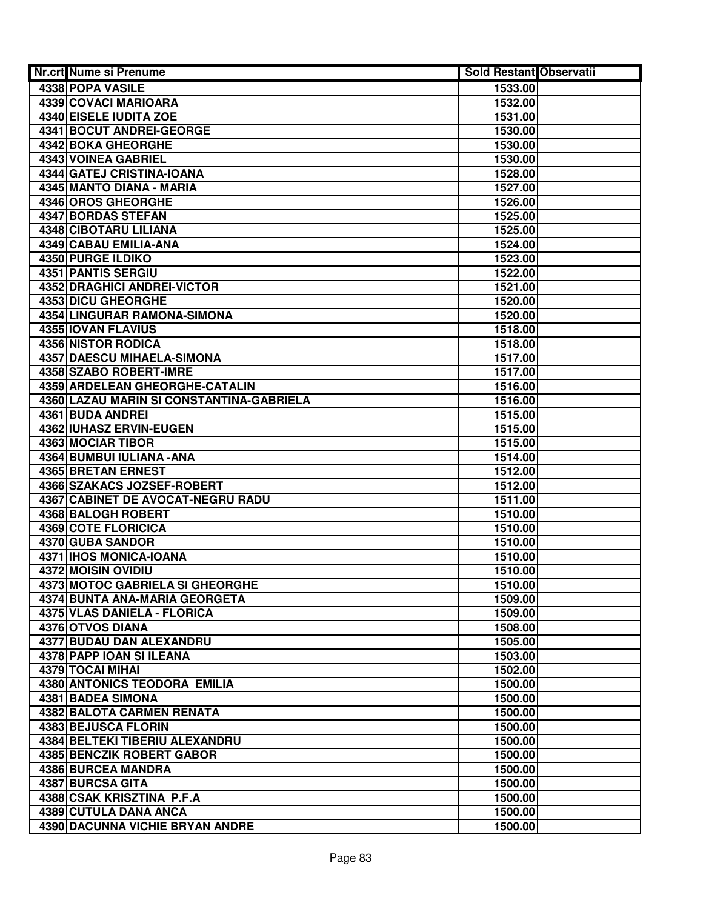| Nr.crt Nume si Prenume                   | Sold Restant Observatii |  |
|------------------------------------------|-------------------------|--|
| 4338 POPA VASILE                         | 1533.00                 |  |
| 4339 COVACI MARIOARA                     | 1532.00                 |  |
| 4340 EISELE IUDITA ZOE                   | 1531.00                 |  |
| <b>4341 BOCUT ANDREI-GEORGE</b>          | 1530.00                 |  |
| 4342 BOKA GHEORGHE                       | 1530.00                 |  |
| 4343 VOINEA GABRIEL                      | 1530.00                 |  |
| 4344 GATEJ CRISTINA-IOANA                | 1528.00                 |  |
| 4345 MANTO DIANA - MARIA                 | 1527.00                 |  |
| 4346 OROS GHEORGHE                       | 1526.00                 |  |
| 4347 BORDAS STEFAN                       | 1525.00                 |  |
| 4348 CIBOTARU LILIANA                    | 1525.00                 |  |
| 4349 CABAU EMILIA-ANA                    | 1524.00                 |  |
| 4350 PURGE ILDIKO                        | 1523.00                 |  |
| 4351 PANTIS SERGIU                       | 1522.00                 |  |
| <b>4352 DRAGHICI ANDREI-VICTOR</b>       | 1521.00                 |  |
| <b>4353 DICU GHEORGHE</b>                | 1520.00                 |  |
| <b>4354 LINGURAR RAMONA-SIMONA</b>       | 1520.00                 |  |
| <b>4355 IOVAN FLAVIUS</b>                | 1518.00                 |  |
| <b>4356 NISTOR RODICA</b>                | 1518.00                 |  |
| <b>4357 DAESCU MIHAELA-SIMONA</b>        | 1517.00                 |  |
| 4358 SZABO ROBERT-IMRE                   | 1517.00                 |  |
| 4359 ARDELEAN GHEORGHE-CATALIN           | 1516.00                 |  |
| 4360 LAZAU MARIN SI CONSTANTINA-GABRIELA | 1516.00                 |  |
| 4361 BUDA ANDREI                         | 1515.00                 |  |
| 4362 IUHASZ ERVIN-EUGEN                  | 1515.00                 |  |
| 4363 MOCIAR TIBOR                        | 1515.00                 |  |
| 4364 BUMBUI IULIANA - ANA                | 1514.00                 |  |
| 4365 BRETAN ERNEST                       | 1512.00                 |  |
| 4366 SZAKACS JOZSEF-ROBERT               | 1512.00                 |  |
| 4367 CABINET DE AVOCAT-NEGRU RADU        | 1511.00                 |  |
| 4368 BALOGH ROBERT                       | 1510.00                 |  |
| 4369 COTE FLORICICA                      | 1510.00                 |  |
| 4370 GUBA SANDOR                         | 1510.00                 |  |
| 4371   IHOS MONICA-IOANA                 | 1510.00                 |  |
| 4372 MOISIN OVIDIU                       | 1510.00                 |  |
| 4373 MOTOC GABRIELA SI GHEORGHE          | 1510.00                 |  |
| 4374 BUNTA ANA-MARIA GEORGETA            | 1509.00                 |  |
| 4375 VLAS DANIELA - FLORICA              | 1509.00                 |  |
| 4376 OTVOS DIANA                         | 1508.00                 |  |
| <b>4377 BUDAU DAN ALEXANDRU</b>          | 1505.00                 |  |
| 4378 PAPP IOAN SI ILEANA                 | 1503.00                 |  |
| 4379 TOCAI MIHAI                         | 1502.00                 |  |
| <b>4380 ANTONICS TEODORA EMILIA</b>      | 1500.00                 |  |
| <b>4381 BADEA SIMONA</b>                 | 1500.00                 |  |
| 4382 BALOTA CARMEN RENATA                | 1500.00                 |  |
| 4383 BEJUSCA FLORIN                      | 1500.00                 |  |
| 4384 BELTEKI TIBERIU ALEXANDRU           | 1500.00                 |  |
| 4385 BENCZIK ROBERT GABOR                | 1500.00                 |  |
| 4386 BURCEA MANDRA                       | 1500.00                 |  |
| 4387 BURCSA GITA                         | 1500.00                 |  |
| 4388 CSAK KRISZTINA P.F.A                | 1500.00                 |  |
| 4389 CUTULA DANA ANCA                    | 1500.00                 |  |
| 4390 DACUNNA VICHIE BRYAN ANDRE          | 1500.00                 |  |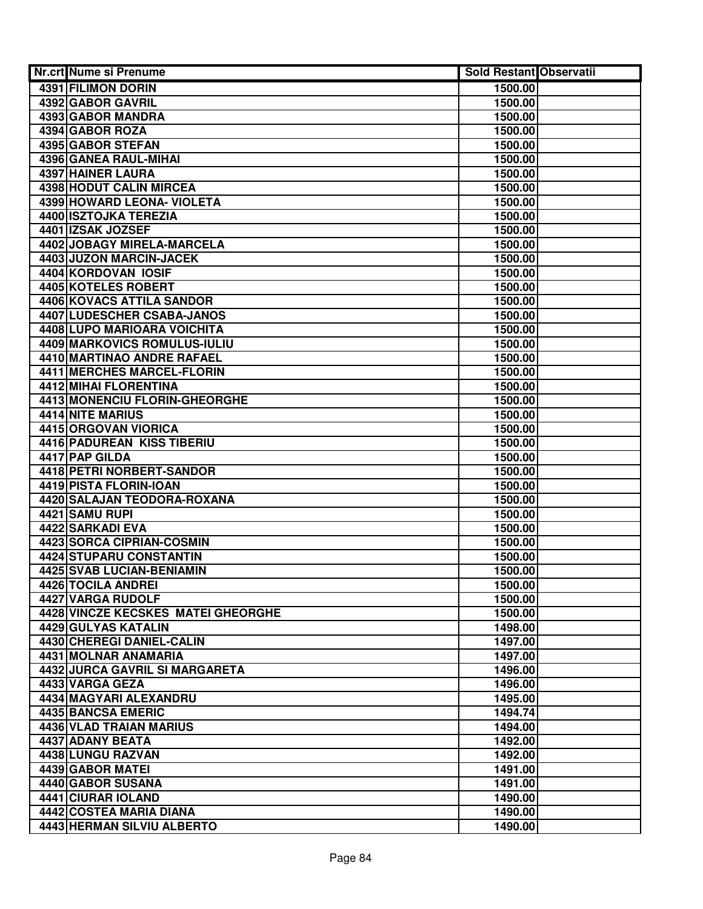| Nr.crt Nume si Prenume                        | <b>Sold Restant Observatii</b> |  |
|-----------------------------------------------|--------------------------------|--|
| <b>4391 FILIMON DORIN</b>                     | 1500.00                        |  |
| 4392 GABOR GAVRIL                             | 1500.00                        |  |
| 4393 GABOR MANDRA                             | 1500.00                        |  |
| 4394 GABOR ROZA                               | 1500.00                        |  |
| 4395 GABOR STEFAN                             | 1500.00                        |  |
| 4396 GANEA RAUL-MIHAI                         | 1500.00                        |  |
| 4397 HAINER LAURA                             | 1500.00                        |  |
| 4398 HODUT CALIN MIRCEA                       | 1500.00                        |  |
| 4399 HOWARD LEONA- VIOLETA                    | 1500.00                        |  |
| 4400 ISZTOJKA TEREZIA                         | 1500.00                        |  |
| 4401 IZSAK JOZSEF                             | 1500.00                        |  |
| 4402 JOBAGY MIRELA-MARCELA                    | 1500.00                        |  |
| 4403 JUZON MARCIN-JACEK                       | 1500.00                        |  |
| 4404 KORDOVAN IOSIF                           | 1500.00                        |  |
| 4405 KOTELES ROBERT                           | 1500.00                        |  |
| 4406 KOVACS ATTILA SANDOR                     | 1500.00                        |  |
| 4407 LUDESCHER CSABA-JANOS                    | 1500.00                        |  |
| <b>4408 LUPO MARIOARA VOICHITA</b>            | 1500.00                        |  |
| 4409 MARKOVICS ROMULUS-IULIU                  | 1500.00                        |  |
| 4410 MARTINAO ANDRE RAFAEL                    | 1500.00                        |  |
| 4411 MERCHES MARCEL-FLORIN                    | 1500.00                        |  |
| <b>4412 MIHAI FLORENTINA</b>                  | 1500.00                        |  |
| 4413 MONENCIU FLORIN-GHEORGHE                 | 1500.00                        |  |
| 4414 NITE MARIUS                              | 1500.00                        |  |
| 4415 ORGOVAN VIORICA                          | 1500.00                        |  |
| 4416 PADUREAN KISS TIBERIU                    | 1500.00                        |  |
| 4417 PAP GILDA                                | 1500.00                        |  |
| 4418 PETRI NORBERT-SANDOR                     | 1500.00                        |  |
| 4419 PISTA FLORIN-IOAN                        | 1500.00                        |  |
| 4420 SALAJAN TEODORA-ROXANA                   | 1500.00                        |  |
| 4421 SAMU RUPI                                | 1500.00                        |  |
| 4422 SARKADI EVA                              | 1500.00                        |  |
| 4423 SORCA CIPRIAN-COSMIN                     | 1500.00                        |  |
| 4424 STUPARU CONSTANTIN                       | 1500.00                        |  |
| 4425 SVAB LUCIAN-BENIAMIN                     | 1500.00                        |  |
| 4426 TOCILA ANDREI                            | 1500.00                        |  |
| 4427 VARGA RUDOLF                             | 1500.00                        |  |
| 4428 VINCZE KECSKES MATEI GHEORGHE            | 1500.00                        |  |
| 4429 GULYAS KATALIN                           | 1498.00                        |  |
| 4430 CHEREGI DANIEL-CALIN                     | 1497.00                        |  |
| 4431 MOLNAR ANAMARIA                          | 1497.00                        |  |
| <b>4432 JURCA GAVRIL SI MARGARETA</b>         | 1496.00                        |  |
| 4433 VARGA GEZA                               | 1496.00                        |  |
| 4434 MAGYARI ALEXANDRU                        | 1495.00                        |  |
| 4435 BANCSA EMERIC                            | 1494.74                        |  |
| 4436 VLAD TRAIAN MARIUS                       | 1494.00                        |  |
| 4437 ADANY BEATA                              | 1492.00                        |  |
| 4438 LUNGU RAZVAN                             | 1492.00                        |  |
| 4439 GABOR MATEI                              | 1491.00                        |  |
| 4440 GABOR SUSANA                             | 1491.00                        |  |
| 4441 CIURAR IOLAND<br>4442 COSTEA MARIA DIANA | 1490.00                        |  |
| <b>4443 HERMAN SILVIU ALBERTO</b>             | 1490.00                        |  |
|                                               | 1490.00                        |  |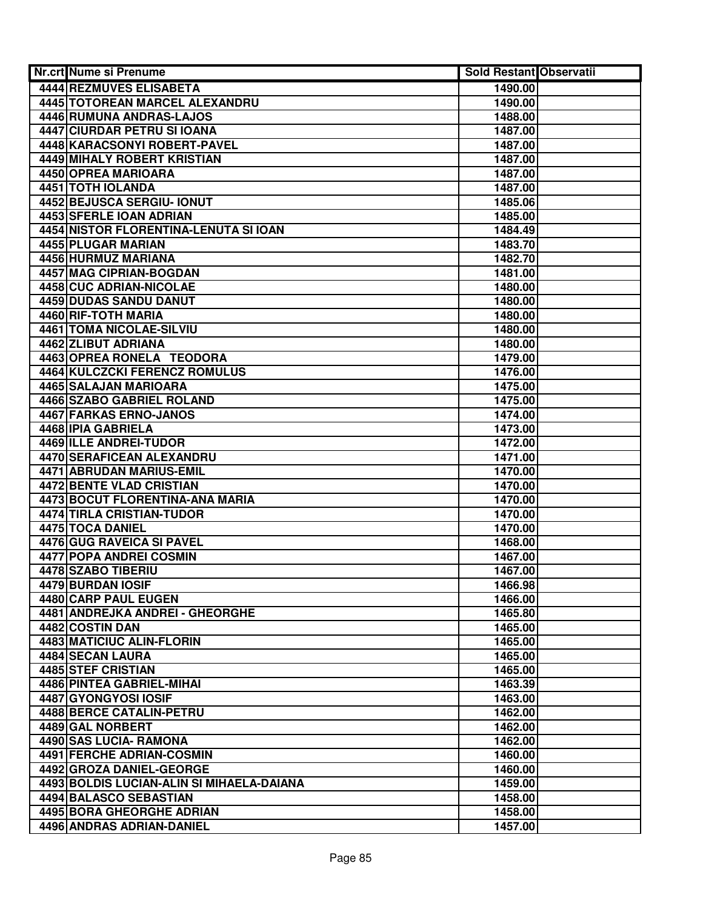| Nr.crt Nume si Prenume                    |                    | <b>Sold Restant Observatii</b> |
|-------------------------------------------|--------------------|--------------------------------|
| 4444 REZMUVES ELISABETA                   | 1490.00            |                                |
| 4445 TOTOREAN MARCEL ALEXANDRU            | 1490.00            |                                |
| 4446 RUMUNA ANDRAS-LAJOS                  | 1488.00            |                                |
| 4447 CIURDAR PETRU SI IOANA               | 1487.00            |                                |
| 4448 KARACSONYI ROBERT-PAVEL              | 1487.00            |                                |
| 4449 MIHALY ROBERT KRISTIAN               | 1487.00            |                                |
| 4450 OPREA MARIOARA                       | 1487.00            |                                |
| 4451 TOTH IOLANDA                         | 1487.00            |                                |
| <b>4452 BEJUSCA SERGIU- IONUT</b>         | 1485.06            |                                |
| 4453 SFERLE IOAN ADRIAN                   | 1485.00            |                                |
| 4454 NISTOR FLORENTINA-LENUTA SI IOAN     | 1484.49            |                                |
| 4455 PLUGAR MARIAN                        | 1483.70            |                                |
| 4456 HURMUZ MARIANA                       | 1482.70            |                                |
| 4457 MAG CIPRIAN-BOGDAN                   | 1481.00            |                                |
| 4458 CUC ADRIAN-NICOLAE                   | 1480.00            |                                |
| 4459 DUDAS SANDU DANUT                    | 1480.00            |                                |
| 4460 RIF-TOTH MARIA                       | 1480.00            |                                |
| <b>4461 TOMA NICOLAE-SILVIU</b>           | 1480.00            |                                |
| 4462 ZLIBUT ADRIANA                       | 1480.00            |                                |
| 4463 OPREA RONELA TEODORA                 | 1479.00            |                                |
| 4464 KULCZCKI FERENCZ ROMULUS             | 1476.00            |                                |
| 4465 SALAJAN MARIOARA                     | 1475.00            |                                |
| 4466 SZABO GABRIEL ROLAND                 | 1475.00            |                                |
| 4467 FARKAS ERNO-JANOS                    | 1474.00            |                                |
| 4468 IPIA GABRIELA                        | 1473.00            |                                |
| 4469 ILLE ANDREI-TUDOR                    | 1472.00            |                                |
| 4470 SERAFICEAN ALEXANDRU                 | 1471.00            |                                |
| 4471 ABRUDAN MARIUS-EMIL                  | 1470.00            |                                |
| 4472 BENTE VLAD CRISTIAN                  | 1470.00            |                                |
| 4473 BOCUT FLORENTINA-ANA MARIA           | 1470.00            |                                |
| 4474 TIRLA CRISTIAN-TUDOR                 | 1470.00            |                                |
| 4475 TOCA DANIEL                          | 1470.00            |                                |
| 4476 GUG RAVEICA SI PAVEL                 | 1468.00            |                                |
| 4477 POPA ANDREI COSMIN                   | 1467.00            |                                |
| 4478 SZABO TIBERIU                        | 1467.00            |                                |
| 4479 BURDAN IOSIF                         | 1466.98            |                                |
| 4480 CARP PAUL EUGEN                      | 1466.00            |                                |
| 4481 ANDREJKA ANDREI - GHEORGHE           | 1465.80            |                                |
| <b>4482 COSTIN DAN</b>                    | 1465.00            |                                |
| 4483 MATICIUC ALIN-FLORIN                 | 1465.00            |                                |
| 4484 SECAN LAURA<br>4485 STEF CRISTIAN    | 1465.00            |                                |
| 4486 PINTEA GABRIEL-MIHAI                 | 1465.00            |                                |
| 4487 GYONGYOSI IOSIF                      | 1463.39<br>1463.00 |                                |
| 4488 BERCE CATALIN-PETRU                  | 1462.00            |                                |
| 4489 GAL NORBERT                          | 1462.00            |                                |
| 4490 SAS LUCIA- RAMONA                    | 1462.00            |                                |
| 4491 FERCHE ADRIAN-COSMIN                 | 1460.00            |                                |
| 4492 GROZA DANIEL-GEORGE                  | 1460.00            |                                |
| 4493 BOLDIS LUCIAN-ALIN SI MIHAELA-DAIANA | 1459.00            |                                |
| 4494 BALASCO SEBASTIAN                    | 1458.00            |                                |
| 4495 BORA GHEORGHE ADRIAN                 | 1458.00            |                                |
| 4496 ANDRAS ADRIAN-DANIEL                 | 1457.00            |                                |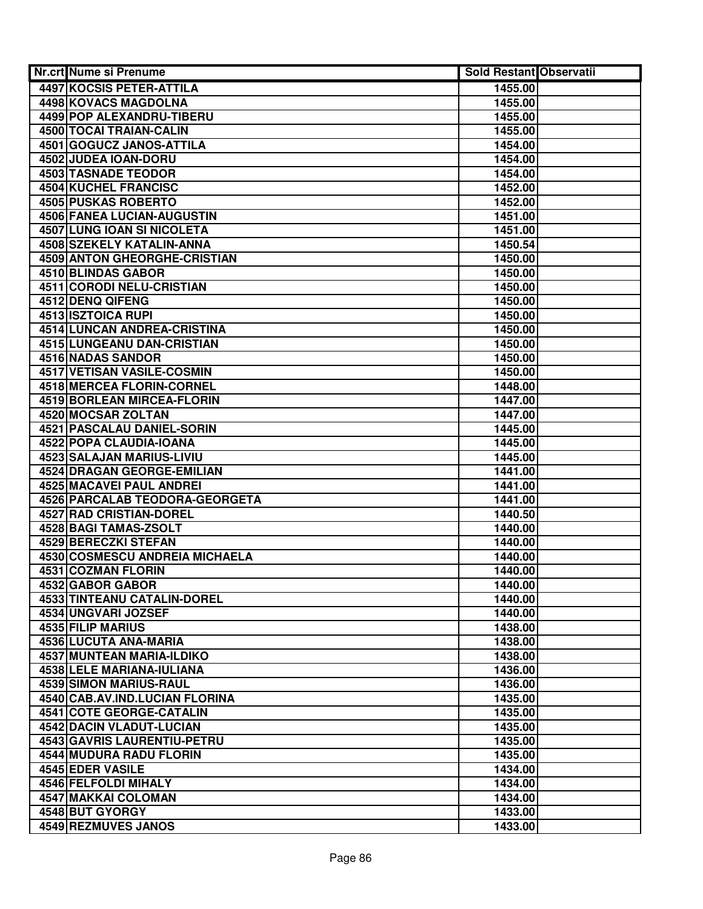| Nr.crt Nume si Prenume                        | <b>Sold Restant Observatii</b> |  |
|-----------------------------------------------|--------------------------------|--|
| 4497 KOCSIS PETER-ATTILA                      | 1455.00                        |  |
| 4498 KOVACS MAGDOLNA                          | 1455.00                        |  |
| 4499 POP ALEXANDRU-TIBERU                     | 1455.00                        |  |
| 4500 TOCAI TRAIAN-CALIN                       | 1455.00                        |  |
| <b>4501 GOGUCZ JANOS-ATTILA</b>               | 1454.00                        |  |
| 4502 JUDEA IOAN-DORU                          | 1454.00                        |  |
| 4503 TASNADE TEODOR                           | 1454.00                        |  |
| 4504 KUCHEL FRANCISC                          | 1452.00                        |  |
| 4505 PUSKAS ROBERTO                           | 1452.00                        |  |
| 4506 FANEA LUCIAN-AUGUSTIN                    | 1451.00                        |  |
| 4507 LUNG IOAN SI NICOLETA                    | 1451.00                        |  |
| 4508 SZEKELY KATALIN-ANNA                     | 1450.54                        |  |
| 4509 ANTON GHEORGHE-CRISTIAN                  | 1450.00                        |  |
| 4510 BLINDAS GABOR                            | 1450.00                        |  |
| 4511 CORODI NELU-CRISTIAN                     | 1450.00                        |  |
| 4512 DENQ QIFENG                              | 1450.00                        |  |
| <b>4513 ISZTOICA RUPI</b>                     | 1450.00                        |  |
| <b>4514 LUNCAN ANDREA-CRISTINA</b>            | 1450.00                        |  |
| <b>4515 LUNGEANU DAN-CRISTIAN</b>             | 1450.00                        |  |
| <b>4516 NADAS SANDOR</b>                      | 1450.00                        |  |
| <b>4517 VETISAN VASILE-COSMIN</b>             | 1450.00                        |  |
| 4518 MERCEA FLORIN-CORNEL                     | 1448.00                        |  |
| 4519 BORLEAN MIRCEA-FLORIN                    | 1447.00                        |  |
| 4520 MOCSAR ZOLTAN                            | 1447.00                        |  |
| 4521 PASCALAU DANIEL-SORIN                    | 1445.00                        |  |
| 4522 POPA CLAUDIA-IOANA                       | 1445.00                        |  |
| 4523 SALAJAN MARIUS-LIVIU                     | 1445.00                        |  |
| 4524 DRAGAN GEORGE-EMILIAN                    | 1441.00                        |  |
| 4525 MACAVEI PAUL ANDREI                      | 1441.00                        |  |
| 4526 PARCALAB TEODORA-GEORGETA                | 1441.00                        |  |
| 4527 RAD CRISTIAN-DOREL                       | 1440.50                        |  |
| 4528 BAGI TAMAS-ZSOLT<br>4529 BERECZKI STEFAN | 1440.00                        |  |
| 4530 COSMESCU ANDREIA MICHAELA                | 1440.00<br>1440.00             |  |
| 4531 COZMAN FLORIN                            | 1440.00                        |  |
| 4532 GABOR GABOR                              | 1440.00                        |  |
| 4533 TINTEANU CATALIN-DOREL                   | 1440.00                        |  |
| 4534 UNGVARI JOZSEF                           | 1440.00                        |  |
| 4535 FILIP MARIUS                             | 1438.00                        |  |
| 4536 LUCUTA ANA-MARIA                         | 1438.00                        |  |
| <b>4537 MUNTEAN MARIA-ILDIKO</b>              | 1438.00                        |  |
| <b>4538 LELE MARIANA-IULIANA</b>              | 1436.00                        |  |
| <b>4539 SIMON MARIUS-RAUL</b>                 | 1436.00                        |  |
| 4540 CAB.AV.IND.LUCIAN FLORINA                | 1435.00                        |  |
| <b>4541 COTE GEORGE-CATALIN</b>               | 1435.00                        |  |
| 4542 DACIN VLADUT-LUCIAN                      | 1435.00                        |  |
| 4543 GAVRIS LAURENTIU-PETRU                   | 1435.00                        |  |
| 4544 MUDURA RADU FLORIN                       | 1435.00                        |  |
| 4545 EDER VASILE                              | 1434.00                        |  |
| 4546 FELFOLDI MIHALY                          | 1434.00                        |  |
| 4547 MAKKAI COLOMAN                           | 1434.00                        |  |
| 4548 BUT GYORGY                               | 1433.00                        |  |
| 4549 REZMUVES JANOS                           | 1433.00                        |  |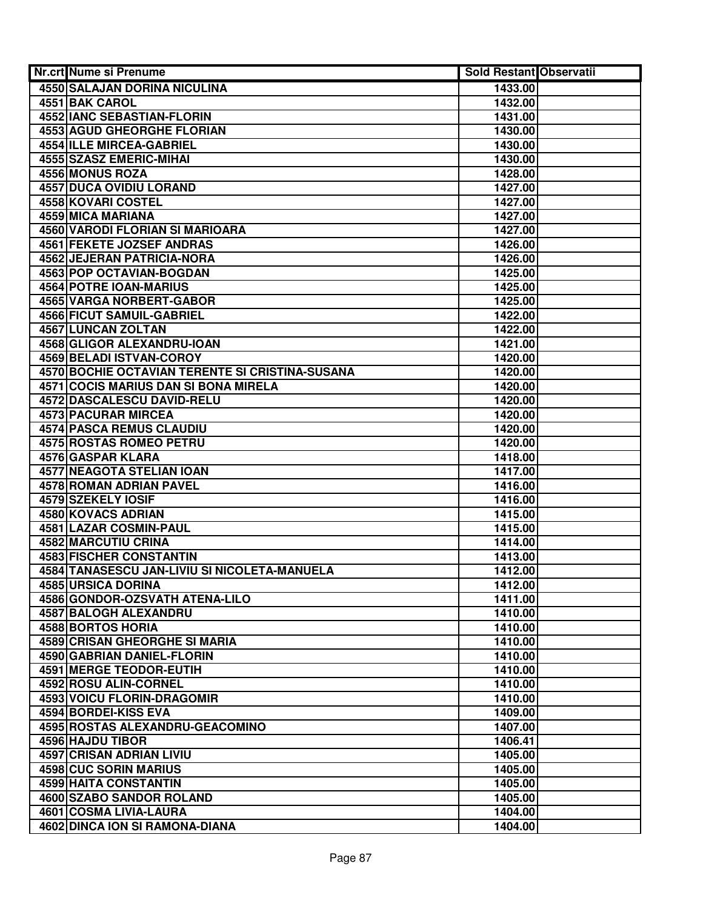| <b>Nr.crt Nume si Prenume</b>                   | <b>Sold Restant Observatii</b> |  |
|-------------------------------------------------|--------------------------------|--|
| 4550 SALAJAN DORINA NICULINA                    | 1433.00                        |  |
| 4551 BAK CAROL                                  | 1432.00                        |  |
| <b>4552 IANC SEBASTIAN-FLORIN</b>               | 1431.00                        |  |
| <b>4553 AGUD GHEORGHE FLORIAN</b>               | 1430.00                        |  |
| 4554 ILLE MIRCEA-GABRIEL                        | 1430.00                        |  |
| 4555 SZASZ EMERIC-MIHAI                         | 1430.00                        |  |
| 4556 MONUS ROZA                                 | 1428.00                        |  |
| <b>4557 DUCA OVIDIU LORAND</b>                  | 1427.00                        |  |
| 4558 KOVARI COSTEL                              | 1427.00                        |  |
| <b>4559 MICA MARIANA</b>                        | 1427.00                        |  |
| 4560 VARODI FLORIAN SI MARIOARA                 | 1427.00                        |  |
| 4561 FEKETE JOZSEF ANDRAS                       | 1426.00                        |  |
| 4562 JEJERAN PATRICIA-NORA                      | 1426.00                        |  |
| 4563 POP OCTAVIAN-BOGDAN                        | 1425.00                        |  |
| 4564 POTRE IOAN-MARIUS                          | 1425.00                        |  |
| <b>4565 VARGA NORBERT-GABOR</b>                 | 1425.00                        |  |
| 4566 FICUT SAMUIL-GABRIEL                       | 1422.00                        |  |
| 4567 LUNCAN ZOLTAN                              | 1422.00                        |  |
| <b>4568 GLIGOR ALEXANDRU-IOAN</b>               | 1421.00                        |  |
| 4569 BELADI ISTVAN-COROY                        | 1420.00                        |  |
| 4570 BOCHIE OCTAVIAN TERENTE SI CRISTINA-SUSANA | 1420.00                        |  |
| 4571 COCIS MARIUS DAN SI BONA MIRELA            | 1420.00                        |  |
| 4572 DASCALESCU DAVID-RELU                      | 1420.00                        |  |
| <b>4573 PACURAR MIRCEA</b>                      | 1420.00                        |  |
| <b>4574 PASCA REMUS CLAUDIU</b>                 | 1420.00                        |  |
| 4575 ROSTAS ROMEO PETRU                         | 1420.00                        |  |
| 4576 GASPAR KLARA                               | 1418.00                        |  |
| 4577 NEAGOTA STELIAN IOAN                       | 1417.00                        |  |
| 4578 ROMAN ADRIAN PAVEL                         | 1416.00                        |  |
| 4579 SZEKELY IOSIF                              | 1416.00                        |  |
| 4580 KOVACS ADRIAN                              | 1415.00                        |  |
| 4581 LAZAR COSMIN-PAUL                          | 1415.00                        |  |
| 4582 MARCUTIU CRINA                             | 1414.00                        |  |
| 4583 FISCHER CONSTANTIN                         | 1413.00                        |  |
| 4584 TANASESCU JAN-LIVIU SI NICOLETA-MANUELA    | 1412.00                        |  |
| 4585 URSICA DORINA                              | 1412.00                        |  |
| 4586 GONDOR-OZSVATH ATENA-LILO                  | 1411.00                        |  |
| 4587 BALOGH ALEXANDRU                           | 1410.00                        |  |
| <b>4588 BORTOS HORIA</b>                        | 1410.00                        |  |
| <b>4589 CRISAN GHEORGHE SI MARIA</b>            | 1410.00                        |  |
| <b>4590 GABRIAN DANIEL-FLORIN</b>               | 1410.00                        |  |
| <b>4591 MERGE TEODOR-EUTIH</b>                  | 1410.00                        |  |
| 4592 ROSU ALIN-CORNEL                           | 1410.00                        |  |
| 4593 VOICU FLORIN-DRAGOMIR                      | 1410.00                        |  |
| <b>4594 BORDEI-KISS EVA</b>                     | 1409.00                        |  |
| 4595 ROSTAS ALEXANDRU-GEACOMINO                 | 1407.00                        |  |
| 4596 HAJDU TIBOR                                | 1406.41                        |  |
| 4597 CRISAN ADRIAN LIVIU                        | 1405.00                        |  |
| 4598 CUC SORIN MARIUS                           | 1405.00                        |  |
| 4599 HAITA CONSTANTIN                           | 1405.00                        |  |
| 4600 SZABO SANDOR ROLAND                        | 1405.00                        |  |
| 4601 COSMA LIVIA-LAURA                          | 1404.00                        |  |
| 4602 DINCA ION SI RAMONA-DIANA                  | 1404.00                        |  |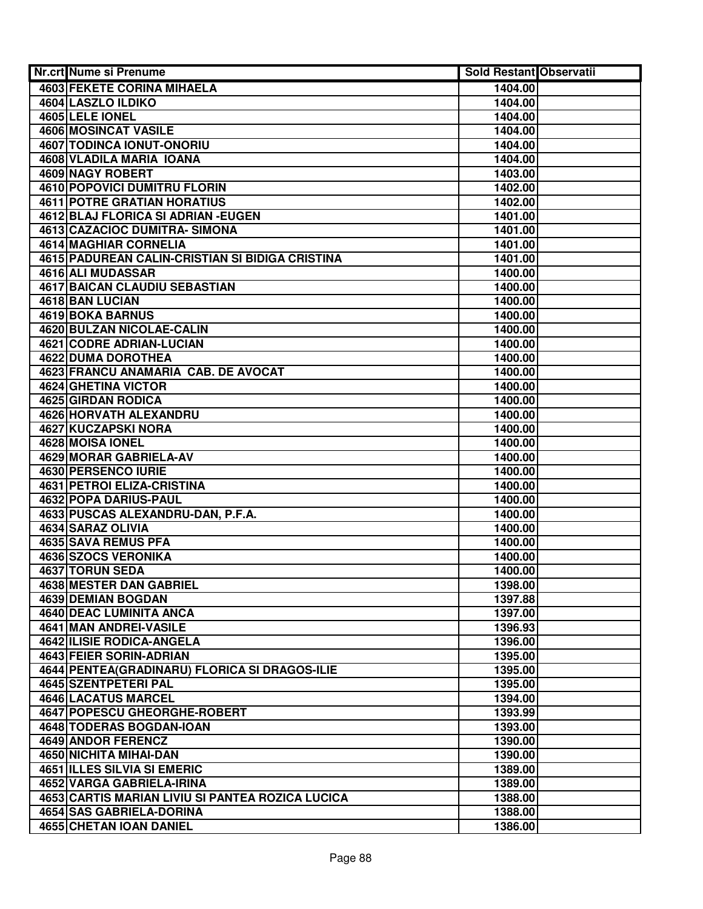| <b>Nr.crt Nume si Prenume</b>                    | <b>Sold Restant Observatii</b> |  |
|--------------------------------------------------|--------------------------------|--|
| <b>4603 FEKETE CORINA MIHAELA</b>                | 1404.00                        |  |
| 4604 LASZLO ILDIKO                               | 1404.00                        |  |
| 4605 LELE IONEL                                  | 1404.00                        |  |
| <b>4606 MOSINCAT VASILE</b>                      | 1404.00                        |  |
| 4607 TODINCA IONUT-ONORIU                        | 1404.00                        |  |
| 4608 VLADILA MARIA IOANA                         | 1404.00                        |  |
| 4609 NAGY ROBERT                                 | 1403.00                        |  |
| 4610 POPOVICI DUMITRU FLORIN                     | 1402.00                        |  |
| <b>4611 POTRE GRATIAN HORATIUS</b>               | 1402.00                        |  |
| <b>4612 BLAJ FLORICA SI ADRIAN - EUGEN</b>       | 1401.00                        |  |
| 4613 CAZACIOC DUMITRA- SIMONA                    | 1401.00                        |  |
| 4614 MAGHIAR CORNELIA                            | 1401.00                        |  |
| 4615 PADUREAN CALIN-CRISTIAN SI BIDIGA CRISTINA  | 1401.00                        |  |
| 4616 ALI MUDASSAR                                | 1400.00                        |  |
| <b>4617 BAICAN CLAUDIU SEBASTIAN</b>             | 1400.00                        |  |
| 4618 BAN LUCIAN                                  | 1400.00                        |  |
| <b>4619 BOKA BARNUS</b>                          | 1400.00                        |  |
| 4620 BULZAN NICOLAE-CALIN                        | 1400.00                        |  |
| <b>4621 CODRE ADRIAN-LUCIAN</b>                  | 1400.00                        |  |
| <b>4622 DUMA DOROTHEA</b>                        | 1400.00                        |  |
| 4623 FRANCU ANAMARIA CAB. DE AVOCAT              | 1400.00                        |  |
| 4624 GHETINA VICTOR                              | 1400.00                        |  |
| 4625 GIRDAN RODICA                               | 1400.00                        |  |
| 4626 HORVATH ALEXANDRU                           | 1400.00                        |  |
| 4627 KUCZAPSKI NORA                              | 1400.00                        |  |
| 4628 MOISA IONEL                                 | 1400.00                        |  |
| 4629 MORAR GABRIELA-AV                           | 1400.00                        |  |
| 4630 PERSENCO IURIE                              | 1400.00                        |  |
| 4631 PETROI ELIZA-CRISTINA                       | 1400.00                        |  |
| 4632 POPA DARIUS-PAUL                            | 1400.00                        |  |
| 4633 PUSCAS ALEXANDRU-DAN, P.F.A.                | 1400.00                        |  |
| 4634 SARAZ OLIVIA                                | 1400.00                        |  |
| 4635 SAVA REMUS PFA                              | 1400.00                        |  |
| 4636 SZOCS VERONIKA                              | 1400.00                        |  |
| 4637 TORUN SEDA                                  | 1400.00                        |  |
| 4638 MESTER DAN GABRIEL                          | 1398.00                        |  |
| 4639 DEMIAN BOGDAN                               | 1397.88                        |  |
| 4640 DEAC LUMINITA ANCA                          | 1397.00                        |  |
| 4641 MAN ANDREI-VASILE                           | 1396.93                        |  |
| 4642 ILISIE RODICA-ANGELA                        | 1396.00                        |  |
| 4643 FEIER SORIN-ADRIAN                          | 1395.00                        |  |
| 4644 PENTEA (GRADINARU) FLORICA SI DRAGOS-ILIE   | 1395.00                        |  |
| 4645 SZENTPETERI PAL                             | 1395.00                        |  |
| <b>4646 LACATUS MARCEL</b>                       | 1394.00                        |  |
| <b>4647 POPESCU GHEORGHE-ROBERT</b>              | 1393.99                        |  |
| 4648 TODERAS BOGDAN-IOAN                         | 1393.00                        |  |
| 4649 ANDOR FERENCZ                               | 1390.00                        |  |
| 4650 NICHITA MIHAI-DAN                           | 1390.00                        |  |
| <b>4651 ILLES SILVIA SI EMERIC</b>               | 1389.00                        |  |
| 4652 VARGA GABRIELA-IRINA                        | 1389.00                        |  |
| 4653 CARTIS MARIAN LIVIU SI PANTEA ROZICA LUCICA | 1388.00                        |  |
| 4654 SAS GABRIELA-DORINA                         | 1388.00                        |  |
| 4655 CHETAN IOAN DANIEL                          | 1386.00                        |  |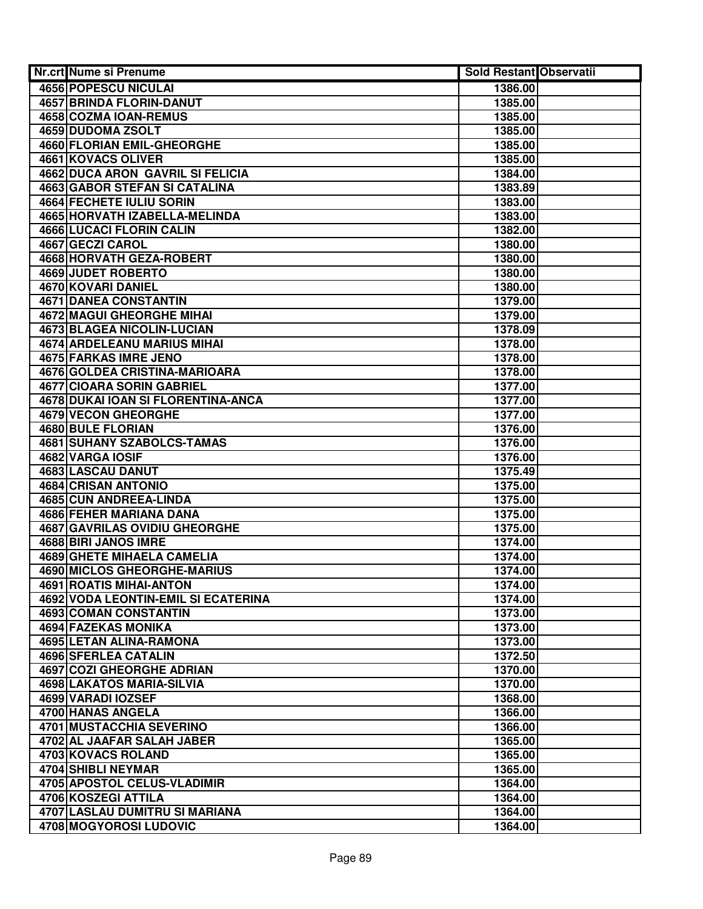| Nr.crt Nume si Prenume                     | Sold Restant Observatii |  |
|--------------------------------------------|-------------------------|--|
| 4656 POPESCU NICULAI                       | 1386.00                 |  |
| <b>4657 BRINDA FLORIN-DANUT</b>            | 1385.00                 |  |
| 4658 COZMA IOAN-REMUS                      | 1385.00                 |  |
| <b>4659 DUDOMA ZSOLT</b>                   | 1385.00                 |  |
| <b>4660 FLORIAN EMIL-GHEORGHE</b>          | 1385.00                 |  |
| 4661 KOVACS OLIVER                         | 1385.00                 |  |
| 4662 DUCA ARON GAVRIL SI FELICIA           | 1384.00                 |  |
| <b>4663 GABOR STEFAN SI CATALINA</b>       | 1383.89                 |  |
| 4664 FECHETE IULIU SORIN                   | 1383.00                 |  |
| 4665 HORVATH IZABELLA-MELINDA              | 1383.00                 |  |
| 4666 LUCACI FLORIN CALIN                   | 1382.00                 |  |
| 4667 GECZI CAROL                           | 1380.00                 |  |
| 4668 HORVATH GEZA-ROBERT                   | 1380.00                 |  |
| 4669 JUDET ROBERTO                         | 1380.00                 |  |
| 4670 KOVARI DANIEL                         | 1380.00                 |  |
| <b>4671 DANEA CONSTANTIN</b>               | 1379.00                 |  |
| <b>4672 MAGUI GHEORGHE MIHAI</b>           | 1379.00                 |  |
| 4673 BLAGEA NICOLIN-LUCIAN                 | 1378.09                 |  |
| <b>4674 ARDELEANU MARIUS MIHAI</b>         | 1378.00                 |  |
| <b>4675 FARKAS IMRE JENO</b>               | 1378.00                 |  |
| 4676 GOLDEA CRISTINA-MARIOARA              | 1378.00                 |  |
| 4677 CIOARA SORIN GABRIEL                  | 1377.00                 |  |
| 4678 DUKAI IOAN SI FLORENTINA-ANCA         | 1377.00                 |  |
| 4679 VECON GHEORGHE                        | 1377.00                 |  |
| 4680 BULE FLORIAN                          | 1376.00                 |  |
| <b>4681 SUHANY SZABOLCS-TAMAS</b>          | 1376.00                 |  |
| 4682 VARGA IOSIF                           | 1376.00                 |  |
| 4683 LASCAU DANUT                          | 1375.49                 |  |
| 4684 CRISAN ANTONIO                        | 1375.00                 |  |
| 4685 CUN ANDREEA-LINDA                     | 1375.00                 |  |
| 4686 FEHER MARIANA DANA                    | 1375.00                 |  |
| <b>4687 GAVRILAS OVIDIU GHEORGHE</b>       | 1375.00                 |  |
| 4688 BIRI JANOS IMRE                       | 1374.00                 |  |
| <b>4689 GHETE MIHAELA CAMELIA</b>          | 1374.00                 |  |
| 4690 MICLOS GHEORGHE-MARIUS                | 1374.00                 |  |
| 4691 ROATIS MIHAI-ANTON                    | 1374.00                 |  |
| <b>4692 VODA LEONTIN-EMIL SI ECATERINA</b> | 1374.00                 |  |
| 4693 COMAN CONSTANTIN                      | 1373.00                 |  |
| 4694 FAZEKAS MONIKA                        | 1373.00                 |  |
| 4695 LETAN ALINA-RAMONA                    | 1373.00                 |  |
| <b>4696 SFERLEA CATALIN</b>                | 1372.50                 |  |
| <b>4697 COZI GHEORGHE ADRIAN</b>           | 1370.00                 |  |
| <b>4698 LAKATOS MARIA-SILVIA</b>           | 1370.00                 |  |
| 4699 VARADI IOZSEF                         | 1368.00                 |  |
| 4700 HANAS ANGELA                          | 1366.00                 |  |
| 4701 MUSTACCHIA SEVERINO                   | 1366.00                 |  |
| 4702 AL JAAFAR SALAH JABER                 | 1365.00                 |  |
| 4703 KOVACS ROLAND                         | 1365.00                 |  |
| 4704 SHIBLI NEYMAR                         | 1365.00                 |  |
| 4705 APOSTOL CELUS-VLADIMIR                | 1364.00                 |  |
| 4706 KOSZEGI ATTILA                        | 1364.00                 |  |
| 4707 LASLAU DUMITRU SI MARIANA             | 1364.00                 |  |
| 4708 MOGYOROSI LUDOVIC                     | 1364.00                 |  |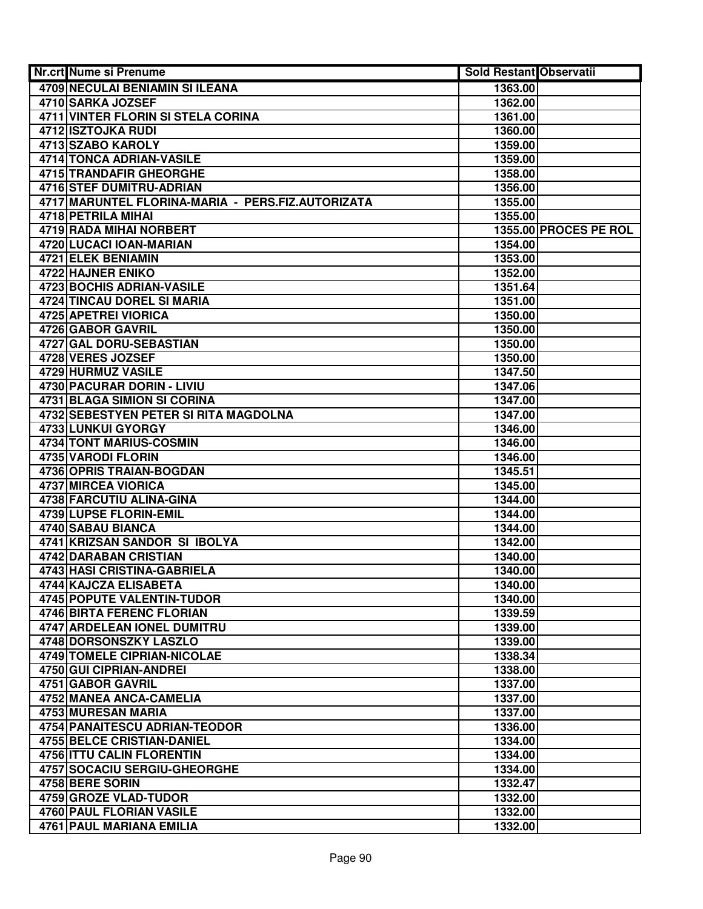| <b>Nr.crt Nume si Prenume</b>                                       | <b>Sold Restant Observatii</b> |                       |
|---------------------------------------------------------------------|--------------------------------|-----------------------|
| 4709 NECULAI BENIAMIN SI ILEANA                                     | 1363.00                        |                       |
| 4710 SARKA JOZSEF                                                   | 1362.00                        |                       |
| <b>4711 VINTER FLORIN SI STELA CORINA</b>                           | 1361.00                        |                       |
| 4712 ISZTOJKA RUDI                                                  | 1360.00                        |                       |
| 4713 SZABO KAROLY                                                   | 1359.00                        |                       |
| 4714 TONCA ADRIAN-VASILE                                            | 1359.00                        |                       |
| 4715 TRANDAFIR GHEORGHE                                             | 1358.00                        |                       |
| <b>4716 STEF DUMITRU-ADRIAN</b>                                     | 1356.00                        |                       |
| 4717 MARUNTEL FLORINA-MARIA - PERS.FIZ.AUTORIZATA                   | 1355.00                        |                       |
| 4718 PETRILA MIHAI                                                  | 1355.00                        |                       |
| 4719 RADA MIHAI NORBERT                                             |                                | 1355.00 PROCES PE ROL |
| 4720 LUCACI IOAN-MARIAN                                             | 1354.00                        |                       |
| 4721 ELEK BENIAMIN                                                  | 1353.00                        |                       |
| 4722 HAJNER ENIKO                                                   | 1352.00                        |                       |
| <b>4723 BOCHIS ADRIAN-VASILE</b>                                    | 1351.64                        |                       |
| 4724 TINCAU DOREL SI MARIA                                          | 1351.00                        |                       |
| <b>4725 APETREI VIORICA</b>                                         | 1350.00                        |                       |
| 4726 GABOR GAVRIL                                                   | 1350.00                        |                       |
| 4727 GAL DORU-SEBASTIAN                                             | 1350.00                        |                       |
| 4728 VERES JOZSEF                                                   | 1350.00                        |                       |
| 4729 HURMUZ VASILE                                                  | 1347.50                        |                       |
| 4730 PACURAR DORIN - LIVIU                                          | 1347.06                        |                       |
| 4731 BLAGA SIMION SI CORINA                                         | 1347.00                        |                       |
| 4732 SEBESTYEN PETER SI RITA MAGDOLNA                               | 1347.00                        |                       |
| 4733 LUNKUI GYORGY                                                  | 1346.00                        |                       |
| 4734 TONT MARIUS-COSMIN                                             | 1346.00                        |                       |
| 4735 VARODI FLORIN                                                  | 1346.00                        |                       |
| <b>4736 OPRIS TRAIAN-BOGDAN</b>                                     | 1345.51                        |                       |
| 4737 MIRCEA VIORICA                                                 | 1345.00                        |                       |
| 4738 FARCUTIU ALINA-GINA                                            | 1344.00                        |                       |
| 4739 LUPSE FLORIN-EMIL                                              | 1344.00                        |                       |
| 4740 SABAU BIANCA                                                   | 1344.00                        |                       |
| 4741 KRIZSAN SANDOR SI IBOLYA                                       | 1342.00                        |                       |
| 4742 DARABAN CRISTIAN                                               | 1340.00                        |                       |
| 4743 HASI CRISTINA-GABRIELA                                         | 1340.00                        |                       |
| 4744 KAJCZA ELISABETA                                               | 1340.00                        |                       |
| 4745 POPUTE VALENTIN-TUDOR                                          | 1340.00                        |                       |
| 4746 BIRTA FERENC FLORIAN                                           | 1339.59                        |                       |
| 4747 ARDELEAN IONEL DUMITRU                                         | 1339.00                        |                       |
| <b>4748 DORSONSZKY LASZLO</b><br><b>4749 TOMELE CIPRIAN-NICOLAE</b> | 1339.00<br>1338.34             |                       |
| 4750 GUI CIPRIAN-ANDREI                                             | 1338.00                        |                       |
| 4751 GABOR GAVRIL                                                   | 1337.00                        |                       |
| 4752 MANEA ANCA-CAMELIA                                             | 1337.00                        |                       |
| 4753 MURESAN MARIA                                                  | 1337.00                        |                       |
| 4754 PANAITESCU ADRIAN-TEODOR                                       | 1336.00                        |                       |
| 4755 BELCE CRISTIAN-DANIEL                                          | 1334.00                        |                       |
| 4756 ITTU CALIN FLORENTIN                                           | 1334.00                        |                       |
| 4757 SOCACIU SERGIU-GHEORGHE                                        | 1334.00                        |                       |
| 4758 BERE SORIN                                                     | 1332.47                        |                       |
| 4759 GROZE VLAD-TUDOR                                               | 1332.00                        |                       |
| 4760 PAUL FLORIAN VASILE                                            | 1332.00                        |                       |
| 4761 PAUL MARIANA EMILIA                                            | 1332.00                        |                       |
|                                                                     |                                |                       |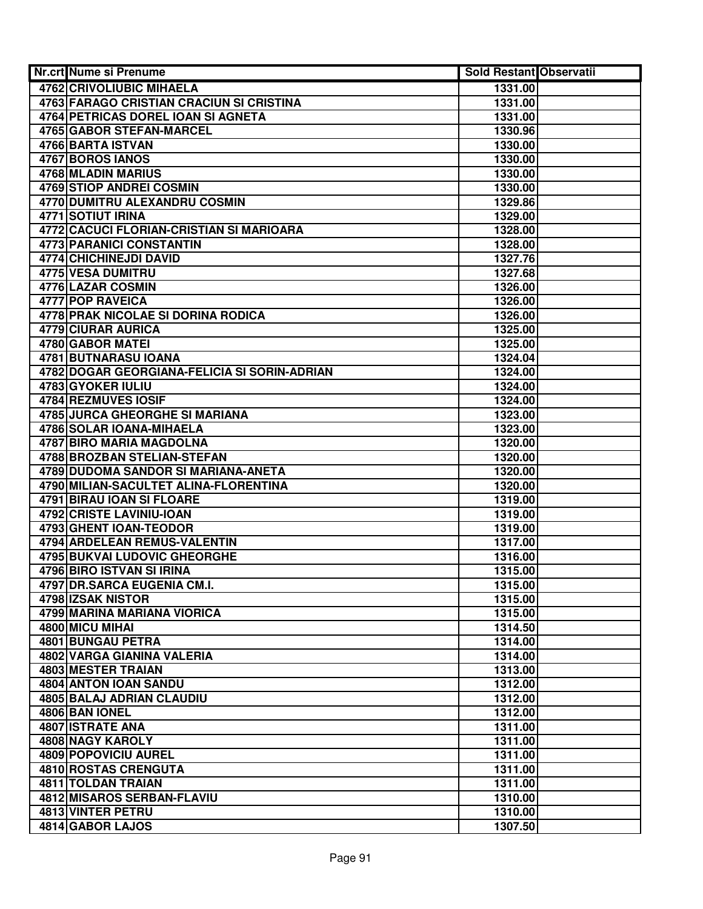| Nr.crt Nume si Prenume                          | Sold Restant Observatii |  |
|-------------------------------------------------|-------------------------|--|
| <b>4762 CRIVOLIUBIC MIHAELA</b>                 | 1331.00                 |  |
| 4763 FARAGO CRISTIAN CRACIUN SI CRISTINA        | 1331.00                 |  |
| 4764 PETRICAS DOREL IOAN SI AGNETA              | 1331.00                 |  |
| <b>4765 GABOR STEFAN-MARCEL</b>                 | 1330.96                 |  |
| 4766 BARTA ISTVAN                               | 1330.00                 |  |
| 4767 BOROS IANOS                                | 1330.00                 |  |
| 4768 MLADIN MARIUS                              | 1330.00                 |  |
| <b>4769 STIOP ANDREI COSMIN</b>                 | 1330.00                 |  |
| 4770 DUMITRU ALEXANDRU COSMIN                   | 1329.86                 |  |
| 4771 SOTIUT IRINA                               | 1329.00                 |  |
| 4772 CACUCI FLORIAN-CRISTIAN SI MARIOARA        | 1328.00                 |  |
| 4773 PARANICI CONSTANTIN                        | 1328.00                 |  |
| 4774 CHICHINEJDI DAVID                          | 1327.76                 |  |
| 4775 VESA DUMITRU                               | 1327.68                 |  |
| 4776 LAZAR COSMIN                               | 1326.00                 |  |
| 4777 POP RAVEICA                                | 1326.00                 |  |
| 4778 PRAK NICOLAE SI DORINA RODICA              | 1326.00                 |  |
| 4779 CIURAR AURICA                              | 1325.00                 |  |
| 4780 GABOR MATEI                                | 1325.00                 |  |
| <b>4781 BUTNARASU IOANA</b>                     | 1324.04                 |  |
| 4782 DOGAR GEORGIANA-FELICIA SI SORIN-ADRIAN    | 1324.00                 |  |
| 4783 GYOKER IULIU                               | 1324.00                 |  |
| 4784 REZMUVES IOSIF                             | 1324.00                 |  |
| 4785 JURCA GHEORGHE SI MARIANA                  | 1323.00                 |  |
| 4786 SOLAR IOANA-MIHAELA                        | 1323.00                 |  |
| 4787 BIRO MARIA MAGDOLNA                        | 1320.00                 |  |
| 4788 BROZBAN STELIAN-STEFAN                     | 1320.00                 |  |
| 4789 DUDOMA SANDOR SI MARIANA-ANETA             | 1320.00                 |  |
| 4790 MILIAN-SACULTET ALINA-FLORENTINA           | 1320.00                 |  |
| 4791 BIRAU IOAN SI FLOARE                       | 1319.00                 |  |
| 4792 CRISTE LAVINIU-IOAN                        | 1319.00                 |  |
| 4793 GHENT IOAN-TEODOR                          | 1319.00                 |  |
| 4794 ARDELEAN REMUS-VALENTIN                    | 1317.00                 |  |
| 4795 BUKVAI LUDOVIC GHEORGHE                    | 1316.00                 |  |
| 4796 BIRO ISTVAN SI IRINA                       | 1315.00                 |  |
| 4797 DR.SARCA EUGENIA CM.I.                     | 1315.00                 |  |
| 4798 IZSAK NISTOR                               | 1315.00                 |  |
| 4799 MARINA MARIANA VIORICA                     | 1315.00                 |  |
| 4800 MICU MIHAI                                 | 1314.50                 |  |
| 4801 BUNGAU PETRA<br>4802 VARGA GIANINA VALERIA | 1314.00                 |  |
| <b>4803 MESTER TRAIAN</b>                       | 1314.00<br>1313.00      |  |
| <b>4804 ANTON IOAN SANDU</b>                    | 1312.00                 |  |
| <b>4805 BALAJ ADRIAN CLAUDIU</b>                | 1312.00                 |  |
| 4806 BAN IONEL                                  | 1312.00                 |  |
| 4807 ISTRATE ANA                                | 1311.00                 |  |
| 4808 NAGY KAROLY                                | 1311.00                 |  |
| 4809 POPOVICIU AUREL                            | 1311.00                 |  |
| 4810 ROSTAS CRENGUTA                            | 1311.00                 |  |
| 4811 TOLDAN TRAIAN                              | 1311.00                 |  |
| 4812 MISAROS SERBAN-FLAVIU                      | 1310.00                 |  |
| 4813 VINTER PETRU                               | 1310.00                 |  |
| 4814 GABOR LAJOS                                | 1307.50                 |  |
|                                                 |                         |  |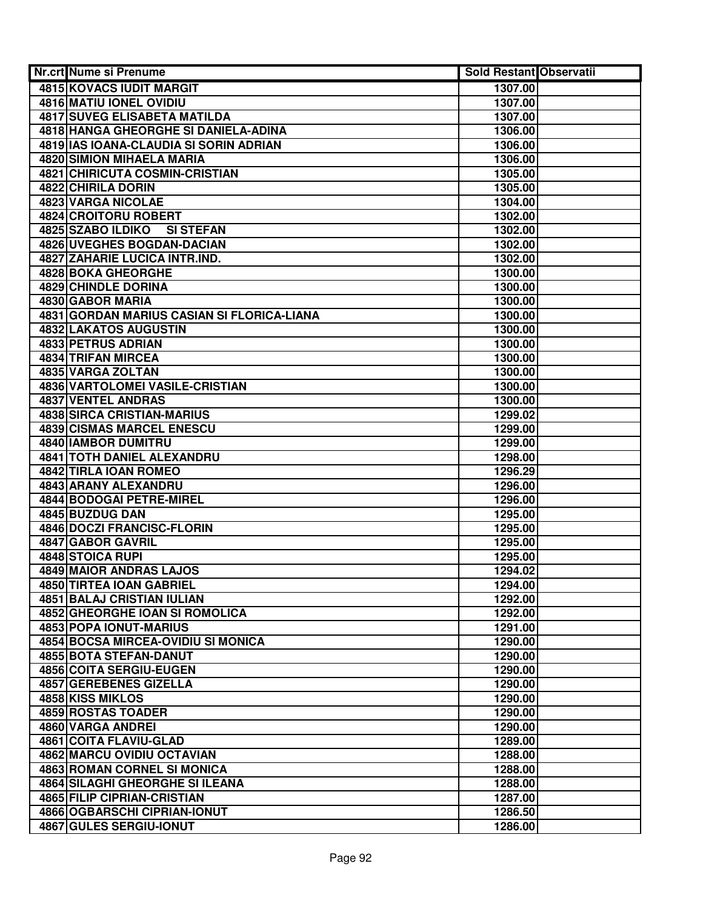| Nr.crt Nume si Prenume                     | Sold Restant Observatii |  |
|--------------------------------------------|-------------------------|--|
| 4815 KOVACS IUDIT MARGIT                   | 1307.00                 |  |
| 4816 MATIU IONEL OVIDIU                    | 1307.00                 |  |
| <b>4817 SUVEG ELISABETA MATILDA</b>        | 1307.00                 |  |
| 4818 HANGA GHEORGHE SI DANIELA-ADINA       | 1306.00                 |  |
| 4819 IAS IOANA-CLAUDIA SI SORIN ADRIAN     | 1306.00                 |  |
| <b>4820 SIMION MIHAELA MARIA</b>           | 1306.00                 |  |
| 4821 CHIRICUTA COSMIN-CRISTIAN             | 1305.00                 |  |
| 4822 CHIRILA DORIN                         | 1305.00                 |  |
| 4823 VARGA NICOLAE                         | 1304.00                 |  |
| 4824 CROITORU ROBERT                       | 1302.00                 |  |
| 4825 SZABO ILDIKO<br><b>SI STEFAN</b>      | 1302.00                 |  |
| 4826 UVEGHES BOGDAN-DACIAN                 | 1302.00                 |  |
| 4827 ZAHARIE LUCICA INTR.IND.              | 1302.00                 |  |
| 4828 BOKA GHEORGHE                         | 1300.00                 |  |
| 4829 CHINDLE DORINA                        | 1300.00                 |  |
| 4830 GABOR MARIA                           | 1300.00                 |  |
| 4831 GORDAN MARIUS CASIAN SI FLORICA-LIANA | 1300.00                 |  |
| 4832 LAKATOS AUGUSTIN                      | 1300.00                 |  |
| <b>4833 PETRUS ADRIAN</b>                  | 1300.00                 |  |
| 4834 TRIFAN MIRCEA                         | 1300.00                 |  |
| 4835 VARGA ZOLTAN                          | 1300.00                 |  |
| 4836 VARTOLOMEI VASILE-CRISTIAN            | 1300.00                 |  |
| 4837 VENTEL ANDRAS                         | 1300.00                 |  |
| 4838 SIRCA CRISTIAN-MARIUS                 | 1299.02                 |  |
| <b>4839 CISMAS MARCEL ENESCU</b>           | 1299.00                 |  |
| 4840 IAMBOR DUMITRU                        | 1299.00                 |  |
| 4841 TOTH DANIEL ALEXANDRU                 | 1298.00                 |  |
| 4842 TIRLA IOAN ROMEO                      | 1296.29                 |  |
| 4843 ARANY ALEXANDRU                       | 1296.00                 |  |
| 4844 BODOGAI PETRE-MIREL                   | 1296.00                 |  |
| 4845 BUZDUG DAN                            | 1295.00                 |  |
| 4846 DOCZI FRANCISC-FLORIN                 | 1295.00                 |  |
| 4847 GABOR GAVRIL                          | 1295.00                 |  |
| 4848 STOICA RUPI                           | 1295.00                 |  |
| 4849 MAIOR ANDRAS LAJOS                    | 1294.02                 |  |
| 4850 TIRTEA IOAN GABRIEL                   | 1294.00                 |  |
| 4851 BALAJ CRISTIAN IULIAN                 | 1292.00                 |  |
| 4852 GHEORGHE IOAN SI ROMOLICA             | 1292.00                 |  |
| 4853 POPA IONUT-MARIUS                     | 1291.00                 |  |
| 4854 BOCSA MIRCEA-OVIDIU SI MONICA         | 1290.00                 |  |
| 4855 BOTA STEFAN-DANUT                     | 1290.00                 |  |
| 4856 COITA SERGIU-EUGEN                    | 1290.00                 |  |
| 4857 GEREBENES GIZELLA                     | 1290.00                 |  |
| 4858 KISS MIKLOS                           | 1290.00                 |  |
| <b>4859 ROSTAS TOADER</b>                  | 1290.00                 |  |
| 4860 VARGA ANDREI                          | 1290.00                 |  |
| 4861 COITA FLAVIU-GLAD                     | 1289.00                 |  |
| 4862 MARCU OVIDIU OCTAVIAN                 | 1288.00                 |  |
| 4863 ROMAN CORNEL SI MONICA                | 1288.00                 |  |
| 4864 SILAGHI GHEORGHE SI ILEANA            | 1288.00                 |  |
| 4865 FILIP CIPRIAN-CRISTIAN                | 1287.00                 |  |
| 4866 OGBARSCHI CIPRIAN-IONUT               | 1286.50                 |  |
| 4867 GULES SERGIU-IONUT                    | 1286.00                 |  |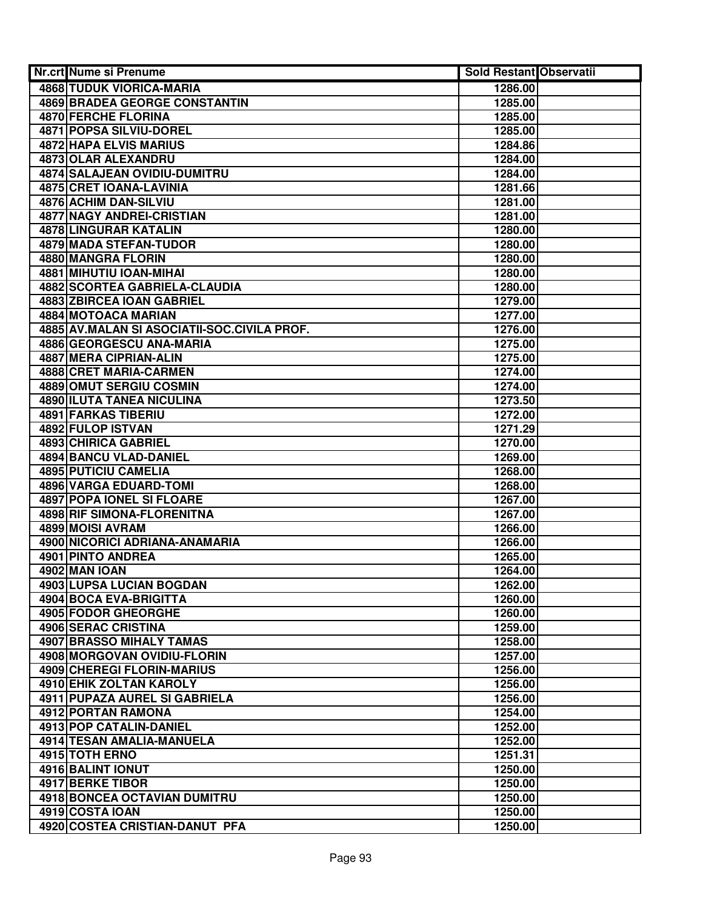| <b>Nr.crt Nume si Prenume</b>               | Sold Restant Observatii |  |
|---------------------------------------------|-------------------------|--|
| <b>4868 TUDUK VIORICA-MARIA</b>             | 1286.00                 |  |
| 4869 BRADEA GEORGE CONSTANTIN               | 1285.00                 |  |
| 4870 FERCHE FLORINA                         | 1285.00                 |  |
| 4871 POPSA SILVIU-DOREL                     | 1285.00                 |  |
| 4872 HAPA ELVIS MARIUS                      | 1284.86                 |  |
| 4873 OLAR ALEXANDRU                         | 1284.00                 |  |
| 4874 SALAJEAN OVIDIU-DUMITRU                | 1284.00                 |  |
| 4875 CRET IOANA-LAVINIA                     | 1281.66                 |  |
| 4876 ACHIM DAN-SILVIU                       | 1281.00                 |  |
| 4877 NAGY ANDREI-CRISTIAN                   | 1281.00                 |  |
| <b>4878 LINGURAR KATALIN</b>                | 1280.00                 |  |
| 4879 MADA STEFAN-TUDOR                      | 1280.00                 |  |
| 4880 MANGRA FLORIN                          | 1280.00                 |  |
| 4881 MIHUTIU IOAN-MIHAI                     | 1280.00                 |  |
| 4882 SCORTEA GABRIELA-CLAUDIA               | 1280.00                 |  |
| 4883 ZBIRCEA IOAN GABRIEL                   | 1279.00                 |  |
| <b>4884 MOTOACA MARIAN</b>                  | 1277.00                 |  |
| 4885 AV.MALAN SI ASOCIATII-SOC.CIVILA PROF. | 1276.00                 |  |
| 4886 GEORGESCU ANA-MARIA                    | 1275.00                 |  |
| 4887 MERA CIPRIAN-ALIN                      | 1275.00                 |  |
| 4888 CRET MARIA-CARMEN                      | 1274.00                 |  |
| 4889 OMUT SERGIU COSMIN                     | 1274.00                 |  |
| 4890 ILUTA TANEA NICULINA                   | 1273.50                 |  |
| 4891 FARKAS TIBERIU                         | 1272.00                 |  |
| 4892 FULOP ISTVAN                           | 1271.29                 |  |
| 4893 CHIRICA GABRIEL                        | 1270.00                 |  |
| 4894 BANCU VLAD-DANIEL                      | 1269.00                 |  |
| 4895 PUTICIU CAMELIA                        | 1268.00                 |  |
| 4896 VARGA EDUARD-TOMI                      | 1268.00                 |  |
| 4897 POPA IONEL SI FLOARE                   | 1267.00                 |  |
| 4898 RIF SIMONA-FLORENITNA                  | 1267.00                 |  |
| 4899 MOISI AVRAM                            | 1266.00                 |  |
| 4900 NICORICI ADRIANA-ANAMARIA              | 1266.00                 |  |
| 4901 PINTO ANDREA                           | 1265.00                 |  |
| 4902 MAN IOAN                               | 1264.00                 |  |
| 4903 LUPSA LUCIAN BOGDAN                    | 1262.00                 |  |
| 4904 BOCA EVA-BRIGITTA                      | 1260.00                 |  |
| 4905 FODOR GHEORGHE                         | 1260.00                 |  |
| 4906 SERAC CRISTINA                         | 1259.00                 |  |
| <b>4907 BRASSO MIHALY TAMAS</b>             | 1258.00                 |  |
| 4908 MORGOVAN OVIDIU-FLORIN                 | 1257.00                 |  |
| <b>4909 CHEREGI FLORIN-MARIUS</b>           | 1256.00                 |  |
| <b>4910 EHIK ZOLTAN KAROLY</b>              | 1256.00                 |  |
| 4911 PUPAZA AUREL SI GABRIELA               | 1256.00                 |  |
| 4912 PORTAN RAMONA                          | 1254.00                 |  |
| <b>4913 POP CATALIN-DANIEL</b>              | 1252.00                 |  |
| 4914 TESAN AMALIA-MANUELA                   | 1252.00                 |  |
| 4915 TOTH ERNO                              | 1251.31                 |  |
| 4916 BALINT IONUT                           | 1250.00                 |  |
| 4917 BERKE TIBOR                            | 1250.00                 |  |
| 4918 BONCEA OCTAVIAN DUMITRU                | 1250.00                 |  |
| 4919 COSTA IOAN                             | 1250.00                 |  |
| 4920 COSTEA CRISTIAN-DANUT PFA              | 1250.00                 |  |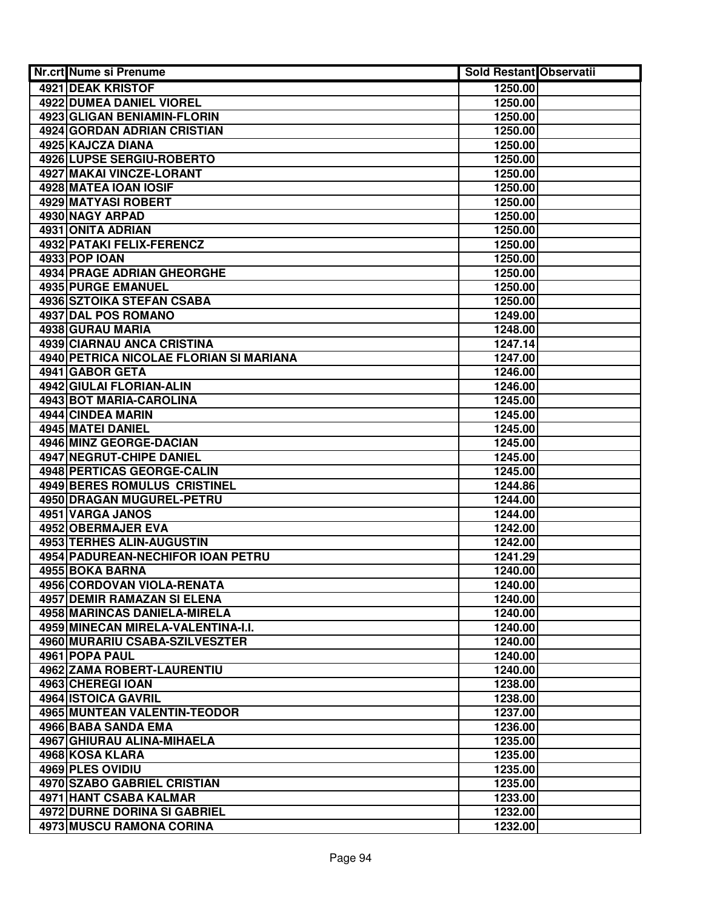| Nr.crt Nume si Prenume                  | <b>Sold Restant Observatii</b> |  |
|-----------------------------------------|--------------------------------|--|
| 4921 DEAK KRISTOF                       | 1250.00                        |  |
| <b>4922 DUMEA DANIEL VIOREL</b>         | 1250.00                        |  |
| 4923 GLIGAN BENIAMIN-FLORIN             | 1250.00                        |  |
| <b>4924 GORDAN ADRIAN CRISTIAN</b>      | 1250.00                        |  |
| 4925 KAJCZA DIANA                       | 1250.00                        |  |
| 4926 LUPSE SERGIU-ROBERTO               | 1250.00                        |  |
| 4927 MAKAI VINCZE-LORANT                | 1250.00                        |  |
| 4928 MATEA IOAN IOSIF                   | 1250.00                        |  |
| <b>4929 MATYASI ROBERT</b>              | 1250.00                        |  |
| 4930 NAGY ARPAD                         | 1250.00                        |  |
| 4931 ONITA ADRIAN                       | 1250.00                        |  |
| 4932 PATAKI FELIX-FERENCZ               | 1250.00                        |  |
| <b>4933 POP IOAN</b>                    | 1250.00                        |  |
| <b>4934 PRAGE ADRIAN GHEORGHE</b>       | 1250.00                        |  |
| 4935 PURGE EMANUEL                      | 1250.00                        |  |
| <b>4936 SZTOIKA STEFAN CSABA</b>        | 1250.00                        |  |
| 4937 DAL POS ROMANO                     | 1249.00                        |  |
| 4938 GURAU MARIA                        | 1248.00                        |  |
| <b>4939 CIARNAU ANCA CRISTINA</b>       | 1247.14                        |  |
| 4940 PETRICA NICOLAE FLORIAN SI MARIANA | 1247.00                        |  |
| 4941 GABOR GETA                         | 1246.00                        |  |
| 4942 GIULAI FLORIAN-ALIN                | 1246.00                        |  |
| 4943 BOT MARIA-CAROLINA                 | 1245.00                        |  |
| 4944 CINDEA MARIN                       | 1245.00                        |  |
| 4945 MATEI DANIEL                       | 1245.00                        |  |
| 4946 MINZ GEORGE-DACIAN                 | 1245.00                        |  |
| 4947 NEGRUT-CHIPE DANIEL                | 1245.00                        |  |
| 4948 PERTICAS GEORGE-CALIN              | 1245.00                        |  |
| 4949 BERES ROMULUS CRISTINEL            | 1244.86                        |  |
| 4950 DRAGAN MUGUREL-PETRU               | 1244.00                        |  |
| 4951 VARGA JANOS                        | 1244.00                        |  |
| 4952 OBERMAJER EVA                      | 1242.00                        |  |
| 4953 TERHES ALIN-AUGUSTIN               | 1242.00                        |  |
| 4954 PADUREAN-NECHIFOR IOAN PETRU       | 1241.29                        |  |
| 4955 BOKA BARNA                         | 1240.00                        |  |
| 4956 CORDOVAN VIOLA-RENATA              | 1240.00                        |  |
| <b>4957 DEMIR RAMAZAN SI ELENA</b>      | 1240.00                        |  |
| 4958 MARINCAS DANIELA-MIRELA            | 1240.00                        |  |
| 4959 MINECAN MIRELA-VALENTINA-I.I.      | 1240.00                        |  |
| 4960 MURARIU CSABA-SZILVESZTER          | 1240.00                        |  |
| 4961 POPA PAUL                          | 1240.00                        |  |
| <b>4962 ZAMA ROBERT-LAURENTIU</b>       | 1240.00                        |  |
| 4963 CHEREGI IOAN                       | 1238.00                        |  |
| 4964 ISTOICA GAVRIL                     | 1238.00                        |  |
| <b>4965 MUNTEAN VALENTIN-TEODOR</b>     | 1237.00                        |  |
| 4966 BABA SANDA EMA                     | 1236.00                        |  |
| 4967 GHIURAU ALINA-MIHAELA              | 1235.00                        |  |
| 4968 KOSA KLARA                         | 1235.00                        |  |
| 4969 PLES OVIDIU                        | 1235.00                        |  |
| 4970 SZABO GABRIEL CRISTIAN             | 1235.00                        |  |
| 4971 HANT CSABA KALMAR                  | 1233.00                        |  |
| <b>4972 DURNE DORINA SI GABRIEL</b>     | 1232.00                        |  |
| 4973 MUSCU RAMONA CORINA                | 1232.00                        |  |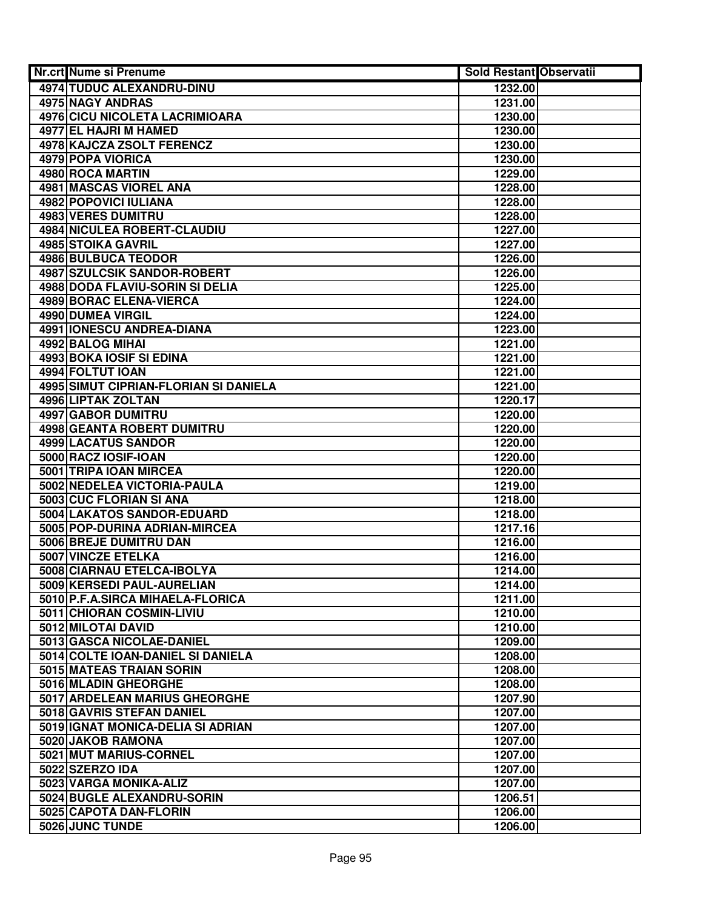| <b>Nr.crt Nume si Prenume</b>                                 | Sold Restant Observatii |  |
|---------------------------------------------------------------|-------------------------|--|
| <b>4974 TUDUC ALEXANDRU-DINU</b>                              | 1232.00                 |  |
| <b>4975 NAGY ANDRAS</b>                                       | 1231.00                 |  |
| 4976 CICU NICOLETA LACRIMIOARA                                | 1230.00                 |  |
| 4977 EL HAJRI M HAMED                                         | 1230.00                 |  |
| <b>4978 KAJCZA ZSOLT FERENCZ</b>                              | 1230.00                 |  |
| 4979 POPA VIORICA                                             | 1230.00                 |  |
| 4980 ROCA MARTIN                                              | 1229.00                 |  |
| 4981 MASCAS VIOREL ANA                                        | 1228.00                 |  |
| <b>4982 POPOVICI IULIANA</b>                                  | 1228.00                 |  |
| <b>4983 VERES DUMITRU</b>                                     | 1228.00                 |  |
| 4984 NICULEA ROBERT-CLAUDIU                                   | 1227.00                 |  |
| 4985 STOIKA GAVRIL                                            | 1227.00                 |  |
| <b>4986 BULBUCA TEODOR</b>                                    | 1226.00                 |  |
| 4987 SZULCSIK SANDOR-ROBERT                                   | 1226.00                 |  |
| 4988 DODA FLAVIU-SORIN SI DELIA                               | 1225.00                 |  |
| 4989 BORAC ELENA-VIERCA                                       | 1224.00                 |  |
| <b>4990 DUMEA VIRGIL</b>                                      | 1224.00                 |  |
| 4991 IONESCU ANDREA-DIANA                                     | 1223.00                 |  |
| 4992 BALOG MIHAI                                              | 1221.00                 |  |
| 4993 BOKA IOSIF SI EDINA                                      | 1221.00                 |  |
| 4994 FOLTUT IOAN                                              | 1221.00                 |  |
| 4995 SIMUT CIPRIAN-FLORIAN SI DANIELA                         | 1221.00                 |  |
| 4996 LIPTAK ZOLTAN                                            | 1220.17                 |  |
| 4997 GABOR DUMITRU                                            | 1220.00                 |  |
| 4998 GEANTA ROBERT DUMITRU                                    | 1220.00                 |  |
| 4999 LACATUS SANDOR                                           | 1220.00                 |  |
| 5000 RACZ IOSIF-IOAN                                          | 1220.00                 |  |
| 5001 TRIPA IOAN MIRCEA                                        | 1220.00                 |  |
| 5002 NEDELEA VICTORIA-PAULA                                   | 1219.00                 |  |
| 5003 CUC FLORIAN SI ANA                                       | 1218.00                 |  |
| 5004 LAKATOS SANDOR-EDUARD                                    | 1218.00                 |  |
| 5005 POP-DURINA ADRIAN-MIRCEA                                 | 1217.16                 |  |
| 5006 BREJE DUMITRU DAN                                        | 1216.00                 |  |
| 5007 VINCZE ETELKA                                            | 1216.00                 |  |
| 5008 CIARNAU ETELCA-IBOLYA                                    | 1214.00                 |  |
| 5009 KERSEDI PAUL-AURELIAN                                    | 1214.00                 |  |
| 5010 P.F.A.SIRCA MIHAELA-FLORICA                              | 1211.00                 |  |
| 5011 CHIORAN COSMIN-LIVIU                                     | 1210.00                 |  |
| 5012 MILOTAI DAVID                                            | 1210.00                 |  |
| 5013 GASCA NICOLAE-DANIEL                                     | 1209.00                 |  |
| 5014 COLTE IOAN-DANIEL SI DANIELA<br>5015 MATEAS TRAIAN SORIN | 1208.00                 |  |
| 5016 MLADIN GHEORGHE                                          | 1208.00                 |  |
| 5017 ARDELEAN MARIUS GHEORGHE                                 | 1208.00                 |  |
| 5018 GAVRIS STEFAN DANIEL                                     | 1207.90                 |  |
| 5019 IGNAT MONICA-DELIA SI ADRIAN                             | 1207.00                 |  |
| 5020 JAKOB RAMONA                                             | 1207.00<br>1207.00      |  |
| 5021 MUT MARIUS-CORNEL                                        | 1207.00                 |  |
| 5022 SZERZO IDA                                               | 1207.00                 |  |
| 5023 VARGA MONIKA-ALIZ                                        | 1207.00                 |  |
| 5024 BUGLE ALEXANDRU-SORIN                                    | 1206.51                 |  |
| 5025 CAPOTA DAN-FLORIN                                        | 1206.00                 |  |
| 5026 JUNC TUNDE                                               | 1206.00                 |  |
|                                                               |                         |  |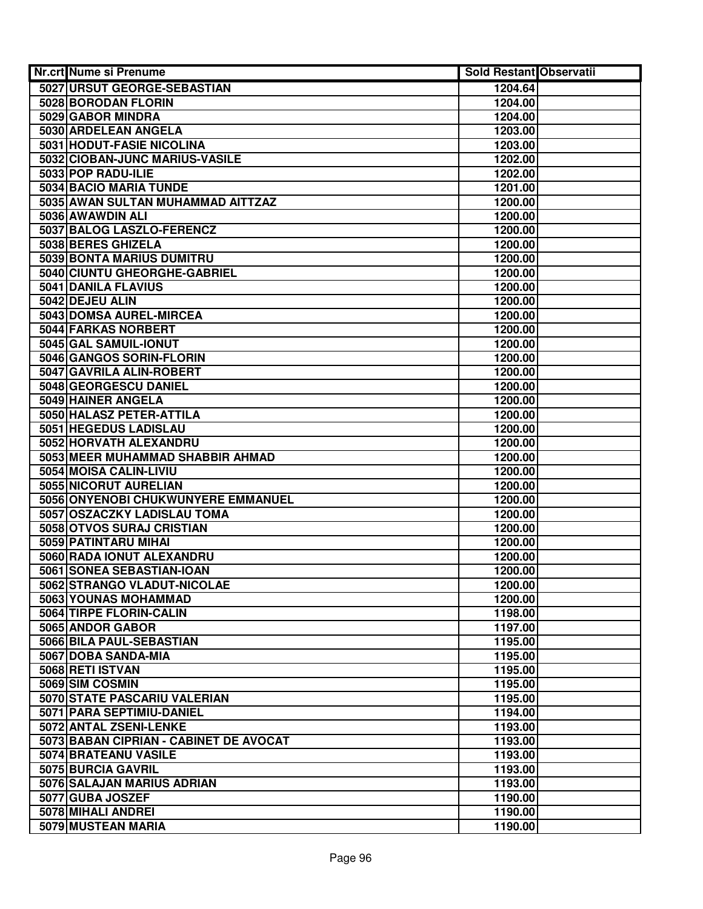| Nr.crt Nume si Prenume                     | <b>Sold Restant Observatii</b> |  |
|--------------------------------------------|--------------------------------|--|
| 5027 URSUT GEORGE-SEBASTIAN                | 1204.64                        |  |
| 5028 BORODAN FLORIN                        | 1204.00                        |  |
| 5029 GABOR MINDRA                          | 1204.00                        |  |
| 5030 ARDELEAN ANGELA                       | 1203.00                        |  |
| <b>5031 HODUT-FASIE NICOLINA</b>           | 1203.00                        |  |
| 5032 CIOBAN-JUNC MARIUS-VASILE             | 1202.00                        |  |
| 5033 POP RADU-ILIE                         | 1202.00                        |  |
| 5034 BACIO MARIA TUNDE                     | 1201.00                        |  |
| 5035 AWAN SULTAN MUHAMMAD AITTZAZ          | 1200.00                        |  |
| 5036 AWAWDIN ALI                           | 1200.00                        |  |
| 5037 BALOG LASZLO-FERENCZ                  | 1200.00                        |  |
| 5038 BERES GHIZELA                         | 1200.00                        |  |
| 5039 BONTA MARIUS DUMITRU                  | 1200.00                        |  |
| 5040 CIUNTU GHEORGHE-GABRIEL               | 1200.00                        |  |
| 5041 DANILA FLAVIUS                        | 1200.00                        |  |
| 5042 DEJEU ALIN                            | 1200.00                        |  |
| 5043 DOMSA AUREL-MIRCEA                    | 1200.00                        |  |
| 5044 FARKAS NORBERT                        | 1200.00                        |  |
| 5045 GAL SAMUIL-IONUT                      | 1200.00                        |  |
| 5046 GANGOS SORIN-FLORIN                   | 1200.00                        |  |
| 5047 GAVRILA ALIN-ROBERT                   | 1200.00                        |  |
| 5048 GEORGESCU DANIEL                      | 1200.00                        |  |
| 5049 HAINER ANGELA                         | 1200.00                        |  |
| 5050 HALASZ PETER-ATTILA                   | 1200.00                        |  |
| 5051 HEGEDUS LADISLAU                      | 1200.00                        |  |
| 5052 HORVATH ALEXANDRU                     | 1200.00                        |  |
| 5053 MEER MUHAMMAD SHABBIR AHMAD           | 1200.00                        |  |
| 5054 MOISA CALIN-LIVIU                     | 1200.00                        |  |
| 5055 NICORUT AURELIAN                      | 1200.00                        |  |
| 5056 ONYENOBI CHUKWUNYERE EMMANUEL         | 1200.00                        |  |
| 5057 OSZACZKY LADISLAU TOMA                | 1200.00                        |  |
| 5058 OTVOS SURAJ CRISTIAN                  | 1200.00                        |  |
| 5059 PATINTARU MIHAI                       | 1200.00                        |  |
| 5060 RADA IONUT ALEXANDRU                  | 1200.00                        |  |
| 5061 SONEA SEBASTIAN-IOAN                  | 1200.00                        |  |
| 5062 STRANGO VLADUT-NICOLAE                | 1200.00                        |  |
| 5063 YOUNAS MOHAMMAD                       | 1200.00                        |  |
| 5064 TIRPE FLORIN-CALIN                    | 1198.00                        |  |
| 5065 ANDOR GABOR                           | 1197.00                        |  |
| 5066 BILA PAUL-SEBASTIAN                   | 1195.00                        |  |
| 5067 DOBA SANDA-MIA                        | 1195.00                        |  |
| 5068 RETI ISTVAN                           | 1195.00                        |  |
| 5069 SIM COSMIN                            | 1195.00                        |  |
| 5070 STATE PASCARIU VALERIAN               | 1195.00                        |  |
| 5071 PARA SEPTIMIU-DANIEL                  | 1194.00                        |  |
| 5072 ANTAL ZSENI-LENKE                     | 1193.00                        |  |
| 5073 BABAN CIPRIAN - CABINET DE AVOCAT     | 1193.00                        |  |
| 5074 BRATEANU VASILE<br>5075 BURCIA GAVRIL | 1193.00<br>1193.00             |  |
| 5076 SALAJAN MARIUS ADRIAN                 | 1193.00                        |  |
| 5077 GUBA JOSZEF                           | 1190.00                        |  |
| 5078 MIHALI ANDREI                         | 1190.00                        |  |
| 5079 MUSTEAN MARIA                         | 1190.00                        |  |
|                                            |                                |  |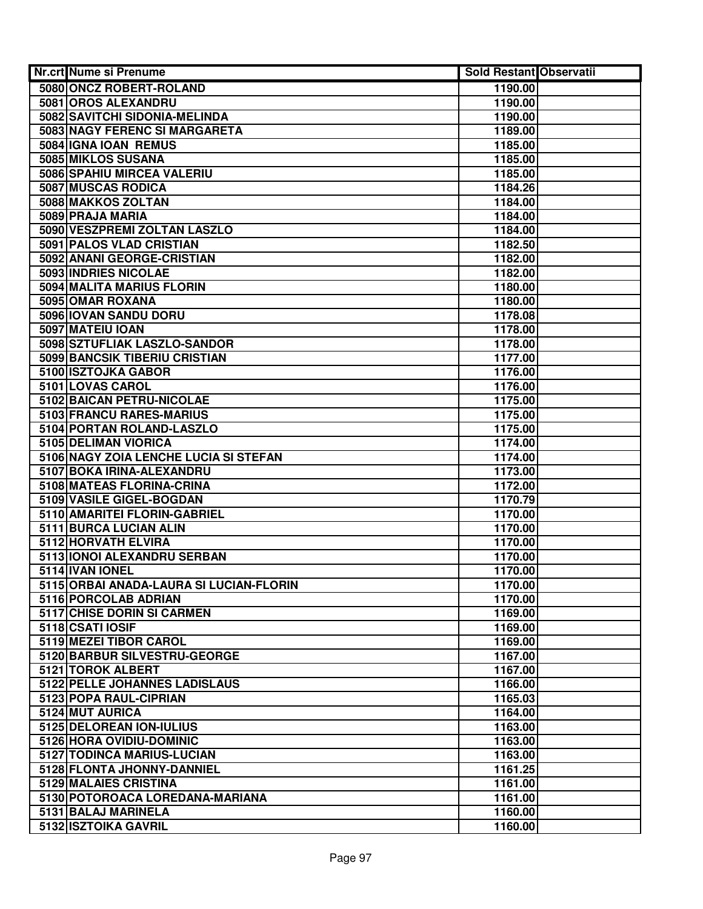| Nr.crt Nume si Prenume                            | <b>Sold Restant Observatii</b> |  |
|---------------------------------------------------|--------------------------------|--|
| 5080 ONCZ ROBERT-ROLAND                           | 1190.00                        |  |
| 5081 OROS ALEXANDRU                               | 1190.00                        |  |
| 5082 SAVITCHI SIDONIA-MELINDA                     | 1190.00                        |  |
| 5083 NAGY FERENC SI MARGARETA                     | 1189.00                        |  |
| 5084 IGNA IOAN REMUS                              | 1185.00                        |  |
| 5085 MIKLOS SUSANA                                | 1185.00                        |  |
| 5086 SPAHIU MIRCEA VALERIU                        | 1185.00                        |  |
| 5087 MUSCAS RODICA                                | 1184.26                        |  |
| 5088 MAKKOS ZOLTAN                                | 1184.00                        |  |
| 5089 PRAJA MARIA                                  | 1184.00                        |  |
| 5090 VESZPREMI ZOLTAN LASZLO                      | 1184.00                        |  |
| 5091 PALOS VLAD CRISTIAN                          | 1182.50                        |  |
| 5092 ANANI GEORGE-CRISTIAN                        | 1182.00                        |  |
| 5093 INDRIES NICOLAE                              | 1182.00                        |  |
| 5094 MALITA MARIUS FLORIN                         | 1180.00                        |  |
| 5095 OMAR ROXANA                                  | 1180.00                        |  |
| 5096 IOVAN SANDU DORU                             | 1178.08                        |  |
| 5097 MATEIU IOAN                                  | 1178.00                        |  |
| 5098 SZTUFLIAK LASZLO-SANDOR                      | 1178.00                        |  |
| 5099 BANCSIK TIBERIU CRISTIAN                     | 1177.00                        |  |
| 5100 ISZTOJKA GABOR                               | 1176.00                        |  |
| 5101 LOVAS CAROL                                  | 1176.00                        |  |
| 5102 BAICAN PETRU-NICOLAE                         | 1175.00                        |  |
| 5103 FRANCU RARES-MARIUS                          | 1175.00                        |  |
| 5104 PORTAN ROLAND-LASZLO                         | 1175.00                        |  |
| 5105 DELIMAN VIORICA                              | 1174.00                        |  |
| 5106 NAGY ZOIA LENCHE LUCIA SI STEFAN             | 1174.00                        |  |
| 5107 BOKA IRINA-ALEXANDRU                         | 1173.00                        |  |
| 5108 MATEAS FLORINA-CRINA                         | 1172.00                        |  |
| 5109 VASILE GIGEL-BOGDAN                          | 1170.79                        |  |
| 5110 AMARITEI FLORIN-GABRIEL                      | 1170.00                        |  |
| 5111 BURCA LUCIAN ALIN                            | 1170.00                        |  |
| 5112 HORVATH ELVIRA                               | 1170.00                        |  |
| 5113 IONOI ALEXANDRU SERBAN                       | 1170.00                        |  |
| 5114 IVAN IONEL                                   | 1170.00                        |  |
| 5115 ORBAI ANADA-LAURA SI LUCIAN-FLORIN           | 1170.00                        |  |
| 5116 PORCOLAB ADRIAN                              | 1170.00                        |  |
| <b>5117 CHISE DORIN SI CARMEN</b>                 | 1169.00                        |  |
| 5118 CSATI IOSIF                                  | 1169.00                        |  |
| 5119 MEZEI TIBOR CAROL                            | 1169.00                        |  |
| 5120 BARBUR SILVESTRU-GEORGE<br>5121 TOROK ALBERT | 1167.00                        |  |
| 5122 PELLE JOHANNES LADISLAUS                     | 1167.00                        |  |
| 5123 POPA RAUL-CIPRIAN                            | 1166.00<br>1165.03             |  |
| 5124 MUT AURICA                                   |                                |  |
| 5125 DELOREAN ION-IULIUS                          | 1164.00<br>1163.00             |  |
| 5126 HORA OVIDIU-DOMINIC                          | 1163.00                        |  |
| 5127 TODINCA MARIUS-LUCIAN                        | 1163.00                        |  |
| 5128 FLONTA JHONNY-DANNIEL                        | 1161.25                        |  |
| 5129 MALAIES CRISTINA                             | 1161.00                        |  |
| 5130 POTOROACA LOREDANA-MARIANA                   | 1161.00                        |  |
| 5131 BALAJ MARINELA                               | 1160.00                        |  |
| 5132 ISZTOIKA GAVRIL                              | 1160.00                        |  |
|                                                   |                                |  |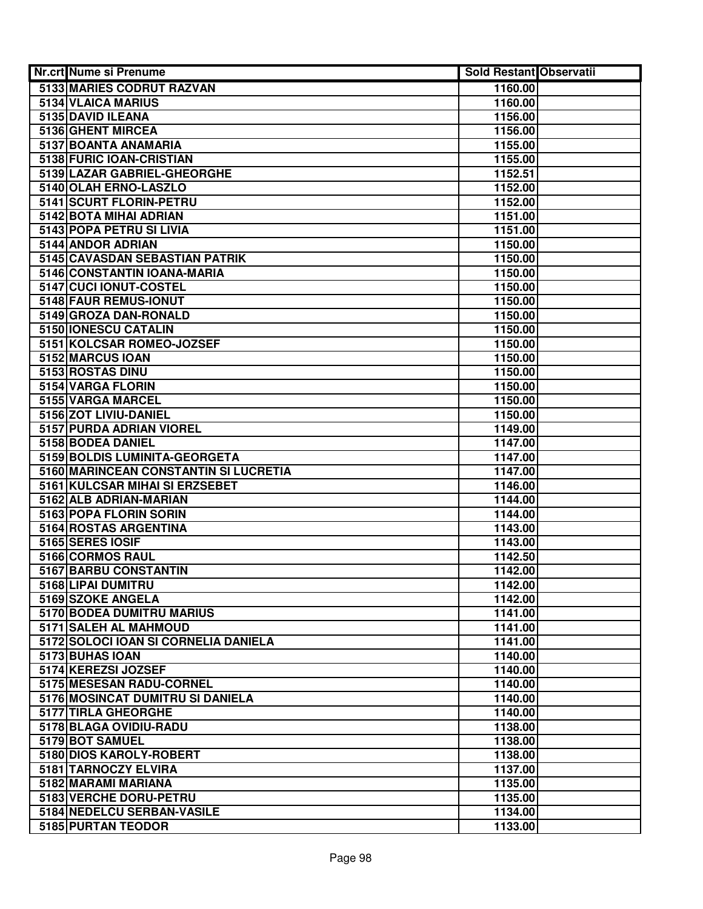| 5133 MARIES CODRUT RAZVAN<br>1160.00<br>5134 VLAICA MARIUS<br>1160.00<br>5135 DAVID ILEANA<br>1156.00<br>5136 GHENT MIRCEA<br>1156.00<br>5137 BOANTA ANAMARIA<br>1155.00<br>5138 FURIC IOAN-CRISTIAN<br>1155.00<br>5139 LAZAR GABRIEL-GHEORGHE<br>1152.51<br>5140 OLAH ERNO-LASZLO<br>1152.00<br>5141 SCURT FLORIN-PETRU<br>1152.00<br>5142 BOTA MIHAI ADRIAN<br>1151.00<br>5143 POPA PETRU SI LIVIA<br>1151.00<br>5144 ANDOR ADRIAN<br>1150.00<br>5145 CAVASDAN SEBASTIAN PATRIK<br>1150.00<br>5146 CONSTANTIN IOANA-MARIA<br>1150.00<br>5147 CUCI IONUT-COSTEL<br>1150.00<br>5148 FAUR REMUS-IONUT<br>1150.00<br>5149 GROZA DAN-RONALD<br>1150.00<br>5150 IONESCU CATALIN<br>1150.00<br>5151 KOLCSAR ROMEO-JOZSEF<br>1150.00<br>5152 MARCUS IOAN<br>1150.00<br>5153 ROSTAS DINU<br>1150.00<br>5154 VARGA FLORIN<br>1150.00<br>5155 VARGA MARCEL<br>1150.00<br>5156 ZOT LIVIU-DANIEL<br>1150.00<br>5157 PURDA ADRIAN VIOREL<br>1149.00<br>5158 BODEA DANIEL<br>1147.00<br>5159 BOLDIS LUMINITA-GEORGETA<br>1147.00<br>5160 MARINCEAN CONSTANTIN SI LUCRETIA<br>1147.00<br>5161 KULCSAR MIHAI SI ERZSEBET<br>1146.00<br>5162 ALB ADRIAN-MARIAN<br>1144.00<br>5163 POPA FLORIN SORIN<br>1144.00<br>5164 ROSTAS ARGENTINA<br>1143.00<br>5165 SERES IOSIF<br>1143.00<br>5166 CORMOS RAUL<br>1142.50<br>5167 BARBU CONSTANTIN<br>1142.00<br>5168 LIPAI DUMITRU<br>1142.00<br>5169 SZOKE ANGELA<br>1142.00<br>5170 BODEA DUMITRU MARIUS<br>1141.00<br>5171 SALEH AL MAHMOUD<br>1141.00<br>5172 SOLOCI IOAN SI CORNELIA DANIELA<br>1141.00<br>5173 BUHAS IOAN<br>1140.00<br>5174 KEREZSI JOZSEF<br>1140.00<br>5175 MESESAN RADU-CORNEL<br>1140.00<br>5176 MOSINCAT DUMITRU SI DANIELA<br>1140.00<br>1140.00<br>5177 TIRLA GHEORGHE<br>5178 BLAGA OVIDIU-RADU<br>1138.00<br>5179 BOT SAMUEL<br>1138.00<br>5180 DIOS KAROLY-ROBERT<br>1138.00<br>5181 TARNOCZY ELVIRA<br>1137.00<br>5182 MARAMI MARIANA<br>1135.00<br>5183 VERCHE DORU-PETRU<br>1135.00<br>5184 NEDELCU SERBAN-VASILE<br>1134.00<br>5185 PURTAN TEODOR | Nr.crt Nume si Prenume | <b>Sold Restant Observatii</b> |  |
|----------------------------------------------------------------------------------------------------------------------------------------------------------------------------------------------------------------------------------------------------------------------------------------------------------------------------------------------------------------------------------------------------------------------------------------------------------------------------------------------------------------------------------------------------------------------------------------------------------------------------------------------------------------------------------------------------------------------------------------------------------------------------------------------------------------------------------------------------------------------------------------------------------------------------------------------------------------------------------------------------------------------------------------------------------------------------------------------------------------------------------------------------------------------------------------------------------------------------------------------------------------------------------------------------------------------------------------------------------------------------------------------------------------------------------------------------------------------------------------------------------------------------------------------------------------------------------------------------------------------------------------------------------------------------------------------------------------------------------------------------------------------------------------------------------------------------------------------------------------------------------------------------------------------------------------------------------------------------------------------------------------|------------------------|--------------------------------|--|
|                                                                                                                                                                                                                                                                                                                                                                                                                                                                                                                                                                                                                                                                                                                                                                                                                                                                                                                                                                                                                                                                                                                                                                                                                                                                                                                                                                                                                                                                                                                                                                                                                                                                                                                                                                                                                                                                                                                                                                                                                |                        |                                |  |
|                                                                                                                                                                                                                                                                                                                                                                                                                                                                                                                                                                                                                                                                                                                                                                                                                                                                                                                                                                                                                                                                                                                                                                                                                                                                                                                                                                                                                                                                                                                                                                                                                                                                                                                                                                                                                                                                                                                                                                                                                |                        |                                |  |
|                                                                                                                                                                                                                                                                                                                                                                                                                                                                                                                                                                                                                                                                                                                                                                                                                                                                                                                                                                                                                                                                                                                                                                                                                                                                                                                                                                                                                                                                                                                                                                                                                                                                                                                                                                                                                                                                                                                                                                                                                |                        |                                |  |
|                                                                                                                                                                                                                                                                                                                                                                                                                                                                                                                                                                                                                                                                                                                                                                                                                                                                                                                                                                                                                                                                                                                                                                                                                                                                                                                                                                                                                                                                                                                                                                                                                                                                                                                                                                                                                                                                                                                                                                                                                |                        |                                |  |
|                                                                                                                                                                                                                                                                                                                                                                                                                                                                                                                                                                                                                                                                                                                                                                                                                                                                                                                                                                                                                                                                                                                                                                                                                                                                                                                                                                                                                                                                                                                                                                                                                                                                                                                                                                                                                                                                                                                                                                                                                |                        |                                |  |
|                                                                                                                                                                                                                                                                                                                                                                                                                                                                                                                                                                                                                                                                                                                                                                                                                                                                                                                                                                                                                                                                                                                                                                                                                                                                                                                                                                                                                                                                                                                                                                                                                                                                                                                                                                                                                                                                                                                                                                                                                |                        |                                |  |
|                                                                                                                                                                                                                                                                                                                                                                                                                                                                                                                                                                                                                                                                                                                                                                                                                                                                                                                                                                                                                                                                                                                                                                                                                                                                                                                                                                                                                                                                                                                                                                                                                                                                                                                                                                                                                                                                                                                                                                                                                |                        |                                |  |
|                                                                                                                                                                                                                                                                                                                                                                                                                                                                                                                                                                                                                                                                                                                                                                                                                                                                                                                                                                                                                                                                                                                                                                                                                                                                                                                                                                                                                                                                                                                                                                                                                                                                                                                                                                                                                                                                                                                                                                                                                |                        |                                |  |
|                                                                                                                                                                                                                                                                                                                                                                                                                                                                                                                                                                                                                                                                                                                                                                                                                                                                                                                                                                                                                                                                                                                                                                                                                                                                                                                                                                                                                                                                                                                                                                                                                                                                                                                                                                                                                                                                                                                                                                                                                |                        |                                |  |
|                                                                                                                                                                                                                                                                                                                                                                                                                                                                                                                                                                                                                                                                                                                                                                                                                                                                                                                                                                                                                                                                                                                                                                                                                                                                                                                                                                                                                                                                                                                                                                                                                                                                                                                                                                                                                                                                                                                                                                                                                |                        |                                |  |
|                                                                                                                                                                                                                                                                                                                                                                                                                                                                                                                                                                                                                                                                                                                                                                                                                                                                                                                                                                                                                                                                                                                                                                                                                                                                                                                                                                                                                                                                                                                                                                                                                                                                                                                                                                                                                                                                                                                                                                                                                |                        |                                |  |
|                                                                                                                                                                                                                                                                                                                                                                                                                                                                                                                                                                                                                                                                                                                                                                                                                                                                                                                                                                                                                                                                                                                                                                                                                                                                                                                                                                                                                                                                                                                                                                                                                                                                                                                                                                                                                                                                                                                                                                                                                |                        |                                |  |
|                                                                                                                                                                                                                                                                                                                                                                                                                                                                                                                                                                                                                                                                                                                                                                                                                                                                                                                                                                                                                                                                                                                                                                                                                                                                                                                                                                                                                                                                                                                                                                                                                                                                                                                                                                                                                                                                                                                                                                                                                |                        |                                |  |
|                                                                                                                                                                                                                                                                                                                                                                                                                                                                                                                                                                                                                                                                                                                                                                                                                                                                                                                                                                                                                                                                                                                                                                                                                                                                                                                                                                                                                                                                                                                                                                                                                                                                                                                                                                                                                                                                                                                                                                                                                |                        |                                |  |
|                                                                                                                                                                                                                                                                                                                                                                                                                                                                                                                                                                                                                                                                                                                                                                                                                                                                                                                                                                                                                                                                                                                                                                                                                                                                                                                                                                                                                                                                                                                                                                                                                                                                                                                                                                                                                                                                                                                                                                                                                |                        |                                |  |
|                                                                                                                                                                                                                                                                                                                                                                                                                                                                                                                                                                                                                                                                                                                                                                                                                                                                                                                                                                                                                                                                                                                                                                                                                                                                                                                                                                                                                                                                                                                                                                                                                                                                                                                                                                                                                                                                                                                                                                                                                |                        |                                |  |
|                                                                                                                                                                                                                                                                                                                                                                                                                                                                                                                                                                                                                                                                                                                                                                                                                                                                                                                                                                                                                                                                                                                                                                                                                                                                                                                                                                                                                                                                                                                                                                                                                                                                                                                                                                                                                                                                                                                                                                                                                |                        |                                |  |
|                                                                                                                                                                                                                                                                                                                                                                                                                                                                                                                                                                                                                                                                                                                                                                                                                                                                                                                                                                                                                                                                                                                                                                                                                                                                                                                                                                                                                                                                                                                                                                                                                                                                                                                                                                                                                                                                                                                                                                                                                |                        |                                |  |
|                                                                                                                                                                                                                                                                                                                                                                                                                                                                                                                                                                                                                                                                                                                                                                                                                                                                                                                                                                                                                                                                                                                                                                                                                                                                                                                                                                                                                                                                                                                                                                                                                                                                                                                                                                                                                                                                                                                                                                                                                |                        |                                |  |
|                                                                                                                                                                                                                                                                                                                                                                                                                                                                                                                                                                                                                                                                                                                                                                                                                                                                                                                                                                                                                                                                                                                                                                                                                                                                                                                                                                                                                                                                                                                                                                                                                                                                                                                                                                                                                                                                                                                                                                                                                |                        |                                |  |
|                                                                                                                                                                                                                                                                                                                                                                                                                                                                                                                                                                                                                                                                                                                                                                                                                                                                                                                                                                                                                                                                                                                                                                                                                                                                                                                                                                                                                                                                                                                                                                                                                                                                                                                                                                                                                                                                                                                                                                                                                |                        |                                |  |
|                                                                                                                                                                                                                                                                                                                                                                                                                                                                                                                                                                                                                                                                                                                                                                                                                                                                                                                                                                                                                                                                                                                                                                                                                                                                                                                                                                                                                                                                                                                                                                                                                                                                                                                                                                                                                                                                                                                                                                                                                |                        |                                |  |
|                                                                                                                                                                                                                                                                                                                                                                                                                                                                                                                                                                                                                                                                                                                                                                                                                                                                                                                                                                                                                                                                                                                                                                                                                                                                                                                                                                                                                                                                                                                                                                                                                                                                                                                                                                                                                                                                                                                                                                                                                |                        |                                |  |
|                                                                                                                                                                                                                                                                                                                                                                                                                                                                                                                                                                                                                                                                                                                                                                                                                                                                                                                                                                                                                                                                                                                                                                                                                                                                                                                                                                                                                                                                                                                                                                                                                                                                                                                                                                                                                                                                                                                                                                                                                |                        |                                |  |
|                                                                                                                                                                                                                                                                                                                                                                                                                                                                                                                                                                                                                                                                                                                                                                                                                                                                                                                                                                                                                                                                                                                                                                                                                                                                                                                                                                                                                                                                                                                                                                                                                                                                                                                                                                                                                                                                                                                                                                                                                |                        |                                |  |
|                                                                                                                                                                                                                                                                                                                                                                                                                                                                                                                                                                                                                                                                                                                                                                                                                                                                                                                                                                                                                                                                                                                                                                                                                                                                                                                                                                                                                                                                                                                                                                                                                                                                                                                                                                                                                                                                                                                                                                                                                |                        |                                |  |
|                                                                                                                                                                                                                                                                                                                                                                                                                                                                                                                                                                                                                                                                                                                                                                                                                                                                                                                                                                                                                                                                                                                                                                                                                                                                                                                                                                                                                                                                                                                                                                                                                                                                                                                                                                                                                                                                                                                                                                                                                |                        |                                |  |
|                                                                                                                                                                                                                                                                                                                                                                                                                                                                                                                                                                                                                                                                                                                                                                                                                                                                                                                                                                                                                                                                                                                                                                                                                                                                                                                                                                                                                                                                                                                                                                                                                                                                                                                                                                                                                                                                                                                                                                                                                |                        |                                |  |
|                                                                                                                                                                                                                                                                                                                                                                                                                                                                                                                                                                                                                                                                                                                                                                                                                                                                                                                                                                                                                                                                                                                                                                                                                                                                                                                                                                                                                                                                                                                                                                                                                                                                                                                                                                                                                                                                                                                                                                                                                |                        |                                |  |
|                                                                                                                                                                                                                                                                                                                                                                                                                                                                                                                                                                                                                                                                                                                                                                                                                                                                                                                                                                                                                                                                                                                                                                                                                                                                                                                                                                                                                                                                                                                                                                                                                                                                                                                                                                                                                                                                                                                                                                                                                |                        |                                |  |
|                                                                                                                                                                                                                                                                                                                                                                                                                                                                                                                                                                                                                                                                                                                                                                                                                                                                                                                                                                                                                                                                                                                                                                                                                                                                                                                                                                                                                                                                                                                                                                                                                                                                                                                                                                                                                                                                                                                                                                                                                |                        |                                |  |
|                                                                                                                                                                                                                                                                                                                                                                                                                                                                                                                                                                                                                                                                                                                                                                                                                                                                                                                                                                                                                                                                                                                                                                                                                                                                                                                                                                                                                                                                                                                                                                                                                                                                                                                                                                                                                                                                                                                                                                                                                |                        |                                |  |
|                                                                                                                                                                                                                                                                                                                                                                                                                                                                                                                                                                                                                                                                                                                                                                                                                                                                                                                                                                                                                                                                                                                                                                                                                                                                                                                                                                                                                                                                                                                                                                                                                                                                                                                                                                                                                                                                                                                                                                                                                |                        |                                |  |
|                                                                                                                                                                                                                                                                                                                                                                                                                                                                                                                                                                                                                                                                                                                                                                                                                                                                                                                                                                                                                                                                                                                                                                                                                                                                                                                                                                                                                                                                                                                                                                                                                                                                                                                                                                                                                                                                                                                                                                                                                |                        |                                |  |
|                                                                                                                                                                                                                                                                                                                                                                                                                                                                                                                                                                                                                                                                                                                                                                                                                                                                                                                                                                                                                                                                                                                                                                                                                                                                                                                                                                                                                                                                                                                                                                                                                                                                                                                                                                                                                                                                                                                                                                                                                |                        |                                |  |
|                                                                                                                                                                                                                                                                                                                                                                                                                                                                                                                                                                                                                                                                                                                                                                                                                                                                                                                                                                                                                                                                                                                                                                                                                                                                                                                                                                                                                                                                                                                                                                                                                                                                                                                                                                                                                                                                                                                                                                                                                |                        |                                |  |
|                                                                                                                                                                                                                                                                                                                                                                                                                                                                                                                                                                                                                                                                                                                                                                                                                                                                                                                                                                                                                                                                                                                                                                                                                                                                                                                                                                                                                                                                                                                                                                                                                                                                                                                                                                                                                                                                                                                                                                                                                |                        |                                |  |
|                                                                                                                                                                                                                                                                                                                                                                                                                                                                                                                                                                                                                                                                                                                                                                                                                                                                                                                                                                                                                                                                                                                                                                                                                                                                                                                                                                                                                                                                                                                                                                                                                                                                                                                                                                                                                                                                                                                                                                                                                |                        |                                |  |
|                                                                                                                                                                                                                                                                                                                                                                                                                                                                                                                                                                                                                                                                                                                                                                                                                                                                                                                                                                                                                                                                                                                                                                                                                                                                                                                                                                                                                                                                                                                                                                                                                                                                                                                                                                                                                                                                                                                                                                                                                |                        |                                |  |
|                                                                                                                                                                                                                                                                                                                                                                                                                                                                                                                                                                                                                                                                                                                                                                                                                                                                                                                                                                                                                                                                                                                                                                                                                                                                                                                                                                                                                                                                                                                                                                                                                                                                                                                                                                                                                                                                                                                                                                                                                |                        |                                |  |
|                                                                                                                                                                                                                                                                                                                                                                                                                                                                                                                                                                                                                                                                                                                                                                                                                                                                                                                                                                                                                                                                                                                                                                                                                                                                                                                                                                                                                                                                                                                                                                                                                                                                                                                                                                                                                                                                                                                                                                                                                |                        |                                |  |
|                                                                                                                                                                                                                                                                                                                                                                                                                                                                                                                                                                                                                                                                                                                                                                                                                                                                                                                                                                                                                                                                                                                                                                                                                                                                                                                                                                                                                                                                                                                                                                                                                                                                                                                                                                                                                                                                                                                                                                                                                |                        |                                |  |
|                                                                                                                                                                                                                                                                                                                                                                                                                                                                                                                                                                                                                                                                                                                                                                                                                                                                                                                                                                                                                                                                                                                                                                                                                                                                                                                                                                                                                                                                                                                                                                                                                                                                                                                                                                                                                                                                                                                                                                                                                |                        |                                |  |
|                                                                                                                                                                                                                                                                                                                                                                                                                                                                                                                                                                                                                                                                                                                                                                                                                                                                                                                                                                                                                                                                                                                                                                                                                                                                                                                                                                                                                                                                                                                                                                                                                                                                                                                                                                                                                                                                                                                                                                                                                |                        |                                |  |
|                                                                                                                                                                                                                                                                                                                                                                                                                                                                                                                                                                                                                                                                                                                                                                                                                                                                                                                                                                                                                                                                                                                                                                                                                                                                                                                                                                                                                                                                                                                                                                                                                                                                                                                                                                                                                                                                                                                                                                                                                |                        |                                |  |
|                                                                                                                                                                                                                                                                                                                                                                                                                                                                                                                                                                                                                                                                                                                                                                                                                                                                                                                                                                                                                                                                                                                                                                                                                                                                                                                                                                                                                                                                                                                                                                                                                                                                                                                                                                                                                                                                                                                                                                                                                |                        |                                |  |
|                                                                                                                                                                                                                                                                                                                                                                                                                                                                                                                                                                                                                                                                                                                                                                                                                                                                                                                                                                                                                                                                                                                                                                                                                                                                                                                                                                                                                                                                                                                                                                                                                                                                                                                                                                                                                                                                                                                                                                                                                |                        |                                |  |
|                                                                                                                                                                                                                                                                                                                                                                                                                                                                                                                                                                                                                                                                                                                                                                                                                                                                                                                                                                                                                                                                                                                                                                                                                                                                                                                                                                                                                                                                                                                                                                                                                                                                                                                                                                                                                                                                                                                                                                                                                |                        |                                |  |
|                                                                                                                                                                                                                                                                                                                                                                                                                                                                                                                                                                                                                                                                                                                                                                                                                                                                                                                                                                                                                                                                                                                                                                                                                                                                                                                                                                                                                                                                                                                                                                                                                                                                                                                                                                                                                                                                                                                                                                                                                |                        |                                |  |
|                                                                                                                                                                                                                                                                                                                                                                                                                                                                                                                                                                                                                                                                                                                                                                                                                                                                                                                                                                                                                                                                                                                                                                                                                                                                                                                                                                                                                                                                                                                                                                                                                                                                                                                                                                                                                                                                                                                                                                                                                |                        |                                |  |
|                                                                                                                                                                                                                                                                                                                                                                                                                                                                                                                                                                                                                                                                                                                                                                                                                                                                                                                                                                                                                                                                                                                                                                                                                                                                                                                                                                                                                                                                                                                                                                                                                                                                                                                                                                                                                                                                                                                                                                                                                |                        |                                |  |
|                                                                                                                                                                                                                                                                                                                                                                                                                                                                                                                                                                                                                                                                                                                                                                                                                                                                                                                                                                                                                                                                                                                                                                                                                                                                                                                                                                                                                                                                                                                                                                                                                                                                                                                                                                                                                                                                                                                                                                                                                |                        | 1133.00                        |  |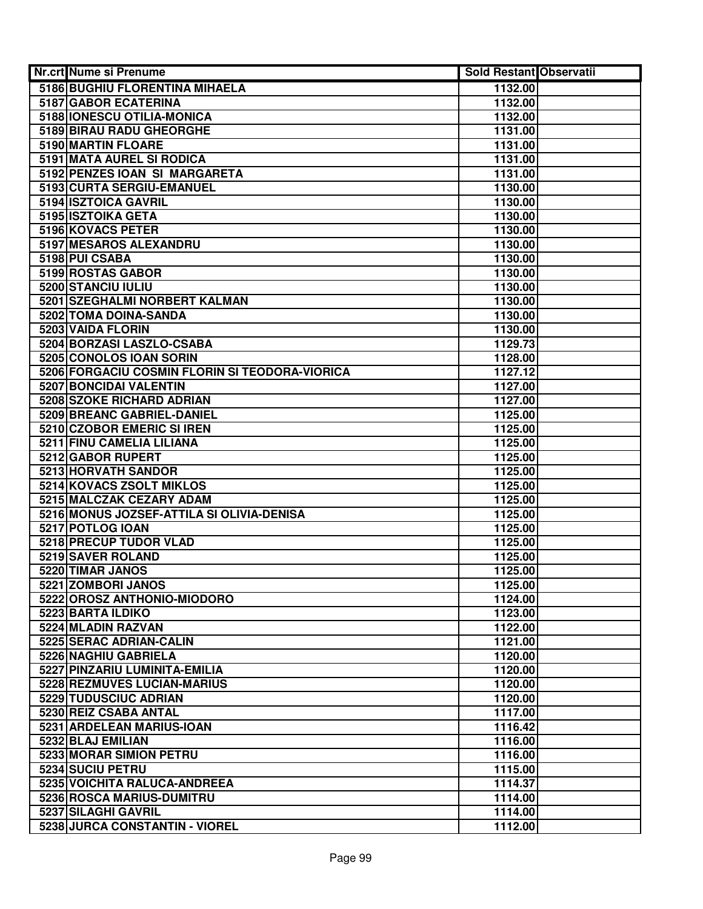| Nr.crt Nume si Prenume                         | Sold Restant Observatii |  |
|------------------------------------------------|-------------------------|--|
| 5186 BUGHIU FLORENTINA MIHAELA                 | 1132.00                 |  |
| 5187 GABOR ECATERINA                           | 1132.00                 |  |
| 5188 IONESCU OTILIA-MONICA                     | 1132.00                 |  |
| <b>5189 BIRAU RADU GHEORGHE</b>                | 1131.00                 |  |
| 5190 MARTIN FLOARE                             | 1131.00                 |  |
| 5191 MATA AUREL SI RODICA                      | 1131.00                 |  |
| 5192 PENZES IOAN SI MARGARETA                  | 1131.00                 |  |
| 5193 CURTA SERGIU-EMANUEL                      | 1130.00                 |  |
| 5194 ISZTOICA GAVRIL                           | 1130.00                 |  |
| 5195 ISZTOIKA GETA                             | 1130.00                 |  |
| 5196 KOVACS PETER                              | 1130.00                 |  |
| 5197 MESAROS ALEXANDRU                         | 1130.00                 |  |
| 5198 PUI CSABA                                 | 1130.00                 |  |
| 5199 ROSTAS GABOR                              | 1130.00                 |  |
| 5200 STANCIU IULIU                             | 1130.00                 |  |
| 5201 SZEGHALMI NORBERT KALMAN                  | 1130.00                 |  |
| 5202 TOMA DOINA-SANDA                          | 1130.00                 |  |
| 5203 VAIDA FLORIN                              | 1130.00                 |  |
| 5204 BORZASI LASZLO-CSABA                      | 1129.73                 |  |
| 5205 CONOLOS IOAN SORIN                        | 1128.00                 |  |
| 5206 FORGACIU COSMIN FLORIN SI TEODORA-VIORICA | 1127.12                 |  |
| 5207 BONCIDAI VALENTIN                         | 1127.00                 |  |
| <b>5208 SZOKE RICHARD ADRIAN</b>               | 1127.00                 |  |
| 5209 BREANC GABRIEL-DANIEL                     | 1125.00                 |  |
| 5210 CZOBOR EMERIC SI IREN                     | 1125.00                 |  |
| 5211 FINU CAMELIA LILIANA                      | 1125.00                 |  |
| 5212 GABOR RUPERT                              | 1125.00                 |  |
| 5213 HORVATH SANDOR                            | 1125.00                 |  |
| 5214 KOVACS ZSOLT MIKLOS                       | 1125.00                 |  |
| 5215 MALCZAK CEZARY ADAM                       | 1125.00                 |  |
| 5216 MONUS JOZSEF-ATTILA SI OLIVIA-DENISA      | 1125.00                 |  |
| 5217 POTLOG IOAN                               | 1125.00                 |  |
| 5218 PRECUP TUDOR VLAD                         | 1125.00                 |  |
| 5219 SAVER ROLAND                              | 1125.00                 |  |
| 5220 TIMAR JANOS                               | 1125.00                 |  |
| 5221 ZOMBORI JANOS                             | 1125.00                 |  |
| 5222 OROSZ ANTHONIO-MIODORO                    | 1124.00                 |  |
| 5223 BARTA ILDIKO                              | 1123.00                 |  |
| 5224 MLADIN RAZVAN                             | 1122.00                 |  |
| 5225 SERAC ADRIAN-CALIN                        | 1121.00                 |  |
| 5226 NAGHIU GABRIELA                           | 1120.00                 |  |
| 5227 PINZARIU LUMINITA-EMILIA                  | 1120.00                 |  |
| 5228 REZMUVES LUCIAN-MARIUS                    | 1120.00                 |  |
| 5229 TUDUSCIUC ADRIAN                          | 1120.00                 |  |
| 5230 REIZ CSABA ANTAL                          | 1117.00                 |  |
| 5231 ARDELEAN MARIUS-IOAN                      | 1116.42                 |  |
| 5232 BLAJ EMILIAN                              | 1116.00                 |  |
| 5233 MORAR SIMION PETRU                        | 1116.00                 |  |
| 5234 SUCIU PETRU                               | 1115.00                 |  |
| 5235 VOICHITA RALUCA-ANDREEA                   | 1114.37                 |  |
| 5236 ROSCA MARIUS-DUMITRU                      | 1114.00                 |  |
| 5237 SILAGHI GAVRIL                            | 1114.00                 |  |
| 5238 JURCA CONSTANTIN - VIOREL                 | 1112.00                 |  |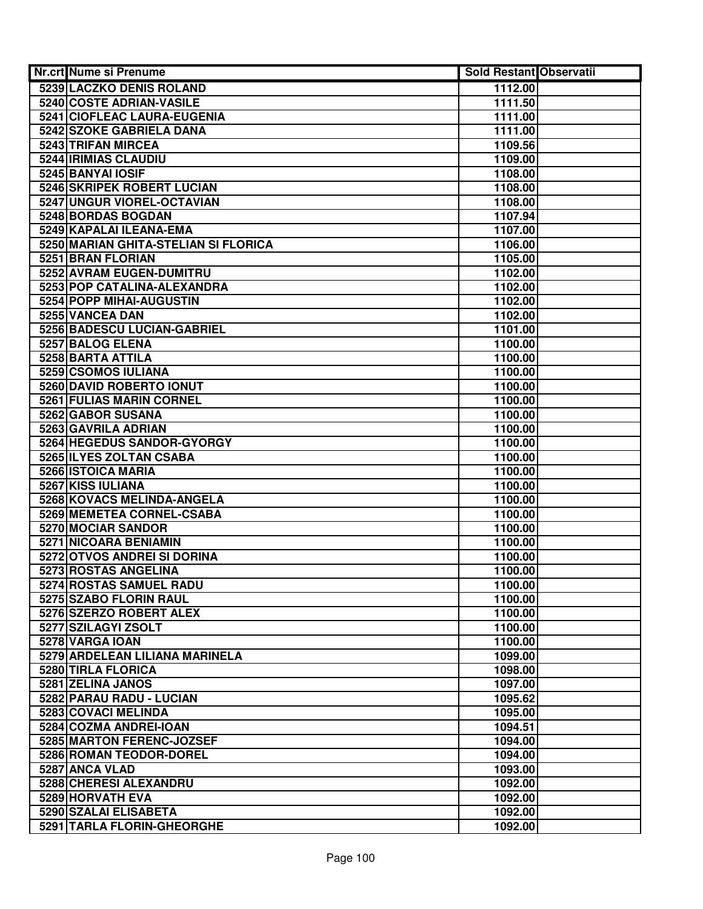| <b>Nr.crt Nume si Prenume</b>                       | Sold Restant Observatii |  |
|-----------------------------------------------------|-------------------------|--|
| 5239 LACZKO DENIS ROLAND                            | 1112.00                 |  |
| 5240 COSTE ADRIAN-VASILE                            | 1111.50                 |  |
| 5241 CIOFLEAC LAURA-EUGENIA                         | 1111.00                 |  |
| 5242 SZOKE GABRIELA DANA                            | 1111.00                 |  |
| 5243 TRIFAN MIRCEA                                  | 1109.56                 |  |
| 5244 IRIMIAS CLAUDIU                                | 1109.00                 |  |
| 5245 BANYAI IOSIF                                   | 1108.00                 |  |
| 5246 SKRIPEK ROBERT LUCIAN                          | 1108.00                 |  |
| 5247 UNGUR VIOREL-OCTAVIAN                          | 1108.00                 |  |
| 5248 BORDAS BOGDAN                                  | 1107.94                 |  |
| 5249 KAPALAI ILEANA-EMA                             | 1107.00                 |  |
| 5250 MARIAN GHITA-STELIAN SI FLORICA                | 1106.00                 |  |
| 5251 BRAN FLORIAN                                   | 1105.00                 |  |
| 5252 AVRAM EUGEN-DUMITRU                            | 1102.00                 |  |
| 5253 POP CATALINA-ALEXANDRA                         | 1102.00                 |  |
| 5254 POPP MIHAI-AUGUSTIN                            | 1102.00                 |  |
| 5255 VANCEA DAN                                     | 1102.00                 |  |
| 5256 BADESCU LUCIAN-GABRIEL                         | 1101.00                 |  |
| 5257 BALOG ELENA                                    | 1100.00                 |  |
| 5258 BARTA ATTILA                                   | 1100.00                 |  |
| 5259 CSOMOS IULIANA                                 | 1100.00                 |  |
| 5260 DAVID ROBERTO IONUT                            | 1100.00                 |  |
| 5261 FULIAS MARIN CORNEL                            | 1100.00                 |  |
| 5262 GABOR SUSANA                                   | 1100.00                 |  |
| 5263 GAVRILA ADRIAN                                 | 1100.00                 |  |
| 5264 HEGEDUS SANDOR-GYORGY                          | 1100.00                 |  |
| 5265 ILYES ZOLTAN CSABA                             | 1100.00                 |  |
| 5266 ISTOICA MARIA                                  | 1100.00                 |  |
| 5267 KISS IULIANA                                   | 1100.00                 |  |
| 5268 KOVACS MELINDA-ANGELA                          | 1100.00                 |  |
| 5269 MEMETEA CORNEL-CSABA                           | 1100.00                 |  |
| 5270 MOCIAR SANDOR                                  | 1100.00                 |  |
| 5271 NICOARA BENIAMIN                               | 1100.00                 |  |
| 5272 OTVOS ANDREI SI DORINA                         | 1100.00                 |  |
| 5273 ROSTAS ANGELINA                                | 1100.00                 |  |
| 5274 ROSTAS SAMUEL RADU                             | 1100.00                 |  |
| 5275 SZABO FLORIN RAUL                              | 1100.00                 |  |
| 5276 SZERZO ROBERT ALEX                             | 1100.00                 |  |
| 5277 SZILAGYI ZSOLT                                 | 1100.00                 |  |
| 5278 VARGA IOAN                                     | 1100.00                 |  |
| 5279 ARDELEAN LILIANA MARINELA                      | 1099.00                 |  |
| 5280 TIRLA FLORICA                                  | 1098.00                 |  |
| 5281 ZELINA JANOS                                   | 1097.00                 |  |
| 5282 PARAU RADU - LUCIAN<br>5283 COVACI MELINDA     | 1095.62                 |  |
|                                                     | 1095.00                 |  |
| 5284 COZMA ANDREI-IOAN<br>5285 MARTON FERENC-JOZSEF | 1094.51<br>1094.00      |  |
| 5286 ROMAN TEODOR-DOREL                             | 1094.00                 |  |
| 5287 ANCA VLAD                                      | 1093.00                 |  |
| 5288 CHERESI ALEXANDRU                              | 1092.00                 |  |
| 5289 HORVATH EVA                                    | 1092.00                 |  |
| 5290 SZALAI ELISABETA                               | 1092.00                 |  |
| 5291 TARLA FLORIN-GHEORGHE                          | 1092.00                 |  |
|                                                     |                         |  |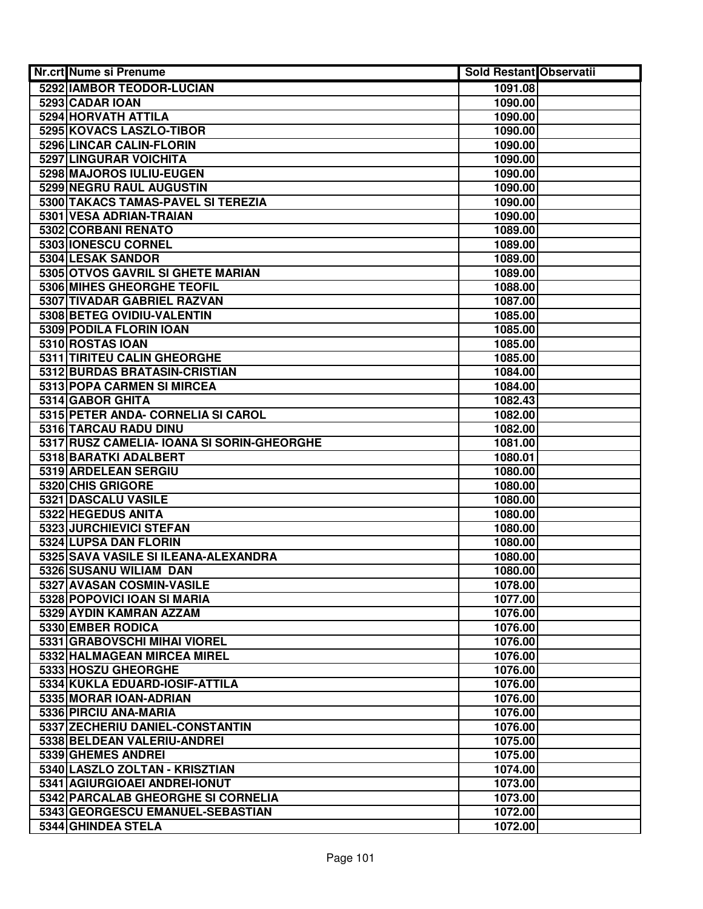| Nr.crt Nume si Prenume                             | <b>Sold Restant Observatii</b> |  |
|----------------------------------------------------|--------------------------------|--|
| 5292 IAMBOR TEODOR-LUCIAN                          | 1091.08                        |  |
| 5293 CADAR IOAN                                    | 1090.00                        |  |
| 5294 HORVATH ATTILA                                | 1090.00                        |  |
| 5295 KOVACS LASZLO-TIBOR                           | 1090.00                        |  |
| 5296 LINCAR CALIN-FLORIN                           | 1090.00                        |  |
| 5297 LINGURAR VOICHITA                             | 1090.00                        |  |
| 5298 MAJOROS IULIU-EUGEN                           | 1090.00                        |  |
| 5299 NEGRU RAUL AUGUSTIN                           | 1090.00                        |  |
| 5300 TAKACS TAMAS-PAVEL SI TEREZIA                 | 1090.00                        |  |
| 5301 VESA ADRIAN-TRAIAN                            | 1090.00                        |  |
| 5302 CORBANI RENATO                                | 1089.00                        |  |
| 5303 IONESCU CORNEL                                | 1089.00                        |  |
| 5304 LESAK SANDOR                                  | 1089.00                        |  |
| 5305 OTVOS GAVRIL SI GHETE MARIAN                  | 1089.00                        |  |
| 5306 MIHES GHEORGHE TEOFIL                         | 1088.00                        |  |
| 5307 TIVADAR GABRIEL RAZVAN                        | 1087.00                        |  |
| 5308 BETEG OVIDIU-VALENTIN                         | 1085.00                        |  |
| 5309 PODILA FLORIN IOAN                            | 1085.00                        |  |
| 5310 ROSTAS IOAN                                   | 1085.00                        |  |
| <b>5311 TIRITEU CALIN GHEORGHE</b>                 | 1085.00                        |  |
| 5312 BURDAS BRATASIN-CRISTIAN                      | 1084.00                        |  |
| 5313 POPA CARMEN SI MIRCEA                         | 1084.00                        |  |
| 5314 GABOR GHITA                                   | 1082.43                        |  |
| 5315 PETER ANDA- CORNELIA SI CAROL                 | 1082.00                        |  |
| 5316 TARCAU RADU DINU                              | 1082.00                        |  |
| 5317 RUSZ CAMELIA- IOANA SI SORIN-GHEORGHE         | 1081.00                        |  |
| 5318 BARATKI ADALBERT                              | 1080.01                        |  |
| 5319 ARDELEAN SERGIU                               | 1080.00                        |  |
| 5320 CHIS GRIGORE                                  | 1080.00                        |  |
| 5321 DASCALU VASILE                                | 1080.00                        |  |
| 5322 HEGEDUS ANITA                                 | 1080.00                        |  |
| 5323 JURCHIEVICI STEFAN                            | 1080.00                        |  |
| 5324 LUPSA DAN FLORIN                              | 1080.00                        |  |
| 5325 SAVA VASILE SI ILEANA-ALEXANDRA               | 1080.00                        |  |
| 5326 SUSANU WILIAM DAN                             | 1080.00                        |  |
| 5327 AVASAN COSMIN-VASILE                          | 1078.00                        |  |
| 5328 POPOVICI IOAN SI MARIA                        | 1077.00                        |  |
| 5329 AYDIN KAMRAN AZZAM                            | 1076.00                        |  |
| 5330 EMBER RODICA<br>5331 GRABOVSCHI MIHAI VIOREL  | 1076.00                        |  |
|                                                    | 1076.00                        |  |
| 5332 HALMAGEAN MIRCEA MIREL<br>5333 HOSZU GHEORGHE | 1076.00<br>1076.00             |  |
| 5334 KUKLA EDUARD-IOSIF-ATTILA                     | 1076.00                        |  |
| 5335 MORAR IOAN-ADRIAN                             | 1076.00                        |  |
| 5336 PIRCIU ANA-MARIA                              |                                |  |
| 5337 ZECHERIU DANIEL-CONSTANTIN                    | 1076.00<br>1076.00             |  |
| 5338 BELDEAN VALERIU-ANDREI                        | 1075.00                        |  |
| 5339 GHEMES ANDREI                                 | 1075.00                        |  |
| 5340 LASZLO ZOLTAN - KRISZTIAN                     | 1074.00                        |  |
| 5341 AGIURGIOAEI ANDREI-IONUT                      | 1073.00                        |  |
| 5342 PARCALAB GHEORGHE SI CORNELIA                 | 1073.00                        |  |
| 5343 GEORGESCU EMANUEL-SEBASTIAN                   | 1072.00                        |  |
| 5344 GHINDEA STELA                                 | 1072.00                        |  |
|                                                    |                                |  |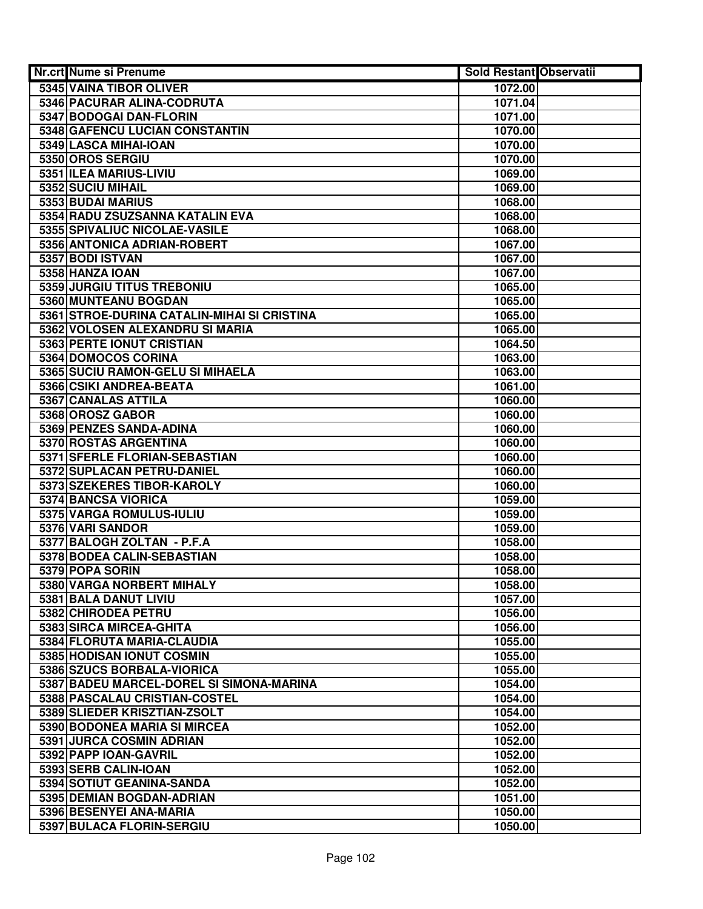| <b>Nr.crt Nume si Prenume</b>                                | <b>Sold Restant Observatii</b> |  |
|--------------------------------------------------------------|--------------------------------|--|
| 5345 VAINA TIBOR OLIVER                                      | 1072.00                        |  |
| 5346 PACURAR ALINA-CODRUTA                                   | 1071.04                        |  |
| 5347 BODOGAI DAN-FLORIN                                      | 1071.00                        |  |
| 5348 GAFENCU LUCIAN CONSTANTIN                               | 1070.00                        |  |
| 5349 LASCA MIHAI-IOAN                                        | 1070.00                        |  |
| 5350 OROS SERGIU                                             | 1070.00                        |  |
| 5351 ILEA MARIUS-LIVIU                                       | 1069.00                        |  |
| 5352 SUCIU MIHAIL                                            | 1069.00                        |  |
| 5353 BUDAI MARIUS                                            | 1068.00                        |  |
| 5354 RADU ZSUZSANNA KATALIN EVA                              | 1068.00                        |  |
| 5355 SPIVALIUC NICOLAE-VASILE                                | 1068.00                        |  |
| 5356 ANTONICA ADRIAN-ROBERT                                  | 1067.00                        |  |
| 5357 BODI ISTVAN                                             | 1067.00                        |  |
| 5358 HANZA IOAN                                              | 1067.00                        |  |
| 5359 JURGIU TITUS TREBONIU                                   | 1065.00                        |  |
| 5360 MUNTEANU BOGDAN                                         | 1065.00                        |  |
| 5361 STROE-DURINA CATALIN-MIHAI SI CRISTINA                  | 1065.00                        |  |
| 5362 VOLOSEN ALEXANDRU SI MARIA                              | 1065.00                        |  |
| 5363 PERTE IONUT CRISTIAN                                    | 1064.50                        |  |
| 5364 DOMOCOS CORINA                                          | 1063.00                        |  |
| 5365 SUCIU RAMON-GELU SI MIHAELA                             | 1063.00                        |  |
| 5366 CSIKI ANDREA-BEATA                                      | 1061.00                        |  |
| 5367 CANALAS ATTILA                                          | 1060.00                        |  |
| 5368 OROSZ GABOR                                             | 1060.00                        |  |
| 5369 PENZES SANDA-ADINA                                      | 1060.00                        |  |
| 5370 ROSTAS ARGENTINA                                        | 1060.00                        |  |
| 5371 SFERLE FLORIAN-SEBASTIAN                                | 1060.00                        |  |
| 5372 SUPLACAN PETRU-DANIEL                                   | 1060.00                        |  |
| 5373 SZEKERES TIBOR-KAROLY                                   | 1060.00                        |  |
| 5374 BANCSA VIORICA                                          | 1059.00                        |  |
| 5375 VARGA ROMULUS-IULIU                                     | 1059.00                        |  |
| 5376 VARI SANDOR                                             | 1059.00                        |  |
| 5377 BALOGH ZOLTAN - P.F.A                                   | 1058.00                        |  |
| 5378 BODEA CALIN-SEBASTIAN                                   | 1058.00                        |  |
| 5379 POPA SORIN                                              | 1058.00                        |  |
| 5380 VARGA NORBERT MIHALY                                    | 1058.00                        |  |
| 5381 BALA DANUT LIVIU                                        | 1057.00                        |  |
| 5382 CHIRODEA PETRU                                          | 1056.00                        |  |
| 5383 SIRCA MIRCEA-GHITA                                      | 1056.00                        |  |
| 5384 FLORUTA MARIA-CLAUDIA                                   | 1055.00                        |  |
| 5385 HODISAN IONUT COSMIN<br>5386 SZUCS BORBALA-VIORICA      | 1055.00                        |  |
| 5387 BADEU MARCEL-DOREL SI SIMONA-MARINA                     | 1055.00<br>1054.00             |  |
|                                                              |                                |  |
| 5388 PASCALAU CRISTIAN-COSTEL                                | 1054.00                        |  |
| 5389 SLIEDER KRISZTIAN-ZSOLT<br>5390 BODONEA MARIA SI MIRCEA | 1054.00<br>1052.00             |  |
| 5391 JURCA COSMIN ADRIAN                                     | 1052.00                        |  |
| 5392 PAPP IOAN-GAVRIL                                        | 1052.00                        |  |
| 5393 SERB CALIN-IOAN                                         | 1052.00                        |  |
| 5394 SOTIUT GEANINA-SANDA                                    | 1052.00                        |  |
| 5395 DEMIAN BOGDAN-ADRIAN                                    | 1051.00                        |  |
| 5396 BESENYEI ANA-MARIA                                      | 1050.00                        |  |
| 5397 BULACA FLORIN-SERGIU                                    | 1050.00                        |  |
|                                                              |                                |  |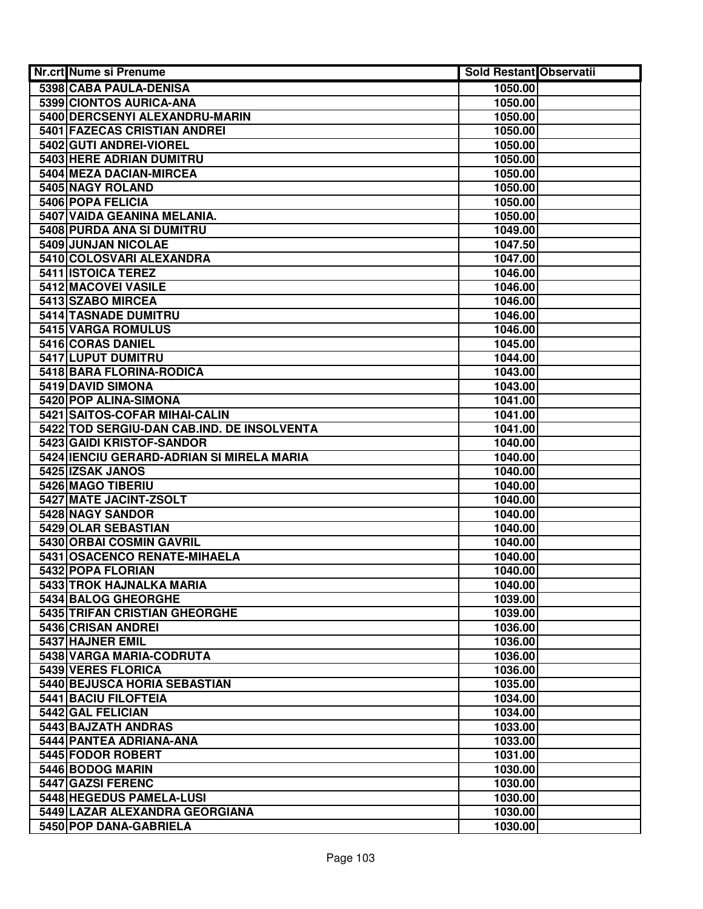| Nr.crt Nume si Prenume                     | Sold Restant Observatii |  |
|--------------------------------------------|-------------------------|--|
| 5398 CABA PAULA-DENISA                     | 1050.00                 |  |
| 5399 CIONTOS AURICA-ANA                    | 1050.00                 |  |
| 5400 DERCSENYI ALEXANDRU-MARIN             | 1050.00                 |  |
| 5401 FAZECAS CRISTIAN ANDREI               | 1050.00                 |  |
| 5402 GUTI ANDREI-VIOREL                    | 1050.00                 |  |
| 5403 HERE ADRIAN DUMITRU                   | 1050.00                 |  |
| 5404 MEZA DACIAN-MIRCEA                    | 1050.00                 |  |
| 5405 NAGY ROLAND                           | 1050.00                 |  |
| 5406 POPA FELICIA                          | 1050.00                 |  |
| 5407 VAIDA GEANINA MELANIA.                | 1050.00                 |  |
| 5408 PURDA ANA SI DUMITRU                  | 1049.00                 |  |
| 5409 JUNJAN NICOLAE                        | 1047.50                 |  |
| 5410 COLOSVARI ALEXANDRA                   | 1047.00                 |  |
| 5411 ISTOICA TEREZ                         | 1046.00                 |  |
| 5412 MACOVEI VASILE                        | 1046.00                 |  |
| 5413 SZABO MIRCEA                          | 1046.00                 |  |
| <b>5414 TASNADE DUMITRU</b>                | 1046.00                 |  |
| 5415 VARGA ROMULUS                         | 1046.00                 |  |
| 5416 CORAS DANIEL                          | 1045.00                 |  |
| 5417 LUPUT DUMITRU                         | 1044.00                 |  |
| 5418 BARA FLORINA-RODICA                   | 1043.00                 |  |
| 5419 DAVID SIMONA                          | 1043.00                 |  |
| 5420 POP ALINA-SIMONA                      | 1041.00                 |  |
| 5421 SAITOS-COFAR MIHAI-CALIN              | 1041.00                 |  |
| 5422 TOD SERGIU-DAN CAB.IND. DE INSOLVENTA | 1041.00                 |  |
| 5423 GAIDI KRISTOF-SANDOR                  | 1040.00                 |  |
| 5424 IENCIU GERARD-ADRIAN SI MIRELA MARIA  | 1040.00                 |  |
| 5425 IZSAK JANOS                           | 1040.00                 |  |
| 5426 MAGO TIBERIU                          | 1040.00                 |  |
| 5427 MATE JACINT-ZSOLT                     | 1040.00                 |  |
| 5428 NAGY SANDOR                           | 1040.00                 |  |
| 5429 OLAR SEBASTIAN                        | 1040.00                 |  |
| 5430 ORBAI COSMIN GAVRIL                   | 1040.00                 |  |
| 5431 OSACENCO RENATE-MIHAELA               | 1040.00                 |  |
| 5432 POPA FLORIAN                          | 1040.00                 |  |
| 5433 TROK HAJNALKA MARIA                   | 1040.00                 |  |
| 5434 BALOG GHEORGHE                        | 1039.00                 |  |
| 5435 TRIFAN CRISTIAN GHEORGHE              | 1039.00                 |  |
| 5436 CRISAN ANDREI                         | 1036.00                 |  |
| 5437 HAJNER EMIL                           | 1036.00                 |  |
| 5438 VARGA MARIA-CODRUTA                   | 1036.00                 |  |
| 5439 VERES FLORICA                         | 1036.00                 |  |
| 5440 BEJUSCA HORIA SEBASTIAN               | 1035.00                 |  |
| <b>5441 BACIU FILOFTEIA</b>                | 1034.00                 |  |
| 5442 GAL FELICIAN                          | 1034.00                 |  |
| 5443 BAJZATH ANDRAS                        | 1033.00                 |  |
| 5444 PANTEA ADRIANA-ANA                    | 1033.00                 |  |
| 5445 FODOR ROBERT                          | 1031.00                 |  |
| 5446 BODOG MARIN                           | 1030.00                 |  |
| 5447 GAZSI FERENC                          | 1030.00                 |  |
| 5448 HEGEDUS PAMELA-LUSI                   | 1030.00                 |  |
| 5449 LAZAR ALEXANDRA GEORGIANA             | 1030.00                 |  |
| 5450 POP DANA-GABRIELA                     | 1030.00                 |  |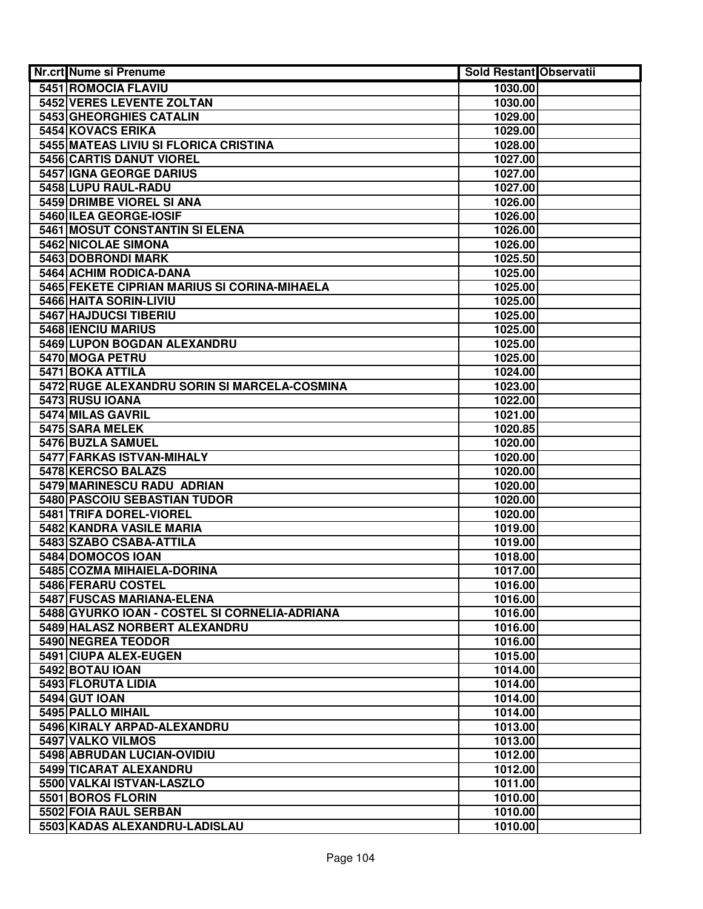| Nr.crt Nume si Prenume                              | <b>Sold Restant Observatii</b> |  |
|-----------------------------------------------------|--------------------------------|--|
| 5451 ROMOCIA FLAVIU                                 | 1030.00                        |  |
| <b>5452 VERES LEVENTE ZOLTAN</b>                    | 1030.00                        |  |
| 5453 GHEORGHIES CATALIN                             | 1029.00                        |  |
| <b>5454 KOVACS ERIKA</b>                            | 1029.00                        |  |
| 5455 MATEAS LIVIU SI FLORICA CRISTINA               | 1028.00                        |  |
| 5456 CARTIS DANUT VIOREL                            | 1027.00                        |  |
| 5457 IGNA GEORGE DARIUS                             | 1027.00                        |  |
| 5458 LUPU RAUL-RADU                                 | 1027.00                        |  |
| 5459 DRIMBE VIOREL SI ANA                           | 1026.00                        |  |
| 5460 ILEA GEORGE-IOSIF                              | 1026.00                        |  |
| 5461 MOSUT CONSTANTIN SI ELENA                      | 1026.00                        |  |
| 5462 NICOLAE SIMONA                                 | 1026.00                        |  |
| 5463 DOBRONDI MARK                                  | 1025.50                        |  |
| 5464 ACHIM RODICA-DANA                              | 1025.00                        |  |
| 5465 FEKETE CIPRIAN MARIUS SI CORINA-MIHAELA        | 1025.00                        |  |
| 5466 HAITA SORIN-LIVIU                              | 1025.00                        |  |
| 5467 HAJDUCSI TIBERIU                               | 1025.00                        |  |
| <b>5468 IENCIU MARIUS</b>                           | 1025.00                        |  |
| 5469 LUPON BOGDAN ALEXANDRU                         | 1025.00                        |  |
| 5470 MOGA PETRU                                     | 1025.00                        |  |
| 5471 BOKA ATTILA                                    | 1024.00                        |  |
| 5472 RUGE ALEXANDRU SORIN SI MARCELA-COSMINA        | 1023.00                        |  |
| 5473 RUSU IOANA                                     | 1022.00                        |  |
| 5474 MILAS GAVRIL                                   | 1021.00                        |  |
| 5475 SARA MELEK                                     | 1020.85                        |  |
| 5476 BUZLA SAMUEL                                   | 1020.00                        |  |
| 5477 FARKAS ISTVAN-MIHALY                           | 1020.00                        |  |
| 5478 KERCSO BALAZS                                  | 1020.00                        |  |
| 5479 MARINESCU RADU ADRIAN                          | 1020.00                        |  |
| 5480 PASCOIU SEBASTIAN TUDOR                        | 1020.00                        |  |
| 5481 TRIFA DOREL-VIOREL                             | 1020.00                        |  |
| 5482 KANDRA VASILE MARIA                            | 1019.00                        |  |
| 5483 SZABO CSABA-ATTILA                             | 1019.00                        |  |
| 5484 DOMOCOS IOAN                                   | 1018.00                        |  |
| 5485 COZMA MIHAIELA-DORINA                          | 1017.00                        |  |
| 5486 FERARU COSTEL                                  | 1016.00                        |  |
| 5487 FUSCAS MARIANA-ELENA                           | 1016.00                        |  |
| 5488 GYURKO IOAN - COSTEL SI CORNELIA-ADRIANA       | 1016.00                        |  |
| 5489 HALASZ NORBERT ALEXANDRU<br>5490 NEGREA TEODOR | 1016.00                        |  |
| 5491 CIUPA ALEX-EUGEN                               | 1016.00<br>1015.00             |  |
| 5492 BOTAU IOAN                                     | 1014.00                        |  |
| 5493 FLORUTA LIDIA                                  | 1014.00                        |  |
| <b>5494 GUT IOAN</b>                                | 1014.00                        |  |
| 5495 PALLO MIHAIL                                   | 1014.00                        |  |
| 5496 KIRALY ARPAD-ALEXANDRU                         | 1013.00                        |  |
| 5497 VALKO VILMOS                                   | 1013.00                        |  |
| 5498 ABRUDAN LUCIAN-OVIDIU                          | 1012.00                        |  |
| 5499 TICARAT ALEXANDRU                              | 1012.00                        |  |
| 5500 VALKAI ISTVAN-LASZLO                           | 1011.00                        |  |
| 5501 BOROS FLORIN                                   | 1010.00                        |  |
| 5502 FOIA RAUL SERBAN                               | 1010.00                        |  |
| 5503 KADAS ALEXANDRU-LADISLAU                       | 1010.00                        |  |
|                                                     |                                |  |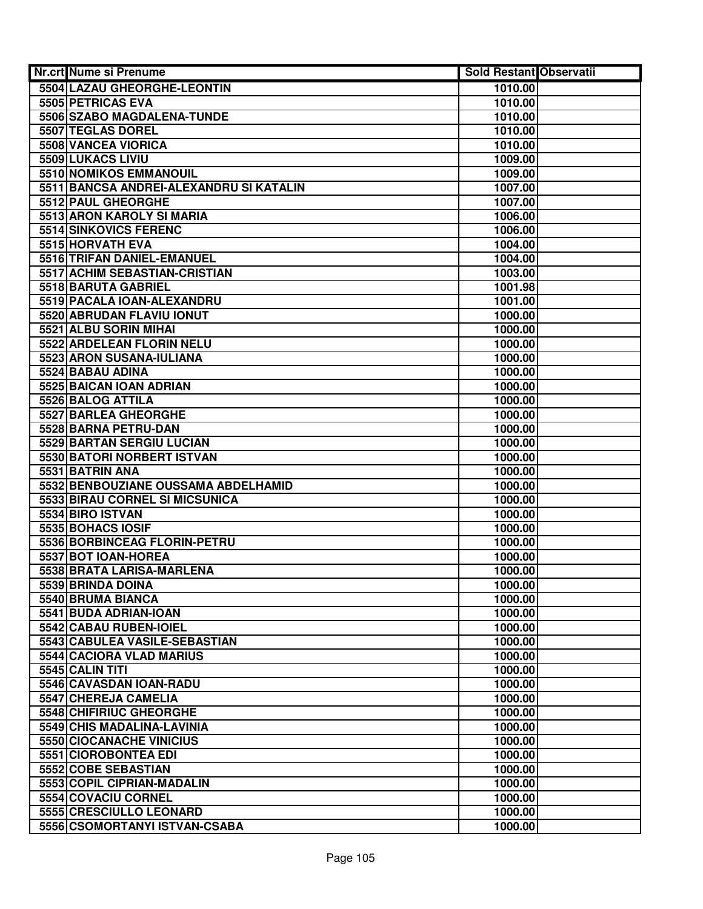| Nr.crt Nume si Prenume                  | <b>Sold Restant Observatii</b> |  |
|-----------------------------------------|--------------------------------|--|
| 5504 LAZAU GHEORGHE-LEONTIN             | 1010.00                        |  |
| 5505 PETRICAS EVA                       | 1010.00                        |  |
| 5506 SZABO MAGDALENA-TUNDE              | 1010.00                        |  |
| 5507 TEGLAS DOREL                       | 1010.00                        |  |
| 5508 VANCEA VIORICA                     | 1010.00                        |  |
| 5509 LUKACS LIVIU                       | 1009.00                        |  |
| <b>5510 NOMIKOS EMMANOUIL</b>           | 1009.00                        |  |
| 5511 BANCSA ANDREI-ALEXANDRU SI KATALIN | 1007.00                        |  |
| 5512 PAUL GHEORGHE                      | 1007.00                        |  |
| 5513 ARON KAROLY SI MARIA               | 1006.00                        |  |
| 5514 SINKOVICS FERENC                   | 1006.00                        |  |
| 5515 HORVATH EVA                        | 1004.00                        |  |
| 5516 TRIFAN DANIEL-EMANUEL              | 1004.00                        |  |
| 5517 ACHIM SEBASTIAN-CRISTIAN           | 1003.00                        |  |
| 5518 BARUTA GABRIEL                     | 1001.98                        |  |
| 5519 PACALA IOAN-ALEXANDRU              | 1001.00                        |  |
| 5520 ABRUDAN FLAVIU IONUT               | 1000.00                        |  |
| 5521 ALBU SORIN MIHAI                   | 1000.00                        |  |
| 5522 ARDELEAN FLORIN NELU               | 1000.00                        |  |
| 5523 ARON SUSANA-IULIANA                | 1000.00                        |  |
| 5524 BABAU ADINA                        | 1000.00                        |  |
| 5525 BAICAN IOAN ADRIAN                 | 1000.00                        |  |
| 5526 BALOG ATTILA                       | 1000.00                        |  |
| 5527 BARLEA GHEORGHE                    | 1000.00                        |  |
| 5528 BARNA PETRU-DAN                    | 1000.00                        |  |
| 5529 BARTAN SERGIU LUCIAN               | 1000.00                        |  |
| 5530 BATORI NORBERT ISTVAN              | 1000.00                        |  |
| 5531 BATRIN ANA                         | 1000.00                        |  |
| 5532 BENBOUZIANE OUSSAMA ABDELHAMID     | 1000.00                        |  |
| 5533 BIRAU CORNEL SI MICSUNICA          | 1000.00                        |  |
| 5534 BIRO ISTVAN                        | 1000.00                        |  |
| 5535 BOHACS IOSIF                       | 1000.00                        |  |
| 5536 BORBINCEAG FLORIN-PETRU            | 1000.00                        |  |
| 5537 BOT IOAN-HOREA                     | 1000.00                        |  |
| 5538 BRATA LARISA-MARLENA               | 1000.00                        |  |
| 5539 BRINDA DOINA                       | 1000.00                        |  |
| 5540 BRUMA BIANCA                       | 1000.00                        |  |
| 5541 BUDA ADRIAN-IOAN                   | 1000.00                        |  |
| 5542 CABAU RUBEN-IOIEL                  | 1000.00                        |  |
| 5543 CABULEA VASILE-SEBASTIAN           | 1000.00                        |  |
| 5544 CACIORA VLAD MARIUS                | 1000.00                        |  |
| 5545 CALIN TITI                         | 1000.00                        |  |
| 5546 CAVASDAN IOAN-RADU                 | 1000.00                        |  |
| 5547 CHEREJA CAMELIA                    | 1000.00                        |  |
| 5548 CHIFIRIUC GHEORGHE                 | 1000.00                        |  |
| 5549 CHIS MADALINA-LAVINIA              | 1000.00                        |  |
| 5550 CIOCANACHE VINICIUS                | 1000.00                        |  |
| 5551 CIOROBONTEA EDI                    | 1000.00                        |  |
| 5552 COBE SEBASTIAN                     | 1000.00                        |  |
| 5553 COPIL CIPRIAN-MADALIN              | 1000.00                        |  |
| 5554 COVACIU CORNEL                     | 1000.00                        |  |
| 5555 CRESCIULLO LEONARD                 | 1000.00                        |  |
| 5556 CSOMORTANYI ISTVAN-CSABA           | 1000.00                        |  |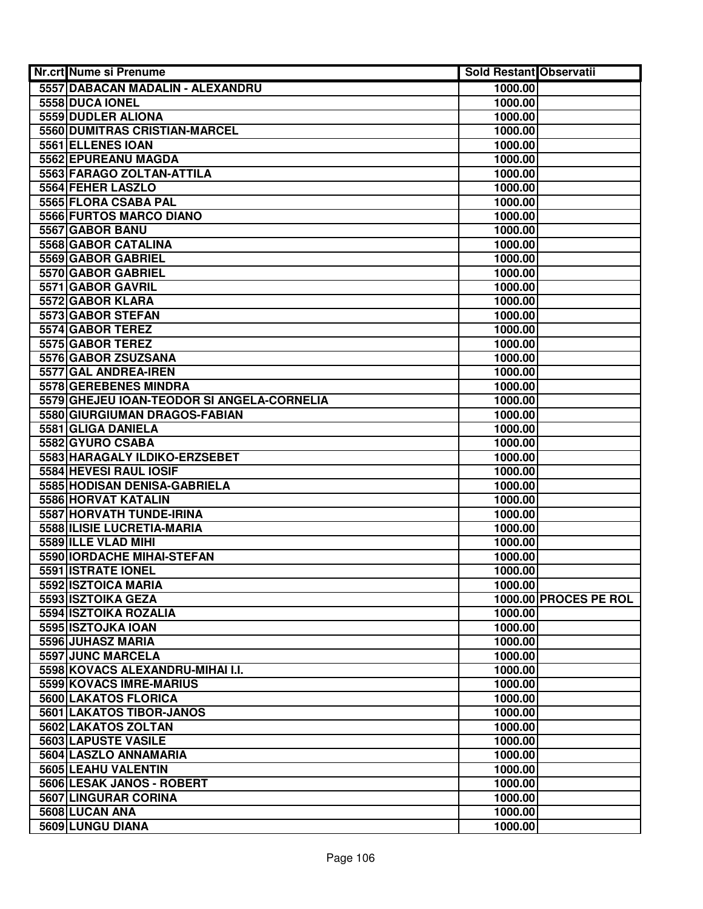| Nr.crt Nume si Prenume                                | <b>Sold Restant Observatii</b> |                       |
|-------------------------------------------------------|--------------------------------|-----------------------|
| 5557 DABACAN MADALIN - ALEXANDRU                      | 1000.00                        |                       |
| 5558 DUCA IONEL                                       | 1000.00                        |                       |
| 5559 DUDLER ALIONA                                    | 1000.00                        |                       |
| 5560 DUMITRAS CRISTIAN-MARCEL                         | 1000.00                        |                       |
| 5561 ELLENES IOAN                                     | 1000.00                        |                       |
| 5562 EPUREANU MAGDA                                   | 1000.00                        |                       |
| 5563 FARAGO ZOLTAN-ATTILA                             | 1000.00                        |                       |
| 5564 FEHER LASZLO                                     | 1000.00                        |                       |
| 5565 FLORA CSABA PAL                                  | 1000.00                        |                       |
| 5566 FURTOS MARCO DIANO                               | 1000.00                        |                       |
| 5567 GABOR BANU                                       | 1000.00                        |                       |
| 5568 GABOR CATALINA                                   | 1000.00                        |                       |
| 5569 GABOR GABRIEL                                    | 1000.00                        |                       |
| 5570 GABOR GABRIEL                                    | 1000.00                        |                       |
| 5571 GABOR GAVRIL                                     | 1000.00                        |                       |
| 5572 GABOR KLARA                                      | 1000.00                        |                       |
| 5573 GABOR STEFAN                                     | 1000.00                        |                       |
| 5574 GABOR TEREZ                                      | 1000.00                        |                       |
| 5575 GABOR TEREZ                                      | 1000.00                        |                       |
| 5576 GABOR ZSUZSANA                                   | 1000.00                        |                       |
| 5577 GAL ANDREA-IREN                                  | 1000.00                        |                       |
| 5578 GEREBENES MINDRA                                 | 1000.00                        |                       |
| 5579 GHEJEU IOAN-TEODOR SI ANGELA-CORNELIA            | 1000.00                        |                       |
| 5580 GIURGIUMAN DRAGOS-FABIAN                         | 1000.00                        |                       |
| 5581 GLIGA DANIELA                                    | 1000.00                        |                       |
| 5582 GYURO CSABA                                      | 1000.00                        |                       |
| 5583 HARAGALY ILDIKO-ERZSEBET                         | 1000.00                        |                       |
| 5584 HEVESI RAUL IOSIF                                | 1000.00                        |                       |
| 5585 HODISAN DENISA-GABRIELA                          | 1000.00                        |                       |
| 5586 HORVAT KATALIN                                   | 1000.00                        |                       |
| 5587 HORVATH TUNDE-IRINA                              | 1000.00                        |                       |
| 5588 ILISIE LUCRETIA-MARIA                            | 1000.00                        |                       |
| 5589 ILLE VLAD MIHI                                   | 1000.00                        |                       |
| 5590 IORDACHE MIHAI-STEFAN                            | 1000.00                        |                       |
| 5591 ISTRATE IONEL                                    | 1000.00                        |                       |
| 5592 ISZTOICA MARIA                                   | 1000.00                        |                       |
| 5593 ISZTOIKA GEZA                                    |                                | 1000.00 PROCES PE ROL |
| 5594 ISZTOIKA ROZALIA                                 | 1000.00                        |                       |
| 5595 ISZTOJKA IOAN                                    | 1000.00                        |                       |
| 5596 JUHASZ MARIA                                     | 1000.00                        |                       |
| 5597 JUNC MARCELA<br>5598 KOVACS ALEXANDRU-MIHAI I.I. | 1000.00<br>1000.00             |                       |
| 5599 KOVACS IMRE-MARIUS                               | 1000.00                        |                       |
| 5600 LAKATOS FLORICA                                  | 1000.00                        |                       |
| 5601 LAKATOS TIBOR-JANOS                              | 1000.00                        |                       |
| 5602 LAKATOS ZOLTAN                                   | 1000.00                        |                       |
| 5603 LAPUSTE VASILE                                   | 1000.00                        |                       |
| 5604 LASZLO ANNAMARIA                                 | 1000.00                        |                       |
| 5605 LEAHU VALENTIN                                   | 1000.00                        |                       |
| 5606 LESAK JANOS - ROBERT                             | 1000.00                        |                       |
| 5607 LINGURAR CORINA                                  | 1000.00                        |                       |
| 5608 LUCAN ANA                                        | 1000.00                        |                       |
| 5609 LUNGU DIANA                                      | 1000.00                        |                       |
|                                                       |                                |                       |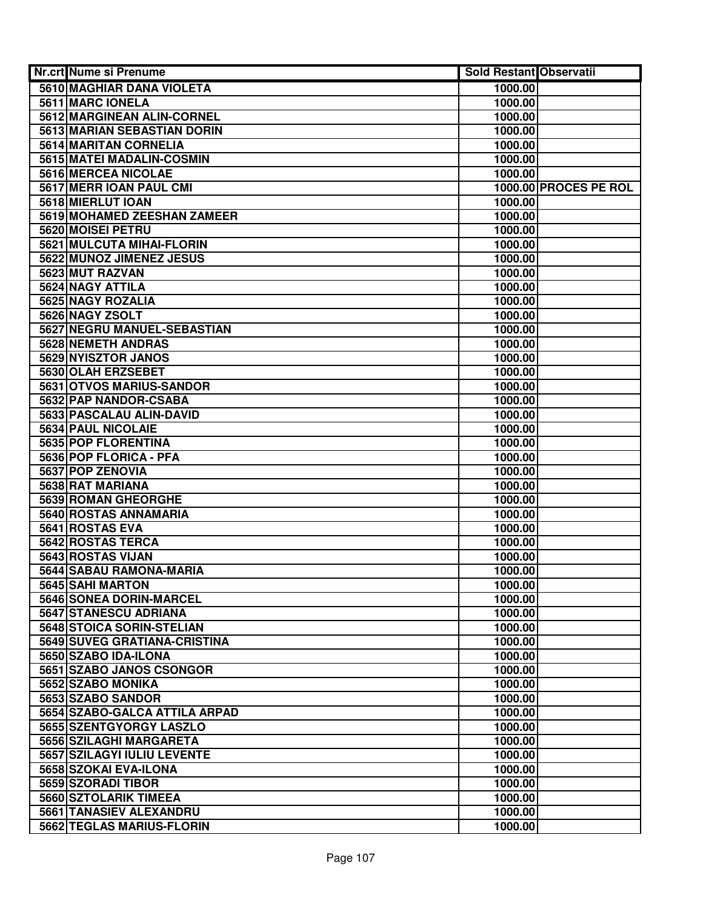| Nr.crt Nume si Prenume                      | <b>Sold Restant Observatii</b> |                       |
|---------------------------------------------|--------------------------------|-----------------------|
| <b>5610 MAGHIAR DANA VIOLETA</b>            | 1000.00                        |                       |
| 5611 MARC IONELA                            | 1000.00                        |                       |
| 5612 MARGINEAN ALIN-CORNEL                  | 1000.00                        |                       |
| 5613 MARIAN SEBASTIAN DORIN                 | 1000.00                        |                       |
| 5614 MARITAN CORNELIA                       | 1000.00                        |                       |
| 5615 MATEI MADALIN-COSMIN                   | 1000.00                        |                       |
| 5616 MERCEA NICOLAE                         | 1000.00                        |                       |
| 5617 MERR JOAN PAUL CMI                     |                                | 1000.00 PROCES PE ROL |
| 5618 MIERLUT IOAN                           | 1000.00                        |                       |
| 5619 MOHAMED ZEESHAN ZAMEER                 | 1000.00                        |                       |
| 5620 MOISEI PETRU                           | 1000.00                        |                       |
| 5621 MULCUTA MIHAI-FLORIN                   | 1000.00                        |                       |
| 5622 MUNOZ JIMENEZ JESUS                    | 1000.00                        |                       |
| 5623 MUT RAZVAN                             | 1000.00                        |                       |
| 5624 NAGY ATTILA                            | 1000.00                        |                       |
| 5625 NAGY ROZALIA                           | 1000.00                        |                       |
| 5626 NAGY ZSOLT                             | 1000.00                        |                       |
| 5627 NEGRU MANUEL-SEBASTIAN                 | 1000.00                        |                       |
| 5628 NEMETH ANDRAS                          | 1000.00                        |                       |
| 5629 NYISZTOR JANOS                         | 1000.00                        |                       |
| 5630 OLAH ERZSEBET                          | 1000.00                        |                       |
| 5631 OTVOS MARIUS-SANDOR                    | 1000.00                        |                       |
| 5632 PAP NANDOR-CSABA                       | 1000.00                        |                       |
| 5633 PASCALAU ALIN-DAVID                    | 1000.00                        |                       |
| 5634 PAUL NICOLAIE                          | 1000.00                        |                       |
| 5635 POP FLORENTINA                         | 1000.00                        |                       |
| 5636 POP FLORICA - PFA                      | 1000.00                        |                       |
| 5637 POP ZENOVIA                            | 1000.00                        |                       |
| 5638 RAT MARIANA                            | 1000.00                        |                       |
| 5639 ROMAN GHEORGHE                         | 1000.00                        |                       |
| 5640 ROSTAS ANNAMARIA                       | 1000.00                        |                       |
| 5641 ROSTAS EVA                             | 1000.00                        |                       |
| 5642 ROSTAS TERCA                           | 1000.00                        |                       |
| 5643 ROSTAS VIJAN                           | 1000.00                        |                       |
| 5644 SABAU RAMONA-MARIA                     | 1000.00                        |                       |
| 5645 SAHI MARTON                            | 1000.00                        |                       |
| 5646 SONEA DORIN-MARCEL                     | 1000.00                        |                       |
| 5647 STANESCU ADRIANA                       | 1000.00                        |                       |
| 5648 STOICA SORIN-STELIAN                   | 1000.00                        |                       |
| 5649 SUVEG GRATIANA-CRISTINA                | 1000.00                        |                       |
| 5650 SZABO IDA-ILONA                        | 1000.00                        |                       |
| 5651 SZABO JANOS CSONGOR                    | 1000.00                        |                       |
| 5652 SZABO MONIKA                           | 1000.00                        |                       |
| 5653 SZABO SANDOR                           | 1000.00                        |                       |
| 5654 SZABO-GALCA ATTILA ARPAD               | 1000.00                        |                       |
| 5655 SZENTGYORGY LASZLO                     | 1000.00                        |                       |
| 5656 SZILAGHI MARGARETA                     | 1000.00                        |                       |
| 5657 SZILAGYI IULIU LEVENTE                 | 1000.00                        |                       |
| 5658 SZOKAI EVA-ILONA<br>5659 SZORADI TIBOR | 1000.00<br>1000.00             |                       |
| 5660 SZTOLARIK TIMEEA                       | 1000.00                        |                       |
| 5661 TANASIEV ALEXANDRU                     | 1000.00                        |                       |
| 5662 TEGLAS MARIUS-FLORIN                   | 1000.00                        |                       |
|                                             |                                |                       |